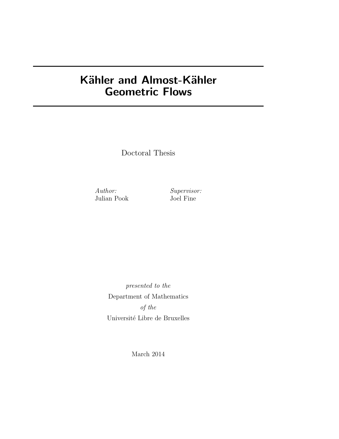## Kähler and Almost-Kähler Geometric Flows

Doctoral Thesis

Author: Supervisor: Julian Pook Joel Fine

presented to the Department of Mathematics of the Université Libre de Bruxelles

March 2014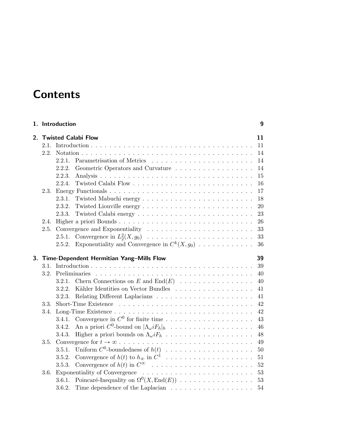# **Contents**

|                                       | 1. Introduction                                               | 9  |  |  |
|---------------------------------------|---------------------------------------------------------------|----|--|--|
| <b>Twisted Calabi Flow</b><br>$2_{-}$ |                                                               |    |  |  |
|                                       |                                                               | 11 |  |  |
|                                       |                                                               | 14 |  |  |
|                                       | 2.2.1.                                                        | 14 |  |  |
|                                       | 2.2.2.<br>Geometric Operators and Curvature                   | 14 |  |  |
|                                       | 2.2.3.                                                        | 15 |  |  |
|                                       | 2.2.4.                                                        | 16 |  |  |
| 2.3.                                  |                                                               | 17 |  |  |
|                                       | 2.3.1.                                                        | 18 |  |  |
|                                       | 2.3.2.                                                        | 20 |  |  |
|                                       | 2.3.3.                                                        | 23 |  |  |
| 2.4.                                  |                                                               | 26 |  |  |
| 2.5.                                  |                                                               | 33 |  |  |
|                                       | 2.5.1.                                                        | 33 |  |  |
|                                       | Exponentiality and Convergence in $C^k(X, g_0)$<br>2.5.2.     | 36 |  |  |
|                                       |                                                               |    |  |  |
|                                       | 3. Time-Dependent Hermitian Yang-Mills Flow                   | 39 |  |  |
|                                       |                                                               | 39 |  |  |
|                                       | 3.2. Preliminaries                                            | 40 |  |  |
|                                       | Chern Connections on E and $\text{End}(E)$<br>3.2.1.          | 40 |  |  |
|                                       | Kähler Identities on Vector Bundles<br>3.2.2.                 | 41 |  |  |
|                                       | 3.2.3.                                                        | 41 |  |  |
| 3.3.                                  |                                                               | 42 |  |  |
| 3.4.                                  |                                                               | 42 |  |  |
|                                       | 3.4.1.                                                        | 43 |  |  |
|                                       | 3.4.2.                                                        | 46 |  |  |
|                                       | 3.4.3.                                                        | 48 |  |  |
| 3.5.                                  |                                                               | 49 |  |  |
|                                       | 3.5.1.                                                        | 50 |  |  |
|                                       | Uniform $C^0$ -boundedness of $h(t)$<br>3.5.2.                | 51 |  |  |
|                                       | 3.5.3.                                                        | 52 |  |  |
| 3.6.                                  |                                                               | 53 |  |  |
|                                       | Poincaré-Inequality on $\Omega^0(X, \text{End}(E))$<br>3.6.1. | 53 |  |  |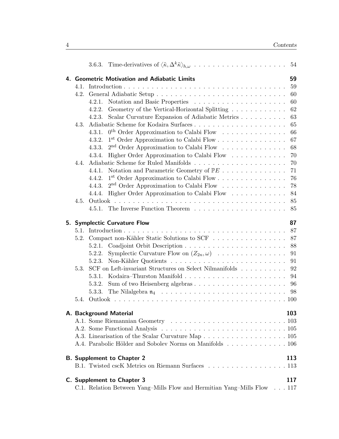| 59<br>4. Geometric Motivation and Adiabatic Limits |        |                                                                         |     |  |  |  |  |  |  |  |
|----------------------------------------------------|--------|-------------------------------------------------------------------------|-----|--|--|--|--|--|--|--|
| 4.1.                                               |        |                                                                         | 59  |  |  |  |  |  |  |  |
|                                                    |        |                                                                         | 60  |  |  |  |  |  |  |  |
|                                                    | 4.2.1. |                                                                         | 60  |  |  |  |  |  |  |  |
|                                                    | 4.2.2. | Geometry of the Vertical-Horizontal Splitting                           | 62  |  |  |  |  |  |  |  |
|                                                    | 4.2.3. | Scalar Curvature Expansion of Adiabatic Metrics                         | 63  |  |  |  |  |  |  |  |
| 4.3.                                               |        |                                                                         | 65  |  |  |  |  |  |  |  |
|                                                    | 4.3.1. | $0^{\text{th}}$ Order Approximation to Calabi Flow                      | 66  |  |  |  |  |  |  |  |
|                                                    | 4.3.2. |                                                                         | 67  |  |  |  |  |  |  |  |
|                                                    | 4.3.3. | $2nd$ Order Approximation to Calabi Flow                                | 68  |  |  |  |  |  |  |  |
|                                                    | 4.3.4. | Higher Order Approximation to Calabi Flow $\dots \dots \dots \dots$     | 70  |  |  |  |  |  |  |  |
| 4.4.                                               |        |                                                                         | 70  |  |  |  |  |  |  |  |
|                                                    | 4.4.1. | Notation and Parametric Geometry of $\mathbb{P} E \text{}$              | 71  |  |  |  |  |  |  |  |
|                                                    | 4.4.2. |                                                                         | 76  |  |  |  |  |  |  |  |
|                                                    | 4.4.3. | $2nd$ Order Approximation to Calabi Flow                                | 78  |  |  |  |  |  |  |  |
|                                                    | 4.4.4. | Higher Order Approximation to Calabi Flow                               | 84  |  |  |  |  |  |  |  |
| 4.5.                                               |        |                                                                         | 85  |  |  |  |  |  |  |  |
|                                                    |        | 4.5.1. The Inverse Function Theorem                                     | 85  |  |  |  |  |  |  |  |
| 87<br>5. Symplectic Curvature Flow                 |        |                                                                         |     |  |  |  |  |  |  |  |
|                                                    |        |                                                                         | 87  |  |  |  |  |  |  |  |
|                                                    |        | 5.2. Compact non-Kähler Static Solutions to SCF                         | 87  |  |  |  |  |  |  |  |
|                                                    | 5.2.1. |                                                                         | 88  |  |  |  |  |  |  |  |
|                                                    | 5.2.2. | Symplectic Curvature Flow on $(Z_{2n}, \omega)$                         | 91  |  |  |  |  |  |  |  |
|                                                    | 5.2.3. |                                                                         | 91  |  |  |  |  |  |  |  |
| 5.3.                                               |        | SCF on Left-invariant Structures on Select Nilmanifolds                 | 92  |  |  |  |  |  |  |  |
|                                                    | 5.3.1. |                                                                         | 94  |  |  |  |  |  |  |  |
|                                                    | 5.3.2. |                                                                         | 96  |  |  |  |  |  |  |  |
|                                                    | 5.3.3. |                                                                         | 98  |  |  |  |  |  |  |  |
|                                                    |        |                                                                         |     |  |  |  |  |  |  |  |
| 5.4.                                               |        |                                                                         |     |  |  |  |  |  |  |  |
|                                                    |        | A. Background Material                                                  | 103 |  |  |  |  |  |  |  |
|                                                    |        |                                                                         |     |  |  |  |  |  |  |  |
|                                                    |        |                                                                         |     |  |  |  |  |  |  |  |
|                                                    |        |                                                                         |     |  |  |  |  |  |  |  |
|                                                    |        | A.4. Parabolic Hölder and Sobolev Norms on Manifolds 106                |     |  |  |  |  |  |  |  |
|                                                    |        | <b>B.</b> Supplement to Chapter 2                                       | 113 |  |  |  |  |  |  |  |
|                                                    |        | B.1. Twisted cscK Metrics on Riemann Surfaces 113                       |     |  |  |  |  |  |  |  |
|                                                    |        |                                                                         |     |  |  |  |  |  |  |  |
|                                                    |        | C. Supplement to Chapter 3                                              | 117 |  |  |  |  |  |  |  |
|                                                    |        | C.1. Relation Between Yang–Mills Flow and Hermitian Yang–Mills Flow 117 |     |  |  |  |  |  |  |  |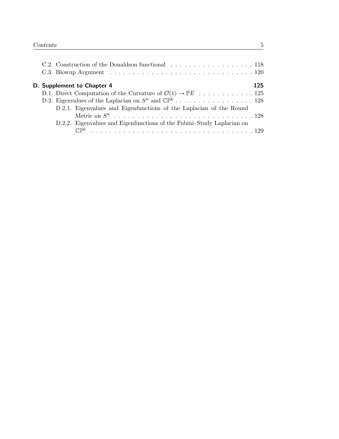|  | D. Supplement to Chapter 4                                                               | 125 |
|--|------------------------------------------------------------------------------------------|-----|
|  | D.1. Direct Computation of the Curvature of $\mathcal{O}(1) \rightarrow \mathbb{P}E$ 125 |     |
|  |                                                                                          |     |
|  | D.2.1. Eigenvalues and Eigenfunctions of the Laplacian of the Round                      |     |
|  |                                                                                          |     |
|  | D.2.2. Eigenvalues and Eigenfunctions of the Fubini-Study Laplacian on                   |     |
|  |                                                                                          |     |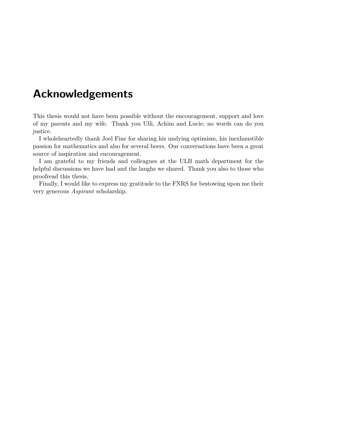## Acknowledgements

This thesis would not have been possible without the encouragement, support and love of my parents and my wife. Thank you Ulli, Achim and Lucie; no words can do you justice.

I wholeheartedly thank Joel Fine for sharing his undying optimism, his inexhaustible passion for mathematics and also for several beers. Our conversations have been a great source of inspiration and encouragement.

I am grateful to my friends and colleagues at the ULB math department for the helpful discussions we have had and the laughs we shared. Thank you also to those who proofread this thesis.

Finally, I would like to express my gratitude to the FNRS for bestowing upon me their very generous Aspirant scholarship.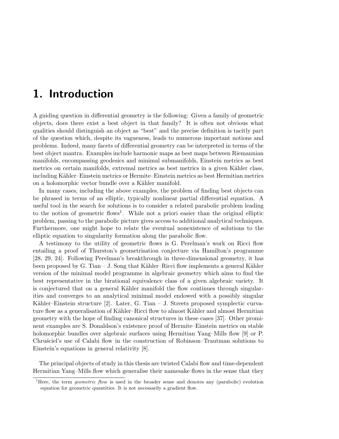## 1. Introduction

A guiding question in differential geometry is the following: Given a family of geometric objects, does there exist a best object in that family? It is often not obvious what qualities should distinguish an object as "best" and the precise definition is tacitly part of the question which, despite its vagueness, leads to numerous important notions and problems. Indeed, many facets of differential geometry can be interpreted in terms of the best object mantra. Examples include harmonic maps as best maps between Riemannian manifolds, encompassing geodesics and minimal submanifolds, Einstein metrics as best metrics on certain manifolds, extremal metrics as best metrics in a given Kähler class, including Kähler–Einstein metrics or Hermite–Einstein metrics as best Hermitian metrics on a holomorphic vector bundle over a Kähler manifold.

In many cases, including the above examples, the problem of finding best objects can be phrased in terms of an elliptic, typically nonlinear partial differential equation. A useful tool in the search for solutions is to consider a related parabolic problem leading to the notion of geometric flows<sup>1</sup>. While not a priori easier than the original elliptic problem, passing to the parabolic picture gives access to additional analytical techniques. Furthermore, one might hope to relate the eventual nonexistence of solutions to the elliptic equation to singularity formation along the parabolic flow.

A testimony to the utility of geometric flows is G. Perelman's work on Ricci flow entailing a proof of Thurston's geometrisation conjecture via Hamilton's programme [28, 29, 24]. Following Perelman's breakthrough in three-dimensional geometry, it has been proposed by G. Tian – J. Song that Kähler–Ricci flow implements a general Kähler version of the minimal model programme in algebraic geometry which aims to find the best representative in the birational equivalence class of a given algebraic variety. It is conjectured that on a general Kähler manifold the flow continues through singularities and converges to an analytical minimal model endowed with a possibly singular Kähler–Einstein structure [2]. Later, G. Tian – J. Streets proposed symplectic curvature flow as a generalisation of Kähler–Ricci flow to almost Kähler and almost Hermitian geometry with the hope of finding canonical structures in these cases [37]. Other prominent examples are S. Donaldson's existence proof of Hermite–Einstein metrics on stable holomorphic bundles over algebraic surfaces using Hermitian Yang–Mills flow [9] or P. Chrusciel's use of Calabi flow in the construction of Robinson–Trautman solutions to Einstein's equations in general relativity [8].

The principal objects of study in this thesis are twisted Calabi flow and time-dependent Hermitian Yang–Mills flow which generalise their namesake flows in the sense that they

<sup>&</sup>lt;sup>1</sup>Here, the term *geometric flow* is used in the broader sense and denotes any (parabolic) evolution equation for geometric quantities. It is not necessarily a gradient flow.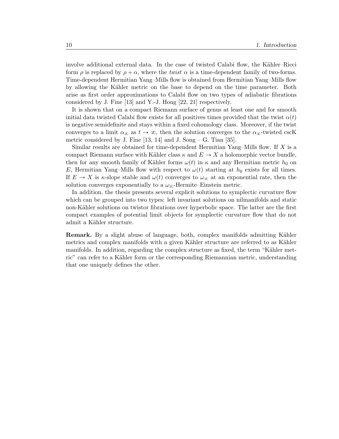involve additional external data. In the case of twisted Calabi flow, the Kähler–Ricci form  $\rho$  is replaced by  $\rho + \alpha$ , where the *twist*  $\alpha$  is a time-dependent family of two-forms. Time-dependent Hermitian Yang–Mills flow is obtained from Hermitian Yang–Mills flow by allowing the Kähler metric on the base to depend on the time parameter. Both arise as first order approximations to Calabi flow on two types of adiabatic fibrations considered by J. Fine [13] and Y.-J. Hong [22, 21] respectively.

It is shown that on a compact Riemann surface of genus at least one and for smooth initial data twisted Calabi flow exists for all positives times provided that the twist  $\alpha(t)$ is negative semidefinite and stays within a fixed cohomology class. Moreover, if the twist converges to a limit  $\alpha_{\infty}$  as  $t \to \infty$ , then the solution converges to the  $\alpha_{\infty}$ -twisted cscK metric considered by J. Fine  $[13, 14]$  and J. Song – G. Tian  $[35]$ .

Similar results are obtained for time-dependent Hermitian Yang–Mills flow. If  $X$  is a compact Riemann surface with Kähler class  $\kappa$  and  $E \to X$  a holomorphic vector bundle, then for any smooth family of Kähler forms  $\omega(t)$  in  $\kappa$  and any Hermitian metric  $h_0$  on E, Hermitian Yang–Mills flow with respect to  $\omega(t)$  starting at  $h_0$  exists for all times. If  $E \to X$  is  $\kappa$ -slope stable and  $\omega(t)$  converges to  $\omega_{\infty}$  at an exponential rate, then the solution converges exponentially to a  $\omega_{\infty}$ -Hermite–Einstein metric.

In addition, the thesis presents several explicit solutions to symplectic curvature flow which can be grouped into two types: left invariant solutions on nilmanifolds and static non-Kähler solutions on twistor fibrations over hyperbolic space. The latter are the first compact examples of potential limit objects for symplectic curvature flow that do not admit a Kähler structure.

**Remark.** By a slight abuse of language, both, complex manifolds admitting Kähler metrics and complex manifolds with a given Kähler structure are referred to as Kähler manifolds. In addition, regarding the complex structure as fixed, the term "Kähler metric" can refer to a Kähler form or the corresponding Riemannian metric, understanding that one uniquely defines the other.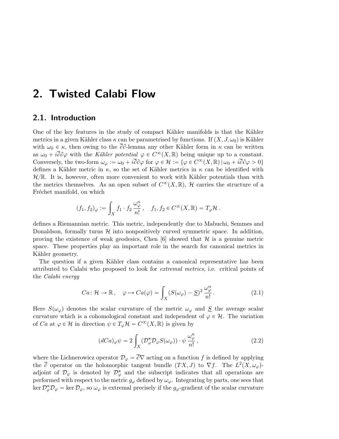## 2. Twisted Calabi Flow

### 2.1. Introduction

One of the key features in the study of compact Kähler manifolds is that the Kähler metrics in a given Kähler class  $\kappa$  can be parametrised by functions. If  $(X, J, \omega_0)$  is Kähler with  $\omega_0 \in \kappa$ , then owing to the  $\overline{\partial}\partial$ -lemma any other Kähler form in  $\kappa$  can be written as  $\omega_0 + i\overline{\partial}\partial\varphi$  with the Kähler potential  $\varphi \in C^{\infty}(X,\mathbb{R})$  being unique up to a constant. Conversely, the two-form  $\omega_{\varphi} := \omega_0 + i \overline{\partial} \partial \varphi$  for  $\varphi \in \mathcal{H} := {\varphi \in C^{\infty}(X, \mathbb{R}) \mid \omega_0 + i \overline{\partial} \partial \varphi > 0}$ defines a Kähler metric in  $\kappa$ , so the set of Kähler metrics in  $\kappa$  can be identified with  $\mathcal{H}/\mathbb{R}$ . It is, however, often more convenient to work with Kähler potentials than with the metrics themselves. As an open subset of  $C^{\infty}(X,\mathbb{R})$ , H carries the structure of a Fréchet manifold, on which

$$
(f_1, f_2)_{\varphi} := \int_X f_1 \cdot f_2 \, \frac{\omega_{\varphi}^n}{n!} \,, \quad f_1, f_2 \in C^{\infty}(X, \mathbb{R}) = T_{\varphi} \mathcal{H} \,.
$$

defines a Riemannian metric. This metric, independently due to Mabuchi, Semmes and Donaldson, formally turns  $H$  into nonpositively curved symmetric space. In addition, proving the existence of weak geodesics, Chen  $[6]$  showed that  $\mathcal H$  is a genuine metric space. These properties play an important role in the search for canonical metrics in Kähler geometry.

The question if a given Kähler class contains a canonical representative has been attributed to Calabi who proposed to look for extremal metrics, i.e. critical points of the Calabi energy

$$
Ca: \mathcal{H} \to \mathbb{R}, \quad \varphi \mapsto Ca(\varphi) = \int_X (S(\omega_{\varphi}) - \underline{S})^2 \frac{\omega_{\varphi}^n}{n!}.
$$
 (2.1)

Here  $S(\omega_{\varphi})$  denotes the scalar curvature of the metric  $\omega_{\varphi}$  and  $\underline{S}$  the average scalar curvature which is a cohomological constant and independent of  $\varphi \in \mathcal{H}$ . The variation of Ca at  $\varphi \in \mathcal{H}$  in direction  $\psi \in T_{\varphi} \mathcal{H} = C^{\infty}(X, \mathbb{R})$  is given by

$$
(dCa)_{\varphi}\psi = 2\int_X(\mathcal{D}_{\varphi}^*\mathcal{D}_{\varphi}S(\omega_{\varphi}))\cdot\psi\,\frac{\omega_{\varphi}^n}{n!},\qquad(2.2)
$$

where the Lichnerowicz operator  $\mathcal{D}_{\varphi} = \overline{\partial} \nabla$  acting on a function f is defined by applying the  $\bar{\partial}$  operator on the holomorphic tangent bundle  $(TX, J)$  to  $\nabla f$ . The  $L^2(X, \omega_{\varphi})$ adjoint of  $\mathcal{D}_{\varphi}$  is denoted by  $\mathcal{D}_{\varphi}^*$  and the subscript indicates that all operations are performed with respect to the metric  $g_{\varphi}$  defined by  $\omega_{\varphi}$ . Integrating by parts, one sees that  $\ker \mathcal{D}_{\varphi}^* \mathcal{D}_{\varphi} = \ker \mathcal{D}_{\varphi}$ , so  $\omega_{\varphi}$  is extremal precisely if the  $g_{\varphi}$ -gradient of the scalar curvature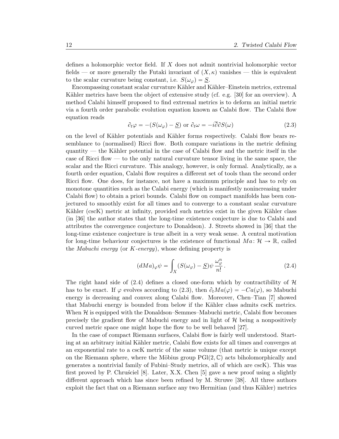defines a holomorphic vector field. If X does not admit nontrivial holomorphic vector fields — or more generally the Futaki invariant of  $(X, \kappa)$  vanishes — this is equivalent to the scalar curvature being constant, i.e.  $S(\omega_{\varphi}) = S$ .

Encompassing constant scalar curvature Kähler and Kähler–Einstein metrics, extremal Kähler metrics have been the object of extensive study (cf. e.g.  $[30]$  for an overview). A method Calabi himself proposed to find extremal metrics is to deform an initial metric via a fourth order parabolic evolution equation known as Calabi flow. The Calabi flow equation reads

$$
\partial_t \varphi = -(S(\omega_{\varphi}) - \underline{S}) \text{ or } \partial_t \omega = -i \overline{\partial} \partial S(\omega) \tag{2.3}
$$

on the level of Kähler potentials and Kähler forms respectively. Calabi flow bears resemblance to (normalised) Ricci flow. Both compare variations in the metric defining quantity — the Kähler potential in the case of Calabi flow and the metric itself in the case of Ricci flow — to the only natural curvature tensor living in the same space, the scalar and the Ricci curvature. This analogy, however, is only formal. Analytically, as a fourth order equation, Calabi flow requires a different set of tools than the second order Ricci flow. One does, for instance, not have a maximum principle and has to rely on monotone quantities such as the Calabi energy (which is manifestly nonincreasing under Calabi flow) to obtain a priori bounds. Calabi flow on compact manifolds has been conjectured to smoothly exist for all times and to converge to a constant scalar curvature Kähler (cscK) metric at infinity, provided such metrics exist in the given Kähler class (in [36] the author states that the long-time existence conjecture is due to Calabi and attributes the convergence conjecture to Donaldson). J. Streets showed in [36] that the long-time existence conjecture is true albeit in a very weak sense. A central motivation for long-time behaviour conjectures is the existence of functional  $Ma: \mathcal{H} \to \mathbb{R}$ , called the Mabuchi energy (or K-energy), whose defining property is

$$
(dMa)_{\varphi}\psi = \int_X (S(\omega_{\varphi}) - \underline{S})\psi \frac{\omega_{\varphi}^n}{n!}.
$$
 (2.4)

The right hand side of  $(2.4)$  defines a closed one-form which by contractibility of H has to be exact. If  $\varphi$  evolves according to (2.3), then  $\partial_t Ma(\varphi) = -Ca(\varphi)$ , so Mabuchi energy is decreasing and convex along Calabi flow. Moreover, Chen–Tian [7] showed that Mabuchi energy is bounded from below if the Kähler class admits cscK metrics. When  $H$  is equipped with the Donaldson–Semmes–Mabuchi metric, Calabi flow becomes precisely the gradient flow of Mabuchi energy and in light of  $H$  being a nonpositively curved metric space one might hope the flow to be well behaved [27].

In the case of compact Riemann surfaces, Calabi flow is fairly well understood. Starting at an arbitrary initial Kähler metric, Calabi flow exists for all times and converges at an exponential rate to a cscK metric of the same volume (that metric is unique except on the Riemann sphere, where the Möbius group  $PGl(2, \mathbb{C})$  acts biholomorphically and generates a nontrivial family of Fubini–Study metrics, all of which are cscK). This was first proved by P. Chrusciel  $[8]$ . Later, X.X. Chen  $[5]$  gave a new proof using a slightly different approach which has since been refined by M. Struwe [38]. All three authors exploit the fact that on a Riemann surface any two Hermitian (and thus Kähler) metrics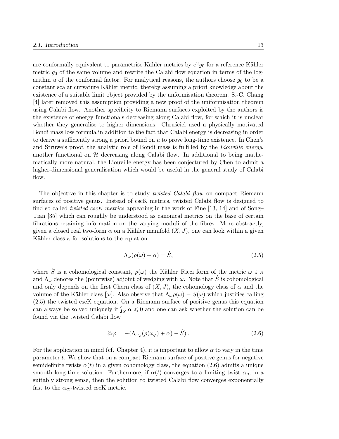are conformally equivalent to parametrise Kähler metrics by  $e^u g_0$  for a reference Kähler metric  $g_0$  of the same volume and rewrite the Calabi flow equation in terms of the logarithm u of the conformal factor. For analytical reasons, the authors choose  $q_0$  to be a constant scalar curvature Kähler metric, thereby assuming a priori knowledge about the existence of a suitable limit object provided by the unformisation theorem. S.-C. Chang [4] later removed this assumption providing a new proof of the uniformisation theorem using Calabi flow. Another specificity to Riemann surfaces exploited by the authors is the existence of energy functionals decreasing along Calabi flow, for which it is unclear whether they generalise to higher dimensions. Chrustiel used a physically motivated Bondi mass loss formula in addition to the fact that Calabi energy is decreasing in order to derive a sufficiently strong a priori bound on  $u$  to prove long-time existence. In Chen's and Struwe's proof, the analytic role of Bondi mass is fulfilled by the Liouville energy, another functional on  $H$  decreasing along Calabi flow. In additional to being mathematically more natural, the Liouville energy has been conjectured by Chen to admit a higher-dimensional generalisation which would be useful in the general study of Calabi flow.

The objective in this chapter is to study *twisted Calabi flow* on compact Riemann surfaces of positive genus. Instead of cscK metrics, twisted Calabi flow is designed to find so called *twisted cscK metrics* appearing in the work of Fine [13, 14] and of Song– Tian [35] which can roughly be understood as canonical metrics on the base of certain fibrations retaining information on the varying moduli of the fibres. More abstractly, given a closed real two-form  $\alpha$  on a Kähler manifold  $(X, J)$ , one can look within a given Kähler class  $\kappa$  for solutions to the equation

$$
\Lambda_{\omega}(\rho(\omega) + \alpha) = \hat{S},\tag{2.5}
$$

where  $\hat{S}$  is a cohomological constant,  $\rho(\omega)$  the Kähler–Ricci form of the metric  $\omega \in \kappa$ and  $\Lambda_{\omega}$  denotes the (pointwise) adjoint of wedging with  $\omega$ . Note that  $\hat{S}$  is cohomological and only depends on the first Chern class of  $(X, J)$ , the cohomology class of  $\alpha$  and the volume of the Kähler class  $[\omega]$ . Also observe that  $\Lambda_{\omega}\rho(\omega) = S(\omega)$  which justifies calling (2.5) the twisted cscK equation. On a Riemann surface of positive genus this equation (2.5) the twisted cscK equation. On a Riemann surface of positive genus this equation can be can always be solved uniquely if  $\int_X \alpha \leq 0$  and one can ask whether the solution can be found via the twisted Calabi flow

$$
\partial_t \varphi = -(\Lambda_{\omega_{\varphi}}(\rho(\omega_{\varphi}) + \alpha) - \hat{S}). \tag{2.6}
$$

For the application in mind (cf. Chapter 4), it is important to allow  $\alpha$  to vary in the time parameter t. We show that on a compact Riemann surface of positive genus for negative semidefinite twists  $\alpha(t)$  in a given cohomology class, the equation (2.6) admits a unique smooth long-time solution. Furthermore, if  $\alpha(t)$  converges to a limiting twist  $\alpha_{\infty}$  in a suitably strong sense, then the solution to twisted Calabi flow converges exponentially fast to the  $\alpha_{\infty}$ -twisted cscK metric.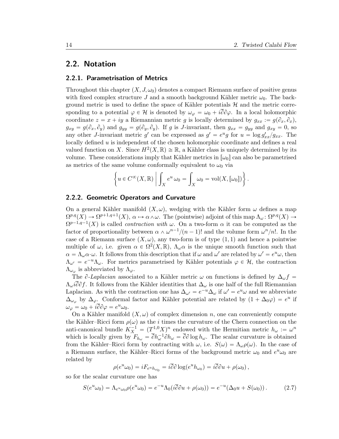## 2.2. Notation

#### 2.2.1. Parametrisation of Metrics

Throughout this chapter  $(X, J, \omega_0)$  denotes a compact Riemann surface of positive genus with fixed complex structure J and a smooth background Kähler metric  $\omega_0$ . The background metric is used to define the space of Kähler potentials  $H$  and the metric corresponding to a potential  $\varphi \in \mathcal{H}$  is denoted by  $\omega_{\varphi} = \omega_0 + i\overline{\partial}\partial\varphi$ . In a local holomorphic coordinate  $z = x + iy$  a Riemannian metric g is locally determined by  $g_{xx} := g(\partial_x, \partial_x)$ ,  $g_{xy} = g(\partial_x, \partial_y)$  and  $g_{yy} = g(\partial_y, \partial_y)$ . If g is J-invariant, then  $g_{xx} = g_{yy}$  and  $g_{xy} = 0$ , so any other *J*-invariant metric g' can be expressed as  $g' = e^u g$  for  $u = \log g'_{xx}/g_{xx}$ . The locally defined  $u$  is independent of the chosen holomorphic coordinate and defines a real valued function on X. Since  $H^2(X,\mathbb{R}) \cong \mathbb{R}$ , a Kähler class is uniquely determined by its volume. These considerations imply that Kähler metrics in  $[\omega_0]$  can also be parametrised as metrics of the same volume conformally equivalent to  $\omega_0$  via

$$
\left\{ u \in C^{\infty}(X, \mathbb{R}) \middle| \int_{X} e^{u} \omega_{0} = \int_{X} \omega_{0} = \text{vol}(X, [\omega_{0}]) \right\}.
$$

#### 2.2.2. Geometric Operators and Curvature

On a general Kähler manifold  $(X, \omega)$ , wedging with the Kähler form  $\omega$  defines a map  $\Omega^{p,q}(X) \to \Omega^{p+1,q+1}(X), \ \alpha \mapsto \alpha \wedge \omega.$  The (pointwise) adjoint of this map  $\Lambda_{\omega} \colon \Omega^{p,q}(X) \to$  $\Omega^{p-1,q-1}(X)$  is called *contraction with*  $\omega$ . On a two-form  $\alpha$  it can be computed as the factor of proportionality between  $\alpha \wedge \omega^{n-1}/(n-1)!$  and the volume form  $\omega^n/n!$ . In the case of a Riemann surface  $(X, \omega)$ , any two-form is of type  $(1, 1)$  and hence a pointwise multiple of  $\omega$ , i.e. given  $\alpha \in \Omega^2(X,\mathbb{R})$ ,  $\Lambda_{\omega}\alpha$  is the unique smooth function such that  $\alpha = \Lambda_{\omega} \alpha \cdot \omega$ . It follows from this description that if  $\omega$  and  $\omega'$  are related by  $\omega' = e^u \omega$ , then  $\Lambda_{\omega'} = e^{-u} \Lambda_{\omega}$ . For metrics parametrised by Kähler potentials  $\varphi \in \mathcal{H}$ , the contraction  $\Lambda_{\omega_{\varphi}}$  is abbreviated by  $\Lambda_{\varphi}$ .

The  $\partial$ -Laplacian associated to a Kähler metric  $\omega$  on functions is defined by  $\Delta_{\omega} f =$  $\Lambda_{\omega} i\partial \partial f$ . It follows from the Kähler identities that  $\Delta_{\omega}$  is one half of the full Riemannian Laplacian. As with the contraction one has  $\Delta_{\omega'} = e^{-u} \Delta_{\omega}$  if  $\omega' = e^u \omega$  and we abbreviate  $\Delta_{\omega_{\varphi}}$  by  $\Delta_{\varphi}$ . Conformal factor and Kähler potential are related by  $(1 + \Delta_0 \varphi) = e^u$  if  $\omega_\varphi = \omega_0 + i \overline{\partial} \partial \varphi = e^u \omega_0.$ 

On a Kähler manifold  $(X, \omega)$  of complex dimension n, one can conveniently compute the Kähler–Ricci form  $\rho(\omega)$  as the *i* times the curvature of the Chern connection on the anti-canonical bundle  $K_X^{-1} = (T_{-}^{1,0} X)^n$  endowed with the Hermitian metric  $h_{\omega} := \omega^n$ which is locally given by  $F_{h_{\omega}} = \bar{\partial} h_{\omega}^{-1} \partial h_{\omega} = \bar{\partial} \partial \log h_{\omega}$ . The scalar curvature is obtained from the Kähler–Ricci form by contracting with  $\omega$ , i.e.  $S(\omega) = \Lambda_{\omega}\rho(\omega)$ . In the case of a Riemann surface, the Kähler–Ricci forms of the background metric  $\omega_0$  and  $e^u \omega_0$  are related by

$$
\rho(e^u\omega_0) = iF_{e^uh_{\omega_0}} = i\overline{\partial}\partial\log(e^uh_{\omega_0}) = i\overline{\partial}\partial u + \rho(\omega_0),
$$

so for the scalar curvature one has

$$
S(e^u\omega_0) = \Lambda_{e^u\omega_0} \rho(e^u\omega_0) = e^{-u}\Lambda_0(i\overline{\partial}\partial u + \rho(\omega_0)) = e^{-u}(\Delta_0 u + S(\omega_0)).
$$
 (2.7)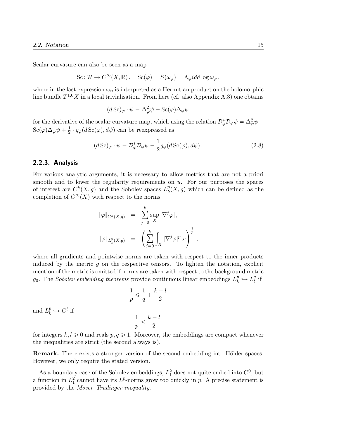Scalar curvature can also be seen as a map

$$
\text{Sc}\colon \mathcal{H} \to C^{\infty}(X,\mathbb{R}), \quad \text{Sc}(\varphi) = S(\omega_{\varphi}) = \Lambda_{\varphi} i \overline{\partial} \partial \log \omega_{\varphi},
$$

where in the last expression  $\omega_{\varphi}$  is interpreted as a Hermitian product on the holomorphic line bundle  $T^{1,0}X$  in a local trivialisation. From here (cf. also Appendix A.3) one obtains

$$
(d\operatorname{Sc})_{\varphi} \cdot \psi = \Delta_{\varphi}^{2} \psi - \operatorname{Sc}(\varphi) \Delta_{\varphi} \psi
$$

for the derivative of the scalar curvature map, which using the relation  $\mathcal{D}_{\varphi}^*\mathcal{D}_{\varphi}\psi = \Delta_{\varphi}^2\psi \text{Sc}(\varphi) \Delta_{\varphi} \psi + \frac{1}{2}$  $\frac{1}{2} \cdot g_{\varphi}(d \operatorname{Sc}(\varphi), d\psi)$  can be reexpressed as

$$
(d\,\text{Sc})_{\varphi} \cdot \psi = \mathcal{D}_{\varphi}^* \mathcal{D}_{\varphi} \psi - \frac{1}{2} g_{\varphi}(d\,\text{Sc}(\varphi), d\psi) \,. \tag{2.8}
$$

,

#### 2.2.3. Analysis

For various analytic arguments, it is necessary to allow metrics that are not a priori smooth and to lower the regularity requirements on  $u$ . For our purposes the spaces of interest are  $C^k(X, g)$  and the Sobolev spaces  $L_k^p$  $_{k}^{p}(X,g)$  which can be defined as the completion of  $C^{\infty}(X)$  with respect to the norms

$$
\begin{array}{rcl} \|\varphi\|_{C^k(X,g)} & = & \displaystyle \sum_{j=0}^k \sup_X |\nabla^j \varphi|\,, \\[2mm] \|\varphi\|_{L^p_k(X,g)} & = & \displaystyle \left(\sum_{j=0}^k \int_X |\nabla^j \varphi|^p \, \omega \right)^{\frac{1}{p}} \end{array}
$$

where all gradients and pointwise norms are taken with respect to the inner products induced by the metric  $g$  on the respective tensors. To lighten the notation, explicit mention of the metric is omitted if norms are taken with respect to the background metric  $g_0$ . The Sobolev embedding theorems provide continuous linear embeddings  $L_k^p$  $\frac{p}{k} \hookrightarrow L_l^q$  $_l^q$  if

$$
\frac{1}{p} \leqslant \frac{1}{q} + \frac{k - l}{2}
$$
  

$$
\frac{1}{p} < \frac{k - l}{2}
$$

and  $L_k^p$  $k \longrightarrow C^l$  if

for integers  $k, l \geq 0$  and reals  $p, q \geq 1$ . Moreover, the embeddings are compact whenever the inequalities are strict (the second always is).

**Remark.** There exists a stronger version of the second embedding into Hölder spaces. However, we only require the stated version.

As a boundary case of the Sobolev embeddings,  $L_1^2$  does not quite embed into  $C^0$ , but a function in  $L_1^2$  cannot have its  $L^p$ -norms grow too quickly in p. A precise statement is provided by the Moser–Trudinger inequality.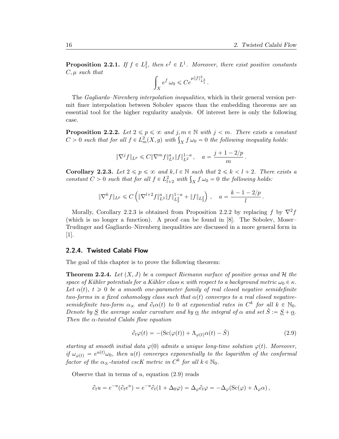**Proposition 2.2.1.** If  $f \in L_1^2$ , then  $e^f \in L^1$ . Moreover, there exist positive constants  $C, \mu$  such that

$$
\int_X e^f \,\omega_0 \leqslant Ce^{\mu \|f\|_{L^2_1}^2}\,.
$$

The Gagliardo–Nirenberg interpolation inequalities, which in their general version permit finer interpolation between Sobolev spaces than the embedding theorems are an essential tool for the higher regularity analysis. Of interest here is only the following case.

**Proposition 2.2.2.** Let  $2 \leq p \leq \infty$  and j,  $m \in \mathbb{N}$  with  $j < m$ . There exists a constant **Proposition 2.2.2.** Let  $2 \leq p \leq \infty$  and  $j, m \in \mathbb{N}$  with  $j < m$ . There exists a const<br>C > 0 such that for all  $f \in L^2_m(X, g)$  with  $\int_X f \omega_0 = 0$  the following inequality holds:

$$
\|\nabla^j f\|_{L^p} \leqslant C \|\nabla^m f\|_{L^2}^a \|f\|_{L^2}^{1-a} \,, \quad a = \frac{j+1-2/p}{m} \,.
$$

**Corollary 2.2.3.** Let  $2 \leq p \leq \infty$  and  $k, l \in \mathbb{N}$  such that  $2 \leq k \leq l + 2$ . There exists a **Corollary 2.2.3.** Let  $2 \leq p \leq \infty$  and  $k, l \in \mathbb{N}$  such that  $2 \leq k < l + 2$ . Then constant  $C > 0$  such that for all  $f \in L^2_{l+2}$  with  $\int_X f \omega_0 = 0$  the following holds:

$$
\|\nabla^k f\|_{L^p} \leqslant C\left(\|\nabla^{l+2} f\|_{L^2}^a \|f\|_{L^2_2}^{1-a} + \|f\|_{L^2_2}\right) \,, \quad a = \frac{k-1-2/p}{l} \,.
$$

Morally, Corollary 2.2.3 is obtained from Proposition 2.2.2 by replacing f by  $\nabla^2 f$ (which is no longer a function). A proof can be found in [8]. The Sobolev, Moser– Trudinger and Gagliardo–Nirenberg inequalities are discussed in a more general form in  $|1|$ .

#### 2.2.4. Twisted Calabi Flow

The goal of this chapter is to prove the following theorem:

**Theorem 2.2.4.** Let  $(X, J)$  be a compact Riemann surface of positive genus and H the space of Kähler potentials for a Kähler class  $\kappa$  with respect to a background metric  $\omega_0 \in \kappa$ . Let  $\alpha(t)$ ,  $t \geq 0$  be a smooth one-parameter family of real closed negative semidefinite two-forms in a fixed cohomology class such that  $\alpha(t)$  converges to a real closed negativesemidefinite two-form  $\alpha_{\infty}$  and  $\partial_t \alpha(t)$  to 0 at exponential rates in  $C^k$  for all  $k \in \mathbb{N}_0$ . Denote by <u>S</u> the average scalar curvature and by <u>α</u> the integral of  $\alpha$  and set  $\hat{S} := \underline{S} + \underline{\alpha}$ . Then the  $\alpha$ -twisted Calabi flow equation

$$
\partial_t \varphi(t) = -(\text{Sc}(\varphi(t)) + \Lambda_{\varphi(t)} \alpha(t) - \hat{S}) \tag{2.9}
$$

starting at smooth initial data  $\varphi(0)$  admits a unique long-time solution  $\varphi(t)$ . Moreover, if  $\omega_{\varphi(t)} = e^{u(t)} \omega_0$ , then  $u(t)$  converges exponentially to the logarithm of the conformal factor of the  $\alpha_{\infty}$ -twisted cscK metric in  $C^k$  for all  $k \in \mathbb{N}_0$ .

Observe that in terms of  $u$ , equation  $(2.9)$  reads

$$
\partial_t u = e^{-u} (\partial_t e^u) = e^{-u} \partial_t (1 + \Delta_0 \varphi) = \Delta_\varphi \partial_t \varphi = -\Delta_\varphi (\mathrm{Sc}(\varphi) + \Lambda_\varphi \alpha) ,
$$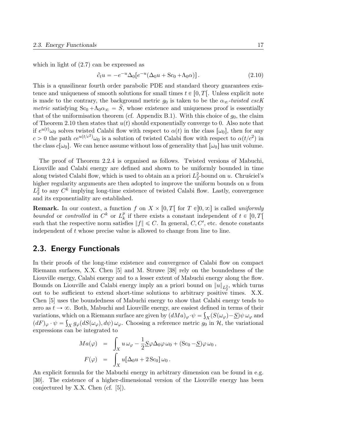which in light of (2.7) can be expressed as

$$
\partial_t u = -e^{-u} \Delta_0 [e^{-u} (\Delta_0 u + \text{Sc}_0 + \Lambda_0 \alpha)] \,. \tag{2.10}
$$

This is a quasilinear fourth order parabolic PDE and standard theory guarantees existence and uniqueness of smooth solutions for small times  $t \in [0, T]$ . Unless explicit note is made to the contrary, the background metric  $g_0$  is taken to be the  $\alpha_{\infty}$ -twisted cscK *metric* satisfying  $Sc_0 + \Lambda_0 \alpha_\infty = \tilde{S}$ , whose existence and uniqueness proof is essentially that of the uniformisation theorem (cf. Appendix B.1). With this choice of  $g_0$ , the claim of Theorem 2.10 then states that  $u(t)$  should exponentially converge to 0. Also note that if  $e^{u(t)}\omega_0$  solves twisted Calabi flow with respect to  $\alpha(t)$  in the class  $[\omega_0]$ , then for any  $c > 0$  the path  $ce^{u(t/c^2)}\omega_0$  is a solution of twisted Calabi flow with respect to  $\alpha(t/c^2)$  in the class  $c[\omega_0]$ . We can hence assume without loss of generality that  $[\omega_0]$  has unit volume.

The proof of Theorem 2.2.4 is organised as follows. Twisted versions of Mabuchi, Liouville and Calabi energy are defined and shown to be uniformly bounded in time along twisted Calabi flow, which is used to obtain an a priori  $L_2^2$ -bound on u. Chrusciel's higher regularity arguments are then adopted to improve the uniform bounds on  $u$  from  $L_2^2$  to any  $C^k$  implying long-time existence of twisted Calabi flow. Lastly, convergence and its exponentiality are established.

**Remark.** In our context, a function f on  $X \times [0, T]$  for  $T \in ]0, \infty]$  is called uniformly bounded or controlled in  $C^k$  or  $L_k^p$  $_k^p$  if there exists a constant independent of  $t \in [0, T[$ such that the respective norm satisfies  $||f|| \leq C$ . In general, C, C', etc. denote constants independent of t whose precise value is allowed to change from line to line.

### 2.3. Energy Functionals

In their proofs of the long-time existence and convergence of Calabi flow on compact Riemann surfaces, X.X. Chen [5] and M. Struwe [38] rely on the boundedness of the Liouville energy, Calabi energy and to a lesser extent of Mabuchi energy along the flow. Bounds on Liouville and Calabi energy imply an a priori bound on  $||u||_{L_2^2}$ , which turns out to be sufficient to extend short-time solutions to arbitrary positive times. X.X. Chen [5] uses the boundedness of Mabuchi energy to show that Calabi energy tends to zero as  $t \to \infty$ . Both, Mabuchi and Liouville energy, are easiest defined in terms of their variations, which on a Riemann surface are given by  $(dMa)_{\varphi} \cdot \psi = \int_X (S(\omega_{\varphi}) - \underline{S}) \psi \, \omega_{\varphi}$  and  $(dF)_{\varphi} \cdot \psi = \int_X g_{\varphi}(dS(\omega_{\varphi}), d\psi) \omega_{\varphi}$ . Choosing a reference metric  $g_0$  in  $H$ , the variational expressions can be integrated to<br>  $Ma(\varphi) = \int$ 

$$
Ma(\varphi) = \int_X u \,\omega_{\varphi} - \frac{1}{2} \underline{S} \varphi \Delta_0 \varphi \,\omega_0 + (\text{Sc}_0 - \underline{S}) \varphi \,\omega_0 ,
$$
  

$$
F(\varphi) = \int_X u [\Delta_0 u + 2 \text{Sc}_0] \,\omega_0 .
$$

An explicit formula for the Mabuchi energy in arbitrary dimension can be found in e.g. [30]. The existence of a higher-dimensional version of the Liouville energy has been conjectured by X.X. Chen (cf. [5]).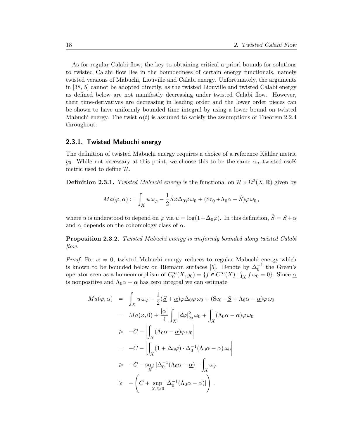As for regular Calabi flow, the key to obtaining critical a priori bounds for solutions to twisted Calabi flow lies in the boundedness of certain energy functionals, namely twisted versions of Mabuchi, Liouville and Calabi energy. Unfortunately, the arguments in [38, 5] cannot be adopted directly, as the twisted Liouville and twisted Calabi energy as defined below are not manifestly decreasing under twisted Calabi flow. However, their time-derivatives are decreasing in leading order and the lower order pieces can be shown to have uniformly bounded time integral by using a lower bound on twisted Mabuchi energy. The twist  $\alpha(t)$  is assumed to satisfy the assumptions of Theorem 2.2.4 throughout.

#### 2.3.1. Twisted Mabuchi energy

The definition of twisted Mabuchi energy requires a choice of a reference Kähler metric g<sub>0</sub>. While not necessary at this point, we choose this to be the same  $\alpha_{\infty}$ -twisted cscK metric used to define H.

**Definition 2.3.1.** Twisted Mabuchi energy is the functional on  $\mathcal{H} \times \Omega^2(X,\mathbb{R})$  given by

$$
Ma(\varphi,\alpha) := \int_X u \,\omega_{\varphi} - \frac{1}{2} \hat{S} \varphi \Delta_0 \varphi \,\omega_0 + (\text{Sc}_0 + \Lambda_0 \alpha - \hat{S}) \varphi \,\omega_0 ,
$$

where u is understood to depend on  $\varphi$  via  $u = \log(1 + \Delta_0\varphi)$ . In this definition,  $\hat{S} = S + \alpha$ and  $\alpha$  depends on the cohomology class of  $\alpha$ .

**Proposition 2.3.2.** Twisted Mabuchi energy is uniformly bounded along twisted Calabi flow.

*Proof.* For  $\alpha = 0$ , twisted Mabuchi energy reduces to regular Mabuchi energy which is known to be bounded below on Riemann surfaces [5]. Denote by  $\Delta_0^{-1}$  the Green's is known to be bounded below on Riemann surfaces [5]. Denote by  $\Delta_0^{-1}$  the Green's operator seen as a homeomorphism of  $C_0^{\infty}(X, g_0) = \{f \in C^{\infty}(X) | \int_X f \omega_0 = 0\}$ . Since  $\underline{\alpha}$ is nonpositive and  $\Lambda_0 \alpha - \alpha$  has zero integral we can estimate

$$
Ma(\varphi, \alpha) = \int_X u \,\omega_{\varphi} - \frac{1}{2} (\underline{S} + \underline{\alpha}) \varphi \Delta_0 \varphi \,\omega_0 + (\text{Sc}_0 - \underline{S} + \Lambda_0 \alpha - \underline{\alpha}) \varphi \,\omega_0
$$
  
\n
$$
= Ma(\varphi, 0) + \frac{|\underline{\alpha}|}{4} \int_X |d\varphi|_{g_0}^2 \,\omega_0 + \int_X (\Lambda_0 \alpha - \underline{\alpha}) \varphi \,\omega_0
$$
  
\n
$$
\geq -C - \left| \int_X (\Lambda_0 \alpha - \underline{\alpha}) \varphi \,\omega_0 \right|
$$
  
\n
$$
= -C - \left| \int_X (1 + \Delta_0 \varphi) \cdot \Delta_0^{-1} (\Lambda_0 \alpha - \underline{\alpha}) \,\omega_0 \right|
$$
  
\n
$$
\geq -C - \sup_X |\Delta_0^{-1} (\Lambda_0 \alpha - \underline{\alpha})| \cdot \int_X \omega_{\varphi}
$$
  
\n
$$
\geq -\left( C + \sup_{X, t \geq 0} |\Delta_0^{-1} (\Lambda_0 \alpha - \underline{\alpha})| \right).
$$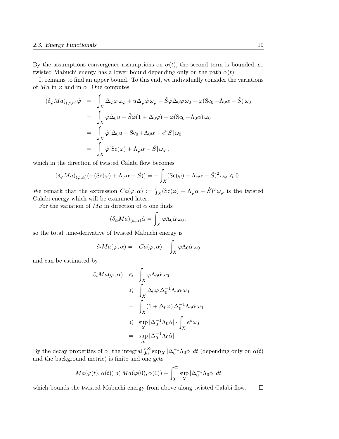By the assumptions convergence assumptions on  $\alpha(t)$ , the second term is bounded, so twisted Mabuchi energy has a lower bound depending only on the path  $\alpha(t)$ .

It remains to find an upper bound. To this end, we individually consider the variations of  $Ma$  in  $\varphi$  and in  $\alpha$ . One computes

$$
(\delta_{\varphi} Ma)_{(\varphi,\alpha)}\dot{\varphi} = \int_{X} \Delta_{\varphi}\dot{\varphi}\,\omega_{\varphi} + u\Delta_{\varphi}\dot{\varphi}\,\omega_{\varphi} - \hat{S}\dot{\varphi}\Delta_{0}\varphi\,\omega_{0} + \dot{\varphi}(\text{Sc}_{0} + \Lambda_{0}\alpha - \hat{S})\,\omega_{0}
$$
  

$$
= \int_{X}\dot{\varphi}\Delta_{0}u - \hat{S}\dot{\varphi}(1 + \Delta_{0}\varphi) + \dot{\varphi}(\text{Sc}_{0} + \Lambda_{0}\alpha)\,\omega_{0}
$$
  

$$
= \int_{X}\dot{\varphi}[\Delta_{0}u + \text{Sc}_{0} + \Lambda_{0}\alpha - e^{u}\hat{S}]\,\omega_{0}
$$
  

$$
= \int_{X}\dot{\varphi}[\text{Sc}(\varphi) + \Lambda_{\varphi}\alpha - \hat{S}]\,\omega_{\varphi},
$$

which in the direction of twisted Calabi flow becomes  
\n
$$
(\delta_{\varphi} Ma)_{(\varphi,\alpha)}(-(Sc(\varphi) + \Lambda_{\varphi}\alpha - \hat{S})) = -\int_X (Sc(\varphi) + \Lambda_{\varphi}\alpha - \hat{S})^2 \,\omega_{\varphi} \leq 0.
$$

We remark that the expression  $Ca(\varphi, \alpha) :=$  $\hat{S}_X(\operatorname{Sc}(\varphi) + \Lambda_{\varphi}\alpha - \hat{S})^2 \omega_{\varphi}$  is the twisted Calabi energy which will be examined later.

For the variation of  $Ma$  in direction of  $\alpha$  one finds

$$
(\delta_{\alpha} Ma)_{(\varphi,\alpha)}\dot{\alpha} = \int_X \varphi \Lambda_0 \dot{\alpha} \,\omega_0 \,,
$$

so the total time-derivative of twisted Mabuchi energy is

$$
\partial_t Ma(\varphi, \alpha) = -Ca(\varphi, \alpha) + \int_X \varphi \Lambda_0 \dot{\alpha} \,\omega_0
$$

and can be estimated by

$$
\partial_t Ma(\varphi, \alpha) \leq \int_X \varphi \Lambda_0 \dot{\alpha} \omega_0
$$
  
\n
$$
\leq \int_X \Delta_0 \varphi \Delta_0^{-1} \Lambda_0 \dot{\alpha} \omega_0
$$
  
\n
$$
= \int_X (1 + \Delta_0 \varphi) \Delta_0^{-1} \Lambda_0 \dot{\alpha} \omega_0
$$
  
\n
$$
\leq \sup_X |\Delta_0^{-1} \Lambda_0 \dot{\alpha}| \cdot \int_X e^u \omega_0
$$
  
\n
$$
= \sup_X |\Delta_0^{-1} \Lambda_0 \dot{\alpha}|.
$$

By the decay properties of  $\alpha$ , the integral  $\int_0^\infty \sup_X |\Delta_0^{-1} \Lambda_0 \dot{\alpha}| dt$  (depending only on  $\alpha(t)$ ) and the background metric) is finite and one gets

$$
Ma(\varphi(t), \alpha(t)) \leq Ma(\varphi(0), \alpha(0)) + \int_0^\infty \sup_X |\Delta_0^{-1} \Lambda_0 \dot{\alpha}| \, dt
$$

which bounds the twisted Mabuchi energy from above along twisted Calabi flow. $\Box$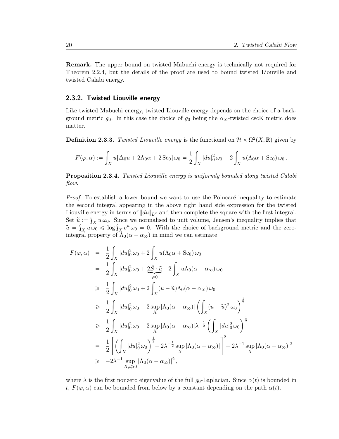Remark. The upper bound on twisted Mabuchi energy is technically not required for Theorem 2.2.4, but the details of the proof are used to bound twisted Liouville and twisted Calabi energy.

#### 2.3.2. Twisted Liouville energy

Like twisted Mabuchi energy, twisted Liouville energy depends on the choice of a background metric  $g_0$ . In this case the choice of  $g_0$  being the  $\alpha_{\infty}$ -twisted cscK metric does matter.

**Definition 2.3.3.** Twisted Liouville energy is the functional on  $\mathcal{H} \times \Omega^2(X,\mathbb{R})$  given by

$$
F(\varphi,\alpha) := \int_X u[\Delta_0 u + 2\Lambda_0 \alpha + 2\,\text{Sc}_0] \,\omega_0 = \frac{1}{2} \int_X |du|_0^2 \,\omega_0 + 2\int_X u(\Lambda_0 \alpha + \text{Sc}_0) \,\omega_0\,.
$$

Proposition 2.3.4. Twisted Liouville energy is uniformly bounded along twisted Calabi flow.

*Proof.* To establish a lower bound we want to use the Poincaré inequality to estimate the second integral appearing in the above right hand side expression for the twisted Liouville energy in terms of  $||du||_{L^2}$  and then complete the square with the first integral. Set  $\tilde{u} := \int_X u \,\omega_0$ . Since we normalised to unit volume, Jensen's inequality implies that Set  $\hat{u} := \int_X u \,\omega_0$ . Since we normalised to unit volume, Jensen's inequality implies that  $\tilde{u} = \int_X u \,\omega_0 \leq \log \int_X e^u \,\omega_0 = 0$ . With the choice of background metric and the zerointegral property of  $\Lambda_0(\alpha - \alpha_\infty)$  in mind we can estimate

$$
F(\varphi, \alpha) = \frac{1}{2} \int_X |du|_0^2 \omega_0 + 2 \int_X u(\Lambda_0 \alpha + \text{Sc}_0) \omega_0
$$
  
\n
$$
= \frac{1}{2} \int_X |du|_0^2 \omega_0 + 2 \hat{S} \cdot \tilde{u} + 2 \int_X u\Lambda_0 (\alpha - \alpha_\infty) \omega_0
$$
  
\n
$$
\geq \frac{1}{2} \int_X |du|_0^2 \omega_0 + 2 \int_X (u - \tilde{u})\Lambda_0 (\alpha - \alpha_\infty) \omega_0
$$
  
\n
$$
\geq \frac{1}{2} \int_X |du|_0^2 \omega_0 - 2 \sup_X |\Lambda_0 (\alpha - \alpha_\infty)| \left( \int_X (u - \tilde{u})^2 \omega_0 \right)^{\frac{1}{2}}
$$
  
\n
$$
\geq \frac{1}{2} \int_X |du|_0^2 \omega_0 - 2 \sup_X |\Lambda_0 (\alpha - \alpha_\infty)| \lambda^{-\frac{1}{2}} \left( \int_X |du|_0^2 \omega_0 \right)^{\frac{1}{2}}
$$
  
\n
$$
= \frac{1}{2} \left[ \left( \int_X |du|_0^2 \omega_0 \right)^{\frac{1}{2}} - 2 \lambda^{-\frac{1}{2}} \sup_X |\Lambda_0 (\alpha - \alpha_\infty)| \right]^2 - 2 \lambda^{-1} \sup_X |\Lambda_0 (\alpha - \alpha_\infty)|^2
$$
  
\n
$$
\geq -2 \lambda^{-1} \sup_{X, t \geq 0} |\Lambda_0 (\alpha - \alpha_\infty)|^2,
$$

where  $\lambda$  is the first nonzero eigenvalue of the full  $g_0$ -Laplacian. Since  $\alpha(t)$  is bounded in t,  $F(\varphi, \alpha)$  can be bounded from below by a constant depending on the path  $\alpha(t)$ .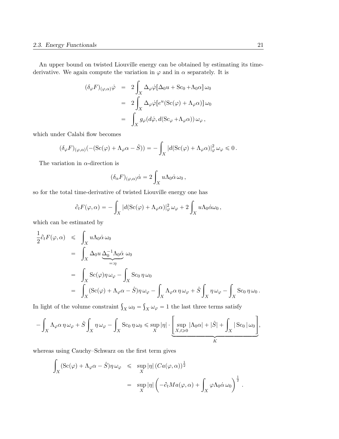An upper bound on twisted Liouville energy can be obtained by estimating its timederivative. We again compute the variation in  $\varphi$  and in  $\alpha$  separately. It is

$$
(\delta_{\varphi} F)_{(\varphi,\alpha)} \dot{\varphi} = 2 \int_X \Delta_{\varphi} \dot{\varphi} [\Delta_0 u + \text{Sc}_0 + \Lambda_0 \alpha] \omega_0
$$
  

$$
= 2 \int_X \Delta_{\varphi} \dot{\varphi} [e^u (\text{Sc}(\varphi) + \Lambda_{\varphi} \alpha)] \omega_0
$$
  

$$
= \int_X g_{\varphi} (d\dot{\varphi}, d(\text{Sc}_{\varphi} + \Lambda_{\varphi} \alpha)) \omega_{\varphi},
$$

which under Calabi flow becomes

$$
(\delta_{\varphi} F)_{(\varphi,\alpha)}(-(Sc(\varphi) + \Lambda_{\varphi}\alpha - \hat{S})) = -\int_X |d(Sc(\varphi) + \Lambda_{\varphi}\alpha)|_{\varphi}^2 \omega_{\varphi} \leq 0.
$$

The variation in  $\alpha$ -direction is

$$
(\delta_{\alpha} F)_{(\varphi,\alpha)} \dot{\alpha} = 2 \int_X u \Lambda_0 \dot{\alpha} \,\omega_0 ,
$$

so for the total time-derivative of twisted Liouville energy one has

$$
\partial_t F(\varphi, \alpha) = -\int_X |d(\mathrm{Sc}(\varphi) + \Lambda_{\varphi}\alpha)|_{\varphi}^2 \,\omega_{\varphi} + 2 \int_X u \Lambda_0 \dot{\alpha} \omega_0,
$$

which can be estimated by

$$
\frac{1}{2}\partial_{t}F(\varphi,\alpha) \leq \int_{X} u\Lambda_{0}\dot{\alpha}\,\omega_{0}
$$
\n
$$
= \int_{X} \Delta_{0}u \underbrace{\Delta_{0}^{-1}\Lambda_{0}\dot{\alpha}}_{=: \eta} \omega_{0}
$$
\n
$$
= \int_{X} Sc(\varphi)\eta \,\omega_{\varphi} - \int_{X} Sc_{0}\,\eta \,\omega_{0}
$$
\n
$$
= \int_{X} (Sc(\varphi) + \Lambda_{\varphi}\alpha - \hat{S})\eta \,\omega_{\varphi} - \int_{X} \Lambda_{\varphi}\alpha \,\eta \,\omega_{\varphi} + \hat{S} \int_{X} \eta \,\omega_{\varphi} - \int_{X} Sc_{0}\,\eta \,\omega_{0}.
$$

In light of the volume constraint  $\int_X \omega_0 =$  $X \omega_{\varphi} = 1$  the last three terms satisfy

$$
-\int_X \Lambda_{\varphi}\alpha\,\eta\,\omega_{\varphi} + \hat{S}\int_X \eta\,\omega_{\varphi} - \int_X \text{Sc}_0\,\eta\,\omega_0 \le \sup_X |\eta| \cdot \underbrace{\left[\sup_{X,t\ge 0} |\Lambda_0\alpha| + |\hat{S}| + \int_X |\,\text{Sc}_0\,|\,\omega_0\right]}_{K},
$$

whereas using Cauchy–Schwarz on the first term gives

$$
\int_X (\operatorname{Sc}(\varphi) + \Lambda_{\varphi}\alpha - \hat{S})\eta \,\omega_{\varphi} \leq \sup_X |\eta| \left( Ca(\varphi, \alpha)\right)^{\frac{1}{2}} \n= \sup_X |\eta| \left( -\partial_t Ma(\varphi, \alpha) + \int_X \varphi \Lambda_0 \dot{\alpha} \,\omega_0 \right)^{\frac{1}{2}}.
$$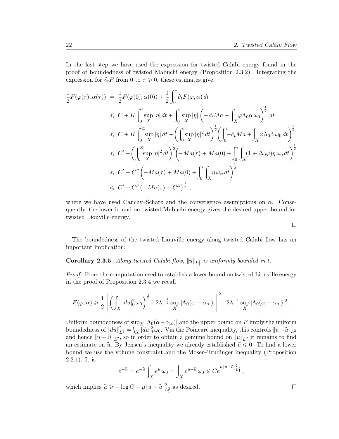In the last step we have used the expression for twisted Calabi energy found in the proof of boundedness of twisted Mabuchi energy (Proposition 2.3.2). Integrating the expression for  $\partial_t F$  from 0 to  $\tau \geq 0$ , these estimates give

$$
\frac{1}{2}F(\varphi(\tau),\alpha(\tau)) = \frac{1}{2}F(\varphi(0),\alpha(0)) + \frac{1}{2}\int_0^{\tau} \partial_t F(\varphi,\alpha) dt
$$
\n
$$
\leq C + K \int_0^{\tau} \sup_X |\eta| dt + \int_0^{\tau} \sup_X |\eta| \left( -\partial_t Ma + \int_X \varphi \Lambda_0 \dot{\alpha} \omega_0 \right)^{\frac{1}{2}} dt
$$
\n
$$
\leq C + K \int_0^{\infty} \sup_X |\eta| dt + \left( \int_0^{\tau} \sup_X |\eta|^2 dt \right)^{\frac{1}{2}} \left( \int_0^{\tau} -\partial_t Ma + \int_X \varphi \Lambda_0 \dot{\alpha} \omega_0 dt \right)^{\frac{1}{2}}
$$
\n
$$
\leq C' + \left( \int_0^{\infty} \sup_X |\eta|^2 dt \right)^{\frac{1}{2}} \left( -Ma(\tau) + Ma(0) + \int_0^{\tau} \int_X (1 + \Delta_0 \varphi) \eta \omega_0 dt \right)^{\frac{1}{2}}
$$
\n
$$
\leq C' + C'' \left( -Ma(\tau) + Ma(0) + \int_0^{\tau} \int_X \eta \omega_\varphi dt \right)^{\frac{1}{2}}
$$
\n
$$
\leq C' + C'' \left( -Ma(\tau) + C''' \right)^{\frac{1}{2}},
$$

where we have used Cauchy–Scharz and the convergence assumptions on  $\alpha$ . Consequently, the lower bound on twisted Mabuchi energy gives the desired upper bound for twisted Liouville energy.

The boundedness of the twisted Liouville energy along twisted Calabi flow has an important implication:

## **Corollary 2.3.5.** Along twisted Calabi flow,  $||u||_{L_1^2}$  is uniformly bounded in t.

Proof. From the computation used to establish a lower bound on twisted Liouville energy in the proof of Proposition 2.3.4 we recall

$$
F(\varphi,\alpha) \geqslant \frac{1}{2} \left[ \left( \int_X |du|_0^2 \, \omega_0 \right)^{\frac{1}{2}} \!\!\! - 2 \lambda^{-\frac{1}{2}} \sup_X \left| \Lambda_0(\alpha - \alpha_\infty) \right| \right]^2 \!\!\! - 2 \lambda^{-1} \sup_X \left| \Lambda_0(\alpha - \alpha_\infty) \right|^2.
$$

Uniform boundedness of  $\sup_X |\Lambda_0(\alpha - \alpha_\infty)|$  and the upper bound on F imply the uniform boundedness of  $||du||_{L^2}^2 = \int_X |du|_0^2 \omega_0$ . Via the Poincaré inequality, this controls  $||u - \tilde{u}||_{L^2}$ and hence  $||u - \tilde{u}||_{L_1^2}$ , so in order to obtain a genuine bound on  $||u||_{L_1^2}$  it remains to find an estimate on  $\tilde{u}$ . By Jensen's inequality we already established  $\tilde{u} \leq 0$ . To find a lower bound we use the volume constraint and the Moser–Trudinger inequality (Proposition 2.2.1). It is

$$
e^{-\widetilde{u}} = e^{-\widetilde{u}} \int_X e^u \,\omega_0 = \int_X e^{u-\widetilde{u}} \,\omega_0 \leqslant Ce^{\mu \|u-\widetilde{u}\|_{L^2_1}^2},
$$

which implies  $\widetilde{u} \geqslant -\log C - \mu \| u - \widetilde{u} \|_{L^2_1}^2$  as desired.

 $\Box$ 

 $\Box$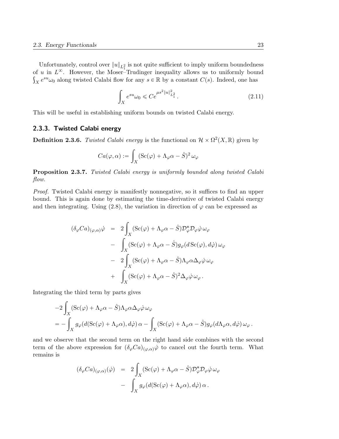Unfortunately, control over  $||u||_{L_1^2}$  is not quite sufficient to imply uniform boundedness of u in  $L^{\infty}$ . However, the Moser-Trudinger inequality allows us to uniformly bound  $X e^{su} \omega_0$  along twisted Calabi flow for any  $s \in \mathbb{R}$  by a constant  $C(s)$ . Indeed, one has

$$
\int_{X} e^{su} \omega_0 \leq C e^{\mu s^2 \|u\|_{L_1^2}^2}.
$$
\n(2.11)

This will be useful in establishing uniform bounds on twisted Calabi energy.

#### 2.3.3. Twisted Calabi energy

**Definition 2.3.6.** Twisted Calabi energy is the functional on  $\mathcal{H} \times \Omega^2(X,\mathbb{R})$  given by

$$
Ca(\varphi, \alpha) := \int_X (\mathrm{Sc}(\varphi) + \Lambda_{\varphi} \alpha - \hat{S})^2 \,\omega_{\varphi}
$$

Proposition 2.3.7. Twisted Calabi energy is uniformly bounded along twisted Calabi flow.

Proof. Twisted Calabi energy is manifestly nonnegative, so it suffices to find an upper bound. This is again done by estimating the time-derivative of twisted Calabi energy and then integrating. Using (2.8), the variation in direction of  $\varphi$  can be expressed as

$$
(\delta_{\varphi} Ca)_{(\varphi,\alpha)}\dot{\varphi} = 2 \int_{X} (\text{Sc}(\varphi) + \Lambda_{\varphi}\alpha - \hat{S}) \mathcal{D}_{\varphi}^{*} \mathcal{D}_{\varphi}\dot{\varphi} \omega_{\varphi}
$$
  

$$
- \int_{X} (\text{Sc}(\varphi) + \Lambda_{\varphi}\alpha - \hat{S}) g_{\varphi}(d \text{ Sc}(\varphi), d\dot{\varphi}) \omega_{\varphi}
$$
  

$$
- 2 \int_{X} (\text{Sc}(\varphi) + \Lambda_{\varphi}\alpha - \hat{S}) \Lambda_{\varphi}\alpha \Delta_{\varphi}\dot{\varphi} \omega_{\varphi}
$$
  

$$
+ \int_{X} (\text{Sc}(\varphi) + \Lambda_{\varphi}\alpha - \hat{S})^{2} \Delta_{\varphi}\dot{\varphi} \omega_{\varphi}.
$$

Integrating the third term by parts gives

$$
-2\int_X (\operatorname{Sc}(\varphi) + \Lambda_{\varphi}\alpha - \hat{S})\Lambda_{\varphi}\alpha\Delta_{\varphi}\dot{\varphi}\,\omega_{\varphi}
$$
  
= 
$$
-\int_X g_{\varphi}(d(\operatorname{Sc}(\varphi) + \Lambda_{\varphi}\alpha), d\dot{\varphi})\,\alpha - \int_X (\operatorname{Sc}(\varphi) + \Lambda_{\varphi}\alpha - \hat{S})g_{\varphi}(d\Lambda_{\varphi}\alpha, d\dot{\varphi})\,\omega_{\varphi}.
$$

and we observe that the second term on the right hand side combines with the second term of the above expression for  $(\delta_{\varphi}Ca)_{(\varphi,\alpha)}\dot{\varphi}$  to cancel out the fourth term. What remains is

$$
(\delta_{\varphi} Ca)_{(\varphi,\alpha)}(\dot{\varphi}) = 2 \int_X (\text{Sc}(\varphi) + \Lambda_{\varphi}\alpha - \hat{S}) \mathcal{D}_{\varphi}^* \mathcal{D}_{\varphi}\dot{\varphi} \,\omega_{\varphi}
$$

$$
- \int_X g_{\varphi}(d(\text{Sc}(\varphi) + \Lambda_{\varphi}\alpha), d\dot{\varphi}) \,\alpha \,.
$$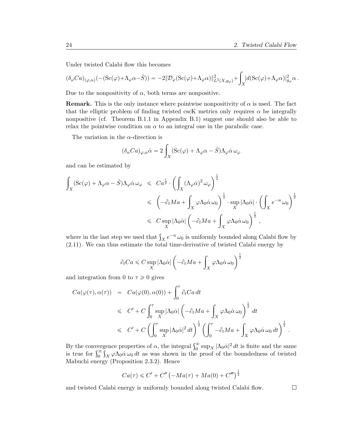Under twisted Calabi flow this becomes

$$
(\delta_{\varphi} Ca)_{(\varphi,\alpha)}(-(Sc(\varphi)+\Lambda_{\varphi}\alpha-\hat{S})) = -2\|\mathcal{D}_{\varphi}(Sc(\varphi)+\Lambda_{\varphi}\alpha)\|_{L^{2}(X,g_{\varphi})}^{2} + \int_{X} |d(Sc(\varphi)+\Lambda_{\varphi}\alpha)|_{g_{\varphi}}^{2}\alpha.
$$

Due to the nonpositivity of  $\alpha$ , both terms are nonpositive.

**Remark.** This is the only instance where pointwise nonpositivity of  $\alpha$  is used. The fact that the elliptic problem of finding twisted cscK metrics only requires  $\alpha$  be integrally nonpositive (cf. Theorem B.1.1 in Appendix B.1) suggest one should also be able to relax the pointwise condition on  $\alpha$  to an integral one in the parabolic case.

The variation in the  $\alpha$ -direction is

$$
(\delta_{\alpha}Ca)_{\varphi,\alpha}\dot{\alpha} = 2\int_{X} (\text{Sc}(\varphi) + \Lambda_{\varphi}\alpha - \hat{S})\Lambda_{\varphi}\dot{\alpha}\,\omega_{\varphi}
$$

and can be estimated by

$$
\int_{X} (\operatorname{Sc}(\varphi) + \Lambda_{\varphi}\alpha - \hat{S})\Lambda_{\varphi}\dot{\alpha}\,\omega_{\varphi} \leq C a^{\frac{1}{2}} \cdot \left( \int_{X} (\Lambda_{\varphi}\dot{\alpha})^{2} \,\omega_{\varphi} \right)^{\frac{1}{2}} \leq \left( -\partial_{t} Ma + \int_{X} \varphi \Lambda_{0}\dot{\alpha}\,\omega_{0} \right)^{\frac{1}{2}} \cdot \sup_{X} |\Lambda_{0}\dot{\alpha}| \cdot \left( \int_{X} e^{-u} \,\omega_{0} \right)^{\frac{1}{2}} \leq C \sup_{X} |\Lambda_{0}\dot{\alpha}| \left( -\partial_{t} Ma + \int_{X} \varphi \Lambda_{0}\dot{\alpha}\,\omega_{0} \right)^{\frac{1}{2}},
$$

where in the last step we used that  $\int_X e^{-u} \omega_0$  is uniformly bounded along Calabi flow by (2.11). We can thus estimate the total time-derivative of twisted Calabi energy by

$$
\partial_t Ca \leqslant C \sup_X \left| \Lambda_0 \dot{\alpha} \right| \left( - \partial_t Ma + \int_X \varphi \Lambda_0 \dot{\alpha} \, \omega_0 \right)^{\frac{1}{2}}
$$

and integration from 0 to  $\tau \geq 0$  gives

$$
Ca(\varphi(\tau), \alpha(\tau)) = Ca(\varphi(0), \alpha(0)) + \int_0^{\tau} \partial_t Ca \, dt
$$
  
\n
$$
\leq C' + C \int_0^{\tau} \sup_X |\Lambda_0 \dot{\alpha}| \left( -\partial_t Ma + \int_X \varphi \Lambda_0 \dot{\alpha} \, \omega_0 \right)^{\frac{1}{2}} \, dt
$$
  
\n
$$
\leq C' + C \left( \int_0^{\tau} \sup_X |\Lambda_0 \dot{\alpha}|^2 \, dt \right)^{\frac{1}{2}} \left( \int_0^{\tau} -\partial_t Ma + \int_X \varphi \Lambda_0 \dot{\alpha} \, \omega_0 \, dt \right)^{\frac{1}{2}}.
$$

By the convergence properties of  $\alpha$ , the integral  $\int_0^\infty \sup_X |\Lambda_0 \dot{\alpha}|^2 dt$  is finite and the same<br>is true for  $\int_0^\infty \int_X \varphi \Lambda_0 \dot{\alpha} \omega_0 dt$  as was shown in the proof of the boundedness of twisted ş  $\int_X \varphi \Lambda_0 \dot{\alpha} \omega_0 dt$  as was shown in the proof of the boundedness of twisted Mabuchi energy (Proposition 2.3.2). Hence

$$
Ca(\tau) \leq C' + C'' \left( -Ma(\tau) + Ma(0) + C''' \right)^{\frac{1}{2}}
$$

and twisted Calabi energy is uniformly bounded along twisted Calabi flow.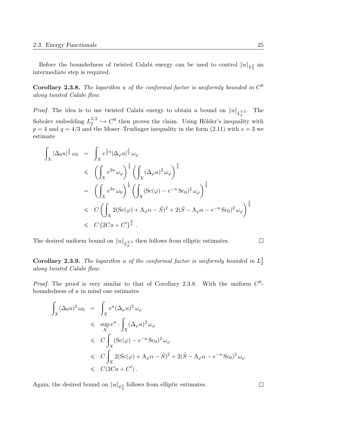Before the boundedness of twisted Calabi energy can be used to control  $||u||_{L_2^2}$  and intermediate step is required.

**Corollary 2.3.8.** The logarithm u of the conformal factor is uniformly bounded in  $C^0$ along twisted Calabi flow.

*Proof.* The idea is to use twisted Calabi energy to obtain a bound on  $||u||_{L_2^{3/2}}$ . The 2 Sobolev embedding  $L_2^{3/2}$  $2^{3/2} \hookrightarrow C^0$  then proves the claim. Using Hölder's inequality with  $p = 4$  and  $q = 4/3$  and the Moser–Trudinger inequality in the form  $(2.11)$  with  $s = 3$  we estimate

$$
\int_X |\Delta_0 u|^{3 \over 2} \omega_0 = \int_X e^{\frac{1}{2}u} |\Delta_\varphi u|^{\frac{3}{2}} \omega_\varphi
$$
\n
$$
\leq \left( \int_X e^{2u} \omega_\varphi \right)^{\frac{1}{4}} \left( \int_X (\Delta_\varphi u)^2 \omega_\varphi \right)^{\frac{3}{4}}
$$
\n
$$
= \left( \int_X e^{3u} \omega_0 \right)^{\frac{1}{4}} \left( \int_X (\text{Sc}(\varphi) - e^{-u} \text{Sc}_0)^2 \omega_\varphi \right)^{\frac{3}{4}}
$$
\n
$$
\leq C \left( \int_X 2(\text{Sc}(\varphi) + \Lambda_\varphi \alpha - \hat{S})^2 + 2(\hat{S} - \Lambda_\varphi \alpha - e^{-u} \text{Sc}_0)^2 \omega_\varphi \right)^{\frac{3}{4}}
$$
\n
$$
\leq C (2Ca + C')^{\frac{3}{4}}.
$$

The desired uniform bound on  $||u||_{L_2^{3/2}}$  then follows from elliptic estimates.

 $\Box$ 

**Corollary 2.3.9.** The logarithm u of the conformal factor is uniformly bounded in  $L_2^2$ along twisted Calabi flow.

*Proof.* The proof is very similar to that of Corollary 2.3.8. With the uniform  $C^0$ boundedness of  $u$  in mind one estimates

$$
\int_{X} (\Delta_0 u)^2 \omega_0 = \int_{X} e^u (\Delta_{\varphi} u)^2 \omega_{\varphi}
$$
\n
$$
\leq \sup_{X} e^u \cdot \int_{X} (\Delta_{\varphi} u)^2 \omega_{\varphi}
$$
\n
$$
\leq C \int_{X} (\text{Sc}(\varphi) - e^{-u} \text{Sc}_0)^2 \omega_{\varphi}
$$
\n
$$
\leq C \int_{X} 2(\text{Sc}(\varphi) + \Lambda_{\varphi} \alpha - \hat{S})^2 + 2(\hat{S} - \Lambda_{\varphi} \alpha - e^{-u} \text{Sc}_0)^2 \omega_{\varphi}
$$
\n
$$
\leq C (2Ca + C').
$$

Again, the desired bound on  $||u||_{L_2^2}$  follows from elliptic estimates.

 $\Box$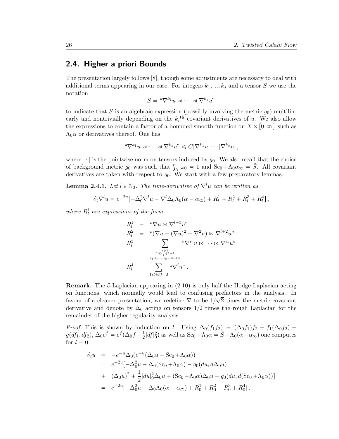### 2.4. Higher a priori Bounds

The presentation largely follows [8], though some adjustments are necessary to deal with additional terms appearing in our case. For integers  $k_1, ..., k_s$  and a tensor S we use the notation

$$
S = \sqrt[u]{\nabla^{k_1} u} \bowtie \cdots \bowtie \nabla^{k_s} u
$$

to indicate that S is an algebraic expression (possibly involving the metric  $g_0$ ) multilinearly and nontrivially depending on the  $k_i$ <sup>th</sup> covariant derivatives of u. We also allow the expressions to contain a factor of a bounded smooth function on  $X \times [0, \infty)$ , such as  $\Lambda_0 \alpha$  or derivatives thereof. One has

$$
\mathbf{``}\nabla^{k_1} u \bowtie \cdots \bowtie \nabla^{k_s} u\mathbf{''} \leq C|\nabla^{k_1} u| \cdots |\nabla^{k_s} u|,
$$

where  $|\cdot|$  is the pointwise norm on tensors induced by  $g_0$ . We also recall that the choice where  $|\cdot|$  is the pointwise norm on tensors induced by  $g_0$ . We also recall that the choice<br>of background metric  $g_0$  was such that  $\int_X \omega_0 = 1$  and  $Sc_0 + \Lambda_0 \alpha_{\infty} = \hat{S}$ . All covariant derivatives are taken with respect to  $g_0$ . We start with a few preparatory lemmas.

**Lemma 2.4.1.** Let  $l \in \mathbb{N}_0$ . The time-derivative of  $\nabla^l u$  can be written as

$$
\partial_t \nabla^l u = e^{-2u} \left[ -\Delta_0^2 \nabla^l u - \nabla^l \Delta_0 \Lambda_0 (\alpha - \alpha_\infty) + R_l^1 + R_l^2 + R_l^3 + R_l^4 \right],
$$

where  $R_l^i$  are expressions of the form

$$
R_l^1 = " \nabla u \bowtie \nabla^{l+3} u"
$$
  
\n
$$
R_l^2 = " (\nabla u + (\nabla u)^2 + \nabla^2 u) \bowtie \nabla^{l+2} u"
$$
  
\n
$$
R_l^3 = \sum_{\substack{s \geq 2 \\ 1 \leq i_j \leq 1+l \\ i_1 + \dots + i_s + \leq l+4}} " \nabla^{i_1} u \bowtie \dots \bowtie \nabla^{i_s} u"
$$
  
\n
$$
R_l^4 = \sum_{1 \leq i \leq l+2} " \nabla^{i} u"
$$

**Remark.** The  $\partial$ -Laplacian appearing in (2.10) is only half the Hodge-Laplacian acting on functions, which normally would lead to confusing prefactors in the analysis. In favour of a cleaner presentation, we redefine  $\nabla$  to be  $1/\sqrt{2}$  times the metric covariant derivative and denote by  $\Delta_0$  acting on tensors 1/2 times the rough Laplacian for the remainder of the higher regularity analysis.

*Proof.* This is shown by induction on l. Using  $\Delta_0(f_1f_2) = (\Delta_0f_1)f_2 + f_1(\Delta_0f_2)$   $g(df_1, df_2), \Delta_0 e^f = e^f(\Delta_0 f - \frac{1}{2})$  $\frac{1}{2}|df|_0^2$  as well as  $Sc_0 + \Lambda_0 \alpha = \hat{S} + \Lambda_0(\alpha - \alpha_\infty)$  one computes for  $l = 0$ :

$$
\partial_t u = -e^{-u} \Delta_0 (e^{-u} (\Delta_0 u + Sc_0 + \Lambda_0 \alpha))
$$
  
\n
$$
= e^{-2u} [-\Delta_0^2 u - \Delta_0 (Sc_0 + \Lambda_0 \alpha) - g_0 (du, d\Delta_0 u)
$$
  
\n
$$
+ (\Delta_0 u)^2 + \frac{1}{2} |du|_0^2 \Delta_0 u + (Sc_0 + \Lambda_0 \alpha) \Delta_0 u - g_0 (du, d(Sc_0 + \Lambda_0 \alpha))]
$$
  
\n
$$
= e^{-2u} [-\Delta_0^2 u - \Delta_0 \Lambda_0 (\alpha - \alpha_\infty) + R_0^1 + R_0^2 + R_0^3 + R_0^4].
$$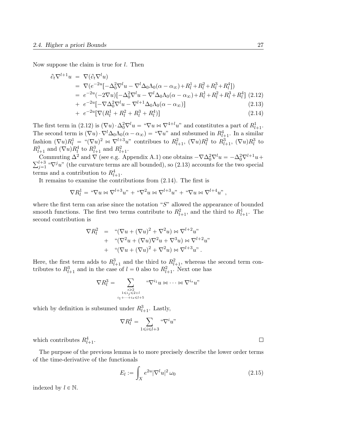Now suppose the claim is true for *l*. Then

$$
\partial_t \nabla^{l+1} u = \nabla (\partial_t \nabla^l u) \n= \nabla (e^{-2u} \left[ -\Delta_0^2 \nabla^l u - \nabla^l \Delta_0 \Lambda_0 (\alpha - \alpha_\infty) + R_l^1 + R_l^2 + R_l^3 + R_l^4 \right]) \n= e^{-2u} (-2\nabla u) \left[ -\Delta_0^2 \nabla^l u - \nabla^l \Delta_0 \Lambda_0 (\alpha - \alpha_\infty) + R_l^1 + R_l^2 + R_l^3 + R_l^4 \right] (2.12) \n+ e^{-2u} \left[ -\nabla \Delta_0^2 \nabla^l u - \nabla^{l+1} \Delta_0 \Lambda_0 (\alpha - \alpha_\infty) \right]
$$
\n(2.13)

+ 
$$
e^{-2u}[\nabla (R_l^1 + R_l^2 + R_l^3 + R_l^4)]
$$
 (2.14)

The first term in (2.12) is  $(\nabla u) \cdot \Delta_0^2 \nabla^l u = \nabla u \bowtie \nabla^{4+l} u$ " and constitutes a part of  $R^1_{l+1}$ . The second term is  $(\nabla u) \cdot \nabla^l \Delta_0 \Lambda_0(\alpha - \alpha_\infty) = \Upsilon^* \nabla u$  and subsumed in  $R^4_{l+1}$ . In a similar fashion  $(\nabla u)R_l^1 = \sqrt[u(\nabla u)]^2 \bowtie \nabla^{l+3}u^r$  contribues to  $R_{l+1}^2$ ,  $(\nabla u)R_l^2$  to  $R_{l+1}^3$ ,  $(\nabla u)R_l^3$  to  $R_{l+1}^3$  and  $(\nabla u)R_l^4$  to  $R_{l+1}^3$  and  $R_{l+1}^2$ .

Commuting  $\Delta^2$  and  $\nabla$  (see e.g. Appendix A.1) one obtains  $-\nabla \Delta_0^2 \nabla^l u = -\Delta_0^2 \nabla^{l+1} u +$ <br> $\nabla^{l+3}$  " $\nabla j_i u$ " (the curvature terms are all bounded) so (2.13) accounts for the two special  $j=1 \atop j=1$  " $\nabla^j u$ " (the curvature terms are all bounded), so (2.13) accounts for the two special terms and a contribution to  $R_{l+1}^4$ .

It remains to examine the contributions from (2.14). The first is

$$
\nabla R_l^1 = \text{``}\nabla u \bowtie \nabla^{l+3} u\text{''} + \text{``}\nabla^2 u \bowtie \nabla^{l+3} u\text{''} + \text{``}\nabla u \bowtie \nabla^{l+4} u\text{''},
$$

where the first term can arise since the notation "S" allowed the appearance of bounded smooth functions. The first two terms contribute to  $R_{l+1}^2$ , and the third to  $R_{l+1}^1$ . The second contribution is

$$
\nabla R_l^2 = "(\nabla u + (\nabla u)^2 + \nabla^2 u) \bowtie \nabla^{l+2} u"
$$
  
+ "(\nabla^2 u + (\nabla u)\nabla^2 u + \nabla^3 u) \bowtie \nabla^{l+2} u"  
+ "(\nabla u + (\nabla u)^2 + \nabla^2 u) \bowtie \nabla^{l+3} u".

Here, the first term adds to  $R_{l+1}^3$  and the third to  $R_{l+1}^2$ , whereas the second term contributes to  $R_{l+1}^3$  and in the case of  $l = 0$  also to  $R_{l+1}^2$ . Next one has

$$
\nabla R_l^3 = \sum_{\substack{s \geqslant 2 \\ 1 \leqslant i_j \leqslant 2+l \\ i_1 + \dots + i_s \leqslant l+5}} \mathsf{``}\nabla^{i_1} u \bowtie \dots \bowtie \nabla^{i_s} u\mathsf{''}
$$

which by definition is subsumed under  $R_{l+1}^3$ . Lastly,

$$
\nabla R_l^4 = \sum_{1 \le i \le l+3} \text{``}\nabla^i u\text{''}
$$

which contributes  $R_{l+1}^4$ .

The purpose of the previous lemma is to more precisely describe the lower order terms of the time-derivative of the functionals ż

$$
E_l := \int_X e^{2u} |\nabla^l u|^2 \,\omega_0 \tag{2.15}
$$

indexed by  $l \in \mathbb{N}$ .

 $\Box$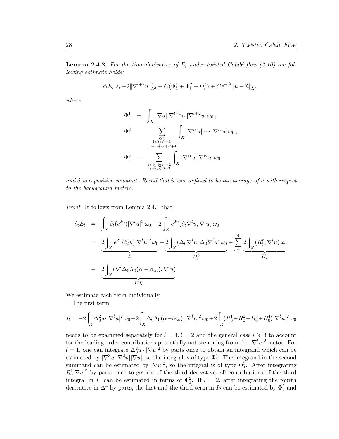**Lemma 2.4.2.** For the time-derivative of  $E_l$  under twisted Calabi flow (2.10) the following estimate holds:

$$
\partial_t E_l \leqslant -2\|\nabla^{l+2} u\|_{L^2}^2 + C(\Phi_l^1 + \Phi_l^2 + \Phi_l^3) + Ce^{-\delta t} \|u - \widetilde{u}\|_{L^2}^2,
$$

where

$$
\begin{array}{rcl}\n\Phi_l^1 & = & \int_X |\nabla u| |\nabla^{l+1} u| |\nabla^{l+2} u| \,\omega_0 \,, \\
\Phi_l^2 & = & \sum_{\substack{s \geqslant 3 \\ i_1 \leqslant i_j \leqslant l+1 \\ i_1 + \cdots + i_s \leqslant 2l+4}} \int_X |\nabla^{i_1} u| \cdots |\nabla^{i_s} u| \,\omega_0 \,, \\
\Phi_l^3 & = & \sum_{\substack{s \leqslant i_1, i_2 \leqslant l+2 \\ i_1 + i_2 \leqslant 2l+2}} \int_X |\nabla^{i_1} u| |\nabla^{i_2} u| \,\omega_0\n\end{array}
$$

and  $\delta$  is a positive constant. Recall that  $\tilde{u}$  was defined to be the average of u with respect to the background metric.

Proof. It follows from Lemma 2.4.1 that

$$
\partial_t E_l = \int_X \partial_t (e^{2u}) |\nabla^l u|^2 \omega_0 + 2 \int_X e^{2u} (\partial_t \nabla^l u, \nabla^l u) \omega_0
$$
  
\n
$$
= 2 \int_X e^{2u} (\partial_t u) |\nabla^l u|^2 \omega_0 - 2 \int_X (\Delta_0 \nabla^l u, \Delta_0 \nabla^l u) \omega_0 + \sum_{r=1}^4 2 \int_X (R_l^r, \nabla^l u) \omega_0
$$
  
\n
$$
- 2 \int_X (\nabla^l \Delta_0 \Lambda_0 (\alpha - \alpha_\infty), \nabla^l u)
$$
  
\nIII<sub>l</sub>

We estimate each term individually.

The first term

$$
I_{l} = -2 \int_{X} \Delta_{0}^{2} u \cdot |\nabla^{l} u|^{2} \omega_{0} - 2 \int_{X} \Delta_{0} \Lambda_{0} (\alpha - \alpha_{\infty}) \cdot |\nabla^{l} u|^{2} \omega_{0} + 2 \int_{X} (R_{0}^{1} + R_{0}^{2} + R_{0}^{3} + R_{0}^{4}) |\nabla^{l} u|^{2} \omega_{0}
$$

needs to be examined separately for  $l = 1, l = 2$  and the general case  $l \geq 3$  to account for the leading order contributions potentially not stemming from the  $|\nabla^l u|^2$  factor. For  $l = 1$ , one can integrate  $\Delta_0^2 u \cdot |\nabla u|^2$  by parts once to obtain an integrand which can be estimated by  $|\nabla^3 u||\nabla^2 u||\nabla u|$ , so the integral is of type  $\Phi_1^1$ . The integrand in the second summand can be estimated by  $|\nabla u|^2$ , so the integral is of type  $\Phi_1^3$ . After integrating  $R_0^1 |\nabla u|^2$  by parts once to get rid of the third derivative, all contributions of the third integral in  $I_1$  can be estimated in terms of  $\Phi_1^2$ . If  $l = 2$ , after integrating the fourth derivative in  $\Delta^4$  by parts, the first and the third term in  $I_2$  can be estimated by  $\Phi_2^2$  and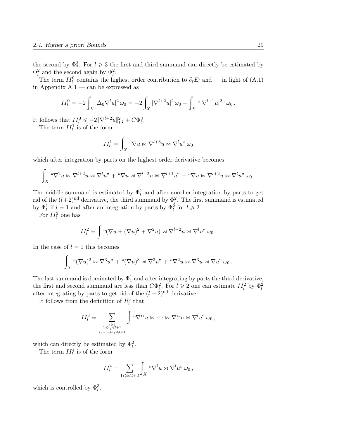the second by  $\Phi_2^3$ . For  $l \geq 3$  the first and third summand can directly be estimated by  $\Phi_l^2$  and the second again by  $\Phi_l^2$ .

The term  $II_l^0$  contains the highest order contribution to  $\partial_t E_l$  and — in light of (A.1) in Appendix  $A.1 - \text{can}$  be expressed as

$$
II_l^0 = -2 \int_X |\Delta_0 \nabla^l u|^2 \,\omega_0 = -2 \int_X |\nabla^{l+2} u|^2 \,\omega_0 + \int_X \, \text{``} |\nabla^{l+1} u|^{2\text{''}} \,\omega_0 \,.
$$

It follows that  $II_l^0 \leqslant -2\|\nabla^{l+2}u\|_{L^2}^2 + C\Phi_l^3$ .

The term  $II_l^1$  is of the form

$$
II_l^1 = \int_X \, ^\omega \nabla u \bowtie \nabla^{l+3} u \bowtie \nabla^l u \, ^\omega \omega_0
$$

which after integration by parts on the highest order derivative becomes

$$
\int_X \, \text{``}\nabla^2 u \bowtie \nabla^{l+2} u \bowtie \nabla^l u \text{''} + \text{``}\nabla u \bowtie \nabla^{l+2} u \bowtie \nabla^{l+1} u \text{''} + \text{``}\nabla u \bowtie \nabla^{l+2} u \bowtie \nabla^l u \text{''} \omega_0.
$$

The middle summand is estimated by  $\Phi_l^1$  and after another integration by parts to get rid of the  $(l+2)^{nd}$  derivative, the third summand by  $\Phi_l^2$ . The first summand is estimated by  $\Phi_l^1$  if  $l = 1$  and after an integration by parts by  $\Phi_l^2$  for  $l \geq 2$ .

For  $II_l^2$  one has

$$
II_l^2 = \int \mathbf{``} (\nabla u + (\nabla u)^2 + \nabla^2 u) \bowtie \nabla^{l+2} u \bowtie \nabla^l u \mathbf{''} \omega_0.
$$

In the case of  $l = 1$  this becomes

$$
\int_X \sqrt[a(\nabla u)^2 \bowtie \nabla^3 u'' + \sqrt[a(\nabla u)^3 \bowtie \nabla^3 u'' + \sqrt[a \nabla^2 u \bowtie \nabla^3 u \bowtie \nabla u'' \omega_0].
$$

The last summand is dominated by  $\Phi_1^1$  and after integrating by parts the third derivative, the first and second summand are less than  $C\Phi_1^2$ . For  $l \geq 2$  one can estimate  $II_l^2$  by  $\Phi_l^2$ after integrating by parts to get rid of the  $(l + 2)$ <sup>nd</sup> derivative.

It follows from the definition of  $R_l^3$  that

$$
II_l^3 = \sum_{\substack{s \geq 2 \\ 1 \leq i_j \leq l+1 \\ i_1 + \cdots + i_s \leq l+4}} \int \mathbf{d} \nabla^{i_1} u \bowtie \cdots \bowtie \nabla^{i_s} u \bowtie \nabla^l u \mathbf{d} \mathbf{d} \mathbf{d}
$$

which can directly be estimated by  $\Phi_l^2$ .

The term  $II_l^4$  is of the form

$$
II_l^4 = \sum_{1 \leq i \leq l+2} \int_X \, \text{``}\nabla^i u \bowtie \nabla^l u \,\text{''} \,\omega_0 \,,
$$

which is controlled by  $\Phi_l^3$ .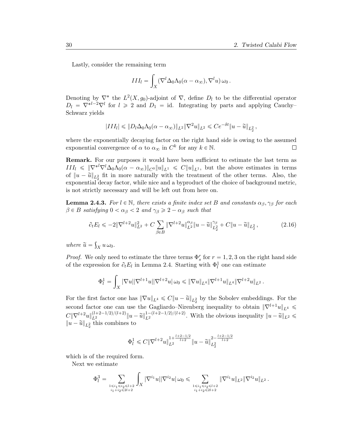Lastly, consider the remaining term

$$
III_l = \int_X (\nabla^l \Delta_0 \Lambda_0(\alpha - \alpha_\infty), \nabla^l u) \,\omega_0\,.
$$

Denoting by  $\nabla^*$  the  $L^2(X, g_0)$ -adjoint of  $\nabla$ , define  $D_l$  to be the differential operator  $D_l = \nabla^{*l-2} \nabla^l$  for  $l \geq 2$  and  $D_1 = id$ . Integrating by parts and applying Cauchy-Schwarz yields

$$
|III_l| \leq \|D_l \Delta_0 \Lambda_0 (\alpha - \alpha_{\infty})\|_{L^2} \|\nabla^2 u\|_{L^2} \leq C e^{-\delta t} \|u - \tilde{u}\|_{L^2} ,
$$

where the exponentially decaying factor on the right hand side is owing to the assumed exponential convergence of  $\alpha$  to  $\alpha_{\infty}$  in  $C^k$  for any  $k \in \mathbb{N}$ .  $\Box$ 

Remark. For our purposes it would have been sufficient to estimate the last term as  $III_l \leqslant \|\nabla^{*l}\nabla^l\Delta_0\Lambda_0(\alpha-\alpha_{\infty})\|_{C^0}\|u\|_{L^1} \leqslant C\|u\|_{L^1}$ , but the above estimates in terms of  $||u - \tilde{u}||_{L_2^2}$  fit in more naturally with the treatment of the other terms. Also, the exponential decay factor, while nice and a byproduct of the choice of background metric, is not strictly necessary and will be left out from here on.

**Lemma 2.4.3.** For  $l \in \mathbb{N}$ , there exists a finite index set B and constants  $\alpha_{\beta}, \gamma_{\beta}$  for each  $\beta \in B$  satisfying  $0 < \alpha_{\beta} < 2$  and  $\gamma_{\beta} \geq 2 - \alpha_{\beta}$  such that

$$
\partial_t E_l \leqslant -2\|\nabla^{l+2} u\|_{L^2}^2 + C \sum_{\beta \in B} \|\nabla^{l+2} u\|_{L^2}^{\alpha_{\beta}} \|u - \tilde{u}\|_{L^2_2}^{\gamma_{\beta}} + C \|u - \tilde{u}\|_{L^2_2}, \tag{2.16}
$$

where  $\widetilde{u} = \int_X u \,\omega_0$ .

*Proof.* We only need to estimate the three terms  $\Phi_s^r$  for  $r = 1, 2, 3$  on the right hand side of the expression for  $\partial_t E_l$  in Lemma 2.4. Starting with  $\Phi_l^1$  one can estimate

$$
\Phi_l^1 = \int_X |\nabla u| |\nabla^{l+1} u| |\nabla^{l+2} u| \, \omega_0 \leqslant \|\nabla u\|_{L^4} \|\nabla^{l+1} u\|_{L^4} \|\nabla^{l+2} u\|_{L^2} \, .
$$

For the first factor one has  $\|\nabla u\|_{L^4} \leqslant C \|u - \tilde{u}\|_{L^2}$  by the Sobolev embeddings. For the second factor one can use the Gagliardo–Nirenberg inequality to obtain  $\|\nabla^{l+1}u\|_{L^4} \leq$  $C\|\nabla^{l+2} u\|_{L^2}^{(l+2-1/2)/(l+2)}\|u-\widetilde{u}\|_{L^2}^{1-(l+2-1/2)/(l+2)}$  $\mathbb{L}^{1-(l+2-1/2)/(l+2)}$ . With the obvious inequality  $||u-\widetilde{u}||_{L^2} \leqslant$  $||u - \tilde{u}||_{L_2^2}$  this combines to

$$
\Phi^1_l \leqslant C\|\nabla^{l+2}u\|_{L^2}^{1+\frac{l+2-1/2}{l+2}}\|u-\widetilde{u}\|_{L^2_2}^{2-\frac{l+2-1/2}{l+2}}
$$

which is of the required form.

Next we estimate

$$
\Phi_l^3 = \sum_{\substack{1 \leq i_1 \leq i_2 \leq l+2 \\ i_1 + i_2 \leq 2l+2}} \int_X |\nabla^{i_1} u| |\nabla^{i_2} u| \, \omega_0 \leq \sum_{\substack{1 \leq i_1 \leq i_2 \leq l+2 \\ i_1 + i_2 \leq 2l+2}} \|\nabla^{i_1} u\|_{L^2} \|\nabla^{i_2} u\|_{L^2}.
$$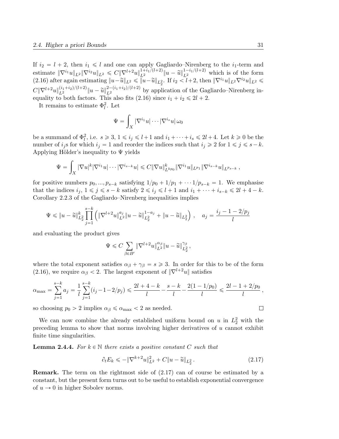If  $i_2 = l + 2$ , then  $i_1 \leq l$  and one can apply Gagliardo–Nirenberg to the  $i_1$ -term and estimate  $\|\nabla^{i_1} u\|_{L^2} \|\nabla^{i_2} u\|_{L^2} \leq C \|\nabla^{l+2} u\|_{L^2}^{1+i_1/(l+2)} \|u - \tilde{u}\|_{L^2}^{1-i_1/(l+2)}$  which is of the form  $(2.16)$  after again estimating  $||u - \tilde{u}||_{L^2} \le ||u - \tilde{u}||_{L^2}$ . If  $i_2 < l+2$ , then  $||\nabla^{i_1}u||_{L^2}\nabla^{i_2}u||_{L^2} \le$  $C\|\nabla^{l+2}u\|_{L^2}^{(i_1+i_2)/(l+2)}\|u-\tilde{u}\|_{L^2}^{2-(i_1+i_2)/(l+2)}$  by application of the Gagliardo–Nirenberg inequality to both factors. This also fits (2.16) since  $i_1 + i_2 \le 2l + 2$ .

It remains to estimate  $\Phi_l^2$ . Let

$$
\Psi=\int_X |\nabla^{i_1} u|\cdots |\nabla^{i_s} u|\,\omega_0
$$

be a summand of  $\Phi_l^2$ , i.e.  $s \geq 3$ ,  $1 \leq i_j \leq l+1$  and  $i_1 + \cdots + i_s \leq 2l+4$ . Let  $k \geq 0$  be the number of  $i_j$ s for which  $i_j = 1$  and reorder the indices such that  $i_j \geq 2$  for  $1 \leq j \leq s-k$ . Applying Hölder's inequality to  $\Psi$  yields

$$
\Psi = \int_X |\nabla u|^k |\nabla^{i_1} u| \cdots |\nabla^{i_{s-k}} u| \leqslant C \|\nabla u\|_{L^{kp_0}}^k \|\nabla^{i_1} u\|_{L^{p_1}} \|\nabla^{i_{s-k}} u\|_{L^{p_{s-k}}},
$$

for positive numbers  $p_0, ..., p_{s-k}$  satisfying  $1/p_0 + 1/p_1 + ... 1/p_{s-k} = 1$ . We emphasise that the indices  $i_j, 1 \leq j \leq s - k$  satisfy  $2 \leq i_j \leq l + 1$  and  $i_1 + \cdots + i_{s-k} \leq 2l + 4 - k$ . Corollary 2.2.3 of the Gagliardo–Nirenberg inequalities implies

$$
\Psi \leqslant \|u-\widetilde u\|_{L^2_2}^k \prod_{j=1}^{s-k} \left( \|\nabla^{l+2} u\|_{L^2}^{a_j} \|u-\widetilde u\|_{L^2_2}^{1-a_j} + \|u-\widetilde u\|_{L^2_2} \right)\,, \quad a_j = \frac{i_j-1-2/p_j}{l}
$$

and evaluating the product gives

$$
\Psi \leqslant C \sum_{\beta \in B'} \|\nabla^{l+2} u\|_{L^2}^{\alpha_\beta} \|u - \widetilde{u}\|_{L^2_2}^{\gamma_\beta},
$$

where the total exponent satisfies  $\alpha_{\beta} + \gamma_{\beta} = s \geqslant 3$ . In order for this to be of the form (2.16), we require  $\alpha_{\beta} < 2$ . The largest exponent of  $\|\nabla^{l+2}u\|$  satisfies

$$
\alpha_{\max} = \sum_{j=1}^{s-k} a_j = \frac{1}{l} \sum_{j=1}^{s-k} (i_j - 1 - 2/p_j) \le \frac{2l+4-k}{l} - \frac{s-k}{l} - \frac{2(1-1/p_0)}{l} \le \frac{2l-1+2/p_0}{l},
$$

so choosing  $p_0 > 2$  implies  $\alpha_{\beta} \le \alpha_{\text{max}} < 2$  as needed.

We can now combine the already established uniform bound on  $u$  in  $L_2^2$  with the preceding lemma to show that norms involving higher derivatives of u cannot exhibit finite time singularities.

**Lemma 2.4.4.** For  $k \in \mathbb{N}$  there exists a positive constant C such that

$$
\partial_t E_k \leqslant -\|\nabla^{k+2} u\|_{L^2}^2 + C\|u - \tilde{u}\|_{L^2}.
$$
\n(2.17)

Remark. The term on the rightmost side of (2.17) can of course be estimated by a constant, but the present form turns out to be useful to establish exponential convergence of  $u \rightarrow 0$  in higher Sobolev norms.

$$
\Box
$$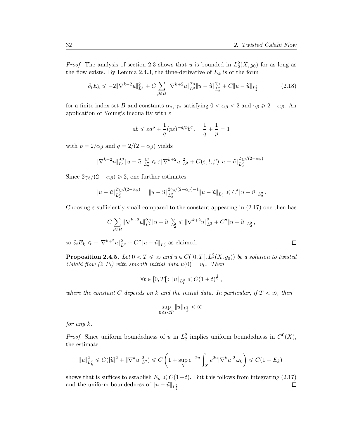*Proof.* The analysis of section 2.3 shows that u is bounded in  $L_2^2(X, g_0)$  for as long as the flow exists. By Lemma 2.4.3, the time-derivative of  $E_k$  is of the form

$$
\partial_t E_k \leqslant -2\|\nabla^{k+2} u\|_{L^2}^2 + C \sum_{\beta \in B} \|\nabla^{k+2} u\|_{L^2}^{\alpha_{\beta}} \|u - \tilde{u}\|_{L^2}^{\gamma_{\beta}} + C \|u - \tilde{u}\|_{L^2} \tag{2.18}
$$

for a finite index set B and constants  $\alpha_{\beta}, \gamma_{\beta}$  satisfying  $0 < \alpha_{\beta} < 2$  and  $\gamma_{\beta} \geq 2 - \alpha_{\beta}$ . An application of Young's inequality with  $\varepsilon$ 

$$
ab \le \varepsilon a^p + \frac{1}{q} (p\varepsilon)^{-q/p} b^q \,, \quad \frac{1}{q} + \frac{1}{p} = 1
$$

with  $p = 2/\alpha_{\beta}$  and  $q = 2/(2 - \alpha_{\beta})$  yields

$$
\|\nabla^{k+2} u\|_{L^2}^{\alpha_\beta}\|u-\widetilde u\|_{L^2_2}^{\gamma_\beta}\leqslant \varepsilon\|\nabla^{k+2} u\|_{L^2}^2+C(\varepsilon,l,\beta)\|u-\widetilde u\|_{L^2_2}^{2\gamma_\beta/(2-\alpha_\beta)}.
$$

Since  $2\gamma_{\beta}/(2-\alpha_{\beta}) \geq 2$ , one further estimates

$$
||u - \widetilde{u}||_{L_2^2}^{2\gamma_\beta/(2-\alpha_\beta)} = ||u - \widetilde{u}||_{L_2^2}^{2\gamma_\beta/(2-\alpha_\beta)-1} ||u - \widetilde{u}||_{L_2^2} \leq C'||u - \widetilde{u}||_{L_2^2}.
$$

Choosing  $\varepsilon$  sufficiently small compared to the constant appearing in (2.17) one then has

$$
C\sum_{\beta\in B}\|\nabla^{k+2}u\|_{L^2}^{\alpha_\beta}\|u-\tilde u\|_{L^2_2}^{\gamma_\beta}\leqslant \|\nabla^{k+2}u\|_{L^2}^2+C''\|u-\tilde u\|_{L^2_2}\,,
$$

so  $\partial_t E_k \leq -\|\nabla^{k+2} u\|_{L^2}^2 + C'' \|u - \tilde{u}\|_{L^2_2}$  as claimed.

**Proposition 2.4.5.** Let  $0 < T \le \infty$  and  $u \in C([0, T[, L_2^2(X, g_0))$  be a solution to twisted Calabi flow (2.10) with smooth initial data  $u(0) = u_0$ . Then

$$
\forall t \in [0, T[:\|u\|_{L^2_k} \leq C(1+t)^{\frac{1}{2}},
$$

where the constant C depends on k and the initial data. In particular, if  $T < \infty$ , then

$$
\sup_{0 \leq t < T} \|u\|_{L^2_k} < \infty
$$

for any  $k$ .

*Proof.* Since uniform boundedness of u in  $L_2^2$  implies uniform boundedness in  $C^0(X)$ , the estimate

$$
||u||_{L^2_k}^2 \leq C(|\widetilde{u}|^2 + ||\nabla^k u||_{L^2}^2) \leq C\left(1 + \sup_X e^{-2u} \int_X e^{2u} |\nabla^k u|^2 \,\omega_0\right) \leq C(1 + E_k)
$$

shows that is suffices to establish  $E_k \leq C(1+t)$ . But this follows from integrating (2.17) and the uniform boundedness of  $||u - \tilde{u}||_{L_2^2}$ .  $\Box$ 

 $\Box$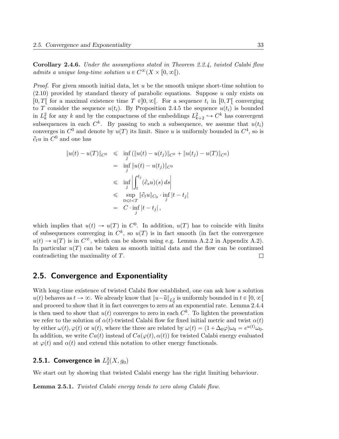Corollary 2.4.6. Under the assumptions stated in Theorem 2.2.4, twisted Calabi flow admits a unique long-time solution  $u \in C^{\infty}(X \times [0, \infty])$ .

*Proof.* For given smooth initial data, let u be the smooth unique short-time solution to  $(2.10)$  provided by standard theory of parabolic equations. Suppose u only exists on [0, T] for a maximal existence time  $T \in ]0, \infty[$ . For a sequence  $t_i$  in [0, T] converging to T consider the sequence  $u(t_i)$ . By Proposition 2.4.5 the sequence  $u(t_i)$  is bounded in  $L_k^2$  for any k and by the compactness of the embeddings  $L_{k+2}^2 \hookrightarrow C^k$  has convergent subsequences in each  $C^k$ . By passing to such a subsequence, we assume that  $u(t_i)$ converges in  $C^0$  and denote by  $u(T)$  its limit. Since u is uniformly bounded in  $C^4$ , so is  $\partial_t u$  in  $C^0$  and one has

$$
||u(t) – u(T)||_{C^0} \leq \inf_j (||u(t) – u(t_j)||_{C^0} + ||u(t_j) – u(T)||_{C^0})
$$
  
\n
$$
= \inf_j ||u(t) – u(t_j)||_{C^0}
$$
  
\n
$$
\leq \inf_j \left| \int_t^{t_j} (\partial_s u)(s) ds \right|
$$
  
\n
$$
\leq \sup_{0 \leq t < T} ||\partial_t u||_{C_0} \cdot \inf_j |t - t_j|
$$
  
\n
$$
= C \cdot \inf_j |t - t_j|,
$$

which implies that  $u(t) \to u(T)$  in  $C^0$ . In addition,  $u(T)$  has to coincide with limits of subsequences converging in  $C^k$ , so  $u(T)$  is in fact smooth (in fact the convergence  $u(t) \to u(T)$  is in  $C^{\infty}$ , which can be shown using e.g. Lemma A.2.2 in Appendix A.2). In particular  $u(T)$  can be taken as smooth initial data and the flow can be continued contradicting the maximality of T.  $\Box$ 

### 2.5. Convergence and Exponentiality

With long-time existence of twisted Calabi flow established, one can ask how a solution  $u(t)$  behaves as  $t \to \infty$ . We already know that  $||u - \tilde{u}||_{L_2^2}$  is uniformly bounded in  $t \in [0, \infty[$ and proceed to show that it in fact converges to zero at an exponential rate. Lemma 2.4.4 is then used to show that  $u(t)$  converges to zero in each  $C<sup>k</sup>$ . To lighten the presentation we refer to the solution of  $\alpha(t)$ -twisted Calabi flow for fixed initial metric and twist  $\alpha(t)$ by either  $\omega(t)$ ,  $\varphi(t)$  or  $u(t)$ , where the three are related by  $\omega(t) = (1 + \Delta_0 \varphi)\omega_0 = e^{u(t)}\omega_0$ . In addition, we write  $Ca(t)$  instead of  $Ca(\varphi(t), \alpha(t))$  for twisted Calabi energy evaluated at  $\varphi(t)$  and  $\alpha(t)$  and extend this notation to other energy functionals.

## 2.5.1. Convergence in  $L_2^2(X,g_0)$

We start out by showing that twisted Calabi energy has the right limiting behaviour.

**Lemma 2.5.1.** Twisted Calabi energy tends to zero along Calabi flow.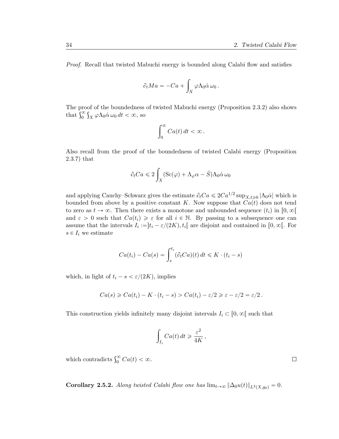Proof. Recall that twisted Mabuchi energy is bounded along Calabi flow and satisfies

$$
\partial_t Ma = -Ca + \int_X \varphi \Lambda_0 \dot{\alpha} \,\omega_0.
$$

The proof of the boundedness of twisted Mabuchi energy (Proposition 2.3.2) also shows The proot of the boundedness<br>that  $\int_0^\infty \int_X \varphi \Lambda_0 \dot{\alpha} \omega_0 dt < \infty$ , so

$$
\int_0^\infty C a(t) \, dt < \infty \, .
$$

Also recall from the proof of the boundedness of twisted Calabi energy (Proposition 2.3.7) that

$$
\partial_t C a \leqslant 2 \int_X (\operatorname{Sc}(\varphi) + \Lambda_{\varphi} \alpha - \hat{S}) \Lambda_0 \dot{\alpha} \,\omega_0
$$

and applying Cauchy–Schwarz gives the estimate  $\partial_t C a \leq 2Ca^{1/2} \sup_{X,t \geq 0} |\Lambda_0 \dot{\alpha}|$  which is bounded from above by a positive constant K. Now suppose that  $Ca(t)$  does not tend to zero as  $t \to \infty$ . Then there exists a monotone and unbounded sequence  $(t_i)$  in  $[0, \infty)$ and  $\varepsilon > 0$  such that  $Ca(t_i) \geq \varepsilon$  for all  $i \in \mathbb{N}$ . By passing to a subsequence one can assume that the intervals  $I_i := ]t_i - \varepsilon/(2K), t_i[$  are disjoint and contained in  $[0, \infty[$ . For  $s \in I_i$  we estimate

$$
Ca(t_i) - Ca(s) = \int_s^{t_i} (\partial_t Ca)(t) dt \leq K \cdot (t_i - s)
$$

which, in light of  $t_i - s < \varepsilon/(2K)$ , implies

$$
Ca(s) \geqslant Ca(t_i) - K \cdot (t_i - s) > Ca(t_i) - \varepsilon/2 \geqslant \varepsilon - \varepsilon/2 = \varepsilon/2.
$$

This construction yields infinitely many disjoint intervals  $I_i \subset [0, \infty[$  such that

$$
\int_{I_i} Ca(t) dt \geqslant \frac{\varepsilon^2}{4K},
$$

which contradicts  $\int_0^\infty Ca(t) < \infty$ .

**Corollary 2.5.2.** Along twisted Calabi flow one has  $\lim_{t\to\infty} \|\Delta_0u(t)\|_{L^2(X,q_0)} = 0$ .

 $\Box$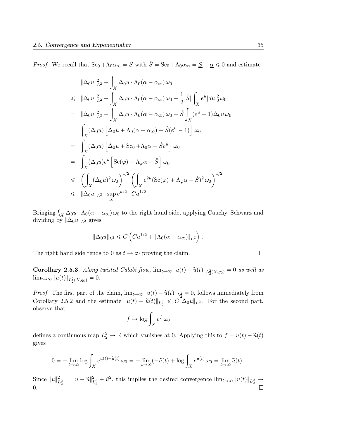*Proof.* We recall that  $Sc_0 + \Lambda_0 \alpha_\infty = \hat{S}$  with  $\hat{S} = Sc_0 + \Lambda_0 \alpha_\infty = \underline{S} + \underline{\alpha} \leq 0$  and estimate

$$
\|\Delta_0 u\|_{L^2}^2 + \int_X \Delta_0 u \cdot \Lambda_0(\alpha - \alpha_\infty) \omega_0
$$
  
\n
$$
\leq \|\Delta_0 u\|_{L^2}^2 + \int_X \Delta_0 u \cdot \Lambda_0(\alpha - \alpha_\infty) \omega_0 + \frac{1}{2}|\hat{S}| \int_X e^u |du|_0^2 \omega_0
$$
  
\n
$$
= \|\Delta_0 u\|_{L^2}^2 + \int_X \Delta_0 u \cdot \Lambda_0(\alpha - \alpha_\infty) \omega_0 - \hat{S} \int_X (e^u - 1) \Delta_0 u \omega_0
$$
  
\n
$$
= \int_X (\Delta_0 u) \left[ \Delta_0 u + \Lambda_0(\alpha - \alpha_\infty) - \hat{S}(e^u - 1) \right] \omega_0
$$
  
\n
$$
= \int_X (\Delta_0 u) \left[ \Delta_0 u + \text{Sc}_0 + \Lambda_0 \alpha - \hat{S}e^u \right] \omega_0
$$
  
\n
$$
= \int_X (\Delta_0 u) e^u \left[ \text{Sc}(\varphi) + \Lambda_\varphi \alpha - \hat{S} \right] \omega_0
$$
  
\n
$$
\leq \left( \int_X (\Delta_0 u)^2 \omega_0 \right)^{1/2} \left( \int_X e^{2u} (\text{Sc}(\varphi) + \Lambda_\varphi \alpha - \hat{S})^2 \omega_0 \right)^{1/2}
$$
  
\n
$$
\leq \|\Delta_0 u\|_{L^2} \cdot \sup_X e^{u/2} \cdot Ca^{1/2}.
$$

Bringing  $\int_X \Delta_0 u \cdot \Lambda_0(\alpha - \alpha_\infty) \omega_0$  to the right hand side, applying Cauchy–Schwarz and dividing by  $\|\Delta_0 u\|_{L^2}$  gives

$$
\|\Delta_0 u\|_{L^2} \leqslant C\left(Ca^{1/2} + \|\Lambda_0(\alpha - \alpha_\infty)\|_{L^2}\right).
$$

The right hand side tends to 0 as  $t \to \infty$  proving the claim.

**Corollary 2.5.3.** Along twisted Calabi flow,  $\lim_{t\to\infty} ||u(t) - \tilde{u}(t)||_{L_2^2(X, g_0)} = 0$  as well as  $\lim_{t\to\infty} ||u(t)||_{L_2^2(X,g_0)} = 0.$ 

*Proof.* The first part of the claim,  $\lim_{t\to\infty} ||u(t) - \tilde{u}(t)||_{L_2^2} = 0$ , follows immediately from Corollary 2.5.2 and the estimate  $||u(t) - \tilde{u}(t)||_{L_2^2} \leq C ||\Delta_0 u||_{L_2}$ . For the second part, observe that

$$
f \mapsto \log \int_X e^f \,\omega_0
$$

defines a continuous map  $L_2^2 \to \mathbb{R}$  which vanishes at 0. Applying this to  $f = u(t) - \tilde{u}(t)$ gives

$$
0 = -\lim_{t \to \infty} \log \int_X e^{u(t) - \tilde{u}(t)} \omega_0 = -\lim_{t \to \infty} (-\tilde{u}(t) + \log \int_X e^{u(t)} \omega_0 = \lim_{t \to \infty} \tilde{u}(t).
$$

Since  $||u||_{L_2^2}^2 = ||u - \tilde{u}||_{L_2^2}^2 + \tilde{u}^2$ , this implies the desired convergence  $\lim_{t\to\infty} ||u(t)||_{L_2^2} \to$ 0. $\Box$ 

 $\Box$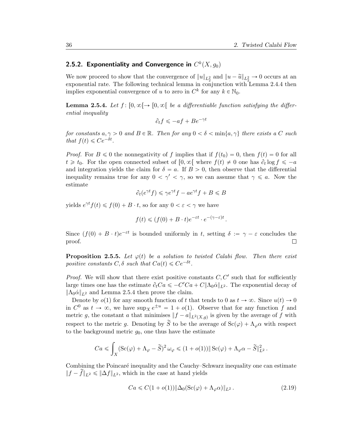## 2.5.2. Exponentiality and Convergence in  $C^k(X,g_0)$

We now proceed to show that the convergence of  $||u||_{L_2^2}$  and  $||u - \tilde{u}||_{L_2^2} \to 0$  occurs at an exponential rate. The following technical lemma in conjunction with Lemma 2.4.4 then implies exponential convergence of u to zero in  $C^k$  for any  $k \in \mathbb{N}_0$ .

**Lemma 2.5.4.** Let  $f: [0, \infty) \rightarrow [0, \infty)$  be a differentiable function satisfying the differential inequality

$$
\partial_t f \le -af + Be^{-\gamma t}
$$

for constants  $a, \gamma > 0$  and  $B \in \mathbb{R}$ . Then for any  $0 < \delta < \min\{a, \gamma\}$  there exists a C such that  $f(t) \leq Ce^{-\delta t}$ .

*Proof.* For  $B \le 0$  the nonnegativity of f implies that if  $f(t_0) = 0$ , then  $f(t) = 0$  for all  $t \geq t_0$ . For the open connected subset of  $[0, \infty)$  where  $f(t) \neq 0$  one has  $\partial_t \log f \leq -a$ and integration yields the claim for  $\delta = a$ . If  $B > 0$ , then observe that the differential inequality remains true for any  $0 < \gamma' < \gamma$ , so we can assume that  $\gamma \leq a$ . Now the estimate

$$
\partial_t(e^{\gamma t}f) \leqslant \gamma e^{\gamma t}f - ae^{\gamma t}f + B \leqslant B
$$

yields  $e^{\gamma t} f(t) \leq f(0) + B \cdot t$ , so for any  $0 < \varepsilon < \gamma$  we have

$$
f(t) \leq (f(0) + B \cdot t)e^{-\varepsilon t} \cdot e^{-(\gamma - \varepsilon)t}.
$$

Since  $(f(0) + B \cdot t)e^{-\varepsilon t}$  is bounded uniformly in t, setting  $\delta := \gamma - \varepsilon$  concludes the proof.  $\Box$ 

**Proposition 2.5.5.** Let  $\varphi(t)$  be a solution to twisted Calabi flow. Then there exist positive constants  $C, \delta$  such that  $Ca(t) \leqslant Ce^{-\delta t}$ .

*Proof.* We will show that there exist positive constants  $C, C'$  such that for sufficiently large times one has the estimate  $\partial_t C a \leq -C' C a + C ||\Lambda_0 \dot{\alpha}||_{L^2}$ . The exponential decay of  $\|\Lambda_0\dot{\alpha}\|_{L^2}$  and Lemma 2.5.4 then prove the claim.

Denote by  $o(1)$  for any smooth function of t that tends to 0 as  $t \to \infty$ . Since  $u(t) \to 0$ in  $C^0$  as  $t \to \infty$ , we have  $\sup_X e^{\pm u} = 1 + o(1)$ . Observe that for any function f and metric g, the constant a that minimises  $||f - a||_{L^2(X,g)}$  is given by the average of f with respect to the metric g. Denoting by  $\tilde{S}$  to be the average of  $Sc(\varphi) + \Lambda_{\varphi}\alpha$  with respect to the background metric  $q_0$ , one thus have the estimate

$$
Ca \leq \int_X (\mathrm{Sc}(\varphi) + \Lambda_{\varphi} - \widetilde{S})^2 \,\omega_{\varphi} \leq (1 + o(1)) \|\, \mathrm{Sc}(\varphi) + \Lambda_{\varphi}\alpha - \widetilde{S}\|^2_{L^2}.
$$

Combining the Poincaré inequality and the Cauchy–Schwarz inequality one can estimate  $||f - \tilde{f}||_{L^2} \le ||\Delta f||_{L^2}$ , which in the case at hand yields

$$
Ca \leq C(1 + o(1)) \|\Delta_0(\text{Sc}(\varphi) + \Lambda_\varphi \alpha)\|_{L^2}.
$$
\n(2.19)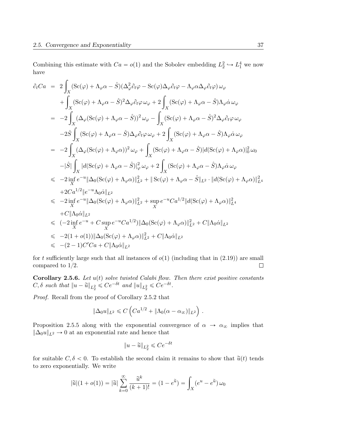Combining this estimate with  $Ca = o(1)$  and the Sobolev embedding  $L_2^2 \hookrightarrow L_1^4$  we now have

$$
\partial_t Ca = 2 \int_X (\text{Sc}(\varphi) + \Lambda_{\varphi}\alpha - \hat{S})(\Delta_{\varphi}^2 \partial_t \varphi - \text{Sc}(\varphi)\Delta_{\varphi} \partial_t \varphi - \Lambda_{\varphi}\alpha \Delta_{\varphi} \partial_t \varphi) \omega_{\varphi} \n+ \int_X (\text{Sc}(\varphi) + \Lambda_{\varphi}\alpha - \hat{S})^2 \Delta_{\varphi} \partial_t \varphi \omega_{\varphi} + 2 \int_X (\text{Sc}(\varphi) + \Lambda_{\varphi}\alpha - \hat{S})\Lambda_{\varphi} \dot{\alpha} \omega_{\varphi} \n= -2 \int_X (\Delta_{\varphi} (\text{Sc}(\varphi) + \Lambda_{\varphi}\alpha - \hat{S}))^2 \omega_{\varphi} - \int_X (\text{Sc}(\varphi) + \Lambda_{\varphi}\alpha - \hat{S})^2 \Delta_{\varphi} \partial_t \varphi \omega_{\varphi} \n-2 \hat{S} \int_X (\text{Sc}(\varphi) + \Lambda_{\varphi}\alpha - \hat{S}) \Delta_{\varphi} \partial_t \varphi \omega_{\varphi} + 2 \int_X (\text{Sc}(\varphi) + \Lambda_{\varphi}\alpha - \hat{S})\Lambda_{\varphi} \dot{\alpha} \omega_{\varphi} \n= -2 \int_X (\Delta_{\varphi} (\text{Sc}(\varphi) + \Lambda_{\varphi}\alpha))^2 \omega_{\varphi} + \int_X (\text{Sc}(\varphi) + \Lambda_{\varphi}\alpha - \hat{S})|d(\text{Sc}(\varphi) + \Lambda_{\varphi}\alpha)|_0^2 \omega_0 \n- |\hat{S}| \int_X |d(\text{Sc}(\varphi) + \Lambda_{\varphi}\alpha - \hat{S})|_{\varphi}^2 \omega_{\varphi} + 2 \int_X (\text{Sc}(\varphi) + \Lambda_{\varphi}\alpha - \hat{S})\Lambda_{\varphi} \dot{\alpha} \omega_{\varphi} \n\leq -2 \inf_C e^{-u} \|\Delta_0(\text{Sc}(\varphi) + \Lambda_{\varphi}\alpha)\|_{L^2}^2 + \|\text{Sc}(\varphi) + \Lambda_{\varphi}\alpha - \hat{S}\|_{L^2} \cdot \|d(\text{Sc}(\varphi) + \Lambda_{\varphi}\alpha)\|_{L^4}^2 \n+ 2 C a^{1/2} \|e^{-u} \Lambda_0 \dot{\alpha} \|_{L^2}
$$

for t sufficiently large such that all instances of  $o(1)$  (including that in  $(2.19)$ ) are small compared to  $1/2$ .  $\Box$ 

**Corollary 2.5.6.** Let  $u(t)$  solve twisted Calabi flow. Then there exist positive constants  $C, \delta$  such that  $||u - \tilde{u}||_{L_2^2} \leqslant Ce^{-\delta t}$  and  $||u||_{L_2^2} \leqslant Ce^{-\delta t}$ .

Proof. Recall from the proof of Corollary 2.5.2 that

$$
\|\Delta_0 u\|_{L^2} \leqslant C\left(Ca^{1/2} + \|\Lambda_0(\alpha - \alpha_\infty)\|_{L^2}\right).
$$

Proposition 2.5.5 along with the exponential convergence of  $\alpha \rightarrow \alpha_{\infty}$  implies that  $\|\Delta_0 u\|_{L^2} \to 0$  at an exponential rate and hence that

$$
||u - \widetilde{u}||_{L_2^2} \le Ce^{-\delta t}
$$

for suitable  $C, \delta < 0$ . To establish the second claim it remains to show that  $\tilde{u}(t)$  tends to zero exponentially. We write

$$
|\tilde{u}|(1+o(1)) = |\tilde{u}| \sum_{k=0}^{\infty} \frac{\tilde{u}^k}{(k+1)!} = (1 - e^{\tilde{u}}) = \int_X (e^u - e^{\tilde{u}}) \omega_0
$$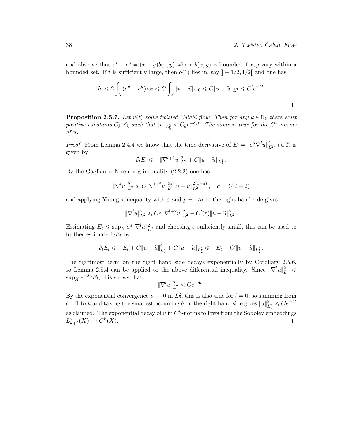$\Box$ 

and observe that  $e^x - e^y = (x - y)b(x, y)$  where  $b(x, y)$  is bounded if x, y vary within a bounded set. If t is sufficiently large, then  $o(1)$  lies in, say  $-1/2$ ,  $1/2$  and one has

$$
|\widetilde{u}| \leqslant 2\int_X (e^u - e^{\widetilde{u}}) \,\omega_0 \leqslant C \int_X |u - \widetilde{u}| \,\omega_0 \leqslant C \|u - \widetilde{u}\|_{L^2} \leqslant C' e^{-\delta t} \,.
$$

**Proposition 2.5.7.** Let  $u(t)$  solve twisted Calabi flow. Then for any  $k \in \mathbb{N}_0$  there exist positive constants  $C_k, \delta_k$  such that  $||u||_{L^2_k} < C_k e^{-\delta_k t}$ . The same is true for the  $C^k$ -norms of u.

*Proof.* From Lemma 2.4.4 we know that the time-derivative of  $E_l = ||e^{u} \nabla^l u||_{L^2}^2$ ,  $l \in \mathbb{N}$  is given by

$$
\partial_t E_l \leq -\|\nabla^{l+2} u\|_{L^2}^2 + C\|u - \widetilde{u}\|_{L^2}.
$$

By the Gagliardo–Nirenberg inequality (2.2.2) one has

$$
\|\nabla^l u\|_{L^2}^2 \leq C\|\nabla^{l+2} u\|_{L^2}^{2a} \|u - \widetilde{u}\|_{L^2}^{2(1-a)}, \quad a = l/(l+2)
$$

and applying Young's inequality with  $\varepsilon$  and  $p = 1/a$  to the right hand side gives

$$
\|\nabla^l u\|_{L^2}^2 \leqslant C\varepsilon \|\nabla^{l+2} u\|_{L^2}^2 + C'(\varepsilon) \|u - \widetilde{u}\|_{L^2}^2.
$$

Estimating  $E_l \leq \sup_X e^u \|\nabla^l u\|_{L^2}^2$  and choosing  $\varepsilon$  sufficiently small, this can be used to further estimate  $\partial_t E_l$  by

$$
\partial_t E_l \leq -E_l + C \|u - \tilde{u}\|_{L_2^2}^2 + C \|u - \tilde{u}\|_{L_2^2} \leq -E_l + C' \|u - \tilde{u}\|_{L_2^2}.
$$

The rightmost term on the right hand side decays exponentially by Corollary 2.5.6, so Lemma 2.5.4 can be applied to the above differential inequality. Since  $\|\nabla^l u\|_{L^2}^2$  $\sup_X e^{-2u} E_l$ , this shows that

$$
\|\nabla^l u\|_{L^2}^2 < Ce^{-\delta t}.
$$

By the exponential convergence  $u \to 0$  in  $L_2^2$ , this is also true for  $l = 0$ , so summing from  $l = 1$  to k and taking the smallest occurring  $\delta$  on the right hand side gives  $||u||_{L^2_k}^2 \le Ce^{-\delta t}$ as claimed. The exponential decay of u in  $C^k$ -norms follows from the Sobolev embeddings  $L^2_{k+2}(X) \hookrightarrow C^k(X).$  $\Box$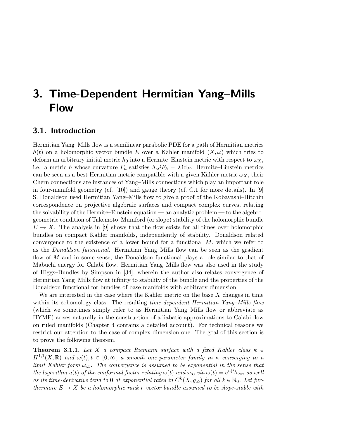# 3. Time-Dependent Hermitian Yang–Mills Flow

# 3.1. Introduction

Hermitian Yang–Mills flow is a semilinear parabolic PDE for a path of Hermitian metrics  $h(t)$  on a holomorphic vector bundle E over a Kähler manifold  $(X, \omega)$  which tries to deform an arbitrary initial metric  $h_0$  into a Hermite–Einstein metric with respect to  $\omega_X$ , i.e. a metric h whose curvature  $F_h$  satisfies  $\Lambda_\omega i F_h = \lambda \mathrm{id}_E$ . Hermite–Einstein metrics can be seen as a best Hermitian metric compatible with a given Kähler metric  $\omega_X$ , their Chern connections are instances of Yang–Mills connections which play an important role in four-manifold geometry (cf.  $[10]$ ) and gauge theory (cf. C.1 for more details). In [9] S. Donaldson used Hermitian Yang–Mills flow to give a proof of the Kobayashi–Hitchin correspondence on projective algebraic surfaces and compact complex curves, relating the solvability of the Hermite–Einstein equation — an analytic problem — to the algebrogeometric condition of Takemoto–Mumford (or slope) stability of the holomorphic bundle  $E \to X$ . The analysis in [9] shows that the flow exists for all times over holomorphic bundles on compact Kähler manifolds, independently of stability. Donaldson related convergence to the existence of a lower bound for a functional  $M$ , which we refer to as the Donaldson functional. Hermitian Yang–Mills flow can be seen as the gradient flow of M and in some sense, the Donaldson functional plays a role similar to that of Mabuchi energy for Calabi flow. Hermitian Yang–Mills flow was also used in the study of Higgs–Bundles by Simpson in [34], wherein the author also relates convergence of Hermitian Yang–Mills flow at infinity to stability of the bundle and the properties of the Donaldson functional for bundles of base manifolds with arbitrary dimension.

We are interested in the case where the Kähler metric on the base  $X$  changes in time within its cohomology class. The resulting time-dependent Hermitian Yang–Mills flow (which we sometimes simply refer to as Hermitian Yang–Mills flow or abbreviate as HYMF) arises naturally in the construction of adiabatic approximations to Calabi flow on ruled manifolds (Chapter 4 contains a detailed account). For technical reasons we restrict our attention to the case of complex dimension one. The goal of this section is to prove the following theorem.

**Theorem 3.1.1.** Let X a compact Riemann surface with a fixed Kähler class  $\kappa \in$  $H^{1,1}(X,\mathbb{R})$  and  $\omega(t), t \in [0,\infty[$  a smooth one-parameter family in  $\kappa$  converging to a limit Kähler form  $\omega_{\infty}$ . The convergence is assumed to be exponential in the sense that the logarithm  $u(t)$  of the conformal factor relating  $\omega(t)$  and  $\omega_{\infty}$  via  $\omega(t) = e^{u(t)}\omega_{\infty}$  as well as its time-derivative tend to 0 at exponential rates in  $C^k(X, g_{\infty})$  for all  $k \in \mathbb{N}_0$ . Let furthermore  $E \to X$  be a holomorphic rank r vector bundle assumed to be slope-stable with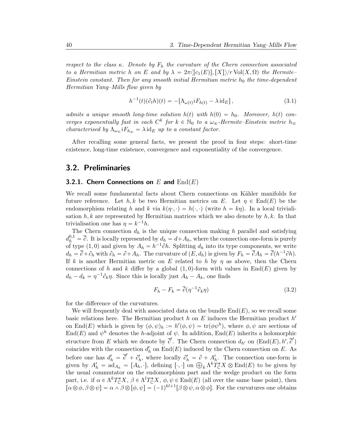respect to the class  $\kappa$ . Denote by  $F_h$  the curvature of the Chern connection associated to a Hermitian metric h on E and by  $\lambda = 2\pi \langle c_1(E), [X] \rangle / r \operatorname{Vol}(X, \Omega)$  the Hermite– Einstein constant. Then for any smooth initial Hermitian metric  $h_0$  the time-dependent Hermitian Yang–Mills flow given by

$$
h^{-1}(t)(\partial_t h)(t) = -[\Lambda_{\omega(t)} iF_{h(t)} - \lambda \mathrm{id}_E],\tag{3.1}
$$

admits a unique smooth long-time solution  $h(t)$  with  $h(0) = h_0$ . Moreover,  $h(t)$  converges exponentially fast in each  $C^k$  for  $k \in \mathbb{N}_0$  to a  $\omega_{\infty}$ -Hermite–Einstein metric  $h_{\infty}$ characterised by  $\Lambda_{\omega_{\infty}} i F_{h_{\infty}} = \lambda \mathrm{id}_E$  up to a constant factor.

After recalling some general facts, we present the proof in four steps: short-time existence, long-time existence, convergence and exponentiality of the convergence.

### 3.2. Preliminaries

### 3.2.1. Chern Connections on E and  $\text{End}(E)$

We recall some fundamental facts about Chern connections on Kähler manifolds for future reference. Let h, k be two Hermitian metrics on E. Let  $\eta \in \text{End}(E)$  be the endomorphism relating h and k via  $k(\eta \cdot, \cdot) = h(\cdot, \cdot)$  (write  $h = k\eta$ ). In a local trivialisation  $h, k$  are represented by Hermitian matrices which we also denote by  $h, k$ . In that trivialisation one has  $\eta = k^{-1}h$ .

The Chern connection  $d_h$  is the unique connection making h parallel and satisfying  $d_h^{0,1} = \overline{\partial}$ . It is locally represented by  $d_h = d + A_h$ , where the connection one-form is purely of type (1,0) and given by  $A_h = h^{-1} \partial h$ . Splitting  $d_h$  into its type components, we write  $d_h = \overline{\partial} + \partial_h$  with  $\partial_h = \partial + A_h$ . The curvature of  $(E, d_h)$  is given by  $F_h = \overline{\partial} A_h = \overline{\partial} (h^{-1} \partial h)$ . If k is another Hermitian metric on E related to h by  $\eta$  as above, then the Chern connections of h and k differ by a global  $(1, 0)$ -form with values in End(E) given by  $d_h - d_k = \eta^{-1} \partial_k \eta$ . Since this is locally just  $A_h - A_k$ , one finds

$$
F_h - F_k = \overline{\partial}(\eta^{-1}\partial_k \eta) \tag{3.2}
$$

for the difference of the curvatures.

We will frequently deal with associated data on the bundle  $\text{End}(E)$ , so we recall some basic relations here. The Hermitian product  $h$  on  $E$  induces the Hermitian product  $h'$ on End(E) which is given by  $(\phi, \psi)_h := h'(\phi, \psi) = \text{tr}(\phi \psi^h)$ , where  $\phi, \psi$  are sections of  $\text{End}(E)$  and  $\psi^h$  denotes the h-adjoint of  $\psi$ . In addition,  $\text{End}(E)$  inherits a holomorphic structure from E which we denote by  $\overline{\partial}'$ . The Chern connection  $d_{h'}$  on  $(\text{End}(E), h', \overline{\partial}')$ coincides with the connection  $d'_h$  on  $\text{End}(E)$  induced by the Chern connection on E. As before one has  $d'_h = \overline{\partial}' + \partial'_h$ , where locally  $\partial'_h = \partial + A'_h$ . The connection one-form is before one has  $d'_h = \sigma + c'_h$ , where locally  $c'_h = \sigma + A'_h$ . The connection one-form is given by  $A'_h = \text{ad}_{A_h} = [A_h, \cdot]$ , defining  $[\cdot, \cdot]$  on  $\bigoplus_k \Lambda^k T_{\mathbb{C}}^* X \otimes \text{End}(E)$  to be given by the usual commutator on the endomorphism part and the wedge product on the form part, i.e. if  $\alpha \in \Lambda^k T_{\mathbb{C}}^* X$ ,  $\beta \in \Lambda^l T_{\mathbb{C}}^* X$ ,  $\phi, \psi \in \text{End}(E)$  (all over the same base point), then  $[\alpha \otimes \phi, \beta \otimes \psi] = \alpha \wedge \beta \otimes [\phi, \psi] = (-1)^{kl+1} [\beta \otimes \psi, \alpha \otimes \phi]$ . For the curvatures one obtains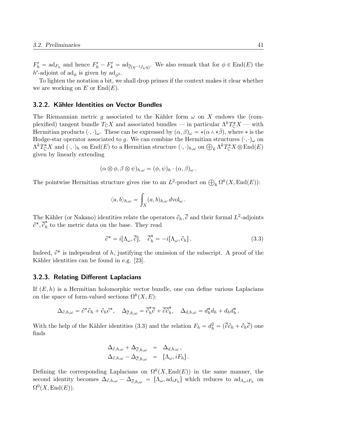$F'_{h} = \text{ad}_{F_{h}}$  and hence  $F'_{h} - F'_{k} = \text{ad}_{\overline{\partial}(\eta^{-1}\partial_{k}\eta)}$ . We also remark that for  $\phi \in \text{End}(E)$  the h'-adjoint of  $\mathrm{ad}_{\phi}$  is given by  $\mathrm{ad}_{\phi^h}$ .

To lighten the notation a bit, we shall drop primes if the context makes it clear whether we are working on E or  $\text{End}(E)$ .

### 3.2.2. Kähler Identities on Vector Bundles

The Riemannian metric g associated to the Kähler form  $\omega$  on X endows the (complexified) tangent bundle  $T_{\mathbb{C}}X$  and associated bundles — in particular  $\Lambda^k T_{\mathbb{C}}^*X$  — with Hermitian products  $(\cdot, \cdot)_{\omega}$ . These can be expressed by  $(\alpha, \beta)_{\omega} = *(\alpha \wedge * \beta)$ , where  $*$  is the Hodge-star operator associated to g. We can combine the Hermitian structures  $(\cdot, \cdot)_{\omega}$  on Hodge-star operator associated to g. We can combine the Hermitian structures  $(\cdot, \cdot)_{\omega}$  on  $\Lambda^k T_{\mathbb{C}}^* X$  and  $(\cdot, \cdot)_h$  on  $\text{End}(E)$  to a Hermitian structure  $(\cdot, \cdot)_{h,\omega}$  on  $\bigoplus_k \Lambda^k T_{\mathbb{C}}^* X \otimes \text{End}(E)$ given by linearly extending

$$
(\alpha \otimes \phi, \beta \otimes \psi)_{h,\omega} = (\phi, \psi)_h \cdot (\alpha, \beta)_{\omega}.
$$

The pointwise Hermitian structure gives rise to an  $L^2$ -product on  $\bigoplus_k \Omega^k(X,\text{End}(E))$ :

$$
\langle a, b \rangle_{h,\omega} = \int_X (a, b)_{h,\omega} d\mathrm{vol}_{\omega}.
$$

The Kähler (or Nakano) identities relate the operators  $\partial_h$ ,  $\overline{\partial}$  and their formal  $L^2$ -adjoints  $\partial^*, \overline{\partial}^*_h$  $\hat{h}$  to the metric data on the base. They read

$$
\partial^* = i[\Lambda_\omega, \overline{\partial}], \quad \overline{\partial}_h^* = -i[\Lambda_\omega, \partial_h]. \tag{3.3}
$$

Indeed,  $\partial^*$  is independent of h, justifying the omission of the subscript. A proof of the Kähler identities can be found in e.g. [23].

### 3.2.3. Relating Different Laplacians

If  $(E, h)$  is a Hermitian holomorphic vector bundle, one can define various Laplacians on the space of form-valued sections  $\Omega^k(X, E)$ :

$$
\Delta_{\partial,h,\omega} = \partial^* \partial_h + \partial_h \partial^*, \quad \Delta_{\overline{\partial},h,\omega} = \overline{\partial}_h^* \overline{\partial} + \overline{\partial} \overline{\partial}_h^*, \quad \Delta_{d,h,\omega} = d_h^* d_h + d_h d_h^*.
$$

With the help of the Kähler identities (3.3) and the relation  $F_h = d_h^2 = (\overline{\partial} \partial_h + \partial_h \overline{\partial})$  one finds

$$
\Delta_{\partial,h,\omega} + \Delta_{\overline{\partial},h,\omega} = \Delta_{d,h,\omega},
$$
  

$$
\Delta_{\partial,h,\omega} - \Delta_{\overline{\partial},h,\omega} = [\Lambda_{\omega},iF_h].
$$

Defining the corresponding Laplacians on  $\Omega^k(X, \text{End}(E))$  in the same manner, the second identity becomes  $\Delta_{\partial,h,\omega} - \Delta_{\overline{\partial},h,\omega} = [\Lambda_{\omega}, \text{ad}_{iF_h}]$  which reduces to  $\text{ad}_{\Lambda_{\omega} iF_h}$  on  $\Omega^0(X,\mathrm{End}(E)).$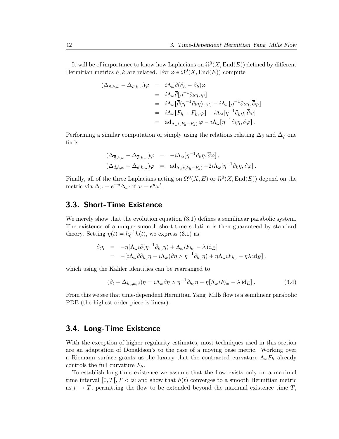It will be of importance to know how Laplacians on  $\Omega^{0}(X, \text{End}(E))$  defined by different Hermitian metrics h, k are related. For  $\varphi \in \Omega^0(X, \text{End}(E))$  compute

$$
\begin{array}{rcl}\n(\Delta_{\partial,h,\omega}-\Delta_{\partial,k,\omega})\varphi & = & i\Lambda_{\omega}\overline{\partial}(\partial_h-\partial_k)\varphi \\
& = & i\Lambda_{\omega}\overline{\partial}[\eta^{-1}\partial_k\eta,\varphi] \\
& = & i\Lambda_{\omega}[\overline{\partial}(\eta^{-1}\partial_k\eta),\varphi] - i\Lambda_{\omega}[\eta^{-1}\partial_k\eta,\overline{\partial}\varphi] \\
& = & i\Lambda_{\omega}[F_h-F_k,\varphi] - i\Lambda_{\omega}[\eta^{-1}\partial_k\eta,\overline{\partial}\varphi] \\
& = & \text{ad}_{\Lambda_{\omega}i(F_h-F_k)}\varphi - i\Lambda_{\omega}[\eta^{-1}\partial_k\eta,\overline{\partial}\varphi]\n\end{array}
$$

Performing a similar computation or simply using the relations relating  $\Delta_{\partial}$  and  $\Delta_{\overline{\partial}}$  one finds

$$
\begin{array}{rcl}\n(\Delta_{\overline{\partial},h,\omega}-\Delta_{\overline{\partial},k,\omega})\varphi &=& -i\Lambda_{\omega}[\eta^{-1}\partial_k\eta,\overline{\partial}\varphi]\,, \\
(\Delta_{d,h,\omega}-\Delta_{d,k,\omega})\varphi &=& \mathrm{ad}_{\Lambda_{\omega}i(F_h-F_k)}-2i\Lambda_{\omega}[\eta^{-1}\partial_k\eta,\overline{\partial}\varphi]\,.\n\end{array}
$$

Finally, all of the three Laplacians acting on  $\Omega^0(X, E)$  or  $\Omega^0(X, \text{End}(E))$  depend on the metric via  $\Delta_{\omega} = e^{-u} \Delta_{\omega'}$  if  $\omega = e^u \omega'$ .

# 3.3. Short-Time Existence

We merely show that the evolution equation  $(3.1)$  defines a semilinear parabolic system. The existence of a unique smooth short-time solution is then guaranteed by standard theory. Setting  $\eta(t) = h_0^{-1}h(t)$ , we express (3.1) as

$$
\partial_t \eta = -\eta [\Lambda_\omega i \overline{\partial} (\eta^{-1} \partial_{h_0} \eta) + \Lambda_\omega i F_{h_0} - \lambda i d_E] \n= -[i \Lambda_\omega \overline{\partial} \partial_{h_0} \eta - i \Lambda_\omega (\overline{\partial} \eta \wedge \eta^{-1} \partial_{h_0} \eta) + \eta \Lambda_\omega i F_{h_0} - \eta \lambda i d_E],
$$

which using the Kähler identities can be rearranged to

$$
(\partial_t + \Delta_{h_0,\omega,\partial})\eta = i\Lambda_\omega \overline{\partial}\eta \wedge \eta^{-1}\partial_{h_0}\eta - \eta[\Lambda_\omega i F_{h_0} - \lambda \mathrm{id}_E].\tag{3.4}
$$

From this we see that time-dependent Hermitian Yang–Mills flow is a semilinear parabolic PDE (the highest order piece is linear).

### 3.4. Long-Time Existence

With the exception of higher regularity estimates, most techniques used in this section are an adaptation of Donaldson's to the case of a moving base metric. Working over a Riemann surface grants us the luxury that the contracted curvature  $\Lambda_{\omega}F_h$  already controls the full curvature  $F_h$ .

To establish long-time existence we assume that the flow exists only on a maximal time interval  $[0, T], T < \infty$  and show that  $h(t)$  converges to a smooth Hermitian metric as  $t \to T$ , permitting the flow to be extended beyond the maximal existence time T,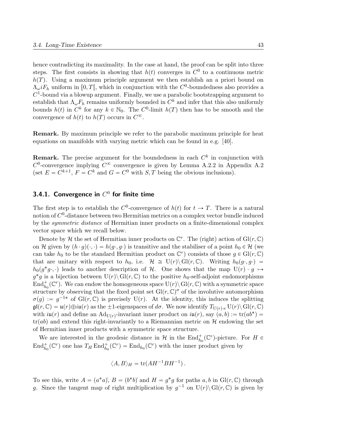hence contradicting its maximality. In the case at hand, the proof can be split into three steps. The first consists in showing that  $h(t)$  converges in  $C^0$  to a continuous metric  $h(T)$ . Using a maximum principle argument we then establish an a priori bound on  $\Lambda_{\omega} i F_h$  uniform in [0, T[, which in conjunction with the  $C^0$ -boundedness also provides a  $C<sup>1</sup>$ -bound via a blowup argument. Finally, we use a parabolic bootstrapping argument to establish that  $\Lambda_{\omega} F_h$  remains uniformly bounded in  $C^k$  and infer that this also uniformly bounds  $h(t)$  in  $C^k$  for any  $k \in \mathbb{N}_0$ . The  $C^0$ -limit  $h(T)$  then has to be smooth and the convergence of  $h(t)$  to  $h(T)$  occurs in  $C^{\infty}$ .

Remark. By maximum principle we refer to the parabolic maximum principle for heat equations on manifolds with varying metric which can be found in e.g. [40].

**Remark.** The precise argument for the boundedness in each  $C<sup>k</sup>$  in conjunction with  $C^0$ -convergence implying  $C^{\infty}$  convergence is given by Lemma A.2.2 in Appendix A.2 (set  $E = C^{k+1}$ ,  $F = C^k$  and  $G = C^0$  with  $S, T$  being the obvious inclusions).

### 3.4.1. Convergence in  $C^0$  for finite time

The first step is to establish the  $C^0$ -convergence of  $h(t)$  for  $t \to T$ . There is a natural notion of  $C^0$ -distance between two Hermitian metrics on a complex vector bundle induced by the symmetric distance of Hermitian inner products on a finite-dimensional complex vector space which we recall below.

Denote by H the set of Hermitian inner products on  $\mathbb{C}^r$ . The (right) action of  $Gl(r,\mathbb{C})$ on H given by  $(h \cdot g)(\cdot, \cdot) = h(g \cdot, g \cdot)$  is transitive and the stabiliser of a point  $h_0 \in \mathcal{H}$  (we can take  $h_0$  to be the standard Hermitian product on  $\mathbb{C}^r$  consists of those  $g \in Gl(r, \mathbb{C})$ that are unitary with respect to  $h_0$ , i.e.  $\mathcal{H} \cong U(r) \setminus Gl(r, \mathbb{C})$ . Writing  $h_0(g \cdot, g \cdot) =$  $h_0(g^*g \cdot, \cdot)$  leads to another description of H. One shows that the map  $U(r) \cdot g \mapsto$  $g^*g$  is a bijection between  $U(r)\setminus Gl(r,\mathbb{C})$  to the positive  $h_0$ -self-adjoint endomorphisms  $\text{End}^+_{h_0}(\mathbb{C}^r)$ . We can endow the homogeneous space  $\text{U}(r) \setminus \text{Gl}(r, \mathbb{C})$  with a symmetric space structure by observing that the fixed point set  $\mathrm{Gl}(r,\mathbb{C})^{\sigma}$  of the involutive automorphism  $\sigma(g) := g^{-1*}$  of Gl(r, C) is precisely U(r). At the identity, this induces the splitting  $\mathfrak{gl}(r, \mathbb{C}) = \mathfrak{u}(r) \oplus i\mathfrak{u}(r)$  as the  $\pm 1$ -eigenspaces of  $d\sigma$ . We now identify  $T_{U(r), e} U(r) \setminus Gl(r, \mathbb{C})$ with  $i\mathfrak{u}(r)$  and define an  $\text{Ad}_{U(r)}$ -invariant inner product on  $i\mathfrak{u}(r)$ , say  $(a, b) := \text{tr}(ab^*)$  $tr(ab)$  and extend this right-invariantly to a Riemannian metric on H endowing the set of Hermitian inner products with a symmetric space structure.

We are interested in the geodesic distance in  $\mathcal H$  in the  $\text{End}_{h_0}^+(\mathbb C^r)$ -picture. For  $H \in$  $\text{End}_{h_0}^+(\mathbb{C}^r)$  one has  $T_H \text{End}_{h_0}^+(\mathbb{C}^r) = \text{End}_{h_0}(\mathbb{C}^r)$  with the inner product given by

$$
\langle A, B \rangle_H = \text{tr}(AH^{-1}BH^{-1}).
$$

To see this, write  $A = (a^*a)$ ,  $B = (b^*b)$  and  $H = g^*g$  for paths  $a, b$  in  $Gl(r, \mathbb{C})$  through g. Since the tangent map of right multiplication by  $g^{-1}$  on  $U(r)\setminus Gl(r,\mathbb{C})$  is given by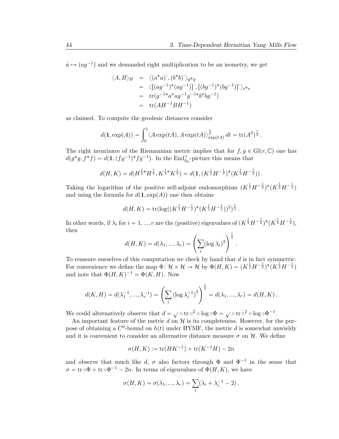.

 $\dot{a} \mapsto (ag^{-1})$  and we demanded right multiplication to be an isometry, we get

$$
\langle A, B \rangle_H = \langle (a^*a)^{\cdot}, (b^*b)^{\cdot} \rangle_{g^*g}
$$
  
=  $\langle [(ag^{-1})^*(ag^{-1})]^{\cdot}, [(bg^{-1})^*(bg^{-1})]^{\cdot} \rangle_{e^*e}$   
=  $\text{tr}(g^{-1*}a^*ag^{-1}g^{-1*}b^*bg^{-1})$   
=  $\text{tr}(AH^{-1}BH^{-1})$ 

as claimed. To compute the geodesic distances consider

$$
d(\mathbf{1}, \exp(A)) = \int_0^1 \langle A \exp(tA), A \exp(tA) \rangle_{\exp(tA)}^{\frac{1}{2}} dt = \text{tr}(A^2)^{\frac{1}{2}}.
$$

The right invariance of the Riemannian metric implies that for  $f, g \in Gl(r, \mathbb{C})$  one has  $d(g^*g, f^*f) = d(1, (fg^{-1})^*fg^{-1}).$  In the End<sub>h<sub>0</sub>-picture this means that</sub>

$$
d(H,K) = d(H^{\frac{1}{2}*}H^{\frac{1}{2}}, K^{\frac{1}{2}*}K^{\frac{1}{2}}) = d(1, (K^{\frac{1}{2}}H^{-\frac{1}{2}})^*(K^{\frac{1}{2}}H^{-\frac{1}{2}})).
$$

Taking the logarithm of the positive self-adjoint endomorphism  $(K^{\frac{1}{2}}H^{-\frac{1}{2}})^*(K^{\frac{1}{2}}H^{-\frac{1}{2}})$ and using the formula for  $d(1, \exp(A))$  one then obtains

$$
d(H,K) = \text{tr}(\log((K^{\frac{1}{2}}H^{-\frac{1}{2}})^*(K^{\frac{1}{2}}H^{-\frac{1}{2}}))^2)^{\frac{1}{2}}.
$$

In other words, if  $\lambda_i$  for  $i = 1, ..., r$  are the (positive) eigenvalues of  $(K^{\frac{1}{2}}H^{-\frac{1}{2}})^*(K^{\frac{1}{2}}H^{-\frac{1}{2}})$ , then  $\frac{1}{2}$ 

$$
d(H, K) = d(\lambda_1, ..., \lambda_r) = \left(\sum_i (\log \lambda_i)^2\right)^{\frac{1}{2}}
$$

To reassure ourselves of this computation we check by hand that  $d$  is in fact symmetric. For convenience we define the map  $\Phi: \mathcal{H} \times \mathcal{H} \to \mathcal{H}$  by  $\Phi(H, K) = (K^{\frac{1}{2}}H^{-\frac{1}{2}})^*(K^{\frac{1}{2}}H^{-\frac{1}{2}})$ and note that  $\Phi(H, K)^{-1} = \Phi(K, H)$ . Now

$$
d(K, H) = d(\lambda_1^{-1}, ..., \lambda_r^{-1}) = \left(\sum_i (\log \lambda_i^{-1})^2\right)^{\frac{1}{2}} = d(\lambda_1, ..., \lambda_r) = d(H, K).
$$

We could alternatively observe that  $d = \sqrt{\circ} \operatorname{tr} \circ^2 \circ \log \circ \Phi = \sqrt{\circ} \operatorname{tr} \circ^2 \circ \log \circ \Phi^{-1}$ .

An important feature of the metric  $d$  on  $\mathcal H$  is its completeness. However, for the purpose of obtaining a  $C^0$ -bound on  $h(t)$  under HYMF, the metric d is somewhat unwieldy and it is convenient to consider an alternative distance measure  $\sigma$  on  $\mathcal{H}$ . We define

$$
\sigma(H, K) := \text{tr}(HK^{-1}) + \text{tr}(K^{-1}H) - 2n
$$

and observe that much like d,  $\sigma$  also factors through  $\Phi$  and  $\Phi^{-1}$  in the sense that  $\sigma = \text{tr} \circ \Phi + \text{tr} \circ \Phi^{-1} - 2n$ . In terms of eigenvalues of  $\Phi(H, K)$ , we have

$$
\sigma(H, K) = \sigma(\lambda_1, ..., \lambda_r) = \sum_i (\lambda_i + \lambda_i^{-1} - 2).
$$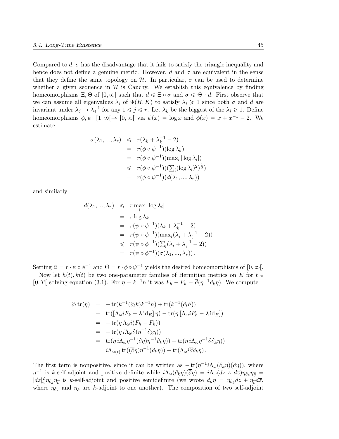Compared to d,  $\sigma$  has the disadvantage that it fails to satisfy the triangle inequality and hence does not define a genuine metric. However, d and  $\sigma$  are equivalent in the sense that they define the same topology on  $H$ . In particular,  $\sigma$  can be used to determine whether a given sequence in  $\mathcal H$  is Cauchy. We establish this equivalence by finding homeomorphisms  $\Xi$ ,  $\Theta$  of  $[0, \infty)$  such that  $d \leq \Xi \circ \sigma$  and  $\sigma \leq \Theta \circ d$ . First observe that we can assume all eigenvalues  $\lambda_i$  of  $\Phi(H, K)$  to satisfy  $\lambda_i \geq 1$  since both  $\sigma$  and d are invariant under  $\lambda_j \mapsto \lambda_j^{-1}$  for any  $1 \leq j \leq r$ . Let  $\lambda_k$  be the biggest of the  $\lambda_i \geq 1$ . Define homeomorphisms  $\phi, \psi : [1, \infty[ \rightarrow [0, \infty[$  via  $\psi(x) = \log x$  and  $\phi(x) = x + x^{-1} - 2$ . We estimate

$$
\sigma(\lambda_1, ..., \lambda_r) \leq r(\lambda_k + \lambda_k^{-1} - 2)
$$
  
=  $r(\phi \circ \psi^{-1})(\log \lambda_k)$   
=  $r(\phi \circ \psi^{-1})(\max_i |\log \lambda_i|)$   
 $\leq r(\phi \circ \psi^{-1})(\left(\sum_i (\log \lambda_i)^2\right)^{\frac{1}{2}})$   
=  $r(\phi \circ \psi^{-1})(d(\lambda_1, ..., \lambda_r))$ 

and similarly

$$
d(\lambda_1, ..., \lambda_r) \leq r \max_{i} |\log \lambda_i|
$$
  
=  $r \log \lambda_k$   
=  $r(\psi \circ \phi^{-1})(\lambda_k + \lambda_k^{-1} - 2)$   
=  $r(\psi \circ \phi^{-1})(\max_i (\lambda_i + \lambda_i^{-1} - 2))$   
 $\leq r(\psi \circ \phi^{-1})(\sum_i (\lambda_i + \lambda_i^{-1} - 2))$   
=  $r(\psi \circ \phi^{-1})(\sigma(\lambda_1, ..., \lambda_r)).$ 

Setting  $\Xi = r \cdot \psi \circ \phi^{-1}$  and  $\Theta = r \cdot \phi \circ \psi^{-1}$  yields the desired homeomorphisms of  $[0, \infty)$ .

Now let  $h(t)$ ,  $k(t)$  be two one-parameter families of Hermitian metrics on E for  $t \in$ [0, T] solving equation (3.1). For  $\eta = k^{-1}h$  it was  $F_h - F_k = \overline{\partial}(\eta^{-1}\partial_k \eta)$ . We compute

$$
\partial_t \operatorname{tr}(\eta) = -\operatorname{tr}(k^{-1}(\partial_t k)k^{-1}h) + \operatorname{tr}(k^{-1}(\partial_t h))
$$
\n
$$
= \operatorname{tr}([\Lambda_\omega i F_k - \lambda \operatorname{id}_E]\eta) - \operatorname{tr}(\eta [\Lambda_\omega i F_h - \lambda \operatorname{id}_E])
$$
\n
$$
= -\operatorname{tr}(\eta \Lambda_\omega i (F_h - F_k))
$$
\n
$$
= -\operatorname{tr}(\eta i \Lambda_\omega \overline{\partial}(\eta^{-1} \partial_k \eta))
$$
\n
$$
= \operatorname{tr}(\eta i \Lambda_\omega \eta^{-1} (\overline{\partial} \eta) \eta^{-1} \partial_k \eta)) - \operatorname{tr}(\eta i \Lambda_\omega \eta^{-1} \overline{\partial} \partial_k \eta))
$$
\n
$$
= i \Lambda_{\omega(t)} \operatorname{tr}((\overline{\partial} \eta) \eta^{-1} (\partial_k \eta)) - \operatorname{tr}(\Lambda_\omega i \overline{\partial} \partial_k \eta).
$$

The first term is nonpositive, since it can be written as  $-\text{tr}(\eta^{-1}i\Lambda_{\omega}(\partial_{k}\eta)(\overline{\partial}\eta))$ , where  $\eta^{-1}$  is k-self-adjoint and positive definite while  $i\Lambda_{\omega}(\partial_k \eta)(\overline{\partial}\eta) = i\Lambda_{\omega}(dz \wedge d\overline{z})\eta_{\partial_k}\eta_{\overline{\partial}} =$  $|dz|_{\omega}^2 \eta_{\partial_k} \eta_{\overline{\partial}}$  is k-self-adjoint and positive semidefinite (we wrote  $d_k \eta = \eta_{\partial_k} dz + \eta_{\overline{\partial}} d\overline{z}$ , where  $\eta_{\partial_k}$  and  $\eta_{\overline{\partial}}$  are k-adjoint to one another). The composition of two self-adjoint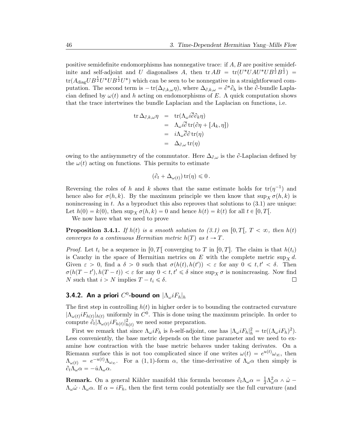positive semidefinite endomorphisms has nonnegative trace: if  $A, B$  are positive semidefinite and self-adjoint and U diagonalises A, then  ${\rm tr} AB = {\rm tr}(U^*UAU^*UB^{\frac{1}{2}}B^{\frac{1}{2}}) =$  $\text{tr}(A_{\text{diag}}UB^{\frac{1}{2}}U^*UB^{\frac{1}{2}}U^*)$  which can be seen to be nonnegative in a straightforward computation. The second term is  $-$ tr $(\Delta_{\partial,k,\omega}\eta)$ , where  $\Delta_{\partial,k,\omega} = \partial^*\partial_h$  is the  $\partial$ -bundle Laplacian defined by  $\omega(t)$  and h acting on endomorphisms of E. A quick computation shows that the trace intertwines the bundle Laplacian and the Laplacian on functions, i.e.

$$
\begin{array}{rcl}\n\text{tr}\,\Delta_{\partial,k,\omega}\eta & = & \text{tr}(\Lambda_{\omega}i\overline{\partial}\partial_{k}\eta) \\
& = & \Lambda_{\omega}i\overline{\partial}\,\text{tr}(\partial\eta + [A_{k},\eta]) \\
& = & i\Lambda_{\omega}\overline{\partial}\partial\,\text{tr}(\eta) \\
& = & \Delta_{\partial,\omega}\,\text{tr}(\eta)\n\end{array}
$$

owing to the antisymmetry of the commutator. Here  $\Delta_{\partial,\omega}$  is the  $\partial$ -Laplacian defined by the  $\omega(t)$  acting on functions. This permits to estimate

$$
(\partial_t + \Delta_{\omega(t)}) \operatorname{tr}(\eta) \leq 0.
$$

Reversing the roles of h and k shows that the same estimate holds for  $tr(\eta^{-1})$  and hence also for  $\sigma(h, k)$ . By the maximum principle we then know that  $\sup_X \sigma(h, k)$  is nonincreasing in  $t$ . As a byproduct this also reproves that solutions to  $(3.1)$  are unique: Let  $h(0) = k(0)$ , then  $\sup_X \sigma(h, k) = 0$  and hence  $h(t) = k(t)$  for all  $t \in [0, T]$ .

We now have what we need to prove

**Proposition 3.4.1.** If  $h(t)$  is a smooth solution to (3.1) on [0, T[, T  $< \infty$ , then  $h(t)$ converges to a continuous Hermitian metric  $h(T)$  as  $t \to T$ .

*Proof.* Let  $t_i$  be a sequence in  $[0, T]$  converging to T in  $[0, T]$ . The claim is that  $h(t_i)$ is Cauchy in the space of Hermitian metrics on E with the complete metric sup  $_{\mathcal{X}} d$ . Given  $\varepsilon > 0$ , find a  $\delta > 0$  such that  $\sigma(h(t), h(t')) < \varepsilon$  for any  $0 \leq t, t' < \delta$ . Then  $\sigma(h(T-t'), h(T-t)) < \varepsilon$  for any  $0 < t, t' \leq \delta$  since  $\sup_X \sigma$  is nonincreasing. Now find N such that  $i > N$  implies  $T - t_i \leq \delta$ .  $\Box$ 

# 3.4.2. An a priori  $C^0$ -bound on  $|\Lambda_\omega i F_h|_h$

The first step in controlling  $h(t)$  in higher order is to bounding the contracted curvature  $|\Lambda_{\omega(t)} iF_{h(t)}|_{h(t)}$  uniformly in  $C^0$ . This is done using the maximum principle. In order to compute  $\partial_t |\Lambda_{\omega(t)} iF_{h(t)}|_{h(t)}^2$  we need some preparation.

First we remark that since  $\Lambda_{\omega} i F_h$  is h-self-adjoint, one has  $|\Lambda_{\omega} i F_h|_h^2 = \text{tr}((\Lambda_{\omega} i F_h)^2)$ . Less conveniently, the base metric depends on the time parameter and we need to examine how contraction with the base metric behaves under taking derivates. On a Riemann surface this is not too complicated since if one writes  $\omega(t) = e^{u(t)} \omega_{\infty}$ , then  $\Lambda_{\omega(t)} = e^{-u(t)} \Lambda_{\omega_{\infty}}$ . For a (1, 1)-form  $\alpha$ , the time-derivative of  $\Lambda_{\omega} \alpha$  then simply is  $\partial_t \Lambda_\omega \alpha = -\dot{u} \Lambda_\omega \alpha.$ 

**Remark.** On a general Kähler manifold this formula becomes  $\partial_t \Lambda_\omega \alpha = \frac{1}{2} \Lambda^2_\omega \alpha \wedge \dot{\omega}$  $\Lambda_{\omega}\dot{\omega}\cdot\Lambda_{\omega}\alpha$ . If  $\alpha=iF_h$ , then the first term could potentially see the full curvature (and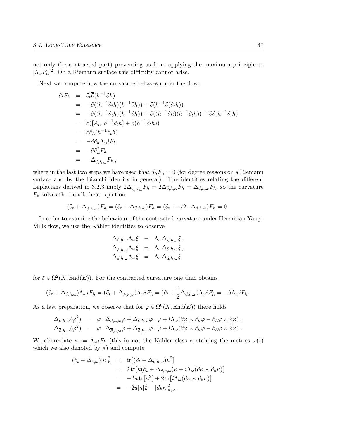not only the contracted part) preventing us from applying the maximum principle to  $|\Lambda_{\omega} F_h|^2$ . On a Riemann surface this difficulty cannot arise.

Next we compute how the curvature behaves under the flow:

$$
\partial_t F_h = \partial_t \overline{\partial} (h^{-1} \partial h)
$$
  
\n
$$
= -\overline{\partial} ((h^{-1} \partial_t h)(h^{-1} \partial h)) + \overline{\partial} (h^{-1} \partial (\partial_t h))
$$
  
\n
$$
= -\overline{\partial} ((h^{-1} \partial_t h)(h^{-1} \partial h)) + \overline{\partial} ((h^{-1} \partial h)(h^{-1} \partial_t h)) + \overline{\partial} \partial (h^{-1} \partial_t h)
$$
  
\n
$$
= \overline{\partial} ([A_h, h^{-1} \partial_t h] + \partial (h^{-1} \partial_t h))
$$
  
\n
$$
= \overline{\partial} \partial_h (h^{-1} \partial_t h)
$$
  
\n
$$
= -\overline{\partial} \partial_h \Lambda_\omega i F_h
$$
  
\n
$$
= -\Delta_{\overline{\partial}, h, \omega} F_h,
$$

where in the last two steps we have used that  $d_hF_h = 0$  (for degree reasons on a Riemann surface and by the Bianchi identity in general). The identities relating the different Laplacians derived in 3.2.3 imply  $2\Delta_{\bar{\partial},h,\omega}F_h = 2\Delta_{\partial,h,\omega}F_h = \Delta_{d,h,\omega}F_h$ , so the curvature  $F_h$  solves the bundle heat equation

$$
(\partial_t + \Delta_{\overline{\partial},h,\omega})F_h = (\partial_t + \Delta_{\partial,h,\omega})F_h = (\partial_t + 1/2 \cdot \Delta_{d,h,\omega})F_h = 0.
$$

In order to examine the behaviour of the contracted curvature under Hermitian Yang– Mills flow, we use the Kähler identities to observe

$$
\begin{array}{rcl} \Delta_{\partial,h,\omega}\Lambda_{\omega}\xi&=&\Lambda_{\omega}\Delta_{\overline{\partial},h,\omega}\xi\,,\\ \Delta_{\overline{\partial},h,\omega}\Lambda_{\omega}\xi&=&\Lambda_{\omega}\Delta_{\partial,h,\omega}\xi\,,\\ \Delta_{d,h,\omega}\Lambda_{\omega}\xi&=&\Lambda_{\omega}\Delta_{d,h,\omega}\xi \end{array}
$$

for  $\xi \in \Omega^2(X, \text{End}(E))$ . For the contracted curvature one then obtains

$$
(\partial_t + \Delta_{\partial,h,\omega})\Lambda_{\omega}iF_h = (\partial_t + \Delta_{\overline{\partial},h,\omega})\Lambda_{\omega}iF_h = (\partial_t + \frac{1}{2}\Delta_{d,h,\omega})\Lambda_{\omega}iF_h = -\dot{u}\Lambda_{\omega}iF_h.
$$

As a last preparation, we observe that for  $\varphi \in \Omega^0(X, \text{End}(E))$  there holds

$$
\begin{array}{rcl}\Delta_{\partial,h,\omega}(\varphi^2)&=&\varphi\cdot\Delta_{\partial,h,\omega}\varphi+\Delta_{\partial,h,\omega}\varphi\cdot\varphi+i\Lambda_{\omega}(\overline{\partial}\varphi\wedge\partial_h\varphi-\partial_h\varphi\wedge\overline{\partial}\varphi)\,,\\ \Delta_{\overline{\partial},h,\omega}(\varphi^2)&=&\varphi\cdot\Delta_{\overline{\partial},h,\omega}\varphi+\Delta_{\overline{\partial},h,\omega}\varphi\cdot\varphi+i\Lambda_{\omega}(\overline{\partial}\varphi\wedge\partial_h\varphi-\partial_h\varphi\wedge\overline{\partial}\varphi)\,.\end{array}
$$

We abbreviate  $\kappa := \Lambda_{\omega} i F_h$  (this in not the Kähler class containing the metrics  $\omega(t)$ which we also denoted by  $\kappa$ ) and compute

$$
(\partial_t + \Delta_{\partial,\omega})|\kappa|_h^2 = \text{tr}[(\partial_t + \Delta_{\partial,h,\omega})\kappa^2]
$$
  
\n
$$
= 2 \text{tr}[\kappa(\partial_t + \Delta_{\partial,h,\omega})\kappa + i\Lambda_{\omega}(\overline{\partial}\kappa \wedge \partial_h \kappa)]
$$
  
\n
$$
= -2\dot{u}\text{tr}[\kappa^2] + 2 \text{tr}[\dot{\Lambda}_{\omega}(\overline{\partial}\kappa \wedge \partial_h \kappa)]
$$
  
\n
$$
= -2\dot{u}|\kappa|_h^2 - |d_h \kappa|_{h,\omega}^2,
$$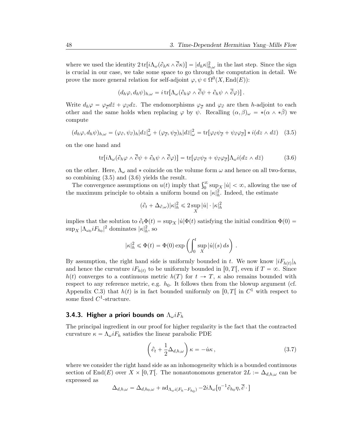where we used the identity  $2 \text{ tr} \left[ i \Lambda_\omega (\partial_h \kappa \wedge \overline{\partial} \kappa) \right] = |d_h \kappa|^2_{h,\omega}$  in the last step. Since the sign is crucial in our case, we take some space to go through the computation in detail. We prove the more general relation for self-adjoint  $\varphi, \psi \in \Omega^0(X, \text{End}(E))$ :

$$
(d_h\varphi, d_h\psi)_{h,\omega} = i \operatorname{tr}[\Lambda_{\omega}(\partial_h\varphi \wedge \partial \psi + \partial_h\psi \wedge \partial \varphi)].
$$

Write  $d_h \varphi = \varphi_{\overline{\partial}} d\overline{z} + \varphi_{\partial} dz$ . The endomorphisms  $\varphi_{\overline{\partial}}$  and  $\varphi_{\partial}$  are then h-adjoint to each other and the same holds when replacing  $\varphi$  by  $\psi$ . Recalling  $(\alpha, \beta)_{\omega} = *(\alpha \wedge * \beta)$  we compute

$$
(d_h\varphi, d_h\psi)_{h,\omega} = (\varphi_{\partial}, \psi_{\partial})_h |dz|^2_{\omega} + (\varphi_{\overline{\partial}}, \psi_{\overline{\partial}})_h |dz|^2_{\omega} = \text{tr}[\varphi_{\partial}\psi_{\overline{\partial}} + \psi_{\partial}\varphi_{\overline{\partial}}] * i(dz \wedge d\overline{z}) \quad (3.5)
$$

on the one hand and

$$
\text{tr}[i\Lambda_{\omega}(\partial_h\varphi \wedge \overline{\partial}\psi + \partial_h\psi \wedge \overline{\partial}\varphi)] = \text{tr}[\varphi_{\partial}\psi_{\overline{\partial}} + \psi_{\partial}\varphi_{\overline{\partial}}]\Lambda_{\omega}i(dz \wedge d\overline{z})
$$
(3.6)

on the other. Here,  $\Lambda_{\omega}$  and  $*$  coincide on the volume form  $\omega$  and hence on all two-forms, so combining (3.5) and (3.6) yields the result.

combining (3.5) and (3.6) yields the result.<br>The convergence assumptions on  $u(t)$  imply that  $\int_0^\infty \sup_X |u| < \infty$ , allowing the use of the maximum principle to obtain a uniform bound on  $|\kappa|^2_h$ . Indeed, the estimate

$$
(\partial_t + \Delta_{\partial,\omega})|\kappa|^2_h \leq 2 \sup_X |\dot{u}| \cdot |\kappa|^2_h
$$

implies that the solution to  $\partial_t \Phi(t) = \sup_X |\dot{u}|\Phi(t)$  satisfying the initial condition  $\Phi(0)$  =  $\sup_X |\Lambda_{\omega_0} iF_{h_0}|^2$  dominates  $|\kappa|_h^2$ , so

$$
|\kappa|_h^2 \leq \Phi(t) = \Phi(0) \exp \left( \int_0^t \sup_X |\dot{u}|(s) ds \right).
$$

By assumption, the right hand side is uniformly bounded in t. We now know  $|iF_{h(t)}|_h$ and hence the curvature  $iF_{h(t)}$  to be uniformly bounded in [0, T[, even if  $T = \infty$ . Since  $h(t)$  converges to a continuous metric  $h(T)$  for  $t \to T$ ,  $\kappa$  also remains bounded with respect to any reference metric, e.g.  $h_0$ . It follows then from the blowup argument (cf. Appendix C.3) that  $h(t)$  is in fact bounded uniformly on  $[0, T[$  in  $C^1$  with respect to some fixed  $C^1$ -structure.

### 3.4.3. Higher a priori bounds on  $\Lambda_{\omega} i F_h$

The principal ingredient in our proof for higher regularity is the fact that the contracted curvature  $\kappa = \Lambda_{\omega} i F_h$  satisfies the linear parabolic PDE

$$
\left(\partial_t + \frac{1}{2}\Delta_{d,h,\omega}\right)\kappa = -\dot{u}\kappa\,,\tag{3.7}
$$

where we consider the right hand side as an inhomogeneity which is a bounded continuous section of End(E) over  $X \times [0, T]$ . The nonautonomous generator  $2L := \Delta_{d,h,\omega}$  can be expressed as

$$
\Delta_{d,h,\omega} = \Delta_{d,h_0,\omega} + \mathrm{ad}_{\Lambda_{\omega} i(F_h - F_{h_0})} - 2i\Lambda_{\omega} [\eta^{-1} \partial_{h_0} \eta, \overline{\partial} \cdot]
$$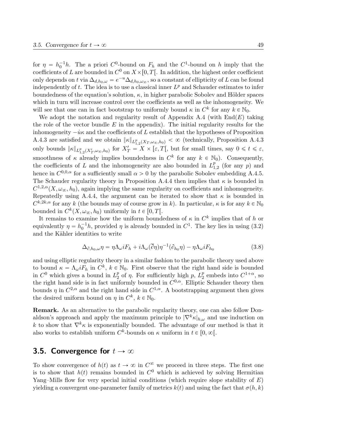for  $\eta = h_0^{-1}h$ . The a priori C<sup>0</sup>-bound on  $F_h$  and the C<sup>1</sup>-bound on h imply that the coefficients of L are bounded in  $C^0$  on  $X\times[0,T[$ . In addition, the highest order coefficient only depends on t via  $\Delta_{d,h_0,\omega} = e^{-u} \Delta_{d,h_0,\omega_\infty}$ , so a constant of ellipticity of L can be found independently of t. The idea is to use a classical inner  $L^p$  and Schauder estimates to infer boundedness of the equation's solution,  $\kappa$ , in higher parabolic Sobolev and Hölder spaces which in turn will increase control over the coefficients as well as the inhomogeneity. We will see that one can in fact bootstrap to uniformly bound  $\kappa$  in  $C^k$  for any  $k \in \mathbb{N}_0$ .

We adopt the notation and regularity result of Appendix A.4 (with  $\text{End}(E)$  taking the role of the vector bundle  $E$  in the appendix). The initial regularity results for the inhomogeneity  $-i\kappa$  and the coefficients of L establish that the hypotheses of Proposition A.4.3 are satisfied and we obtain  $\|\kappa\|_{L^p_{1,2}(X_T,\omega_\infty,h_0)} < \infty$  (technically, Proposition A.4.3) only bounds  $\|\kappa\|_{L^p_{1,2}(X'_T,\omega_\infty,h_0)}$  for  $X'_T=X\times[\varepsilon,T[,$  but for small times, say  $0\leq t\leq \varepsilon$ , smoothness of  $\kappa$  already implies boundedness in  $C^k$  for any  $k \in \mathbb{N}_0$ ). Consequently, the coefficients of L and the inhomogeneity are also bounded in  $L_1^p$  $_{1,2}^{p}$  (for any p) and hence in  $C^{0,0,\alpha}$  for a sufficiently small  $\alpha > 0$  by the parabolic Sobolev embedding A.4.5. The Schauder regularity theory in Proposition A.4.4 then implies that  $\kappa$  is bounded in  $C^{1,2,\alpha}(X,\omega_\infty, h_0)$ , again implying the same regularity on coefficients and inhomogeneity. Repeatedly using A.4.4, the argument can be iterated to show that  $\kappa$  is bounded in  $C^{k,2k,\alpha}$  for any k (the bounds may of course grow in k). In particular,  $\kappa$  is for any  $k \in \mathbb{N}_0$ bounded in  $C^k(X, \omega_\infty, h_0)$  uniformly in  $t \in [0, T[$ .

It remains to examine how the uniform boundedness of  $\kappa$  in  $C^k$  implies that of h or equivalently  $\eta = h_0^{-1}h$ , provided  $\eta$  is already bounded in  $C^1$ . The key lies in using (3.2) and the Kähler identities to write

$$
\Delta_{\partial, h_0, \omega} \eta = \eta \Lambda_{\omega} i F_h + i \Lambda_{\omega} (\overline{\partial} \eta) \eta^{-1} (\partial_{h_0} \eta) - \eta \Lambda_{\omega} i F_{h_0}
$$
\n(3.8)

and using elliptic regularity theory in a similar fashion to the parabolic theory used above to bound  $\kappa = \Lambda_{\omega} i F_h$  in  $C^k$ ,  $k \in \mathbb{N}_0$ . First observe that the right hand side is bounded in  $C^0$  which gives a bound in  $L_2^p$  $\frac{p}{2}$  of  $\eta$ . For sufficiently high  $p, L_2^p$  $_2^p$  embeds into  $C^{1+\alpha}$ , so the right hand side is in fact uniformly bounded in  $C^{0,\alpha}$ . Elliptic Schauder theory then bounds  $\eta$  in  $C^{2,\alpha}$  and the right hand side in  $C^{1,\alpha}$ . A bootstrapping argument then gives the desired uniform bound on  $\eta$  in  $C^k$ ,  $k \in \mathbb{N}_0$ .

Remark. As an alternative to the parabolic regularity theory, one can also follow Donaldson's approach and apply the maximum principle to  $|\nabla^k \kappa|_{h,\omega}$  and use induction on k to show that  $\nabla^k \kappa$  is exponentially bounded. The advantage of our method is that it also works to establish uniform  $C^k$ -bounds on  $\kappa$  uniform in  $t \in [0, \infty)$ .

## 3.5. Convergence for  $t \to \infty$

To show convergence of  $h(t)$  as  $t \to \infty$  in  $C^{\infty}$  we proceed in three steps. The first one is to show that  $h(t)$  remains bounded in  $C^0$  which is achieved by solving Hermitian Yang–Mills flow for very special initial conditions (which require slope stability of  $E$ ) yielding a convergent one-parameter family of metrics  $k(t)$  and using the fact that  $\sigma(h, k)$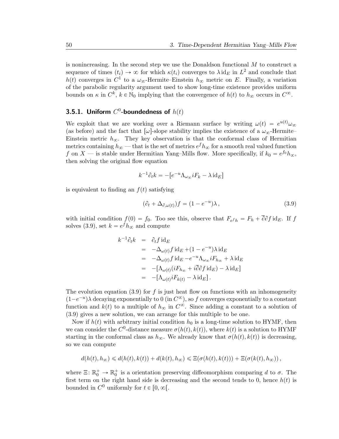is nonincreasing. In the second step we use the Donaldson functional  $M$  to construct a sequence of times  $(t_i) \to \infty$  for which  $\kappa(t_i)$  converges to  $\lambda \text{ id}_E$  in  $L^2$  and conclude that  $h(t)$  converges in  $C^1$  to a  $\omega_{\infty}$ -Hermite–Einstein  $h_{\infty}$  metric on E. Finally, a variation of the parabolic regularity argument used to show long-time existence provides uniform bounds on  $\kappa$  in  $C^k$ ,  $k \in \mathbb{N}_0$  implying that the convergence of  $h(t)$  to  $h_{\infty}$  occurs in  $C^{\infty}$ .

# 3.5.1. Uniform  $C^0$ -boundedness of  $h(t)$

We exploit that we are working over a Riemann surface by writing  $\omega(t) = e^{u(t)} \omega_{\infty}$ (as before) and the fact that  $[\omega]$ -slope stability implies the existence of a  $\omega_{\infty}$ -Hermite– Einstein metric  $h_{\infty}$ . They key observation is that the conformal class of Hermitian metrics containing  $h_{\infty}$  — that is the set of metrics  $e^f h_{\infty}$  for a smooth real valued function f on X — is stable under Hermitian Yang–Mills flow. More specifically, if  $k_0 = e^{f_0} h_{\infty}$ , then solving the original flow equation

$$
k^{-1}\partial_t k = -[e^{-u}\Lambda_{\omega_{\infty}}iF_k - \lambda \mathrm{id}_E]
$$

is equivalent to finding an  $f(t)$  satisfying

$$
(\partial_t + \Delta_{\partial,\omega(t)})f = (1 - e^{-u})\lambda, \qquad (3.9)
$$

with initial condition  $f(0) = f_0$ . Too see this, observe that  $F_{e^f h} = F_h + \partial \partial f$  id<sub>E</sub>. If f solves (3.9), set  $k = e^f h_{\infty}$  and compute

$$
k^{-1}\partial_t k = \partial_t f \, id_E
$$
  
=  $-\Delta_{\omega(t)} f \, id_E + (1 - e^{-u}) \lambda \, id_E$   
=  $-\Delta_{\omega(t)} f \, id_E - e^{-u} \Delta_{\omega_{\infty}} i F_{h_{\infty}} + \lambda \, id_E$   
=  $-\left[\Delta_{\omega(t)} (i F_{h_{\infty}} + i \overline{\partial} \partial f \, id_E) - \lambda \, id_E\right]$   
=  $-\left[\Delta_{\omega(t)} i F_{k(t)} - \lambda \, id_E\right].$ 

The evolution equation (3.9) for f is just heat flow on functions with an inhomogeneity  $(1-e^{-u})\lambda$  decaying exponentially to 0 (in  $C^{\infty}$ ), so f converges exponentially to a constant function and  $k(t)$  to a multiple of  $h_{\infty}$  in  $C^{\infty}$ . Since adding a constant to a solution of (3.9) gives a new solution, we can arrange for this multiple to be one.

Now if  $h(t)$  with arbitrary initial condition  $h_0$  is a long-time solution to HYMF, then we can consider the  $C^0$ -distance measure  $\sigma(h(t), k(t))$ , where  $k(t)$  is a solution to HYMF starting in the conformal class as  $h_{\infty}$ . We already know that  $\sigma(h(t), k(t))$  is decreasing, so we can compute

$$
d(h(t), h_{\infty}) \leq d(h(t), k(t)) + d(k(t), h_{\infty}) \leq \Xi(\sigma(h(t), k(t))) + \Xi(\sigma(k(t), h_{\infty})),
$$

where  $\Xi: \mathbb{R}_0^+ \to \mathbb{R}_0^+$  is a orientation preserving diffeomorphism comparing d to  $\sigma$ . The first term on the right hand side is decreasing and the second tends to 0, hence  $h(t)$  is bounded in  $C^0$  uniformly for  $t \in [0, \infty[$ .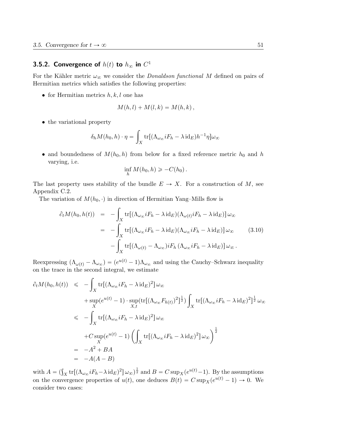# 3.5.2. Convergence of  $h(t)$  to  $h_\infty$  in  $C^1$

For the Kähler metric  $\omega_{\infty}$  we consider the *Donaldson functional M* defined on pairs of Hermitian metrics which satisfies the following properties:

• for Hermitian metrics  $h, k, l$  one has

$$
M(h,l) + M(l,k) = M(h,k),
$$

• the variational property

$$
\delta_h M(h_0, h) \cdot \eta = \int_X \text{tr}[(\Lambda_{\omega_{\infty}} iF_h - \lambda \text{ id}_E)h^{-1}\eta]\omega_{\infty}
$$

• and boundedness of  $M(h_0, h)$  from below for a fixed reference metric  $h_0$  and h varying, i.e.

$$
\inf_h M(h_0,h) \geqslant -C(h_0).
$$

The last property uses stability of the bundle  $E \to X$ . For a construction of M, see Appendix C.2.

The variation of  $M(h_0, \cdot)$  in direction of Hermitian Yang–Mills flow is

$$
\partial_t M(h_0, h(t)) = -\int_X \text{tr}[(\Lambda_{\omega_{\infty}} iF_h - \lambda \text{id}_E)(\Lambda_{\omega(t)} iF_h - \lambda \text{id}_E)] \omega_{\infty}
$$
  

$$
= -\int_X \text{tr}[(\Lambda_{\omega_{\infty}} iF_h - \lambda \text{id}_E)(\Lambda_{\omega_{\infty}} iF_h - \lambda \text{id}_E)] \omega_{\infty}
$$
(3.10)  

$$
- \int_X \text{tr}[(\Lambda_{\omega(t)} - \Lambda_{\omega_{\infty}}) iF_h(\Lambda_{\omega_{\infty}} iF_h - \lambda \text{id}_E)] \omega_{\infty}.
$$

Reexpressing  $(\Lambda_{\omega(t)} - \Lambda_{\omega_{\infty}}) = (e^{u(t)} - 1)\Lambda_{\omega_{\infty}}$  and using the Cauchy–Schwarz inequality on the trace in the second integral, we estimate

$$
\partial_t M(h_0, h(t)) \leq -\int_X \text{tr}[(\Lambda_{\omega_{\infty}} iF_h - \lambda \text{id}_E)^2] \omega_{\infty} \n+ \sup_X (e^{u(t)} - 1) \cdot \sup_{X,t} (\text{tr}[(\Lambda_{\omega_{\infty}} F_{h(t)})^2]^{\frac{1}{2}}) \int_X \text{tr}[(\Lambda_{\omega_{\infty}} iF_h - \lambda \text{id}_E)^2]^{\frac{1}{2}} \omega_{\infty} \n\leq -\int_X \text{tr}[(\Lambda_{\omega_{\infty}} iF_h - \lambda \text{id}_E)^2] \omega_{\infty} \n+ C \sup_X (e^{u(t)} - 1) \left( \int_X \text{tr}[(\Lambda_{\omega_{\infty}} iF_h - \lambda \text{id}_E)^2] \omega_{\infty} \right)^{\frac{1}{2}} \n= -A^2 + BA \n= -A(A - B)
$$

with  $A = (\int_X tr[(\Lambda_{\omega_{\infty}} iF_h - \lambda \mathrm{id}_E)^2] \omega_{\infty})^{\frac{1}{2}}$  and  $B = C \sup_X (e^{u(t)} - 1)$ . By the assumptions on the convergence properties of  $u(t)$ , one deduces  $B(t) = C \sup_X(e^{u(t)} - 1) \to 0$ . We consider two cases: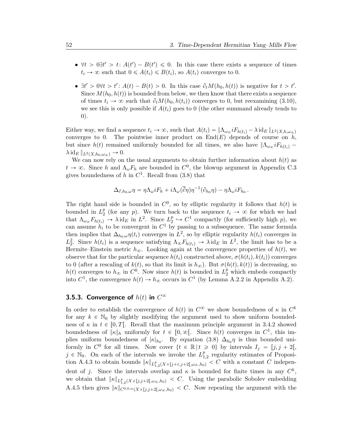- $\forall t > 0 \exists t' > t : A(t') B(t') \leq 0$ . In this case there exists a sequence of times  $t_i \to \infty$  such that  $0 \leq A(t_i) \leq B(t_i)$ , so  $A(t_i)$  converges to 0.
- $\exists t' > 0 \forall t > t' : A(t) B(t) > 0$ . In this case  $\partial_t M(h_0, h(t))$  is negative for  $t > t'$ . Since  $M(h_0, h(t))$  is bounded from below, we then know that there exists a sequence of times  $t_i \to \infty$  such that  $\partial_t M(h_0, h(t_i))$  converges to 0, but reexamining (3.10), we see this is only possible if  $A(t_i)$  goes to 0 (the other summand already tends to 0).

Either way, we find a sequence  $t_i \to \infty$ , such that  $A(t_i) = \|\Lambda_{\omega_{\infty}} iF_{h(t_i)} - \lambda \text{ id}_E\|_{L^2(X, h, \omega_{\infty})}$ converges to 0. The pointwise inner product on  $End(E)$  depends of course on h, but since  $h(t)$  remained uniformly bounded for all times, we also have  $\|\Lambda_{\omega_{\alpha}}iF_{h(t_i)}\|$  $\lambda \operatorname{id}_E ||_{L^2(X,h_0,\omega_{\infty})} \to 0.$ 

We can now rely on the usual arguments to obtain further information about  $h(t)$  as  $t \to \infty$ . Since h and  $\Lambda_{\omega} F_h$  are bounded in  $C^0$ , the blowup argument in Appendix C.3 gives boundedness of h in  $C^1$ . Recall from  $(3.8)$  that

$$
\Delta_{\partial, h_0, \omega} \eta = \eta \Lambda_{\omega} i F_h + i \Lambda_{\omega} (\overline{\partial} \eta) \eta^{-1} (\partial_{h_0} \eta) - \eta \Lambda_{\omega} i F_{h_0}.
$$

The right hand side is bounded in  $C^0$ , so by elliptic regularity it follows that  $h(t)$  is bounded in  $L_2^p$  $_2^p$  (for any p). We turn back to the sequence  $t_i \rightarrow \infty$  for which we had that  $\Lambda_{\omega_{\infty}} F_{h(t_i)} \to \lambda \text{ id}_E$  in  $L^2$ . Since  $L_2^p$  $_2^p \hookrightarrow C^1$  compactly (for sufficiently high p), we can assume  $h_i$  to be convergent in  $C^1$  by passing to a subsequence. The same formula then implies that  $\Delta_{h_0,\omega}\eta(t_i)$  converges in  $L^2$ , so by elliptic regularity  $h(t_i)$  converges in  $L_2^2$ . Since  $h(t_i)$  is a sequence satisfying  $\Lambda_\infty F_{h(t_i)} \to \lambda \text{ id}_E$  in  $L^2$ , the limit has to be a Hermite–Einstein metric  $h_{\infty}$ . Looking again at the convergence properties of  $h(t)$ , we observe that for the particular sequence  $h(t_i)$  constructed above,  $\sigma(h(t_i), k(t_i))$  converges to 0 (after a rescaling of  $k(t)$ , so that its limit is  $h_{\infty}$ ). But  $\sigma(h(t), k(t))$  is decreasing, so  $h(t)$  converges to  $h_{\infty}$  in  $C^0$ . Now since  $h(t)$  is bounded in  $L_2^p$  which embeds compactly into  $C^1$ , the convergence  $h(t) \to h_{\infty}$  occurs in  $C^1$  (by Lemma A.2.2 in Appendix A.2).

# 3.5.3. Convergence of  $h(t)$  in  $C^\infty$

In order to establish the convergence of  $h(t)$  in  $C^{\infty}$  we show boundedness of  $\kappa$  in  $C^k$ for any  $k \in \mathbb{N}_0$  by slightly modifying the argument used to show uniform boundedness of  $\kappa$  in  $t \in [0, T]$ . Recall that the maximum principle argument in 3.4.2 showed boundedness of  $\|\kappa\|_h$  uniformly for  $t \in [0, \infty[$ . Since  $h(t)$  converges in  $C^1$ , this implies uniform boundedness of  $|\kappa|_{h_0}$ . By equation (3.8)  $\Delta_{h_0}\eta$  is thus bounded uniformly in  $C^0$  for all times. Now cover  $\{t \in \mathbb{R} \mid t \geq 0\}$  by intervals  $I_j = [j, j + 2],$  $j \in \mathbb{N}_0$ . On each of the intervals we invoke the  $L_1^p$  $_{1,2}^p$  regularity estimates of Proposition A.4.3 to obtain bounds  $\|\kappa\|_{L^p_{1,2}(X\times[j+\varepsilon,j+2[\,\omega_\infty,h_0)} < C$  with a constant C independent of j. Since the intervals overlap and  $\kappa$  is bounded for finite times in any  $C^k$ , we obtain that  $\|\kappa\|_{L^p_{1,2}(X\times[j,j+2[\,\omega_\infty,h_0)} < C$ . Using the parabolic Sobolev embedding A.4.5 then gives  $\|\kappa\|_{C^{0,0,\alpha}(X\times[j,j+2[\omega_\infty,h_0)]} < C$ . Now repeating the argument with the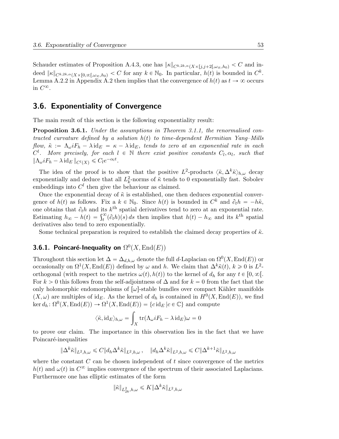Schauder estimates of Proposition A.4.3, one has  $\|\kappa\|_{C^{k,2k,\alpha}(X\times[j,j+2[\omega_\infty,h_0)} < C$  and indeed  $\|\kappa\|_{C^{k,2k,\alpha}(X\times[0,\infty[,\omega_\infty,h_0)]} for any  $k\in\mathbb{N}_0$ . In particular,  $h(t)$  is bounded in  $C^k$ .$ Lemma A.2.2 in Appendix A.2 then implies that the convergence of  $h(t)$  as  $t \to \infty$  occurs in  $C^{\infty}$ .

# 3.6. Exponentiality of Convergence

The main result of this section is the following exponentiality result:

**Proposition 3.6.1.** Under the assumptions in Theorem 3.1.1, the renormalised contracted curvature defined by a solution  $h(t)$  to time-dependent Hermitian Yang–Mills flow,  $\tilde{\kappa} := \Lambda_{\omega} i F_h - \lambda \mathrm{id}_E = \kappa - \lambda \mathrm{id}_E$ , tends to zero at an exponential rate in each  $C^l$ . More precisely, for each  $l \in \mathbb{N}$  there exist positive constants  $C_l, \alpha_l$ , such that  $\|\Lambda_\omega i F_h - \lambda \operatorname{id}_E\|_{C^l(X)} \leqslant C_l e^{-\alpha_l t}.$ 

The idea of the proof is to show that the positive  $L^2$ -products  $\langle \tilde{\kappa}, \Delta^k \tilde{\kappa} \rangle_{h,\omega}$  decay exponentially and deduce that all  $L_k^2$ -norms of  $\tilde{\kappa}$  tends to 0 exponentially fast. Sobolev embeddings into  $C<sup>l</sup>$  then give the behaviour as claimed.

Once the exponential decay of  $\tilde{\kappa}$  is established, one then deduces exponential convergence of  $h(t)$  as follows. Fix a  $k \in \mathbb{N}_0$ . Since  $h(t)$  is bounded in  $C^k$  and  $\partial_t h = -h\tilde{\kappa}$ , one obtains that  $\partial_t h$  and its  $k^{\text{th}}$  spatial derivatives tend to zero at an exponential rate. one obtains that  $\partial_t h$  and its  $k^{\text{th}}$  spatial derivatives tend to zero at an exponential rate.<br>Estimating  $h_{\infty} - h(t) = \int_t^{\infty} (\partial_t h)(s) ds$  then implies that  $h(t) - h_{\infty}$  and its  $k^{\text{th}}$  spatial derivatives also tend to zero exponentially.

Some technical preparation is required to establish the claimed decay properties of  $\tilde{\kappa}$ .

# 3.6.1. Poincaré-Inequality on  $\Omega^0(X,\operatorname{End}(E))$

Throughout this section let  $\Delta = \Delta_{d,h,\omega}$  denote the full d-Laplacian on  $\Omega^0(X,\text{End}(E))$  or occasionally on  $\Omega^1(X, \text{End}(E))$  defined by  $\omega$  and h. We claim that  $\Delta^k \tilde{\kappa}(t)$ ,  $k \geq 0$  is  $L^2$ orthogonal (with respect to the metrics  $\omega(t)$ ,  $h(t)$ ) to the kernel of  $d_h$  for any  $t \in [0, \infty)$ . For  $k > 0$  this follows from the self-adjointness of  $\Delta$  and for  $k = 0$  from the fact that the only holomorphic endomorphisms of  $\omega$ -stable bundles over compact Kähler manifolds  $(X,\omega)$  are multiples of id<sub>E</sub>. As the kernel of  $d_h$  is contained in  $H^0(X,\text{End}(E))$ , we find  $\ker d_h \colon \Omega^0(X, \text{End}(E)) \to \Omega^1(X, \text{End}(E)) = \{c \, id_E \, | c \in \mathbb{C} \}$  and compute

$$
\langle \tilde{\kappa}, \mathrm{id}_E \rangle_{h,\omega} = \int_X \mathrm{tr}(\Lambda_\omega i F_h - \lambda \mathrm{id}_E) \omega = 0
$$

to prove our claim. The importance in this observation lies in the fact that we have Poincaré-inequalities

$$
\|\Delta^k \tilde{\kappa}\|_{L^2,h,\omega} \leq C \|d_h \Delta^k \tilde{\kappa}\|_{L^2,h,\omega}, \quad \|d_h \Delta^k \tilde{\kappa}\|_{L^2,h,\omega} \leq C \|\Delta^{k+1} \tilde{\kappa}\|_{L^2,h,\omega}
$$

where the constant  $C$  can be chosen independent of  $t$  since convergence of the metrics  $h(t)$  and  $\omega(t)$  in  $C^{\infty}$  implies convergence of the spectrum of their associated Laplacians. Furthermore one has elliptic estimates of the form

$$
\|\tilde{\kappa}\|_{L^2_{2k},h,\omega}\leqslant K\|\Delta^k\tilde{\kappa}\|_{L^2,h,\omega}
$$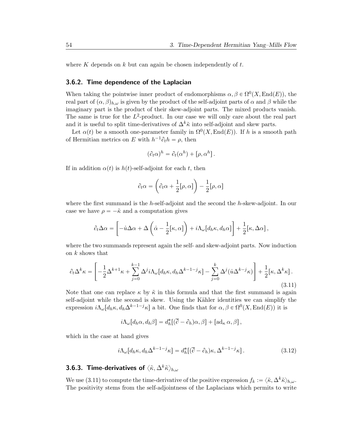where K depends on  $k$  but can again be chosen independently of  $t$ .

### 3.6.2. Time dependence of the Laplacian

When taking the pointwise inner product of endomorphisms  $\alpha, \beta \in \Omega^0(X, \text{End}(E))$ , the real part of  $(\alpha, \beta)_{h,\omega}$  is given by the product of the self-adjoint parts of  $\alpha$  and  $\beta$  while the imaginary part is the product of their skew-adjoint parts. The mixed products vanish. The same is true for the  $L^2$ -product. In our case we will only care about the real part and it is useful to split time-derivatives of  $\Delta^k \tilde{\kappa}$  into self-adjoint and skew parts.

Let  $\alpha(t)$  be a smooth one-parameter family in  $\Omega^{0}(X, \text{End}(E))$ . If h is a smooth path of Hermitian metrics on E with  $h^{-1}\partial_t h = \rho$ , then

$$
(\partial_t \alpha)^h = \partial_t (\alpha^h) + [\rho, \alpha^h].
$$

If in addition  $\alpha(t)$  is  $h(t)$ -self-adjoint for each t, then

$$
\partial_t \alpha = \left( \partial_t \alpha + \frac{1}{2} [\rho, \alpha] \right) - \frac{1}{2} [\rho, \alpha]
$$

where the first summand is the h-self-adjoint and the second the h-skew-adjoint. In our case we have  $\rho = -\tilde{\kappa}$  and a computation gives

$$
\partial_t \Delta \alpha = \left[ -\dot{u} \Delta \alpha + \Delta \left( \dot{\alpha} - \frac{1}{2} [\kappa, \alpha] \right) + i \Lambda_\omega [d_h \kappa, d_h \alpha] \right] + \frac{1}{2} [\kappa, \Delta \alpha],
$$

where the two summands represent again the self- and skew-adjoint parts. Now induction on k shows that

$$
\partial_t \Delta^k \kappa = \left[ -\frac{1}{2} \Delta^{k+1} \kappa + \sum_{j=0}^{k-1} \Delta^j i \Lambda_\omega [d_h \kappa, d_h \Delta^{k-1-j} \kappa] - \sum_{j=0}^k \Delta^j (i \Delta^{k-j} \kappa) \right] + \frac{1}{2} [\kappa, \Delta^k \kappa].
$$
\n(3.11)

Note that one can replace  $\kappa$  by  $\tilde{\kappa}$  in this formula and that the first summand is again self-adjoint while the second is skew. Using the Kähler identities we can simplify the expression  $i\Lambda_\omega[d_h\kappa, d_h\Delta^{k-1-j}\kappa]$  a bit. One finds that for  $\alpha, \beta \in \Omega^0(X, \text{End}(E))$  it is

$$
i\Lambda_{\omega}[d_h\alpha, d_h\beta] = d_h^*[(\overline{\partial}-\partial_h)\alpha, \beta] + [\mathrm{ad}_{\kappa}\alpha, \beta],
$$

which in the case at hand gives

$$
i\Lambda_{\omega}[d_h\kappa, d_h\Delta^{k-1-j}\kappa] = d_h^*[(\overline{\partial} - \partial_h)\kappa, \Delta^{k-1-j}\kappa]. \tag{3.12}
$$

# 3.6.3. Time-derivatives of  $\langle \tilde{\kappa}, \Delta^k \tilde{\kappa} \rangle_{h,\omega}$

We use (3.11) to compute the time-derivative of the positive expression  $f_k := \langle \tilde{\kappa}, \Delta^k \tilde{\kappa} \rangle_{h,\omega}$ . The positivity stems from the self-adjointness of the Laplacians which permits to write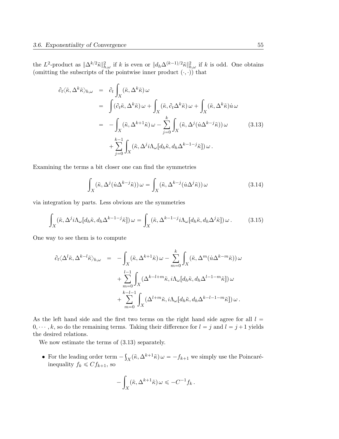the  $L^2$ -product as  $\|\Delta^{k/2}\tilde{\kappa}\|^2_{h,\omega}$  if k is even or  $\|d_h\Delta^{(k-1)/2}\tilde{\kappa}\|^2_{h,\omega}$  if k is odd. One obtains (omitting the subscripts of the pointwise inner product  $(\cdot, \cdot)$ ) that

$$
\partial_t \langle \tilde{\kappa}, \Delta^k \tilde{\kappa} \rangle_{h,\omega} = \partial_t \int_X (\tilde{\kappa}, \Delta^k \tilde{\kappa}) \omega \n= \int (\partial_t \tilde{\kappa}, \Delta^k \tilde{\kappa}) \omega + \int_X (\tilde{\kappa}, \partial_t \Delta^k \tilde{\kappa}) \omega + \int_X (\tilde{\kappa}, \Delta^k \tilde{\kappa}) \dot{u} \omega \n= - \int_X (\tilde{\kappa}, \Delta^{k+1} \tilde{\kappa}) \omega - \sum_{j=0}^k \int_X (\tilde{\kappa}, \Delta^j (i \Delta^{k-j} \tilde{\kappa})) \omega \n+ \sum_{j=0}^{k-1} \int_X (\tilde{\kappa}, \Delta^j i \Lambda_\omega [d_h \tilde{\kappa}, d_h \Delta^{k-1-j} \tilde{\kappa}]) \omega.
$$
\n(3.13)

Examining the terms a bit closer one can find the symmetries

$$
\int_{X} (\tilde{\kappa}, \Delta^{j} (\dot{u} \Delta^{k-j} \tilde{\kappa})) \omega = \int_{X} (\tilde{\kappa}, \Delta^{k-j} (\dot{u} \Delta^{j} \tilde{\kappa})) \omega \tag{3.14}
$$

via integration by parts. Less obvious are the symmetries

$$
\int_{X} (\tilde{\kappa}, \Delta^{j} i \Lambda_{\omega}[d_{h}\tilde{\kappa}, d_{h}\Delta^{k-1-j}\tilde{\kappa}]) \,\omega = \int_{X} (\tilde{\kappa}, \Delta^{k-1-j} i \Lambda_{\omega}[d_{h}\tilde{\kappa}, d_{h}\Delta^{j}\tilde{\kappa}]) \,\omega. \tag{3.15}
$$

One way to see them is to compute

$$
\partial_t \langle \Delta^l \tilde{\kappa}, \Delta^{k-l} \tilde{\kappa} \rangle_{h,\omega} = - \int_X (\tilde{\kappa}, \Delta^{k+1} \tilde{\kappa}) \omega - \sum_{m=0}^k \int_X (\tilde{\kappa}, \Delta^m (i \Delta^{k-m} \tilde{\kappa})) \omega \n+ \sum_{m=0}^{l-1} \int_X (\Delta^{k-l+m} \tilde{\kappa}, i \Lambda_\omega [d_h \tilde{\kappa}, d_h \Delta^{l-1-m} \tilde{\kappa}]) \omega \n+ \sum_{m=0}^{k-l-1} \int_X (\Delta^{l+m} \tilde{\kappa}, i \Lambda_\omega [d_h \tilde{\kappa}, d_h \Delta^{k-l-1-m} \tilde{\kappa}]) \omega.
$$

As the left hand side and the first two terms on the right hand side agree for all  $l =$  $0, \dots, k$ , so do the remaining terms. Taking their difference for  $l = j$  and  $l = j + 1$  yields the desired relations.

We now estimate the terms of  $(3.13)$  separately.

• For the leading order term  $$  $f_X(\tilde{\kappa}, \Delta^{k+1}\tilde{\kappa}) \omega = -f_{k+1}$  we simply use the Poincaréinequality  $f_k \leqslant C f_{k+1}$ , so

$$
-\int_X (\tilde{\kappa}, \Delta^{k+1}\tilde{\kappa}) \, \omega \leq -C^{-1} f_k \, .
$$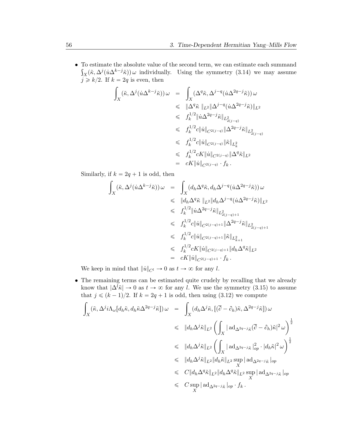$\bullet~$  To estimate the absolute value of the second term, we can estimate each summand  $\chi(\tilde{\kappa}, \Delta^j(\dot{u}\Delta^{k-j}\tilde{\kappa}))\omega$  individually. Using the symmetry (3.14) we may assume  $j \geq k/2$ . If  $k = 2q$  is even, then

$$
\begin{array}{rcl} \displaystyle\int_X(\tilde\kappa, \Delta^j(\dot u \Delta^{k-j}\tilde\kappa))\,\omega&=&\displaystyle\int_X(\Delta^q\tilde\kappa, \Delta^{j-q}(\dot u \Delta^{2q-j}\tilde\kappa))\,\omega\\&\leqslant&\|\Delta^q\tilde\kappa\,\|_{L^2}\|\Delta^{j-q}(\dot u \Delta^{2q-j}\tilde\kappa)\|_{L^2}\\&\leqslant& f_k^{1/2}\|\dot u \Delta^{2q-j}\tilde\kappa\|_{L^2_{2(j-q)}}\\&\leqslant& f_k^{1/2}c\|\dot u\|_{C^{2(j-q)}}\|\Delta^{2q-j}\tilde\kappa\|_{L^2_{2(j-q)}}\\&\leqslant& f_k^{1/2}c\|\dot u\|_{C^{2(j-q)}}\|\tilde\kappa\|_{L^2_k}\\&\leqslant& f_k^{1/2}cK\|\dot u\|_{C^{2(j-q)}}\|\Delta^q\tilde\kappa\|_{L^2}\\&=&cK\|\dot u\|_{C^{2(j-q)}}\cdot f_k\,.\end{array}
$$

Similarly, if  $k = 2q + 1$  is odd, then

$$
\int_{X} (\tilde{\kappa}, \Delta^{j}(\dot{u}\Delta^{k-j}\tilde{\kappa})) \omega = \int_{X} (d_{h}\Delta^{q}\tilde{\kappa}, d_{h}\Delta^{j-q}(\dot{u}\Delta^{2q-j}\tilde{\kappa})) \omega \n\leq \Vert d_{h}\Delta^{q}\tilde{\kappa} \Vert_{L^{2}} \Vert d_{h}\Delta^{j-q}(\dot{u}\Delta^{2q-j}\tilde{\kappa}) \Vert_{L^{2}} \n\leq f_{k}^{1/2} \Vert \dot{u}\Delta^{2q-j}\tilde{\kappa} \Vert_{L^{2}_{2(j-q)+1}} \n\leq f_{k}^{1/2} c \Vert \dot{u} \Vert_{C^{2(j-q)+1}} \Vert \Delta^{2q-j}\tilde{\kappa} \Vert_{L^{2}_{2(j-q)+1}} \n\leq f_{k}^{1/2} c \Vert \dot{u} \Vert_{C^{2(j-q)+1}} \Vert \tilde{\kappa} \Vert_{L^{2}_{k+1}} \n\leq f_{k}^{1/2} c K \Vert \dot{u} \Vert_{C^{2(j-q)+1}} \Vert d_{h}\Delta^{q}\tilde{\kappa} \Vert_{L^{2}} \n= c K \Vert \dot{u} \Vert_{C^{2(j-q)+1}} \cdot f_{k} .
$$

We keep in mind that  $||\dot{u}||_{C^l} \to 0$  as  $t \to \infty$  for any l.

• The remaining terms can be estimated quite crudely by recalling that we already know that  $|\Delta^l \tilde{\kappa}| \to 0$  as  $t \to \infty$  for any l. We use the symmetry (3.15) to assume that  $j \leqslant (k - 1)/2$ . If  $k = 2q + 1$  is odd, then using (3.12) we compute

$$
\int_{X} (\tilde{\kappa}, \Delta^{j} i \Lambda_{\omega}[d_{h}\tilde{\kappa}, d_{h}\tilde{\kappa}\Delta^{2q-j}\tilde{\kappa}]) \omega = \int_{X} (d_{h}\Delta^{j}\tilde{\kappa}, [(\bar{\partial} - \partial_{h})\tilde{\kappa}, \Delta^{2q-j}\tilde{\kappa}]) \omega
$$
\n
$$
\leqslant \|d_{h}\Delta^{j}\tilde{\kappa}\|_{L^{2}} \left(\int_{X} |ad_{\Delta^{2q-j}\tilde{\kappa}}(\bar{\partial} - \partial_{h})\tilde{\kappa}|^{2} \omega\right)^{\frac{1}{2}}
$$
\n
$$
\leqslant \|d_{h}\Delta^{j}\tilde{\kappa}\|_{L^{2}} \left(\int_{X} |ad_{\Delta^{2q-j}\tilde{\kappa}}|_{op}^{2} \cdot |d_{h}\tilde{\kappa}|^{2} \omega\right)^{\frac{1}{2}}
$$
\n
$$
\leqslant \|d_{h}\Delta^{j}\tilde{\kappa}\|_{L^{2}} \|d_{h}\tilde{\kappa}\|_{L^{2}} \sup_{X} |ad_{\Delta^{2q-j}\tilde{\kappa}}|_{op}
$$
\n
$$
\leqslant C \|d_{h}\Delta^{q}\tilde{\kappa}\|_{L^{2}} \|d_{h}\Delta^{q}\tilde{\kappa}\|_{L^{2}} \sup_{X} |ad_{\Delta^{2q-j}\tilde{\kappa}}|_{op}
$$
\n
$$
\leqslant C \sup_{X} |ad_{\Delta^{2q-j}\tilde{\kappa}}|_{op} \cdot f_{k} .
$$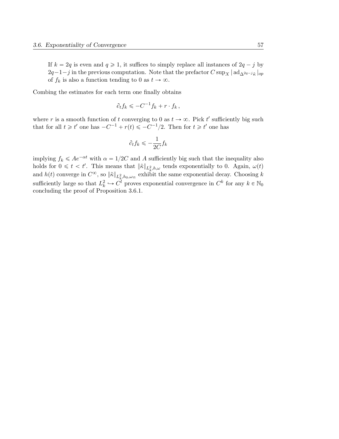If  $k = 2q$  is even and  $q \ge 1$ , it suffices to simply replace all instances of  $2q - j$  by  $2q-1-j$  in the previous computation. Note that the prefactor  $C \sup_X | \operatorname{ad}_{\Delta^2 q - j_{\tilde{K}}}|_{op}$ of  $f_k$  is also a function tending to 0 as  $t \to \infty$ .

Combing the estimates for each term one finally obtains

$$
\partial_t f_k \leqslant -C^{-1} f_k + r \cdot f_k \,,
$$

where r is a smooth function of t converging to 0 as  $t \to \infty$ . Pick t' sufficiently big such that for all  $t \geq t'$  one has  $-C^{-1} + r(t) \leqslant -C^{-1}/2$ . Then for  $t \geqslant t'$  one has

$$
\partial_t f_k \leqslant -\frac{1}{2C} f_k
$$

implying  $f_k \leq A e^{-\alpha t}$  with  $\alpha = 1/2C$  and A sufficiently big such that the inequality also holds for  $0 \leq t < t'$ . This means that  $\|\tilde{\kappa}\|_{L^2_k, h, \omega}$  tends exponentially to 0. Again,  $\omega(t)$ and  $h(t)$  converge in  $C^{\infty}$ , so  $\|\tilde{\kappa}\|_{L^2_k, h_0, \omega_{\infty}}$  exhibit the same exponential decay. Choosing k sufficiently large so that  $L_k^2 \hookrightarrow C^l$  proves exponential convergence in  $C^k$  for any  $k \in \mathbb{N}_0$ concluding the proof of Proposition 3.6.1.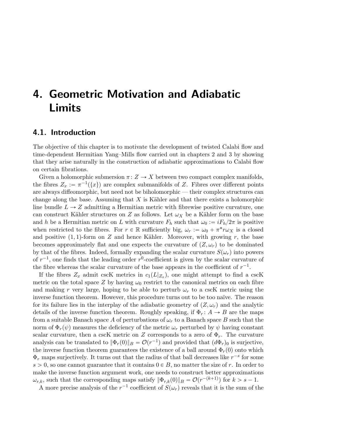# 4. Geometric Motivation and Adiabatic Limits

### 4.1. Introduction

The objective of this chapter is to motivate the development of twisted Calabi flow and time-dependent Hermitian Yang–Mills flow carried out in chapters 2 and 3 by showing that they arise naturally in the construction of adiabatic approximations to Calabi flow on certain fibrations.

Given a holomorphic submersion  $\pi: Z \to X$  between two compact complex manifolds, the fibres  $Z_x := \pi^{-1}(\{x\})$  are complex submanifolds of Z. Fibres over different points are always diffeomorphic, but need not be biholomorphic — their complex structures can change along the base. Assuming that  $X$  is Kähler and that there exists a holomorphic line bundle  $L \rightarrow Z$  admitting a Hermitian metric with fibrewise positive curvature, one can construct Kähler structures on Z as follows. Let  $\omega_X$  be a Kähler form on the base and h be a Hermitian metric on L with curvature  $F_h$  such that  $\omega_0 := iF_h/2\pi$  is positive when restricted to the fibres. For  $r \in \mathbb{R}$  sufficiently big,  $\omega_r := \omega_0 + \pi^* r \omega_X$  is a closed and positive  $(1, 1)$ -form on Z and hence Kähler. Moreover, with growing r, the base becomes approximately flat and one expects the curvature of  $(Z, \omega_r)$  to be dominated by that of the fibres. Indeed, formally expanding the scalar curvature  $S(\omega_r)$  into powers of  $r^{-1}$ , one finds that the leading order  $r^{0}$ -coefficient is given by the scalar curvature of the fibre whereas the scalar curvature of the base appears in the coefficient of  $r^{-1}$ .

If the fibres  $Z_x$  admit cscK metrics in  $c_1(L|_{Z_x})$ , one might attempt to find a cscK metric on the total space Z by having  $\omega_0$  restrict to the canonical metrics on each fibre and making r very large, hoping to be able to perturb  $\omega_r$  to a cscK metric using the inverse function theorem. However, this procedure turns out to be too naïve. The reason for its failure lies in the interplay of the adiabatic geometry of  $(Z, \omega_r)$  and the analytic details of the inverse function theorem. Roughly speaking, if  $\Phi_r : A \to B$  are the maps from a suitable Banach space A of perturbations of  $\omega_r$  to a Banach space B such that the norm of  $\Phi_r(\psi)$  measures the deficiency of the metric  $\omega_r$  perturbed by  $\psi$  having constant scalar curvature, then a cscK metric on Z corresponds to a zero of  $\Phi_r$ . The curvature analysis can be translated to  $\|\Phi_r(0)\|_B = \mathcal{O}(r^{-1})$  and provided that  $(d\Phi_r)_0$  is surjective, the inverse function theorem guarantees the existence of a ball around  $\Phi_r(0)$  onto which  $\Phi_r$  maps surjectively. It turns out that the radius of that ball decreases like  $r^{-s}$  for some  $s > 0$ , so one cannot guarantee that it contains  $0 \in B$ , no matter the size of r. In order to make the inverse function argument work, one needs to construct better approximations  $\omega_{r,k}$ , such that the corresponding maps satisfy  $\|\Phi_{r,k}(0)\|_B = \mathcal{O}(r^{-(k+1)})$  for  $k > s - 1$ .

A more precise analysis of the  $r^{-1}$  coefficient of  $S(\omega_r)$  reveals that it is the sum of the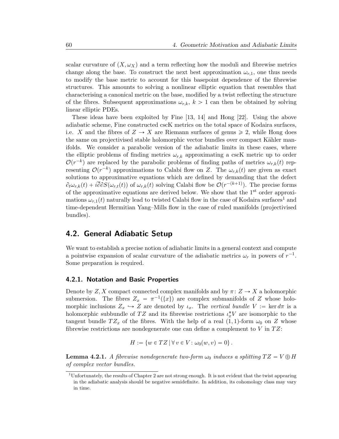scalar curvature of  $(X, \omega_X)$  and a term reflecting how the moduli and fibrewise metrics change along the base. To construct the next best approximation  $\omega_{r,1}$ , one thus needs to modify the base metric to account for this basepoint dependence of the fibrewise structures. This amounts to solving a nonlinear elliptic equation that resembles that characterising a canonical metric on the base, modified by a twist reflecting the structure of the fibres. Subsequent approximations  $\omega_{r,k}$ ,  $k > 1$  can then be obtained by solving linear elliptic PDEs.

These ideas have been exploited by Fine [13, 14] and Hong [22]. Using the above adiabatic scheme, Fine constructed cscK metrics on the total space of Kodaira surfaces, i.e. X and the fibres of  $Z \to X$  are Riemann surfaces of genus  $\geq 2$ , while Hong does the same on projectivised stable holomorphic vector bundles over compact Kähler manifolds. We consider a parabolic version of the adiabatic limits in these cases, where the elliptic problems of finding metrics  $\omega_{r,k}$  approximating a cscK metric up to order  $\mathcal{O}(r^{-k})$  are replaced by the parabolic problems of finding paths of metrics  $\omega_{r,k}(t)$  representing  $\mathcal{O}(r^{-k})$  approximations to Calabi flow on Z. The  $\omega_{r,k}(t)$  are given as exact solutions to approximative equations which are defined by demanding that the defect  $\partial_t \omega_{r,k}(t) + i\overline{\partial}\partial S(\omega_{r,t}(t))$  of  $\omega_{r,k}(t)$  solving Calabi flow be  $\mathcal{O}(r^{-(k+1)})$ . The precise forms of the approximative equations are derived below. We show that the  $1<sup>st</sup>$  order approximations  $\omega_{r,1}(t)$  naturally lead to twisted Calabi flow in the case of Kodaira surfaces<sup>1</sup> and time-dependent Hermitian Yang–Mills flow in the case of ruled manifolds (projectivised bundles).

### 4.2. General Adiabatic Setup

We want to establish a precise notion of adiabatic limits in a general context and compute a pointwise expansion of scalar curvature of the adiabatic metrics  $\omega_r$  in powers of  $r^{-1}$ . Some preparation is required.

### 4.2.1. Notation and Basic Properties

Denote by  $Z, X$  compact connected complex manifolds and by  $\pi: Z \to X$  a holomorphic submersion. The fibres  $Z_x = \pi^{-1}(\{x\})$  are complex submanifolds of Z whose holomorphic inclusions  $Z_x \hookrightarrow Z$  are denoted by  $\iota_x$ . The vertical bundle  $V := \ker d\pi$  is a holomorphic subbundle of TZ and its fibrewise restrictions  $\iota_x^*V$  are isomorphic to the tangent bundle  $TZ_x$  of the fibres. With the help of a real  $(1, 1)$ -form  $\omega_0$  on Z whose fibrewise restrictions are nondegenerate one can define a complement to  $V$  in  $TZ$ :

$$
H := \{ w \in TZ \mid \forall v \in V : \omega_0(w, v) = 0 \}.
$$

**Lemma 4.2.1.** A fibrewise nondegenerate two-form  $\omega_0$  induces a splitting  $TZ = V \oplus H$ of complex vector bundles.

<sup>1</sup>Unfortunately, the results of Chapter 2 are not strong enough. It is not evident that the twist appearing in the adiabatic analysis should be negative semidefinite. In addition, its cohomology class may vary in time.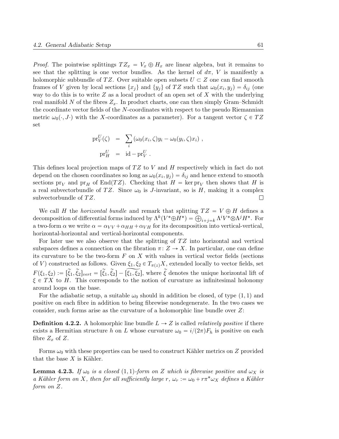*Proof.* The pointwise splittings  $TZ_x = V_x \oplus H_x$  are linear algebra, but it remains to see that the splitting is one vector bundles. As the kernel of  $d\pi$ , V is manifestly a holomorphic subbundle of TZ. Over suitable open subsets  $U \subset Z$  one can find smooth frames of V given by local sections  $\{x_j\}$  and  $\{y_j\}$  of TZ such that  $\omega_0(x_i, y_j) = \delta_{ij}$  (one way to do this is to write  $Z$  as a local product of an open set of  $X$  with the underlying real manifold N of the fibres  $Z_x$ . In product charts, one can then simply Gram–Schmidt the coordinate vector fields of the N-coordinates with respect to the pseudo Riemannian metric  $\omega_0(\cdot, J\cdot)$  with the X-coordinates as a parameter). For a tangent vector  $\zeta \in TZ$ set

$$
\text{pr}_V^U(\zeta) = \sum_i (\omega_0(x_i, \zeta) y_i - \omega_0(y_i, \zeta) x_i),
$$
  
\n
$$
\text{pr}_H^U = id - \text{pr}_V^U.
$$

This defines local projection maps of  $TZ$  to V and H respectively which in fact do not depend on the chosen coordinates so long as  $\omega_0(x_i, y_j) = \delta_{ij}$  and hence extend to smooth sections  $pr_V$  and  $pr_H$  of End(TZ). Checking that  $H = \text{ker } pr_V$  then shows that H is a real subvectorbundle of TZ. Since  $\omega_0$  is J-invariant, so is H, making it a complex subvectorbundle of  $TZ$ .  $\Box$ 

We call H the *horizontal bundle* and remark that splitting  $TZ = V \oplus H$  defines a We call *H* the *horizontal bundle* and remark that splitting  $TZ = V \oplus H$  defines a decomposition of differential forms induced by  $\Lambda^k(V^*\oplus H^*) = \bigoplus_{i+j=k} \Lambda^i V^*\otimes \Lambda^j H^*$ . For a two-form  $\alpha$  we write  $\alpha = \alpha_{VV} + \alpha_{HH} + \alpha_{VH}$  for its decomposition into vertical-vertical, horizontal-horizontal and vertical-horizontal components.

For later use we also observe that the splitting of  $TZ$  into horizontal and vertical subspaces defines a connection on the fibration  $\pi: Z \to X$ . In particular, one can define its curvature to be the two-form  $F$  on  $X$  with values in vertical vector fields (sections of V) constructed as follows. Given  $\xi_1, \xi_2 \in T_{\pi(z)}X$ , extended locally to vector fields, set  $F(\xi_1, \xi_2) := [\tilde{\xi}_1, \tilde{\xi}_2]_{vert} = [\tilde{\xi}_1, \tilde{\xi}_2] - [\tilde{\xi}_1, \tilde{\xi}_2]$ , where  $\tilde{\xi}$  denotes the unique horizontal lift of  $\xi \in TX$  to H. This corresponds to the notion of curvature as infinitesimal holonomy around loops on the base.

For the adiabatic setup, a suitable  $\omega_0$  should in addition be closed, of type  $(1, 1)$  and positive on each fibre in addition to being fibrewise nondegenerate. In the two cases we consider, such forms arise as the curvature of a holomorphic line bundle over Z:

**Definition 4.2.2.** A holomorphic line bundle  $L \rightarrow Z$  is called *relatively positive* if there exists a Hermitian structure h on L whose curvature  $\omega_0 = i/(2\pi)F_h$  is positive on each fibre  $Z_x$  of  $Z$ .

Forms  $\omega_0$  with these properties can be used to construct Kähler metrics on Z provided that the base  $X$  is Kähler.

**Lemma 4.2.3.** If  $\omega_0$  is a closed (1, 1)-form on Z which is fibrewise positive and  $\omega_X$  is a Kähler form on X, then for all sufficiently large r,  $\omega_r := \omega_0 + r \pi^* \omega_X$  defines a Kähler form on Z.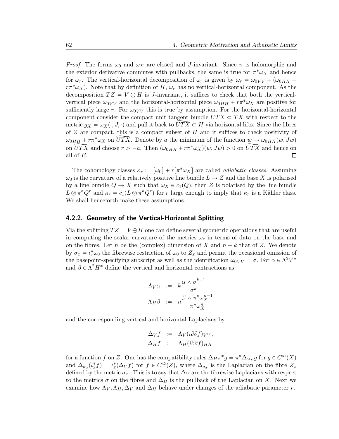*Proof.* The forms  $\omega_0$  and  $\omega_X$  are closed and J-invariant. Since  $\pi$  is holomorphic and the exterior derivative commutes with pullbacks, the same is true for  $\pi^* \omega_X$  and hence for  $\omega_r$ . The vertical-horizontal decomposition of  $\omega_r$  is given by  $\omega_r = \omega_{0VV} + (\omega_{0HH} + \omega_{0HH})$  $r\pi^*\omega_X$ . Note that by definition of H,  $\omega_r$  has no vertical-horizontal component. As the decomposition  $TZ = V \oplus H$  is J-invariant, it suffices to check that both the verticalvertical piece  $\omega_{0VV}$  and the horizontal-horizontal piece  $\omega_{0HH} + r \pi^* \omega_X$  are positive for sufficiently large r. For  $\omega_{0VV}$  this is true by assumption. For the horizontal-horizontal component consider the compact unit tangent bundle  $UTX \subset TX$  with respect to the metric  $g_X = \omega_X(\cdot, J, \cdot)$  and pull it back to  $UTX \subset H$  via horizontal lifts. Since the fibres of  $Z$  are compact, this is a compact subset of  $H$  and it suffices to check positivity of  $\omega_{0HH} + r\pi^*\omega_X$  on UTX. Denote by a the minimum of the function  $w \to \omega_{0HH}(w, Jw)$ on  $\widetilde{UTX}$  and choose  $r > -a$ . Then  $(\omega_{0HH} + r\pi^*\omega_X)(w, Jw) > 0$  on  $\widetilde{UTX}$  and hence on all of E.  $\Box$ 

The cohomology classes  $\kappa_r := [\omega_0] + r[\pi^* \omega_X]$  are called *adiabatic classes*. Assuming  $\omega_0$  is the curvature of a relatively positive line bundle  $L \to Z$  and the base X is polarised by a line bundle  $Q \to X$  such that  $\omega_X \in c_1(Q)$ , then Z is polarised by the line bundle  $L \otimes \pi^* Q^r$  and  $\kappa_r = c_1(L \otimes \pi^* Q^r)$  for r large enough to imply that  $\kappa_r$  is a Kähler class. We shall henceforth make these assumptions.

### 4.2.2. Geometry of the Vertical-Horizontal Splitting

Via the splitting  $TZ = V \oplus H$  one can define several geometric operations that are useful in computing the scalar curvature of the metrics  $\omega_r$  in terms of data on the base and on the fibres. Let n be the (complex) dimension of X and  $n + k$  that of Z. We denote by  $\sigma_x = \iota_x^* \omega_0$  the fibrewise restriction of  $\omega_0$  to  $Z_x$  and permit the occasional omission of the basepoint-specifying subscript as well as the identification  $\omega_{0VV} = \sigma$ . For  $\alpha \in \Lambda^2 V^*$ and  $\beta \in \Lambda^2 H^*$  define the vertical and horizontal contractions as

$$
\Lambda_V \alpha \quad := \quad k \frac{\alpha \wedge \sigma^{k-1}}{\sigma^k} \,,
$$
\n
$$
\Lambda_H \beta \quad := \quad n \frac{\beta \wedge \pi^* \omega_X^{n-1}}{\pi^* \omega_X^n}
$$

and the corresponding vertical and horizontal Laplacians by

$$
\Delta_V f := \Lambda_V (i \partial \partial f)_{VV}, \Delta_H f := \Lambda_H (i \overline{\partial} \partial f)_{HH}
$$

for a function f on Z. One has the compatibility rules  $\Delta_H \pi^* g = \pi^* \Delta_{\omega_X} g$  for  $g \in C^{\infty}(X)$ and  $\Delta_{\sigma_x}(t_x^*f) = t_x^*(\Delta_V f)$  for  $f \in C^{\infty}(Z)$ , where  $\Delta_{\sigma_x}$  is the Laplacian on the fibre  $Z_x$ defined by the metric  $\sigma_x$ . This is to say that  $\Delta_V$  are the fibrewise Laplacians with respect to the metrics  $\sigma$  on the fibres and  $\Delta_H$  is the pullback of the Laplacian on X. Next we examine how  $\Lambda_V$ ,  $\Lambda_H$ ,  $\Delta_V$  and  $\Delta_H$  behave under changes of the adiabatic parameter r.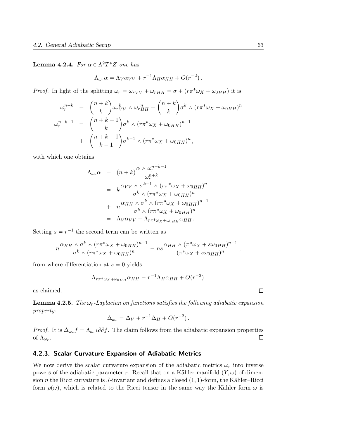## **Lemma 4.2.4.** For  $\alpha \in \Lambda^2 T^* Z$  one has

$$
\Lambda_{\omega_r} \alpha = \Lambda_V \alpha_{VV} + r^{-1} \Lambda_H \alpha_{HH} + O(r^{-2}).
$$

*Proof.* In light of the splitting  $\omega_r = \omega_{rVV} + \omega_{rHH} = \sigma + (r\pi^*\omega_X + \omega_{0HH})$  it is

$$
\omega_r^{n+k} = \binom{n+k}{k} \omega_r^k \wedge \omega_r^n H = \binom{n+k}{k} \sigma^k \wedge (r \pi^* \omega_X + \omega_{0HH})^n
$$
  

$$
\omega_r^{n+k-1} = \binom{n+k-1}{k} \sigma^k \wedge (r \pi^* \omega_X + \omega_{0HH})^{n-1}
$$
  

$$
+ \binom{n+k-1}{k-1} \sigma^{k-1} \wedge (r \pi^* \omega_X + \omega_{0HH})^n,
$$

with which one obtains

$$
\Lambda_{\omega_r} \alpha = (n+k) \frac{\alpha \wedge \omega_r^{n+k-1}}{\omega_r^{n+k}}
$$
\n
$$
= k \frac{\alpha_{VV} \wedge \sigma^{k-1} \wedge (r \pi^* \omega_X + \omega_{0HH})^n}{\sigma^k \wedge (r \pi^* \omega_X + \omega_{0HH})^n}
$$
\n
$$
+ n \frac{\alpha_{HH} \wedge \sigma^k \wedge (r \pi^* \omega_X + \omega_{0HH})^{n-1}}{\sigma^k \wedge (r \pi^* \omega_X + \omega_{0HH})^n}
$$
\n
$$
= \Lambda_V \alpha_{VV} + \Lambda_{r \pi^* \omega_X + \omega_{0HH}} \alpha_{HH}.
$$

Setting  $s = r^{-1}$  the second term can be written as

$$
n\frac{\alpha_{HH}\wedge\sigma^k\wedge(r\pi^*\omega_X+\omega_{0HH})^{n-1}}{\sigma^k\wedge(r\pi^*\omega_X+\omega_{0HH})^n}=ns\frac{\alpha_{HH}\wedge(\pi^*\omega_X+s\omega_{0HH})^{n-1}}{(\pi^*\omega_X+s\omega_{0HH})^n},
$$

from where differentiation at  $s = 0$  yields

$$
\Lambda_{r\pi^*\omega_X + \omega_{0HH}} \alpha_{HH} = r^{-1} \Lambda_H \alpha_{HH} + O(r^{-2})
$$

as claimed.

**Lemma 4.2.5.** The  $\omega_r$ -Laplacian on functions satisfies the following adiabatic expansion property:

$$
\Delta_{\omega_r} = \Delta_V + r^{-1} \Delta_H + O(r^{-2}).
$$

*Proof.* It is  $\Delta_{\omega_r} f = \Lambda_{\omega_r} i \partial \partial f$ . The claim follows from the adiabatic expansion properties of  $\Lambda_{\omega_r}$ .  $\Box$ 

### 4.2.3. Scalar Curvature Expansion of Adiabatic Metrics

We now derive the scalar curvature expansion of the adiabatic metrics  $\omega_r$  into inverse powers of the adiabatic parameter r. Recall that on a Kähler manifold  $(Y, \omega)$  of dimension n the Ricci curvature is J-invariant and defines a closed  $(1, 1)$ -form, the Kähler–Ricci form  $\rho(\omega)$ , which is related to the Ricci tensor in the same way the Kähler form  $\omega$  is

 $\Box$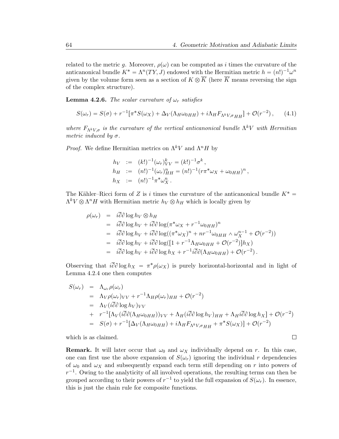$\Box$ 

related to the metric g. Moreover,  $\rho(\omega)$  can be computed as i times the curvature of the anticanonical bundle  $K^* = \Lambda^n(TY, J)$  endowed with the Hermitian metric  $h = (n!)^{-1} \omega^n$ given by the volume form seen as a section of  $K \otimes \overline{K}$  (here  $\overline{K}$  means reversing the sign of the complex structure).

**Lemma 4.2.6.** The scalar curvature of  $\omega_r$  satisfies

$$
S(\omega_r) = S(\sigma) + r^{-1} [\pi^* S(\omega_X) + \Delta_V(\Lambda_H \omega_{0HH}) + i \Lambda_H F_{\Lambda^k V, \sigma_H H}] + \mathcal{O}(r^{-2}), \qquad (4.1)
$$

where  $F_{\Lambda^k V, \sigma}$  is the curvature of the vertical anticanonical bundle  $\Lambda^k V$  with Hermitian metric induced by  $\sigma$ .

*Proof.* We define Hermitian metrics on  $\Lambda^k V$  and  $\Lambda^n H$  by

$$
h_V := (k!)^{-1} (\omega_r)_V^k = (k!)^{-1} \sigma^k ,
$$
  
\n
$$
h_H := (n!)^{-1} (\omega_r)_H^n = (n!)^{-1} (r \pi^* \omega_X + \omega_{0HH})^n ,
$$
  
\n
$$
h_X := (n!)^{-1} \pi^* \omega_X^n .
$$

The Kähler–Ricci form of Z is i times the curvature of the anticanonical bundle  $K^*$  =  $\Lambda^k V \otimes \Lambda^n H$  with Hermitian metric  $h_V \otimes h_H$  which is locally given by

$$
\rho(\omega_r) = i\partial \partial \log h_V \otimes h_H
$$
  
\n
$$
= i\overline{\partial} \partial \log h_V + i\overline{\partial} \partial \log(\pi^* \omega_X + r^{-1} \omega_{0HH})^n
$$
  
\n
$$
= i\overline{\partial} \partial \log h_V + i\overline{\partial} \partial \log((\pi^* \omega_X)^n + nr^{-1} \omega_{0HH} \wedge \omega_X^{n-1} + \mathcal{O}(r^{-2}))
$$
  
\n
$$
= i\overline{\partial} \partial \log h_V + i\overline{\partial} \partial \log([1 + r^{-1} \Lambda_H \omega_{0HH} + \mathcal{O}(r^{-2})]h_X)
$$
  
\n
$$
= i\overline{\partial} \partial \log h_V + i\overline{\partial} \partial \log h_X + r^{-1}i\overline{\partial} \partial(\Lambda_H \omega_{0HH}) + \mathcal{O}(r^{-2}).
$$

Observing that  $i\overline{\partial}\partial \log h_X = \pi^* \rho(\omega_X)$  is purely horizontal-horizontal and in light of Lemma 4.2.4 one then computes

$$
S(\omega_r) = \Lambda_{\omega_r} \rho(\omega_r)
$$
  
=  $\Lambda_V \rho(\omega_r)_{VV} + r^{-1} \Lambda_H \rho(\omega_r)_{HH} + \mathcal{O}(r^{-2})$   
=  $\Lambda_V (i\overline{\partial}\partial \log h_V)_{VV}$   
+  $r^{-1} [\Lambda_V (i\overline{\partial}\partial(\Lambda_H \omega_{0HH}))_{VV} + \Lambda_H (i\overline{\partial}\partial \log h_V)_{HH} + \Lambda_H i\overline{\partial}\partial \log h_X] + \mathcal{O}(r^{-2})$   
=  $S(\sigma) + r^{-1} [\Delta_V(\Lambda_H \omega_{0HH}) + i\Lambda_H F_{\Lambda^k V, \sigma_{HH}} + \pi^* S(\omega_X)] + \mathcal{O}(r^{-2})$ 

which is as claimed.

**Remark.** It will later occur that  $\omega_0$  and  $\omega_X$  individually depend on r. In this case, one can first use the above expansion of  $S(\omega_r)$  ignoring the individual r dependencies of  $\omega_0$  and  $\omega_X$  and subsequently expand each term still depending on r into powers of  $r^{-1}$ . Owing to the analyticity of all involved operations, the resulting terms can then be grouped according to their powers of  $r^{-1}$  to yield the full expansion of  $S(\omega_r)$ . In essence, this is just the chain rule for composite functions.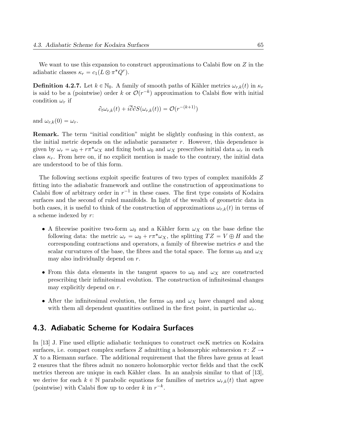We want to use this expansion to construct approximations to Calabi flow on  $Z$  in the adiabatic classes  $\kappa_r = c_1(L \otimes \pi^*Q^r)$ .

**Definition 4.2.7.** Let  $k \in \mathbb{N}_0$ . A family of smooth paths of Kähler metrics  $\omega_{r,k}(t)$  in  $\kappa_r$ is said to be a (pointwise) order k or  $\mathcal{O}(r^{-k})$  approximation to Calabi flow with initial condition  $\omega_r$  if

$$
\partial_t \omega_{r,k}(t) + i \overline{\partial} \partial S(\omega_{r,k}(t)) = \mathcal{O}(r^{-(k+1)})
$$

and  $\omega_{r,k}(0) = \omega_r$ .

Remark. The term "initial condition" might be slightly confusing in this context, as the initial metric depends on the adiabatic parameter  $r$ . However, this dependence is given by  $\omega_r = \omega_0 + r \pi^* \omega_X$  and fixing both  $\omega_0$  and  $\omega_X$  prescribes initial data  $\omega_r$  in each class  $\kappa_r$ . From here on, if no explicit mention is made to the contrary, the initial data are understood to be of this form.

The following sections exploit specific features of two types of complex manifolds Z fitting into the adiabatic framework and outline the construction of approximations to Calabi flow of arbitrary order in  $r^{-1}$  in these cases. The first type consists of Kodaira surfaces and the second of ruled manifolds. In light of the wealth of geometric data in both cases, it is useful to think of the construction of approximations  $\omega_{r,k}(t)$  in terms of a scheme indexed by r:

- A fibrewise positive two-form  $\omega_0$  and a Kähler form  $\omega_X$  on the base define the following data: the metric  $\omega_r = \omega_0 + r \pi^* \omega_X$ , the splitting  $TZ = V \oplus H$  and the corresponding contractions and operators, a family of fibrewise metrics  $\sigma$  and the scalar curvatures of the base, the fibres and the total space. The forms  $\omega_0$  and  $\omega_X$ may also individually depend on r.
- From this data elements in the tangent spaces to  $\omega_0$  and  $\omega_X$  are constructed prescribing their infinitesimal evolution. The construction of infinitesimal changes may explicitly depend on r.
- After the infinitesimal evolution, the forms  $\omega_0$  and  $\omega_X$  have changed and along with them all dependent quantities outlined in the first point, in particular  $\omega_r$ .

# 4.3. Adiabatic Scheme for Kodaira Surfaces

In [13] J. Fine used elliptic adiabatic techniques to construct cscK metrics on Kodaira surfaces, i.e. compact complex surfaces Z admitting a holomorphic submersion  $\pi: Z \rightarrow$ X to a Riemann surface. The additional requirement that the fibres have genus at least 2 ensures that the fibres admit no nonzero holomorphic vector fields and that the cscK metrics thereon are unique in each Kähler class. In an analysis similar to that of  $[13]$ , we derive for each  $k \in \mathbb{N}$  parabolic equations for families of metrics  $\omega_{r,k}(t)$  that agree (pointwise) with Calabi flow up to order k in  $r^{-k}$ .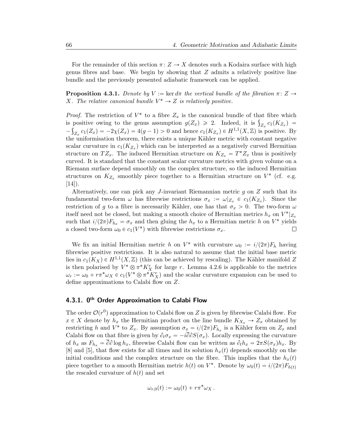For the remainder of this section  $\pi: Z \to X$  denotes such a Kodaira surface with high genus fibres and base. We begin by showing that  $Z$  admits a relatively positive line bundle and the previously presented adiabatic framework can be applied.

**Proposition 4.3.1.** Denote by  $V := \ker d\pi$  the vertical bundle of the fibration  $\pi \colon Z \to$ X. The relative canonical bundle  $V^* \to Z$  is relatively positive.

*Proof.* The restriction of  $V^*$  to a fibre  $Z_x$  is the canonical bundle of that fibre which *Proof.* The restriction of  $V^*$  to a fibre  $Z_x$  is the canonical bundle of that fibre which is positive owing to the genus assumption  $g(Z_x) \geq 2$ . Indeed, it is  $\int_{Z_x} c_1(K_{Z_x}) =$  $-\int_{Z_x} c_1(Z_x) = -2\chi(Z_x) = 4(g-1) > 0$  and hence  $c_1(K_{Z_x}) \in H^{1,1}(X,\mathbb{Z})$  is positive. By the uniformisation theorem, there exists a unique Kähler metric with constant negative scalar curvature in  $c_1(K_{Z_x})$  which can be interpreted as a negatively curved Hermitian structure on  $TZ_x$ . The induced Hermitian structure on  $K_{Z_x} = T^*Z_x$  thus is positively curved. It is standard that the constant scalar curvature metrics with given volume on a Riemann surface depend smoothly on the complex structure, so the induced Hermitian structures on  $K_{Z_x}$  smoothly piece together to a Hermitian structure on  $V^*$  (cf. e.g.  $[14]$ ).

Alternatively, one can pick any J-invariant Riemannian metric  $q$  on  $Z$  such that its fundamental two-form  $\omega$  has fibrewise restrictions  $\sigma_x := \omega|_{Z_x} \in c_1(K_{Z_x})$ . Since the restriction of g to a fibre is necessarily Kähler, one has that  $\sigma_x > 0$ . The two-form  $\omega$ itself need not be closed, but making a smooth choice of Hermitian metrics  $h_x$  on  $V^*|_{Z_x}$ such that  $i/(2\pi)F_{h_x} = \sigma_x$  and then gluing the  $h_x$  to a Hermitian metric h on  $V^*$  yields a closed two-form  $\omega_0 \in c_1(V^*)$  with fibrewise restrictions  $\sigma_x$ .  $\Box$ 

We fix an initial Hermitian metric h on  $V^*$  with curvature  $\omega_0 := i/(2\pi)F_h$  having fibrewise positive restrictions. It is also natural to assume that the initial base metric lies in  $c_1(K_X) \in H^{1,1}(X,\mathbb{Z})$  (this can be achieved by rescaling). The Kähler manifold Z is then polarised by  $V^* \otimes \pi^* K_X^r$  for large r. Lemma 4.2.6 is applicable to the metrics  $\omega_r := \omega_0 + r \pi^* \omega_X \in c_1(V^* \otimes \pi^* K_X^r)$  and the scalar curvature expansion can be used to define approximations to Calabi flow on Z.

### 4.3.1. 0<sup>th</sup> Order Approximation to Calabi Flow

The order  $\mathcal{O}(r^0)$  approximation to Calabi flow on Z is given by fibrewise Calabi flow. For  $x \in X$  denote by  $h_x$  the Hermitian product on the line bundle  $K_{X_x} \to Z_x$  obtained by restricting h and  $V^*$  to  $Z_x$ . By assumption  $\sigma_x = i/(2\pi)F_{h_x}$  is a Kähler form on  $Z_x$  and Calabi flow on that fibre is given by  $\partial_t \sigma_x = -i\overline{\partial} \partial S(\sigma_x)$ . Locally expressing the curvature of  $h_x$  as  $F_{h_x} = \overline{\partial} \partial \log h_x$ , fibrewise Calabi flow can be written as  $\partial_t h_x = 2\pi S(\sigma_x)h_x$ . By [8] and [5], that flow exists for all times and its solution  $h_x(t)$  depends smoothly on the initial conditions and the complex structure on the fibre. This implies that the  $h_x(t)$ piece together to a smooth Hermitian metric  $h(t)$  on  $V^*$ . Denote by  $\omega_0(t) = i/(2\pi)F_{h(t)}$ the rescaled curvature of  $h(t)$  and set

$$
\omega_{r,0}(t) := \omega_0(t) + r\pi^*\omega_X.
$$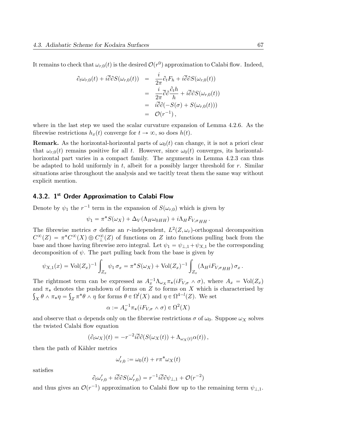It remains to check that  $\omega_{r,0}(t)$  is the desired  $\mathcal{O}(r^0)$  approximation to Calabi flow. Indeed,

$$
\partial_t \omega_{r,0}(t) + i\overline{\partial} \partial S(\omega_{r,0}(t)) = \frac{i}{2\pi} \partial_t F_h + i\overline{\partial} \partial S(\omega_{r,0}(t))
$$
  
\n
$$
= \frac{i}{2\pi} \overline{\partial} \partial \frac{\partial_t h}{h} + i\overline{\partial} \partial S(\omega_{r,0}(t))
$$
  
\n
$$
= i\overline{\partial} \partial (-S(\sigma) + S(\omega_{r,0}(t)))
$$
  
\n
$$
= \mathcal{O}(r^{-1}),
$$

where in the last step we used the scalar curvature expansion of Lemma 4.2.6. As the fibrewise restrictions  $h_x(t)$  converge for  $t \to \infty$ , so does  $h(t)$ .

**Remark.** As the horizontal-horizontal parts of  $\omega_0(t)$  can change, it is not a priori clear that  $\omega_{r,0}(t)$  remains positive for all t. However, since  $\omega_0(t)$  converges, its horizontalhorizontal part varies in a compact family. The arguments in Lemma 4.2.3 can thus be adapted to hold uniformly in t, albeit for a possibly larger threshold for  $r$ . Similar situations arise throughout the analysis and we tacitly treat them the same way without explicit mention.

### 4.3.2. 1<sup>st</sup> Order Approximation to Calabi Flow

Denote by  $\psi_1$  the  $r^{-1}$  term in the expansion of  $S(\omega_{r,0})$  which is given by

$$
\psi_1 = \pi^* S(\omega_X) + \Delta_V(\Lambda_H \omega_{0HH}) + i \Lambda_H F_{V,\sigma_{HH}}.
$$

The fibrewise metrics  $\sigma$  define an r-independent,  $L^2(Z, \omega_r)$ -orthogonal decomposition  $C^{\infty}(Z) = \pi^* C^{\infty}(X) \oplus C^{\infty}_{\perp}(Z)$  of functions on Z into functions pulling back from the base and those having fibrewise zero integral. Let  $\psi_1 = \psi_{\perp,1} + \psi_{X,1}$  be the corresponding decomposition of  $\psi$ . The part pulling back from the base is given by

$$
\psi_{X,1}(x) = \text{Vol}(Z_x)^{-1} \int_{Z_x} \psi_1 \,\sigma_x = \pi^* S(\omega_X) + \text{Vol}(Z_x)^{-1} \int_{Z_x} (\Lambda_H i F_{V,\sigma H} \, \sigma_x \,.
$$

The rightmost term can be expressed as  $A_x^{-1} \Lambda_{\omega_X} \pi_*(iF_{V,\sigma} \wedge \sigma)$ , where  $A_x = Vol(Z_x)$ and  $\pi_*$  denotes the pushdown of forms on Z to forms on X which is characterised by  $\chi \theta \wedge \pi_* \eta = \int_Z \pi^* \theta \wedge \eta$  for forms  $\theta \in \Omega^l(X)$  and  $\eta \in \Omega^{4-l}(Z)$ . We set

$$
\alpha := A_x^{-1} \pi_* (i F_{V, \sigma} \wedge \sigma) \in \Omega^2(X)
$$

and observe that  $\alpha$  depends only on the fibrewise restrictions  $\sigma$  of  $\omega_0$ . Suppose  $\omega_X$  solves the twisted Calabi flow equation

$$
(\partial_t \omega_X)(t) = -r^{-2}i\overline{\partial}\partial(S(\omega_X(t)) + \Lambda_{\omega_X(t)}\alpha(t)),
$$

then the path of Kähler metrics

$$
\omega_{r,0}':=\omega_0(t)+r\pi^*\omega_X(t)
$$

satisfies

$$
\partial_t \omega'_{r,0} + i \overline{\partial} \partial S(\omega'_{r,0}) = r^{-1} i \overline{\partial} \partial \psi_{\perp,1} + \mathcal{O}(r^{-2})
$$

and thus gives an  $\mathcal{O}(r^{-1})$  approximation to Calabi flow up to the remaining term  $\psi_{\perp,1}$ .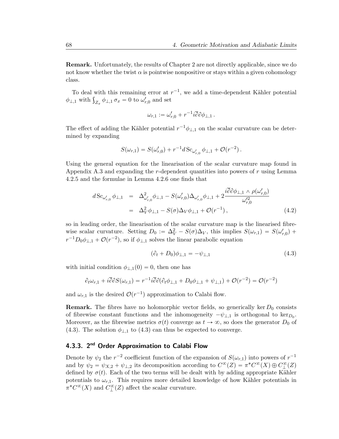Remark. Unfortunately, the results of Chapter 2 are not directly applicable, since we do not know whether the twist  $\alpha$  is pointwise nonpositive or stays within a given cohomology class.

To deal with this remaining error at  $r^{-1}$ , we add a time-dependent Kähler potential To deal with this remaining error at a<br>  $\phi_{\perp,1}$  with  $\int_{Z_x} \phi_{\perp,1} \sigma_x = 0$  to  $\omega'_{r,0}$  and set

$$
\omega_{r,1} := \omega'_{r,0} + r^{-1} i \overline{\partial} \partial \phi_{\perp,1} .
$$

The effect of adding the Kähler potential  $r^{-1}\phi_{\perp,1}$  on the scalar curvature can be determined by expanding

$$
S(\omega_{r,1}) = S(\omega'_{r,0}) + r^{-1} d S_{\omega'_{r,0}} \phi_{\perp,1} + \mathcal{O}(r^{-2}).
$$

Using the general equation for the linearisation of the scalar curvature map found in Appendix A.3 and expanding the  $r$ -dependent quantities into powers of  $r$  using Lemma 4.2.5 and the formulae in Lemma 4.2.6 one finds that

$$
d\operatorname{Sc}_{\omega'_{r,0}}\phi_{\perp,1} = \Delta^2_{\omega'_{r,0}}\phi_{\perp,1} - S(\omega'_{r,0})\Delta_{\omega'_{r,0}}\phi_{\perp,1} + 2\frac{i\overline{\partial}\partial\phi_{\perp,1}\wedge\rho(\omega'_{r,0})}{\omega'^2_{r,0}}
$$
  
=  $\Delta^2_V\phi_{\perp,1} - S(\sigma)\Delta_V\phi_{\perp,1} + \mathcal{O}(r^{-1}),$  (4.2)

so in leading order, the linearisation of the scalar curvature map is the linearised fibrewise scalar curvature. Setting  $D_0 := \Delta_V^2 - S(\sigma) \Delta_V$ , this implies  $S(\omega_{r,1}) = S(\omega_{r,0}')$  +  $r^{-1}D_0\phi_{\perp,1} + \mathcal{O}(r^{-2}),$  so if  $\phi_{\perp,1}$  solves the linear parabolic equation

$$
(\partial_t + D_0)\phi_{\perp,1} = -\psi_{\perp,1} \tag{4.3}
$$

with initial condition  $\phi_{\perp,1}(0)=0$ , then one has

$$
\partial_t \omega_{r,1} + i \overline{\partial} \partial S(\omega_{r,1}) = r^{-1} i \overline{\partial} \partial (\partial_t \phi_{\perp,1} + D_0 \phi_{\perp,1} + \psi_{\perp,1}) + \mathcal{O}(r^{-2}) = \mathcal{O}(r^{-2})
$$

and  $\omega_{r,1}$  is the desired  $\mathcal{O}(r^{-1})$  approximation to Calabi flow.

**Remark.** The fibres have no holomorphic vector fields, so generically ker  $D_0$  consists of fibrewise constant functions and the inhomogeneity  $-\psi_{\perp,1}$  is orthogonal to ker<sub>D<sub>0</sub></sub>. Moreover, as the fibrewise metrics  $\sigma(t)$  converge as  $t \to \infty$ , so does the generator  $D_0$  of (4.3). The solution  $\phi_{\perp,1}$  to (4.3) can thus be expected to converge.

## 4.3.3. 2<sup>nd</sup> Order Approximation to Calabi Flow

Denote by  $\psi_2$  the  $r^{-2}$  coefficient function of the expansion of  $S(\omega_{r,1})$  into powers of  $r^{-1}$ and by  $\psi_2 = \psi_{X,2} + \psi_{\perp,2}$  its decomposition according to  $C^{\infty}(Z) = \pi^* C^{\infty}(X) \oplus C^{\infty}_{\perp}(Z)$ defined by  $\sigma(t)$ . Each of the two terms will be dealt with by adding appropriate Kähler potentials to  $\omega_{r,1}$ . This requires more detailed knowledge of how Kähler potentials in  $\pi^* C^{\infty}(X)$  and  $C^{\infty}_{\perp}(Z)$  affect the scalar curvature.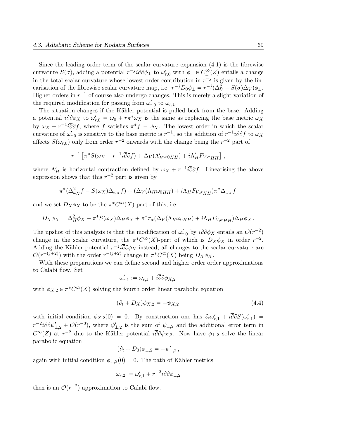Since the leading order term of the scalar curvature expansion (4.1) is the fibrewise curvature  $S(\sigma)$ , adding a potential  $r^{-j} i \overline{\partial} \partial \phi_{\perp}$  to  $\omega'_{r,0}$  with  $\phi_{\perp} \in C^{\infty}_{\perp}(Z)$  entails a change in the total scalar curvature whose lowest order contribution in  $r^{-j}$  is given by the linearisation of the fibrewise scalar curvature map, i.e.  $r^{-j}D_0\phi_{\perp} = r^{-j}(\Delta_V^2 - S(\sigma)\Delta_V)\phi_{\perp}$ . Higher orders in  $r^{-1}$  of course also undergo changes. This is merely a slight variation of the required modification for passing from  $\omega'_{r,0}$  to  $\omega_{r,1}$ .

The situation changes if the Kähler potential is pulled back from the base. Adding a potential  $i\overline{\partial}\partial\phi_X$  to  $\omega'_{r,0} = \omega_0 + r\pi^*\omega_X$  is the same as replacing the base metric  $\omega_X$ by  $\omega_X + r^{-1} i \overline{\partial} \partial f$ , where f satisfies  $\pi^* f = \phi_X$ . The lowest order in which the scalar curvature of  $\omega'_{r,0}$  is sensitive to the base metric is  $r^{-1}$ , so the addition of  $r^{-1}i\overline{\partial}\partial f$  to  $\omega_X$ affects  $S(\omega_{r,0})$  only from order  $r^{-2}$  onwards with the change being the  $r^{-2}$  part of

$$
r^{-1}\left[\pi^*S(\omega_X+r^{-1}i\overline{\partial}\partial f)+\Delta_V(\Lambda'_H\omega_{0HH})+i\Lambda'_HF_{V,\sigma HH}\right],
$$

where  $\Lambda'_H$  is horizontal contraction defined by  $\omega_X + r^{-1} i \overline{\partial} \partial f$ . Linearising the above expression shows that this  $r^{-2}$  part is given by

$$
\pi^*(\Delta_{\omega_X}^2 f - S(\omega_X)\Delta_{\omega_X} f) + (\Delta_V(\Lambda_H\omega_{0HH}) + i\Lambda_H F_{V,\sigma_{HH}})\pi^*\Delta_{\omega_X} f
$$

and we set  $D_X \phi_X$  to be the  $\pi^* C^{\infty}(X)$  part of this, i.e.

$$
D_X \phi_X = \Delta_H^2 \phi_X - \pi^* S(\omega_X) \Delta_H \phi_X + \pi^* \pi_* (\Delta_V(\Lambda_H \omega_{0HH}) + i \Lambda_H F_{V, \sigma HH}) \Delta_H \phi_X.
$$

The upshot of this analysis is that the modification of  $\omega'_{r,0}$  by  $i\overline{\partial}\partial\phi_X$  entails an  $\mathcal{O}(r^{-2})$ change in the scalar curvature, the  $\pi^* C^{\infty}(X)$ -part of which is  $D_X \phi_X$  in order  $r^{-2}$ . Adding the Kähler potential  $r^{-j} i\overline{\partial}\partial \phi_X$  instead, all changes to the scalar curvature are  $\mathcal{O}(r^{-(j+2)})$  with the order  $r^{-(j+2)}$  change in  $\pi^* C^{\infty}(X)$  being  $D_X \phi_X$ .

With these preparations we can define second and higher order order approximations to Calabi flow. Set

$$
\omega_{r,1}':=\omega_{r,1}+i\overline{\partial}\partial \phi_{X,2}
$$

with  $\phi_{X,2} \in \pi^*C^{\infty}(X)$  solving the fourth order linear parabolic equation

$$
(\partial_t + D_X)\phi_{X,2} = -\psi_{X,2}
$$
\n
$$
(4.4)
$$

with initial condition  $\phi_{X,2}(0) = 0$ . By construction one has  $\partial_t \omega'_{r,1} + i \overline{\partial} \partial S(\omega'_{r,1}) =$  $r^{-2}i\overline{\partial}\partial\psi'_{\perp,2} + \mathcal{O}(r^{-3}),$  where  $\psi'_{\perp,2}$  is the sum of  $\psi_{\perp,2}$  and the additional error term in  $C^{\infty}_{\perp}(Z)$  at  $r^{-2}$  due to the Kähler potential  $i\overline{\partial}\partial\phi_{X,2}$ . Now have  $\phi_{\perp,2}$  solve the linear parabolic equation

$$
(\partial_t + D_0)\phi_{\perp,2} = -\psi'_{\perp,2},
$$

again with initial condition  $\phi_{\perp,2}(0)=0$ . The path of Kähler metrics

$$
\omega_{r,2}:=\omega_{r,1}'+r^{-2}i\overline{\partial}\partial\phi_{\perp,2}
$$

then is an  $\mathcal{O}(r^{-2})$  approximation to Calabi flow.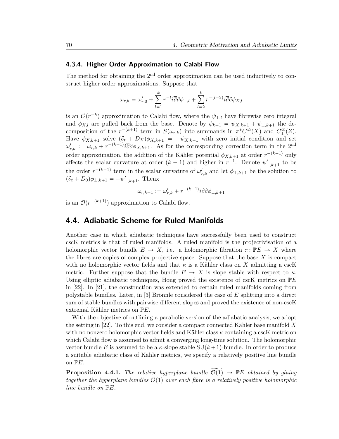### 4.3.4. Higher Order Approximation to Calabi Flow

The method for obtaining the  $2<sup>nd</sup>$  order approximation can be used inductively to construct higher order approximations. Suppose that

$$
\omega_{r,k} = \omega_{r,0}^\prime + \sum_{l=1}^k r^{-l} i \overline{\partial} \partial \phi_{\perp,l} + \sum_{l=2}^k r^{-(l-2)} i \overline{\partial} \partial \phi_{X,l}
$$

is an  $\mathcal{O}(r^{-k})$  approximation to Calabi flow, where the  $\psi_{\perp,l}$  have fibrewise zero integral and  $\phi_{X,l}$  are pulled back from the base. Denote by  $\psi_{k+1} = \psi_{X,k+1} + \psi_{\perp,k+1}$  the decomposition of the  $r^{-(k+1)}$  term in  $S(\omega_{r,k})$  into summands in  $\pi^*C^{\infty}(X)$  and  $C^{\infty}_{\perp}(Z)$ . Have  $\phi_{X,k+1}$  solve  $(\partial_t + D_X)\phi_{X,k+1} = -\psi_{X,k+1}$  with zero initial condition and set  $\omega'_{r,k} := \omega_{r,k} + r^{-(k-1)} i \overline{\partial} \partial \phi_{X,k+1}.$  As for the corresponding correction term in the 2<sup>nd</sup> order approximation, the addition of the Kähler potential  $\phi_{X,k+1}$  at order  $r^{-(k-1)}$  only affects the scalar curvature at order  $(k + 1)$  and higher in  $r^{-1}$ . Denote  $\psi'_{1,k+1}$  to be the order  $r^{-(k+1)}$  term in the scalar curvature of  $\omega'_{r,k}$  and let  $\phi_{\perp,k+1}$  be the solution to  $(\partial_t + D_0)\phi_{\perp,k+1} = -\psi'_{\perp,k+1}$ . Thenx

$$
\omega_{r,k+1} := \omega'_{r,k} + r^{-(k+1)} i \overline{\partial} \partial \phi_{\perp,k+1}
$$

is an  $\mathcal{O}(r^{-(k+1)})$  approximation to Calabi flow.

## 4.4. Adiabatic Scheme for Ruled Manifolds

Another case in which adiabatic techniques have successfully been used to construct cscK metrics is that of ruled manifolds. A ruled manifold is the projectivisation of a holomorphic vector bundle  $E \to X$ , i.e. a holomorphic fibration  $\pi: \mathbb{P}E \to X$  where the fibres are copies of complex projective space. Suppose that the base  $X$  is compact with no holomorphic vector fields and that  $\kappa$  is a Kähler class on X admitting a cscK metric. Further suppose that the bundle  $E \to X$  is slope stable with respect to  $\kappa$ . Using elliptic adiabatic techniques, Hong proved the existence of cscK metrics on  $\mathbb{P}E$ in [22]. In [21], the construction was extended to certain ruled manifolds coming from polystable bundles. Later, in [3] Brönnle considered the case of  $E$  splitting into a direct sum of stable bundles with pairwise different slopes and proved the existence of non-cscK extremal Kähler metrics on  $\mathbb{P}E$ .

With the objective of outlining a parabolic version of the adiabatic analysis, we adopt the setting in [22]. To this end, we consider a compact connected Kähler base manifold  $X$ with no nonzero holomorphic vector fields and Kähler class  $\kappa$  containing a cscK metric on which Calabi flow is assumed to admit a converging long-time solution. The holomorphic vector bundle E is assumed to be a  $\kappa$ -slope stable SU $(k+1)$ -bundle. In order to produce a suitable adiabatic class of Kähler metrics, we specify a relatively positive line bundle on  $\mathbb{P}E$ .

**Proposition 4.4.1.** The relative hyperplane bundle  $\widetilde{\mathcal{O}(1)} \rightarrow \mathbb{P}E$  obtained by gluing together the hyperplane bundles  $\mathcal{O}(1)$  over each fibre is a relatively positive holomorphic line bundle on PE.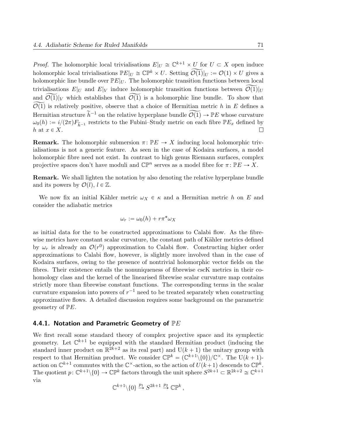*Proof.* The holomorphic local trivialisations  $E|_U \cong \mathbb{C}^{k+1} \times U$  for  $U \subset X$  open induce holomorphic local trivialisations  $\mathbb{P}E|_U \cong \mathbb{CP}^k \times U$ . Setting  $\widetilde{\mathcal{O}(1)}|_U := \mathcal{O}(1) \times U$  gives a holomorphic line bundle over  $\mathbb{P}E|_U$ . The holomorphic transition functions between local trivialisations  $E|_U$  and  $E|_V$  induce holomorphic transition functions between  $\widetilde{\mathcal{O}(1)}|_U$ and  $\widetilde{\mathcal{O}(1)}|_V$  which establishes that  $\widetilde{\mathcal{O}(1)}$  is a holomorphic line bundle. To show that  $\widetilde{\mathcal{O}(1)}$  is relatively positive, observe that a choice of Hermitian metric h in E defines a Hermitian structure  $\widetilde{h}^{-1}$  on the relative hyperplane bundle  $\widetilde{\mathcal{O}(1)} \to \mathbb{P}E$  whose curvature  $\omega_0(h) := i/(2\pi)F_{\tilde{h}^{-1}}$  restricts to the Fubini–Study metric on each fibre  $\mathbb{P}E_x$  defined by  $h$  at  $x \in X$ . h at  $x \in X$ .

**Remark.** The holomorphic submersion  $\pi: \mathbb{P}E \to X$  inducing local holomorphic trivialisations is not a generic feature. As seen in the case of Kodaira surfaces, a model holomorphic fibre need not exist. In contrast to high genus Riemann surfaces, complex projective spaces don't have moduli and  $\mathbb{CP}^n$  serves as a model fibre for  $\pi: \mathbb{P}E \to X$ .

Remark. We shall lighten the notation by also denoting the relative hyperplane bundle and its powers by  $\mathcal{O}(l), l \in \mathbb{Z}$ .

We now fix an initial Kähler metric  $\omega_X \in \kappa$  and a Hermitian metric h on E and consider the adiabatic metrics

$$
\omega_r := \omega_0(h) + r\pi^* \omega_X
$$

as initial data for the to be constructed approximations to Calabi flow. As the fibrewise metrics have constant scalar curvature, the constant path of Kähler metrics defined by  $\omega_r$  is already an  $\mathcal{O}(r^0)$  approximation to Calabi flow. Constructing higher order approximations to Calabi flow, however, is slightly more involved than in the case of Kodaira surfaces, owing to the presence of nontrivial holomorphic vector fields on the fibres. Their existence entails the nonuniqueness of fibrewise cscK metrics in their cohomology class and the kernel of the linearised fibrewise scalar curvature map contains strictly more than fibrewise constant functions. The corresponding terms in the scalar curvature expansion into powers of  $r^{-1}$  need to be treated separately when constructing approximative flows. A detailed discussion requires some background on the parametric geometry of  $\mathbb{P}E$ .

#### 4.4.1. Notation and Parametric Geometry of  $\mathbb{P} E$

We first recall some standard theory of complex projective space and its symplectic geometry. Let  $\mathbb{C}^{k+1}$  be equipped with the standard Hermitian product (inducing the standard inner product on  $\mathbb{R}^{2k+2}$  as its real part) and  $U(k + 1)$  the unitary group with respect to that Hermitian product. We consider  $\mathbb{CP}^k = (\mathbb{C}^{k+1} \setminus \{0\})/\mathbb{C}^\times$ . The U $(k+1)$ action on  $\mathbb{C}^{k+1}$  commutes with the  $\mathbb{C}^{\times}$ -action, so the action of  $U(k+1)$  descends to  $\mathbb{CP}^{k}$ . The quotient  $p: \mathbb{C}^{k+1} \setminus \{0\} \to \mathbb{CP}^k$  factors through the unit sphere  $S^{2k+1} \subset \mathbb{R}^{2k+2} \cong \mathbb{C}^{k+1}$ via

$$
\mathbb{C}^{k+1} \backslash \{0\} \stackrel{p_1}{\to} S^{2k+1} \stackrel{p_2}{\to} \mathbb{C} \mathbb{P}^k \,,
$$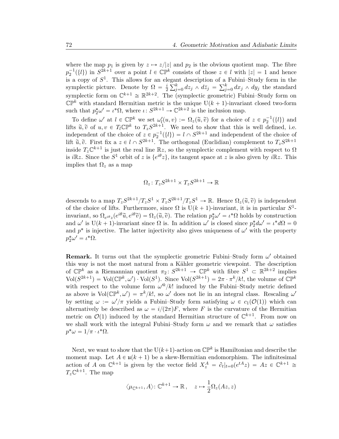where the map  $p_1$  is given by  $z \mapsto z/|z|$  and  $p_2$  is the obvious quotient map. The fibre  $p_2^{-1}(\{l\})$  in  $S^{2k+1}$  over a point  $l \in \mathbb{CP}^k$  consists of those  $z \in l$  with  $|z| = 1$  and hence is a copy of  $S^1$ . This allows for an elegant description of a Fubini–Study form in the symplectic picture. Denote by  $\Omega = \frac{i}{2}$ 2 gar $\frac{1}{\nabla^k}$  $\det_{j=0}^k d\overline{z}_j \wedge d\overline{z}_j = \sum_j^k$  $\int_{j=0}^{\kappa} dx_j \wedge dy_j$  the standard symplectic form on  $\mathbb{C}^{k+1} \cong \mathbb{R}^{2k+2}$ . The (symplectic geometric) Fubini–Study form on  $\mathbb{CP}^k$  with standard Hermitian metric is the unique  $U(k + 1)$ -invariant closed two-form such that  $p_2^*\omega' = \iota^*\Omega$ , where  $\iota: S^{2k+1} \to \mathbb{C}^{2k+2}$  is the inclusion map.

To define  $\omega'$  at  $l \in \mathbb{CP}^k$  we set  $\omega'_l(u, v) := \Omega_z(\tilde{u}, \tilde{v})$  for a choice of  $z \in p_2^{-1}(\{l\})$  and lifts  $\tilde{u}, \tilde{v}$  of  $u, v \in T_l \mathbb{CP}^k$  to  $T_z S^{2k+1}$ . We need to show that this is well defined, i.e. independent of the choice of  $z \in p_2^{-1}(\{l\}) = l \cap S^{2k+1}$  and independent of the choice of lift  $\tilde{u}, \tilde{v}$ . First fix a  $z \in l \cap S^{2k+1}$ . The orthogonal (Euclidian) complement to  $T_z S^{2k+1}$ inside  $T_z \mathbb{C}^{k+1}$  is just the real line  $\mathbb{R}z$ , so the symplectic complement with respect to  $\Omega$ is *i* $\mathbb{R}z$ . Since the  $S^1$  orbit of z is  $\{e^{i\theta}z\}$ , its tangent space at z is also given by *i* $\mathbb{R}z$ . This implies that  $\Omega_z$  as a map

$$
\Omega_z \colon T_z S^{2k+1} \times T_z S^{2k+1} \to \mathbb{R}
$$

descends to a map  $T_z S^{2k+1}/T_z S^1 \times T_z S^{2k+1}/T_z S^1 \to \mathbb{R}$ . Hence  $\Omega_z(\tilde{u}, \tilde{v})$  is independent of the choice of lifts. Furthermore, since  $\Omega$  is  $U(k + 1)$ -invariant, it is in particular  $S^1$ invariant, so  $\Omega_{e^{i\theta}z}(e^{i\theta}\tilde{u},e^{i\theta}\tilde{v}) = \Omega_z(\tilde{u},\tilde{v})$ . The relation  $p_2^*\omega' = \iota^*\Omega$  holds by construction and  $\omega'$  is U(k + 1)-invariant since  $\Omega$  is. In addition  $\omega'$  is closed since  $p_2^* d\omega' = \iota^* d\Omega = 0$ and  $p^*$  is injective. The latter injectivity also gives uniqueness of  $\omega'$  with the property  $p_2^*\omega' = \iota^*\Omega.$ 

**Remark.** It turns out that the symplectic geometric Fubini–Study form  $\omega'$  obtained this way is not the most natural from a Kähler geometric viewpoint. The description of  $\mathbb{CP}^k$  as a Riemannian quotient  $\pi_2 \colon S^{2k+1} \to \mathbb{CP}^k$  with fibre  $S^1 \subset \mathbb{R}^{2k+2}$  implies  $\text{Vol}(S^{2k+1}) = \text{Vol}(\mathbb{CP}^k, \omega') \cdot \text{Vol}(S^1)$ . Since  $\text{Vol}(S^{2k+1}) = 2\pi \cdot \pi^k/k!$ , the volume of  $\mathbb{CP}^k$ with respect to the volume form  $\omega'^k/k!$  induced by the Fubini–Study metric defined as above is  $Vol(\mathbb{CP}^k, \omega') = \pi^k/k!$ , so  $\omega'$  does not lie in an integral class. Rescaling  $\omega'$ by setting  $\omega := \omega'/\pi$  yields a Fubini–Study form satisfying  $\omega \in c_1(\mathcal{O}(1))$  which can alternatively be described as  $\omega = i/(2\pi)F$ , where F is the curvature of the Hermitian metric on  $\mathcal{O}(1)$  induced by the standard Hermitian structure of  $\mathbb{C}^{k+1}$ . From now on we shall work with the integral Fubini–Study form  $\omega$  and we remark that  $\omega$  satisfies  $p^*\omega = 1/\pi \cdot \iota^*\Omega.$ 

Next, we want to show that the U $(k+1)$ -action on  $\mathbb{CP}^k$  is Hamiltonian and describe the moment map. Let  $A \in \mathfrak{u}(k + 1)$  be a skew-Hermitian endomorphism. The infinitesimal action of A on  $\mathbb{C}^{k+1}$  is given by the vector field  $X_z^A = \partial_t|_{t=0}(e^{tA}z) = Az \in \mathbb{C}^{k+1} \cong$  $T_z \mathbb{C}^{k+1}$ . The map

$$
\langle \mu_{\mathbb{C}^{k+1}}, A \rangle \colon \mathbb{C}^{k+1} \to \mathbb{R}, \quad z \mapsto \frac{1}{2} \Omega_z(Az, z)
$$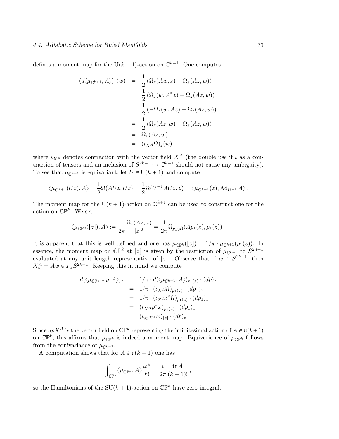defines a moment map for the U( $k + 1$ )-action on  $\mathbb{C}^{k+1}$ . One computes

$$
\begin{array}{rcl}\n(d\langle \mu_{\mathbb{C}^{k+1}}, A \rangle)_z(w) & = & \frac{1}{2} \left( \Omega_z(Aw, z) + \Omega_z(Az, w) \right) \\
 & = & \frac{1}{2} \left( \Omega_z(w, A^*z) + \Omega_z(Az, w) \right) \\
 & = & \frac{1}{2} \left( -\Omega_z(w, Az) + \Omega_z(Az, w) \right) \\
 & = & \frac{1}{2} \left( \Omega_z(Az, w) + \Omega_z(Az, w) \right) \\
 & = & \Omega_z(Az, w) \\
 & = & \Omega_z(Az, w) \\
 & = & (\iota_{X^A} \Omega)_z(w),\n\end{array}
$$

where  $\iota_{XA}$  denotes contraction with the vector field  $X^A$  (the double use if  $\iota$  as a contraction of tensors and an inclusion of  $S^{2k+1} \hookrightarrow \mathbb{C}^{k+1}$  should not cause any ambiguity). To see that  $\mu_{\mathbb{C}^{k+1}}$  is equivariant, let  $U \in U(k + 1)$  and compute

$$
\langle \mu_{C^{k+1}}(Uz), A \rangle = \frac{1}{2}\Omega(AUz, Uz) = \frac{1}{2}\Omega(U^{-1}AUz, z) = \langle \mu_{C^{k+1}}(z), \mathrm{Ad}_{U^{-1}}A \rangle.
$$

The moment map for the U( $k + 1$ )-action on  $\mathbb{C}^{k+1}$  can be used to construct one for the action on  $\mathbb{CP}^k$ . We set

$$
\langle \mu_{\mathbb{CP}^k}([z]), A \rangle := \frac{1}{2\pi} \frac{\Omega_z(Az, z)}{|z|^2} = \frac{1}{2\pi} \Omega_{p_1(z)}(Ap_1(z), p_1(z)).
$$

It is apparent that this is well defined and one has  $\mu_{\mathbb{CP}^k}([z]) = 1/\pi \cdot \mu_{\mathbb{C}^{k+1}}(p_1(z))$ . In essence, the moment map on  $\mathbb{CP}^k$  at [*z*] is given by the restriction of  $\mu_{\mathbb{CP}^{k+1}}$  to  $S^{2n+1}$ evaluated at any unit length representative of [z]. Observe that if  $w \in S^{2k+1}$ , then  $X_w^A = Aw \in T_w S^{2k+1}$ . Keeping this in mind we compute

$$
d(\langle \mu_{\mathbb{CP}^k} \circ p, A \rangle)_z = 1/\pi \cdot d(\langle \mu_{\mathbb{C}^{k+1}}, A \rangle)_{p_1(z)} \cdot (dp)_z
$$
  
\n
$$
= 1/\pi \cdot (\iota_{X^A} \Omega)_{p_1(z)} \cdot (dp_1)_z
$$
  
\n
$$
= 1/\pi \cdot (\iota_{X^A} \iota^* \Omega)_{p_1(z)} \cdot (dp_1)_z
$$
  
\n
$$
= (\iota_{X^A} p^* \omega)_{p_1(z)} \cdot (dp_1)_z
$$
  
\n
$$
= (\iota_{dpX^A} \omega)_{[z]} \cdot (dp)_z.
$$

Since  $dpX^A$  is the vector field on  $\mathbb{CP}^k$  representing the infinitesimal action of  $A \in \mathfrak{u}(k+1)$ on  $\mathbb{CP}^k$ , this affirms that  $\mu_{\mathbb{CP}^k}$  is indeed a moment map. Equivariance of  $\mu_{\mathbb{CP}^k}$  follows from the equivariance of  $\mu_{\mathbb{C}^{k+1}}$ .

A computation shows that for  $A \in \mathfrak{u}(k + 1)$  one has

$$
\int_{\mathbb{CP}^k} \langle \mu_{\mathbb{CP}^k}, A \rangle \frac{\omega^k}{k!} = \frac{i}{2\pi} \frac{\operatorname{tr} A}{(k+1)!},
$$

so the Hamiltonians of the  $SU(k + 1)$ -action on  $\mathbb{CP}^k$  have zero integral.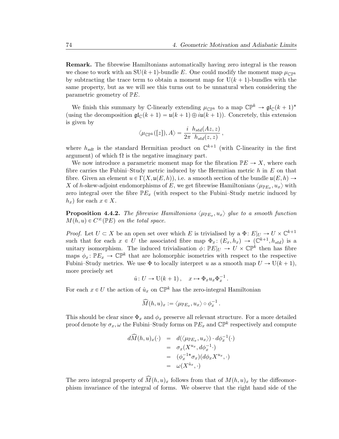Remark. The fibrewise Hamiltonians automatically having zero integral is the reason we chose to work with an  $SU(k + 1)$ -bundle E. One could modify the moment map  $\mu_{\mathbb{C}}_{\mathbb{P}^k}$ by subtracting the trace term to obtain a moment map for  $U(k + 1)$ -bundles with the same property, but as we will see this turns out to be unnatural when considering the parametric geometry of PE.

We finish this summary by C-linearly extending  $\mu_{\mathbb{CP}^k}$  to a map  $\mathbb{CP}^k \to \mathfrak{gl}_{\mathbb{C}}(k+1)^*$ (using the decomposition  $\mathfrak{gl}_{\mathbb{C}}(k + 1) = \mathfrak{u}(k + 1) \oplus i\mathfrak{u}(k + 1)$ ). Concretely, this extension is given by

$$
\langle \mu_{\mathbb{CP}^k}([z]), A \rangle = \frac{i}{2\pi} \frac{h_{std}(Az, z)}{h_{std}(z, z)},
$$

where  $h_{sdt}$  is the standard Hermitian product on  $\mathbb{C}^{k+1}$  (with  $\mathbb{C}$ -linearity in the first argument) of which  $\Omega$  is the negative imaginary part.

We now introduce a parametric moment map for the fibration  $\mathbb{P}E \to X$ , where each fibre carries the Fubini–Study metric induced by the Hermitian metric  $h$  in  $E$  on that fibre. Given an element  $u \in \Gamma(X, \mathfrak{u}(E, h)),$  i.e. a smooth section of the bundle  $\mathfrak{u}(E, h) \to$ X of h-skew-adjoint endomorphisms of E, we get fibrewise Hamiltonians  $\langle \mu_{\mathbb{P} E_x}, u_x \rangle$  with zero integral over the fibre  $\mathbb{P}E_x$  (with respect to the Fubini–Study metric induced by  $h_x$ ) for each  $x \in X$ .

**Proposition 4.4.2.** The fibrewise Hamiltonions  $\langle \mu_{\mathbb{P} E_x}, u_x \rangle$  glue to a smooth function  $M(h, u) \in C^{\infty}(\mathbb{P} E)$  on the total space.

*Proof.* Let  $U \subset X$  be an open set over which E is trivialised by a  $\Phi: E|_U \to U \times \mathbb{C}^{k+1}$ such that for each  $x \in U$  the associated fibre map  $\Phi_x : (E_x, h_x) \to (\mathbb{C}^{k+1}, h_{std})$  is a unitary isomorphism. The induced trivialisation  $\phi \colon \mathbb{P} E|_U \to U \times \mathbb{C} \mathbb{P}^k$  then has fibre maps  $\phi_x: \mathbb{P}E_x \to \mathbb{C}P^k$  that are holomorphic isometries with respect to the respective Fubini–Study metrics. We use  $\Phi$  to locally interpret u as a smooth map  $U \to U(k + 1)$ , more precisely set

$$
\hat{u} : U \to U(k+1), \quad x \mapsto \Phi_x u_x \Phi_x^{-1}.
$$

For each  $x \in U$  the action of  $\hat{u}_x$  on  $\mathbb{CP}^k$  has the zero-integral Hamiltonian

$$
\widehat{M}(h,u)_x:=\big\langle \mu_{\mathbb P E_x},u_x\big\rangle\circ\phi_x^{-1}\,.
$$

This should be clear since  $\Phi_x$  and  $\phi_x$  preserve all relevant structure. For a more detailed proof denote by  $\sigma_x, \omega$  the Fubini–Study forms on  $\mathbb{P} E_x$  and  $\mathbb{CP}^k$  respectively and compute

$$
d\widehat{M}(h, u)_x(\cdot) = d(\langle \mu_{\mathbb{P}E_x}, u_x \rangle) \cdot d\phi_x^{-1}(\cdot)
$$
  
=  $\sigma_x(X^{u_x}, d\phi_x^{-1} \cdot)$   
=  $(\phi_x^{-1*}\sigma_x)(d\phi_x X^{u_x}, \cdot)$   
=  $\omega(X^{\hat{u}_x}, \cdot)$ 

The zero integral property of  $\widehat{M}(h, u)_x$  follows from that of  $M(h, u)_x$  by the diffeomorphism invariance of the integral of forms. We observe that the right hand side of the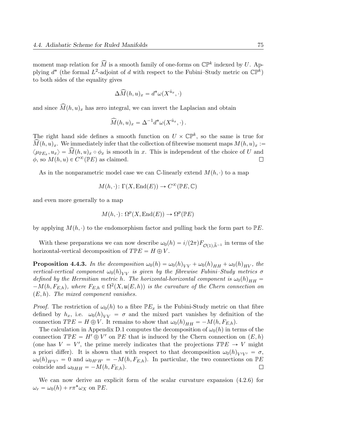moment map relation for  $\widehat{M}$  is a smooth family of one-forms on  $\mathbb{CP}^k$  indexed by U. Applying  $d^*$  (the formal  $L^2$ -adjoint of d with respect to the Fubini–Study metric on  $\mathbb{CP}^k$ ) to both sides of the equality gives

$$
\Delta \widehat{M}(h, u)_x = d^* \omega(X^{\hat{u}_x}, \cdot)
$$

and since  $\widehat{M}(h, u)_x$  has zero integral, we can invert the Laplacian and obtain

$$
\widehat{M}(h, u)_x = \Delta^{-1} d^* \omega(X^{\hat{u}_x}, \cdot).
$$

The right hand side defines a smooth function on  $U \times \mathbb{CP}^k$ , so the same is true for  $\widehat{M}(h, u)_x$ . We immediately infer that the collection of fibrewise moment maps  $M(h, u)_x :=$  $\langle \mu_{\mathbb{P}E_x}, u_x \rangle = \widehat{M}(h, u)_x \circ \phi_x$  is smooth in x. This is independent of the choice of U and  $\phi$ , so  $M(h, u) \in C^{\infty}(\mathbb{P}E)$  as claimed.  $\Box$ 

As in the nonparametric model case we can C-linearly extend  $M(h, \cdot)$  to a map

$$
M(h, \cdot): \Gamma(X, \text{End}(E)) \to C^{\infty}(\mathbb{P}E, \mathbb{C})
$$

and even more generally to a map

$$
M(h,\cdot)\colon \Omega^p(X,\operatorname{End}(E))\to \Omega^p(\mathbb{P} E)
$$

by applying  $M(h, \cdot)$  to the endomorphism factor and pulling back the form part to  $\mathbb{P}E$ .

With these preparations we can now describe  $\omega_0(h) = i/(2\pi) F_{\mathcal{O}(1),\tilde{h}^{-1}}$  in terms of the horizontal-vertical decomposition of  $T \mathbb{P} E = H \oplus V$ .

**Proposition 4.4.3.** In the decomposition  $\omega_0(h) = \omega_0(h)_{VV} + \omega_0(h)_{HH} + \omega_0(h)_{HV}$ , the vertical-vertical component  $\omega_0(h)_{VV}$  is given by the fibrewise Fubini–Study metrics  $\sigma$ defined by the Hermitian metric h. The horizontal-horizontal component is  $\omega_0(h)_{HH} =$  $-M(h, F_{E,h})$ , where  $F_{E,h} \in \Omega^2(X, \mathfrak{u}(E,h))$  is the curvature of the Chern connection on  $(E, h)$ . The mixed component vanishes.

*Proof.* The restriction of  $\omega_0(h)$  to a fibre  $\mathbb{P}E_x$  is the Fubini-Study metric on that fibre defined by  $h_x$ , i.e.  $\omega_0(h)_{VV} = \sigma$  and the mixed part vanishes by definition of the connection  $T \mathbb{P} E = H \oplus V$ . It remains to show that  $\omega_0(h)_{HH} = -M(h, F_{E,h})$ .

The calculation in Appendix D.1 computes the decomposition of  $\omega_0(h)$  in terms of the connection  $T \mathbb{P} E = H' \oplus V'$  on  $\mathbb{P} E$  that is induced by the Chern connection on  $(E, h)$ (one has  $V = V'$ , the prime merely indicates that the projections  $T \mathbb{P} E \to V$  might a priori differ). It is shown that with respect to that decomposition  $\omega_0(h)_{V'V'} = \sigma$ ,  $\omega_0(h)_{H'V'} = 0$  and  $\omega_{0H'H'} = -M(h, F_{E,h})$ . In particular, the two connections on PE coincide and  $\omega_{0HH} = -M(h, F_{E,h})$ .  $\Box$ 

We can now derive an explicit form of the scalar curvature expansion (4.2.6) for  $\omega_r = \omega_0(h) + r \pi^* \omega_X$  on  $\mathbb{P} E$ .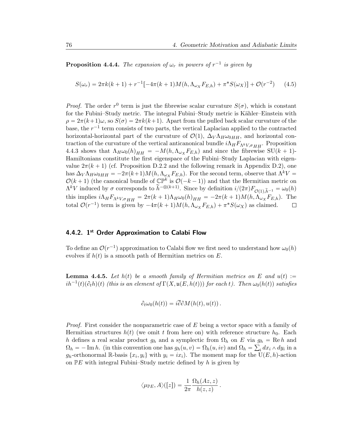**Proposition 4.4.4.** The expansion of  $\omega_r$  in powers of  $r^{-1}$  is given by

$$
S(\omega_r) = 2\pi k(k+1) + r^{-1} \left[ -4\pi (k+1) M(h, \Lambda_{\omega_X} F_{E,h}) + \pi^* S(\omega_X) \right] + \mathcal{O}(r^{-2}) \tag{4.5}
$$

*Proof.* The order  $r^0$  term is just the fibrewise scalar curvature  $S(\sigma)$ , which is constant for the Fubini–Study metric. The integral Fubini–Study metric is Kähler–Einstein with  $\rho = 2\pi (k+1)\omega$ , so  $S(\sigma) = 2\pi k(k+1)$ . Apart from the pulled back scalar curvature of the base, the  $r^{-1}$  term consists of two parts, the vertical Laplacian applied to the contracted horizontal-horizontal part of the curvature of  $\mathcal{O}(1)$ ,  $\Delta_V \Lambda_H \omega_{0HH}$ , and horizontal contraction of the curvature of the vertical anticanonical bundle  $i\Lambda_H F_{\Lambda^k V, \sigma H H}$ . Proposition 4.4.3 shows that  $\Lambda_H \omega_0(h)_{HH} = -M(h, \Lambda_{\omega_X} F_{E,h})$  and since the fibrewise SU $(k + 1)$ -Hamiltonians constitute the first eigenspace of the Fubini–Study Laplacian with eigenvalue  $2\pi (k + 1)$  (cf. Proposition D.2.2 and the following remark in Appendix D.2), one has  $\Delta_V \Lambda_H \omega_{0HH} = -2\pi(k+1)M(h,\Lambda_{\omega_X} F_{E,h})$ . For the second term, observe that  $\Lambda^k V =$  $\mathcal{O}(k+1)$  (the canonical bundle of  $\mathbb{CP}^k$  is  $\mathcal{O}(-k-1)$ ) and that the Hermitian metric on  $\Lambda^k V$  induced by  $\sigma$  corresponds to  $\tilde{h}^{-\otimes (k+1)}$ . Since by definition  $i/(2\pi)F_{\mathcal{O}(1),\tilde{h}^{-1}} = \omega_0(h)$ this implies  $i\Lambda_H F_{\Lambda^k V, \sigma H} = 2\pi (k+1)\Lambda_H \omega_0(h)_{HH} = -2\pi (k+1)M(h, \Lambda_{\omega X} F_{E,h}).$  The total  $\mathcal{O}(r^{-1})$  term is given by  $-4\pi (k+1)M(h, \Lambda_{\omega Y} F_{E,h}) + \pi^* S(\omega_X)$  as claimed. total  $\mathcal{O}(r^{-1})$  term is given by  $-4\pi(k+1)M(h,\Lambda_{\omega_X} F_{E,h}) + \pi^* S(\omega_X)$  as claimed.

#### 4.4.2. 1<sup>st</sup> Order Approximation to Calabi Flow

To define an  $\mathcal{O}(r^{-1})$  approximation to Calabi flow we first need to understand how  $\omega_0(h)$ evolves if  $h(t)$  is a smooth path of Hermitian metrics on E.

**Lemma 4.4.5.** Let  $h(t)$  be a smooth family of Hermitian metrics on E and  $u(t) :=$  $ih^{-1}(t)(\partial_t h)(t)$  (this is an element of  $\Gamma(X, \mathfrak{u}(E, h(t)))$  for each t). Then  $\omega_0(h(t))$  satisfies

$$
\partial_t \omega_0(h(t)) = i\overline{\partial} \partial M(h(t), u(t)).
$$

*Proof.* First consider the nonparametric case of  $E$  being a vector space with a family of Hermitian structures  $h(t)$  (we omit t from here on) with reference structure  $h_0$ . Each h defines a real scalar product  $g_h$  and a symplectic from  $\Omega_h$  on E via  $g_h = \text{Re } h$  and  $\Omega_h = -\text{Im } h.$  (in this convention one has  $g_h(u, v) = \Omega_h(u, iv)$  and  $\Omega_h = \sum_i dx_i \wedge dy_i$  in a  $g_h$ -orthonormal R-basis  $\{x_i, y_i\}$  with  $y_i = ix_i$ ). The moment map for the  $\dot{\mathrm{U}}(E, h)$ -action on  $\mathbb{P}E$  with integral Fubini–Study metric defined by h is given by

$$
\langle \mu_{\mathbb{P} E}, A \rangle([z]) = \frac{1}{2\pi} \frac{\Omega_h(Az, z)}{h(z, z)}.
$$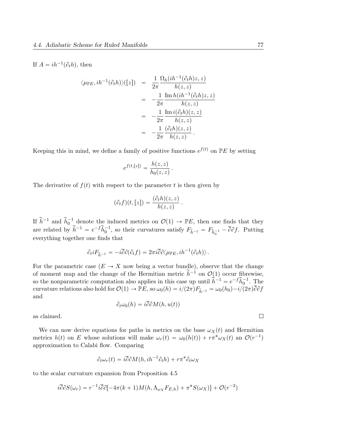If  $A = ih^{-1}(\partial_t h)$ , then

$$
\langle \mu_{\mathbb{P}E}, ih^{-1}(\partial_t h) \rangle ([z]) = \frac{1}{2\pi} \frac{\Omega_h(ih^{-1}(\partial_t h)z, z)}{h(z, z)}
$$
  
= 
$$
-\frac{1}{2\pi} \frac{\text{Im } h(ih^{-1}(\partial_t h)z, z)}{h(z, z)}
$$
  
= 
$$
-\frac{1}{2\pi} \frac{\text{Im } i(\partial_t h)(z, z)}{h(z, z)}
$$
  
= 
$$
-\frac{1}{2\pi} \frac{(\partial_t h)(z, z)}{h(z, z)}.
$$

Keeping this in mind, we define a family of positive functions  $e^{f(t)}$  on  $\mathbb{P}E$  by setting

$$
e^{f(t,[z])} = \frac{h(z,z)}{h_0(z,z)}.
$$

The derivative of  $f(t)$  with respect to the parameter t is then given by

$$
(\partial_t f)(t,[z]) = \frac{(\partial_t h)(z,z)}{h(z,z)}.
$$

If  $\tilde{h}^{-1}$  and  $\tilde{h}_0^{-1}$  denote the induced metrics on  $\mathcal{O}(1) \to \mathbb{P}E$ , then one finds that they are related by  $\widetilde{h}^{-1} = e^{-f} \widetilde{h}_0^{-1}$ , so their curvatures satisfy  $F_{\widetilde{h}^{-1}} = F_{\widetilde{h}_0^{-1}} - \overline{\partial} \partial f$ . Putting everything together one finds that

$$
\partial_t i F_{\tilde{h}^{-1}} = -i \overline{\partial} \partial (\partial_t f) = 2\pi i \overline{\partial} \partial \langle \mu_{\mathbb{P} E}, i h^{-1} (\partial_t h) \rangle.
$$

For the parametric case  $(E \to X$  now being a vector bundle), observe that the change of moment map and the change of the Hermitian metric  $\tilde{h}^{-1}$  on  $\mathcal{O}(1)$  occur fibrewise, so the nonparametric computation also applies in this case up until  $\hat{h}^{-1} = e^{-f} \tilde{h}_0^{-1}$ . The curvature relations also hold for  $\mathcal{O}(1) \to \mathbb{P}E$ , so  $\omega_0(h) = i/(2\pi)F_{\tilde{h}^{-1}} = \omega_0(h_0) - i/(2\pi)\overline{\partial}\partial f$ and

$$
\partial_t \omega_0(h) = i \overline{\partial} \partial M(h, u(t))
$$

as claimed.

We can now derive equations for paths in metrics on the base  $\omega_X(t)$  and Hermitian metrics  $h(t)$  on E whose solutions will make  $\omega_r(t) = \omega_0(h(t)) + r\pi^* \omega_X(t)$  an  $\mathcal{O}(r^{-1})$ approximation to Calabi flow. Comparing

$$
\partial_t \omega_r(t) = i \overline{\partial} \partial M(h, i h^{-1} \partial_t h) + r \pi^* \partial_t \omega_X
$$

to the scalar curvature expansion from Proposition 4.5

$$
i\overline{\partial}\partial S(\omega_r) = r^{-1}i\overline{\partial}\partial[-4\pi(k+1)M(h,\Lambda_{\omega_X}F_{E,h}) + \pi^*S(\omega_X)] + \mathcal{O}(r^{-2})
$$

 $\Box$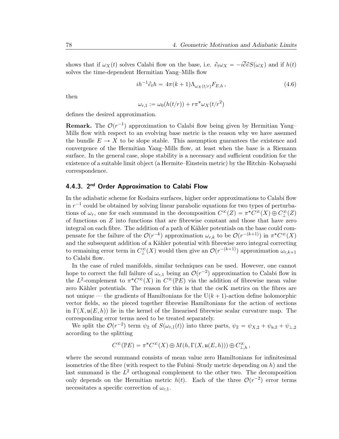shows that if  $\omega_X(t)$  solves Calabi flow on the base, i.e.  $\partial_t \omega_X = -i\overline{\partial} \partial S(\omega_X)$  and if  $h(t)$ solves the time-dependent Hermitian Yang–Mills flow

$$
ih^{-1}\partial_t h = 4\pi (k+1)\Lambda_{\omega_X(t/r)} F_{E,h}, \qquad (4.6)
$$

then

$$
\omega_{r,1} := \omega_0(h(t/r)) + r\pi^* \omega_X(t/r^2)
$$

defines the desired approximation.

**Remark.** The  $\mathcal{O}(r^{-1})$  approximation to Calabi flow being given by Hermitian Yang– Mills flow with respect to an evolving base metric is the reason why we have assumed the bundle  $E \to X$  to be slope stable. This assumption guarantees the existence and convergence of the Hermitian Yang–Mills flow, at least when the base is a Riemann surface. In the general case, slope stability is a necessary and sufficient condition for the existence of a suitable limit object (a Hermite–Einstein metric) by the Hitchin–Kobayashi correspondence.

#### 4.4.3. 2<sup>nd</sup> Order Approximation to Calabi Flow

In the adiabatic scheme for Kodaira surfaces, higher order approximations to Calabi flow in  $r^{-1}$  could be obtained by solving linear parabolic equations for two types of perturbations of  $\omega_r$ , one for each summand in the decomposition  $C^{\infty}(Z) = \pi^* C^{\infty}(X) \oplus C^{\infty}_{\perp}(Z)$ of functions on  $Z$  into functions that are fibrewise constant and those that have zero integral on each fibre. The addition of a path of Kähler potentials on the base could compensate for the failure of the  $\mathcal{O}(r^{-k})$  approximation  $\omega_{r,k}$  to be  $\mathcal{O}(r^{-(k+1)})$  in  $\pi^* C^{\infty}(X)$ and the subsequent addition of a Kähler potential with fibrewise zero integral correcting to remaining error term in  $C^{\infty}_{\perp}(X)$  would then give an  $\mathcal{O}(r^{-(k+1)})$  approximation  $\omega_{r,k+1}$ to Calabi flow.

In the case of ruled manifolds, similar techniques can be used. However, one cannot hope to correct the full failure of  $\omega_{r,1}$  being an  $\mathcal{O}(r^{-2})$  approximation to Calabi flow in the L<sup>2</sup>-complement to  $\pi^* C^{\infty}(X)$  in  $C^{\infty}(\mathbb{P} E)$  via the addition of fibrewise mean value zero Kähler potentials. The reason for this is that the cscK metrics on the fibres are not unique — the gradients of Hamiltonians for the  $U(k + 1)$ -action define holomorphic vector fields, so the pieced together fibrewise Hamiltonians for the action of sections in  $\Gamma(X, \mathfrak{u}(E, h))$  lie in the kernel of the linearised fibrewise scalar curvature map. The corresponding error terms need to be treated separately.

We split the  $\mathcal{O}(r^{-2})$  term  $\psi_2$  of  $S(\omega_{r,1}(t))$  into three parts,  $\psi_2 = \psi_{X,2} + \psi_{\mu,2} + \psi_{\mu,2}$ according to the splitting

$$
C^\infty(\mathbb{P} E) = \pi^* C^\infty(X) \oplus M(h, \Gamma(X, \mathfrak{u}(E, h))) \oplus C^\infty_{\perp, h},
$$

where the second summand consists of mean value zero Hamiltonians for infinitesimal isometries of the fibre (with respect to the Fubini–Study metric depending on  $h$ ) and the last summand is the  $L^2$  orthogonal complement to the other two. The decomposition only depends on the Hermitian metric  $h(t)$ . Each of the three  $\mathcal{O}(r^{-2})$  error terms necessitates a specific correction of  $\omega_{r,1}$ .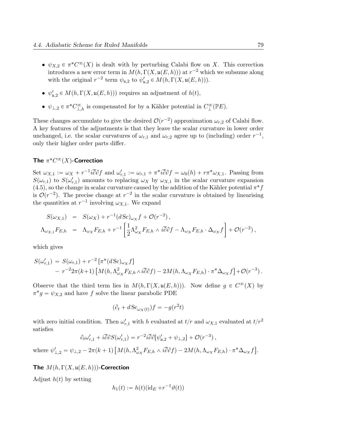- $\psi_{X,2} \in \pi^*C^{\infty}(X)$  is dealt with by perturbing Calabi flow on X. This correction introduces a new error term in  $M(h, \Gamma(X, \mathfrak{u}(E, h)))$  at  $r^{-2}$  which we subsume along with the original  $r^{-2}$  term  $\psi_{\mathfrak{u},2}$  to  $\psi_{\mathfrak{u},2}' \in M(h, \Gamma(X, \mathfrak{u}(E, h))).$
- $\psi'_{\mathfrak{u},2} \in M(h, \Gamma(X, \mathfrak{u}(E, h)))$  requires an adjustment of  $h(t)$ ,
- $\psi_{\perp,2} \in \pi^* C^{\infty}_{\perp,h}$  is compensated for by a Kähler potential in  $C^{\infty}_{\perp}(\mathbb{P}E)$ .

These changes accumulate to give the desired  $\mathcal{O}(r^{-2})$  approximation  $\omega_{r,2}$  of Calabi flow. A key features of the adjustments is that they leave the scalar curvature in lower order unchanged, i.e. the scalar curvatures of  $\omega_{r,1}$  and  $\omega_{r,2}$  agree up to (including) order  $r^{-1}$ , only their higher order parts differ.

### The  $\pi^* C^\infty(X)$ -Correction

Set  $\omega_{X,1} := \omega_X + r^{-1} i \overline{\partial} \partial f$  and  $\omega'_{r,1} := \omega_{r,1} + \pi^* i \overline{\partial} \partial f = \omega_0(h) + r \pi^* \omega_{X,1}$ . Passing from  $S(\omega_{r,1})$  to  $S(\omega_{r,1}')$  amounts to replacing  $\omega_X$  by  $\omega_{X,1}$  in the scalar curvature expansion  $(4.5)$ , so the change in scalar curvature caused by the addition of the Kähler potential  $\pi^* f$ is  $\mathcal{O}(r^{-2})$ . The precise change at  $r^{-2}$  in the scalar curvature is obtained by linearising the quantities at  $r^{-1}$  involving  $\omega_{X,1}$ . We expand

$$
S(\omega_{X,1}) = S(\omega_X) + r^{-1} (d \, \text{Sc})_{\omega_X} f + \mathcal{O}(r^{-2}),
$$
  

$$
\Lambda_{\omega_{X,1}} F_{E,h} = \Lambda_{\omega_X} F_{E,h} + r^{-1} \left[ \frac{1}{2} \Lambda_{\omega_X}^2 F_{E,h} \wedge i \overline{\partial} \partial f - \Lambda_{\omega_X} F_{E,h} \cdot \Delta_{\omega_X} f \right] + \mathcal{O}(r^{-2}),
$$

which gives

$$
S(\omega'_{r,1}) = S(\omega_{r,1}) + r^{-2} \left[ \pi^*(d \operatorname{Sc})_{\omega_X} f \right]
$$
  
- 
$$
r^{-2} 2\pi (k+1) \left[ M(h, \Lambda_{\omega_X}^2 F_{E,h} \wedge i\overline{\partial} \partial f) - 2M(h, \Lambda_{\omega_X} F_{E,h}) \cdot \pi^* \Delta_{\omega_X} f \right] + \mathcal{O}(r^{-3}).
$$

Observe that the third term lies in  $M(h, \Gamma(X, \mathfrak{u}(E, h)))$ . Now define  $g \in C^{\infty}(X)$  by  $\pi^* g = \psi_{X,2}$  and have f solve the linear parabolic PDE

$$
(\partial_t + d \, \text{Sc}_{\omega_X(t)})f = -g(r^2t)
$$

with zero initial condition. Then  $\omega'_{r,1}$  with h evaluated at  $t/r$  and  $\omega_{X,1}$  evaluated at  $t/r^2$ satisfies

$$
\partial_t \omega'_{r,1} + i \overline{\partial} \partial S(\omega'_{r,1}) = r^{-2} i \overline{\partial} \partial [\psi'_{\mathfrak{u},2} + \psi_{\perp,2}] + \mathcal{O}(r^{-3}),
$$

where  $\psi'_{\perp,2} = \psi_{\perp,2} - 2\pi(k+1)$  $M(h,\Lambda_{\omega_X}^2 F_{E,h} \wedge i\overline{\partial}\partial f) - 2M(h,\Lambda_{\omega_X} F_{E,h})\cdot \pi^*\Delta_{\omega_X} f$ ‰ .

The  $M(h, \Gamma(X, \mathfrak{u}(E, h)))$ -Correction

Adjust  $h(t)$  by setting

$$
h_1(t) := h(t)(\mathrm{id}_E + r^{-1}\vartheta(t))
$$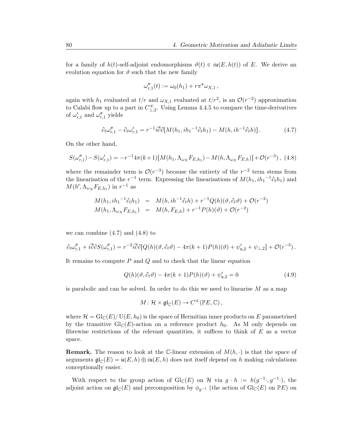for a family of  $h(t)$ -self-adjoint endomorphisms  $\vartheta(t) \in i\mathfrak{u}(E, h(t))$  of E. We derive an evolution equation for  $\vartheta$  such that the new family

$$
\omega''_{r,1}(t) := \omega_0(h_1) + r\pi^*\omega_{X,1},
$$

again with  $h_1$  evaluated at  $t/r$  and  $\omega_{X,1}$  evaluated at  $t/r^2$ , is an  $\mathcal{O}(r^{-2})$  approximation to Calabi flow up to a part in  $C_{\perp,2}^{\infty}$ . Using Lemma 4.4.5 to compare the time-derivatives of  $\omega_{r,1}'$  and  $\omega_{r,1}''$  yields

$$
\partial_t \omega_{r,1}'' - \partial_t \omega_{r,1}' = r^{-1} i \overline{\partial} \partial [M(h_1, ih_1^{-1} \partial_t h_1) - M(h, ih^{-1} \partial_t h)]. \tag{4.7}
$$

On the other hand,

$$
S(\omega_{r,1}^{"}) - S(\omega_{r,1}^{'}) = -r^{-1}4\pi(k+1)[M(h_1, \Lambda_{\omega_X}F_{E,h_1}) - M(h, \Lambda_{\omega_X}F_{E,h})] + \mathcal{O}(r^{-3}), \tag{4.8}
$$

where the remainder term is  $\mathcal{O}(r^{-3})$  because the entirety of the  $r^{-2}$  term stems from the linearisation of the  $r^{-1}$  term. Expressing the linearisations of  $M(h_1, ih_1^{-1}\partial_t h_1)$  and  $M(h', \Lambda_{\omega_X} F_{E,h_1})$  in  $r^{-1}$  as

$$
M(h_1, ih_1^{-1}\partial_t h_1) = M(h, ih^{-1}\partial_t h) + r^{-1}Q(h)(\vartheta, \partial_t \vartheta) + \mathcal{O}(r^{-2})
$$
  

$$
M(h_1, \Lambda_{\omega_X} F_{E, h_1}) = M(h, F_{E, h}) + r^{-1}P(h)(\vartheta) + \mathcal{O}(r^{-2})
$$

we can combine  $(4.7)$  and  $(4.8)$  to

$$
\partial_t \omega_{r,1}'' + i \overline{\partial} \partial S(\omega_{r,1}'') = r^{-2} i \overline{\partial} \partial [Q(h)(\vartheta, \partial_t \vartheta) - 4\pi (k+1) P(h)(\vartheta) + \psi_{\mathfrak{u},2}' + \psi_{\mathfrak{u},2}] + \mathcal{O}(r^{-3}).
$$

It remains to compute  $P$  and  $Q$  and to check that the linear equation

$$
Q(h)(\vartheta, \partial_t \vartheta) - 4\pi (k+1)P(h)(\vartheta) + \psi_{\mathfrak{u},2}' = 0 \qquad (4.9)
$$

is parabolic and can be solved. In order to do this we need to linearise  $M$  as a map

$$
M: \mathcal{H} \times \mathfrak{gl}_{\mathbb{C}}(E) \to C^{\infty}(\mathbb{P} E, \mathbb{C}),
$$

where  $\mathcal{H} = Gl_{\mathbb{C}}(E)/U(E, h_0)$  is the space of Hermitian inner products on E parametrised by the transitive  $\mathrm{Gl}_{\mathbb{C}}(E)$ -action on a reference product  $h_0$ . As M only depends on fibrewise restrictions of the relevant quantities, it suffices to think of  $E$  as a vector space.

**Remark.** The reason to look at the C-linear extension of  $M(h, \cdot)$  is that the space of arguments  $\mathfrak{gl}_{\mathbb{C}}(E) = \mathfrak{u}(E, h) \oplus i\mathfrak{u}(E, h)$  does not itself depend on h making calculations conceptionally easier.

With respect to the group action of  $\mathrm{Gl}_{\mathbb{C}}(E)$  on H via  $g \cdot h := h(g^{-1} \cdot, g^{-1} \cdot)$ , the adjoint action on  $\mathfrak{gl}_{\mathbb{C}}(E)$  and precomposition by  $\phi_{q^{-1}}$  (the action of  $\text{Gl}_{\mathbb{C}}(E)$  on  $\mathbb{P}E$ ) on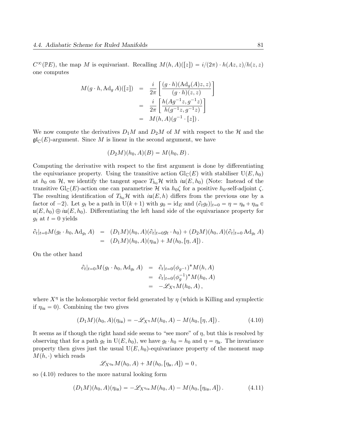$C^{\infty}(\mathbb{P} E)$ , the map M is equivariant. Recalling  $M(h, A)([z]) = i/(2\pi) \cdot h(Az, z)/h(z, z)$ one computes

$$
M(g \cdot h, \text{Ad}_g A)([z]) = \frac{i}{2\pi} \left[ \frac{(g \cdot h)(\text{Ad}_g(A)z, z)}{(g \cdot h)(z, z)} \right]
$$
  
= 
$$
\frac{i}{2\pi} \left[ \frac{h(Ag^{-1}z, g^{-1}z)}{h(g^{-1}z, g^{-1}z)} \right]
$$
  
= 
$$
M(h, A)(g^{-1} \cdot [z]).
$$

We now compute the derivatives  $D_1M$  and  $D_2M$  of M with respect to the H and the  $\mathfrak{gl}_{\mathbb{C}}(E)$ -argument. Since M is linear in the second argument, we have

$$
(D_2M)(h_0, A)(B) = M(h_0, B).
$$

Computing the derivative with respect to the first argument is done by differentiating the equivariance property. Using the transitive action  $Gl_{\mathbb{C}}(E)$  with stabiliser  $U(E, h_0)$ at  $h_0$  on H, we identify the tangent space  $T_{h_0}\mathcal{H}$  with  $i\mathfrak{u}(E, h_0)$  (Note: Instead of the transitive Gl<sub>C</sub>(E)-action one can parametrise H via  $h_0\zeta$  for a positive h<sub>0</sub>-self-adjoint  $\zeta$ . The resulting identification of  $T_{h_0}\mathcal{H}$  with  $i\mathfrak{u}(E, h)$  differs from the previous one by a factor of  $-2$ ). Let  $g_t$  be a path in  $U(k + 1)$  with  $g_0 = id_E$  and  $(\partial_t g_t)|_{t=0} = \eta = \eta_u + \eta_{iu}$  $\mathfrak{u}(E, h_0) \oplus i\mathfrak{u}(E, h_0)$ . Differentiating the left hand side of the equivariance property for  $g_t$  at  $t = 0$  yields

$$
\partial_t|_{t=0}M(g_t \cdot h_0, \text{Ad}_{g_t} A) = (D_1M)(h_0, A)(\partial_t|_{t=0}g_t \cdot h_0) + (D_2M)(h_0, A)(\partial_t|_{t=0} \text{Ad}_{g_t} A) \n= (D_1M)(h_0, A)(\eta_{\text{iu}}) + M(h_0, [\eta, A]).
$$

On the other hand

$$
\partial_t|_{t=0}M(g_t \cdot h_0, \text{Ad}_{g_t} A) = \partial_t|_{t=0} (\phi_{g^{-1}})^* M(h, A)
$$
  
=  $\partial_t|_{t=0} (\phi_g^{-1})^* M(h_0, A)$   
=  $-\mathscr{L}_{X^n}M(h_0, A),$ 

where  $X^{\eta}$  is the holomorphic vector field generated by  $\eta$  (which is Killing and symplectic if  $\eta_{i\mu} = 0$ ). Combining the two gives

$$
(D_1M)(h_0, A)(\eta_{\rm in}) = -\mathscr{L}_{X^{\eta}}M(h_0, A) - M(h_0, [\eta, A]). \qquad (4.10)
$$

It seems as if though the right hand side seems to "see more" of  $\eta$ , but this is resolved by observing that for a path  $g_t$  in  $U(E, h_0)$ , we have  $g_t \cdot h_0 = h_0$  and  $\eta = \eta_u$ . The invariance property then gives just the usual  $U(E, h_0)$ -equivariance property of the moment map  $M(h, \cdot)$  which reads

$$
\mathscr{L}_{X^{\eta_{\mathfrak{u}}}M(h_0,A)+M(h_0,[\eta_{\mathfrak{u}},A])=0\,,
$$

so (4.10) reduces to the more natural looking form

$$
(D_1M)(h_0, A)(\eta_{\rm in}) = -\mathscr{L}_{X^{\eta_{\rm in}}} M(h_0, A) - M(h_0, [\eta_{\rm in}, A]). \tag{4.11}
$$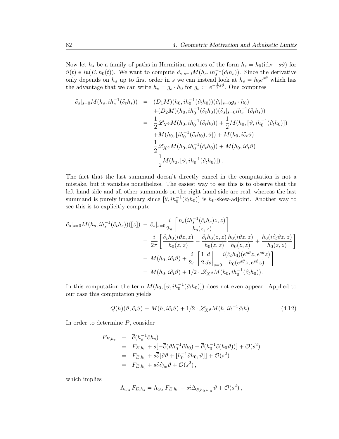Now let  $h_s$  be a family of paths in Hermitian metrics of the form  $h_s = h_0(\mathrm{id}_E + s\vartheta)$  for  $\vartheta(t) \in i\mathfrak{u}(E, h_0(t))$ . We want to compute  $\partial_s|_{s=0}M(h_s, i h_s^{-1}(\partial_t h_s))$ . Since the derivative only depends on  $h_s$  up to first order in s we can instead look at  $h_s = h_0 e^{s\vartheta}$  which has the advantage that we can write  $h_s = g_s \cdot h_0$  for  $g_s := e^{-\frac{1}{2} s \vartheta}$ . One computes

$$
\partial_s|_{s=0}M(h_s,ih_s^{-1}(\partial_t h_s)) = (D_1M)(h_0,ih_0^{-1}(\partial_t h_0))(\partial_s|_{s=0}g_s \cdot h_0) \n+ (D_2M)(h_0,ih_0^{-1}(\partial_t h_0))(\partial_s|_{s=0}ih_s^{-1}(\partial_t h_s)) \n= \frac{1}{2}\mathscr{L}_{X^{\vartheta}}M(h_0,ih_0^{-1}(\partial_t h_0)) + \frac{1}{2}M(h_0,[\vartheta,ih_0^{-1}(\partial_t h_0)]) \n+ M(h_0,[ih_0^{-1}(\partial_t h_0),\vartheta]) + M(h_0,i\partial_t\vartheta) \n= \frac{1}{2}\mathscr{L}_{X^{\vartheta}}M(h_0,ih_0^{-1}(\partial_t h_0)) + M(h_0,i\partial_t\vartheta) \n- \frac{1}{2}M(h_0,[\vartheta,ih_0^{-1}(\partial_t h_0)]).
$$

The fact that the last summand doesn't directly cancel in the computation is not a mistake, but it vanishes nonetheless. The easiest way to see this is to observe that the left hand side and all other summands on the right hand side are real, whereas the last summand is purely imaginary since  $[\theta, ih_0^{-1}(\partial_t h_0)]$  is  $h_0$ -skew-adjoint. Another way to see this is to explicitly compute

$$
\partial_s|_{s=0}M(h_s,ih_s^{-1}(\partial_t h_s))([z]) = \partial_s|_{s=0}\frac{i}{2\pi}\left[\frac{h_s(ih_s^{-1}(\partial_t h_s)z,z)}{h_s(z,z)}\right]
$$
  
\n
$$
= \frac{i}{2\pi}\left[\frac{\partial_t h_0(i\vartheta z,z)}{h_0(z,z)} - \frac{\partial_t h_0(z,z)}{h_0(z,z)}\frac{h_0(i\vartheta z,z)}{h_0(z,z)} + \frac{h_0(i\partial_t \vartheta z,z)}{h_0(z,z)}\right]
$$
  
\n
$$
= M(h_0,i\partial_t \vartheta) + \frac{i}{2\pi}\left[\frac{1}{2}\frac{d}{ds}\Big|_{s=0}\frac{i(\partial_t h_0)(e^{s\vartheta}z,e^{s\vartheta}z)}{h_0(e^{s\vartheta}z,e^{s\vartheta}z)}\right]
$$
  
\n
$$
= M(h_0,i\partial_t \vartheta) + 1/2 \cdot \mathscr{L}_{X^{\vartheta}}M(h_0,ih_0^{-1}(\partial_t h_0)).
$$

In this computation the term  $M(h_0, [\vartheta, ih_0^{-1}(\partial_t h_0)])$  does not even appear. Applied to our case this computation yields

$$
Q(h)(\vartheta, \partial_t \vartheta) = M(h, i\partial_t \vartheta) + 1/2 \cdot \mathscr{L}_{X^{\vartheta}} M(h, i h^{-1} \partial_t h).
$$
 (4.12)

In order to determine  $P$ , consider

$$
F_{E,h_s} = \overline{\partial}(h_s^{-1}\partial h_s)
$$
  
=  $F_{E,h_0} + s[-\overline{\partial}(\vartheta h_0^{-1}\partial h_0) + \overline{\partial}(h_0^{-1}\partial(h_0\vartheta))] + \mathcal{O}(s^2)$   
=  $F_{E,h_0} + s\overline{\partial}[\partial \vartheta + [h_0^{-1}\partial h_0, \vartheta]] + \mathcal{O}(s^2)$   
=  $F_{E,h_0} + s\overline{\partial}\partial_{h_0}\vartheta + \mathcal{O}(s^2)$ ,

which implies

$$
\Lambda_{\omega_X} F_{E,h_s} = \Lambda_{\omega_X} F_{E,h_0} - si \Delta_{\overline{\partial},h_0,\omega_X} \vartheta + \mathcal{O}(s^2) ,
$$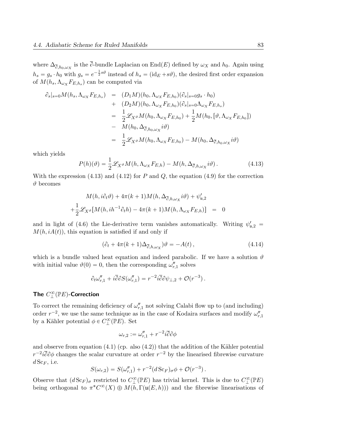where  $\Delta_{\overline{\partial},h_0,\omega_X}$  is the  $\partial$ -bundle Laplacian on End $(E)$  defined by  $\omega_X$  and  $h_0$ . Again using  $h_s = g_s \cdot h_0$  with  $g_s = e^{-\frac{1}{2}s\vartheta}$  instead of  $h_s = (\text{id}_E + s\vartheta)$ , the desired first order expansion of  $M(h_s, \Lambda_{\omega_X} F_{E,h_s})$  can be computed via

$$
\partial_s|_{s=0}M(h_s, \Lambda_{\omega_X}F_{E,h_s}) = (D_1M)(h_0, \Lambda_{\omega_X}F_{E,h_0})(\partial_s|_{s=0}g_s \cdot h_0)
$$
  
+ 
$$
(D_2M)(h_0, \Lambda_{\omega_X}F_{E,h_0})(\partial_s|_{s=0}\Lambda_{\omega_X}F_{E,h_s})
$$
  
= 
$$
\frac{1}{2}\mathscr{L}_{X^{\vartheta}}M(h_0, \Lambda_{\omega_X}F_{E,h_0}) + \frac{1}{2}M(h_0, [\vartheta, \Lambda_{\omega_X}F_{E,h_0}])
$$
  
- 
$$
M(h_0, \Delta_{\overline{\partial}, h_0, \omega_X}i\vartheta)
$$
  
= 
$$
\frac{1}{2}\mathscr{L}_{X^{\vartheta}}M(h_0, \Lambda_{\omega_X}F_{E,h_0}) - M(h_0, \Delta_{\overline{\partial}, h_0, \omega_X}i\vartheta)
$$

which yields

$$
P(h)(\vartheta) = \frac{1}{2} \mathcal{L}_{X^{\vartheta}} M(h, \Lambda_{\omega_X} F_{E,h}) - M(h, \Delta_{\overline{\partial}, h, \omega_X} i\vartheta).
$$
 (4.13)

With the expression  $(4.13)$  and  $(4.12)$  for P and Q, the equation  $(4.9)$  for the correction  $\vartheta$  becomes

$$
M(h, i\partial_t \vartheta) + 4\pi (k+1)M(h, \Delta_{\overline{\partial}, h, \omega_X} i\vartheta) + \psi'_{\mathfrak{u}, 2}
$$
  
+ 
$$
\frac{1}{2} \mathscr{L}_{X^{\vartheta}}[M(h, i h^{-1} \partial_t h) - 4\pi (k+1)M(h, \Lambda_{\omega_X} F_{E, h})] = 0
$$

and in light of (4.6) the Lie-derivative term vanishes automatically. Writing  $\psi'_{\mu,2}$  $M(h, iA(t))$ , this equation is satisfied if and only if

$$
(\partial_t + 4\pi(k+1)\Delta_{\overline{\partial},h,\omega_X})\vartheta = -A(t)\,,\tag{4.14}
$$

which is a bundle valued heat equation and indeed parabolic. If we have a solution  $\vartheta$ with initial value  $\vartheta(0) = 0$ , then the corresponding  $\omega_{r,1}''$  solves

$$
\partial_t \omega_{r,1}'' + i \overline{\partial} \partial S(\omega_{r,1}'') = r^{-2} i \overline{\partial} \partial \psi_{\perp,2} + \mathcal{O}(r^{-3}).
$$

## The  $C^{\infty}_{\perp}(\mathbb{P}E)$ -Correction

To correct the remaining deficiency of  $\omega_{r,1}''$  not solving Calabi flow up to (and including) order  $r^{-2}$ , we use the same technique as in the case of Kodaira surfaces and modify  $\omega_{r,1}''$ by a Kähler potential  $\phi \in C^{\infty}_{\perp}(\mathbb{P}E)$ . Set

$$
\omega_{r,2} := \omega_{r,1}'' + r^{-2} i \overline{\partial} \partial \phi
$$

and observe from equation  $(4.1)$  (cp. also  $(4.2)$ ) that the addition of the Kähler potential  $r^{-2}i\overline{\partial}\partial\phi$  changes the scalar curvature at order  $r^{-2}$  by the linearised fibrewise curvature  $d\mathrm{Sc}_F$ , i.e.

$$
S(\omega_{r,2})=S(\omega_{r,1}^{\prime\prime})+r^{-2}(d\operatorname{Sc}_F)_{\sigma}\phi+\mathcal{O}(r^{-3}).
$$

Observe that  $(d \, Sc_F)_{\sigma}$  restricted to  $C^{\infty}_{\perp}(\mathbb{P}E)$  has trivial kernel. This is due to  $C^{\infty}_{\perp}(\mathbb{P}E)$ being orthogonal to  $\pi^* C^{\infty}(X) \oplus M(h, \Gamma(\mathfrak{u}(E, h)))$  and the fibrewise linearisations of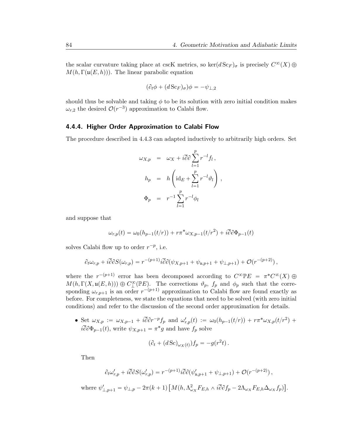the scalar curvature taking place at cscK metrics, so  $\ker(d\operatorname{Sc}_F)_{\sigma}$  is precisely  $C^{\infty}(X)\oplus$  $M(h, \Gamma(\mathfrak{u}(E, h)))$ . The linear parabolic equation

$$
(\partial_t \phi + (d \, \text{Sc}_F)_{\sigma}) \phi = -\psi_{\perp,2}
$$

should thus be solvable and taking  $\phi$  to be its solution with zero initial condition makes  $\omega_{r,2}$  the desired  $\mathcal{O}(r^{-3})$  approximation to Calabi flow.

#### 4.4.4. Higher Order Approximation to Calabi Flow

The procedure described in 4.4.3 can adapted inductively to arbitrarily high orders. Set

$$
\omega_{X,p} = \omega_X + i \overline{\partial} \partial \sum_{l=1}^p r^{-l} f_l,
$$
  
\n
$$
h_p = h \left( i d_E + \sum_{l=1}^p r^{-l} \partial_l \right),
$$
  
\n
$$
\Phi_p = r^{-1} \sum_{l=1}^p r^{-l} \phi_l
$$

and suppose that

$$
\omega_{r,p}(t) = \omega_0(h_{p-1}(t/r)) + r\pi^* \omega_{X,p-1}(t/r^2) + i\overline{\partial}\partial\Phi_{p-1}(t)
$$

solves Calabi flow up to order  $r^{-p}$ , i.e.

$$
\partial_t \omega_{r,p} + i \overline{\partial} \partial S(\omega_{r,p}) = r^{-(p+1)} i \overline{\partial} \partial (\psi_{X,p+1} + \psi_{\mathfrak{u},p+1} + \psi_{\perp,p+1}) + \mathcal{O}(r^{-(p+2)}),
$$

where the  $r^{-(p+1)}$  error has been decomposed according to  $C^{\infty} \mathbb{P} E = \pi^* C^{\infty}(X) \oplus$  $M(h, \Gamma(X, \mathfrak{u}(E, h))) \oplus C^{\infty}_{\perp}(\mathbb{P}E)$ . The corrections  $\vartheta_p$ ,  $f_p$  and  $\phi_p$  such that the corresponding  $\omega_{r,p+1}$  is an order  $r^{-(p+1)}$  approximation to Calabi flow are found exactly as before. For completeness, we state the equations that need to be solved (with zero initial conditions) and refer to the discussion of the second order approximation for details.

• Set  $\omega_{X,p} := \omega_{X,p-1} + i \overline{\partial} \partial r^{-p} f_p$  and  $\omega'_{r,p}(t) := \omega_0(h_{p-1}(t/r)) + r \pi^* \omega_{X,p}(t/r^2) +$  $i\overline{\partial}\partial\Phi_{p-1}(t)$ , write  $\psi_{X,p+1} = \pi^*g$  and have  $f_p$  solve

$$
(\partial_t + (d\,\text{Sc})_{\omega_X(t)})f_p = -g(r^2t).
$$

Then

$$
\partial_t \omega'_{r,p} + i \overline{\partial} \partial S(\omega'_{r,p}) = r^{-(p+1)} i \overline{\partial} \partial (\psi'_{\mathfrak{u},p+1} + \psi_{\mathfrak{u},p+1}) + \mathcal{O}(r^{-(p+2)}),
$$

where  $\psi'_{\perp, p+1} = \psi_{\perp, p} - 2\pi(k+1)$ "  $M(h,\Lambda_{\omega_X}^2F_{E,h}\wedge i\overline{\partial}\partial f_p-2\Lambda_{\omega_X}F_{E,h}\Delta_{\omega_X}f_p)$ ‰ .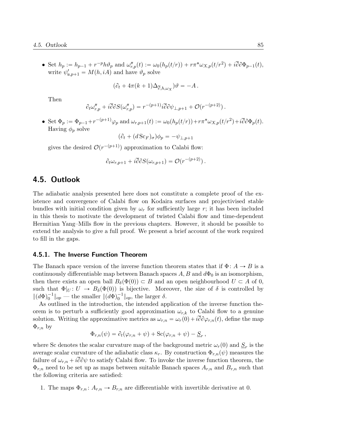• Set  $h_p := h_{p-1} + r^{-p}h\vartheta_p$  and  $\omega_{r,p}''(t) := \omega_0(h_p(t/r)) + r\pi^*\omega_{X,p}(t/r^2) + i\overline{\partial}\partial\Phi_{p-1}(t)$ , write  $\psi_{\mathfrak{u},p+1}' = M(h, iA)$  and have  $\vartheta_p$  solve

$$
(\partial_t + 4\pi(k+1)\Delta_{\overline{\partial},h,\omega_X})\vartheta = -A.
$$

Then

$$
\partial_t \omega_{r,p}'' + i \overline{\partial} \partial S(\omega_{r,p}'') = r^{-(p+1)} i \overline{\partial} \partial \psi_{\perp,p+1} + \mathcal{O}(r^{-(p+2)})\,.
$$

• Set  $\Phi_p := \Phi_{p-1} + r^{-(p+1)}\varphi_p$  and  $\omega_{r,p+1}(t) := \omega_0(h_p(t/r)) + r\pi^*\omega_{X,p}(t/r^2) + i\overline{\partial}\partial\Phi_p(t)$ . Having  $\phi_p$  solve

$$
(\partial_t + (d \, \text{Sc}_F)_{\sigma}) \phi_p = -\psi_{\perp, p+1}
$$

gives the desired  $\mathcal{O}(r^{-(p+1)})$  approximation to Calabi flow:

$$
\partial_t \omega_{r,p+1} + i \overline{\partial} \partial S(\omega_{r,p+1}) = \mathcal{O}(r^{-(p+2)})\,.
$$

### 4.5. Outlook

The adiabatic analysis presented here does not constitute a complete proof of the existence and convergence of Calabi flow on Kodaira surfaces and projectivised stable bundles with initial condition given by  $\omega_r$  for sufficiently large r; it has been included in this thesis to motivate the development of twisted Calabi flow and time-dependent Hermitian Yang–Mills flow in the previous chapters. However, it should be possible to extend the analysis to give a full proof. We present a brief account of the work required to fill in the gaps.

#### 4.5.1. The Inverse Function Theorem

The Banach space version of the inverse function theorem states that if  $\Phi: A \to B$  is a continuously differentiable map between Banach spaces  $A, B$  and  $d\Phi_0$  is an isomorphism, then there exists an open ball  $B_\delta(\Phi(0)) \subset B$  and an open neighbourhood  $U \subset A$  of 0, such that  $\Phi|_U: U \to B_\delta(\Phi(0))$  is bijective. Moreover, the size of  $\delta$  is controlled by  $\|(d\Phi)_0^{-1}\|_{op}$  — the smaller  $\|(d\Phi)_0^{-1}\|_{op}$ , the larger  $\delta$ .

As outlined in the introduction, the intended application of the inverse function theorem is to perturb a sufficiently good approximation  $\omega_{r,k}$  to Calabi flow to a genuine solution. Writing the approximative metrics as  $\omega_{r,n} = \omega_r(0) + i\overline{\partial}\partial\varphi_{r,n}(t)$ , define the map  $\Phi_{r,n}$  by

$$
\Phi_{r,n}(\psi) = \partial_t(\varphi_{r,n} + \psi) + \text{Sc}(\varphi_{r,n} + \psi) - \underline{S}_r,
$$

where Sc denotes the scalar curvature map of the background metric  $\omega_r(0)$  and  $\underline{S}_r$  is the average scalar curvature of the adiabatic class  $\kappa_r$ . By construction  $\Phi_{r,n}(\psi)$  measures the failure of  $\omega_{r,n} + i\overline{\partial}\partial\psi$  to satisfy Calabi flow. To invoke the inverse function theorem, the  $\Phi_{r,n}$  need to be set up as maps between suitable Banach spaces  $A_{r,n}$  and  $B_{r,n}$  such that the following criteria are satisfied:

1. The maps  $\Phi_{r,n} : A_{r,n} \to B_{r,n}$  are differentiable with invertible derivative at 0.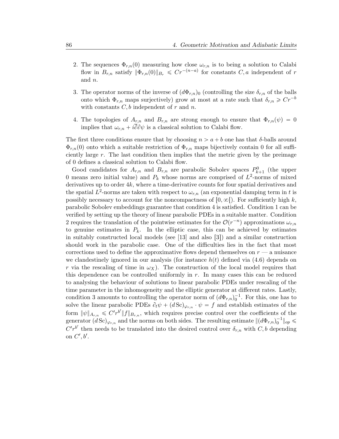- 2. The sequences  $\Phi_{r,n}(0)$  measuring how close  $\omega_{r,n}$  is to being a solution to Calabi flow in  $B_{r,n}$  satisfy  $\|\Phi_{r,n}(0)\|_{B_r} \leqslant Cr^{-(n-a)}$  for constants  $C, a$  independent of r and n.
- 3. The operator norms of the inverse of  $(d\Phi_{r,n})_0$  (controlling the size  $\delta_{r,n}$  of the balls onto which  $\Phi_{r,n}$  maps surjectively) grow at most at a rate such that  $\delta_{r,n} \geqslant Cr^{-b}$ with constants  $C, b$  independent of r and n.
- 4. The topologies of  $A_{r,n}$  and  $B_{r,n}$  are strong enough to ensure that  $\Phi_{r,n}(\psi) = 0$ implies that  $\omega_{r,n} + i\partial\partial\psi$  is a classical solution to Calabi flow.

The first three conditions ensure that by choosing  $n > a + b$  one has that  $\delta$ -balls around  $\Phi_{r,n}(0)$  onto which a suitable restriction of  $\Phi_{r,n}$  maps bijectively contain 0 for all sufficiently large  $r$ . The last condition then implies that the metric given by the preimage of 0 defines a classical solution to Calabi flow.

Good candidates for  $A_{r,n}$  and  $B_{r,n}$  are parabolic Sobolev spaces  $P_{k+1}^0$  (the upper 0 means zero initial value) and  $P_k$  whose norms are comprised of  $L^2$ -norms of mixed derivatives up to order 4k, where a time-derivative counts for four spatial derivatives and the spatial  $L^2$ -norms are taken with respect to  $\omega_{r,n}$  (an exponential damping term in t is possibly necessary to account for the noncompactness of  $[0, \infty)$ . For sufficiently high k, parabolic Sobolev embeddings guarantee that condition 4 is satisfied. Condition 1 can be verified by setting up the theory of linear parabolic PDEs in a suitable matter. Condition 2 requires the translation of the pointwise estimates for the  $\mathcal{O}(r^{-n})$  approximations  $\omega_{r,n}$ to genuine estimates in  $P_k$ . In the elliptic case, this can be achieved by estimates in suitably constructed local models (see  $[13]$  and also  $[3]$ ) and a similar construction should work in the parabolic case. One of the difficulties lies in the fact that most corrections used to define the approximative flows depend themselves on  $r - a$  nuisance we clandestinely ignored in our analysis (for instance  $h(t)$  defined via (4.6) depends on r via the rescaling of time in  $\omega_X$ ). The construction of the local model requires that this dependence can be controlled uniformly in  $r$ . In many cases this can be reduced to analysing the behaviour of solutions to linear parabolic PDEs under rescaling of the time parameter in the inhomogeneity and the elliptic generator at different rates. Lastly, condition 3 amounts to controlling the operator norm of  $(d\Phi_{r,n})_0^{-1}$ . For this, one has to solve the linear parabolic PDEs  $\partial_t \psi + (d \, \text{Sc})_{\varphi_{r,n}} \cdot \psi = f$  and establish estimates of the form  $\|\psi\|_{A_{r,n}} \leqslant C'r^{b'}\|f\|_{B_{r,n}}$ , which requires precise control over the coefficients of the generator  $(d\, \text{Sc})_{\varphi_{r,n}}$  and the norms on both sides. The resulting estimate  $\|(d\Phi_{r,n})_0^{-1}\|_{op} \leq$  $C'r^{b'}$  then needs to be translated into the desired control over  $\delta_{r,n}$  with  $C, b$  depending on  $C', b'.$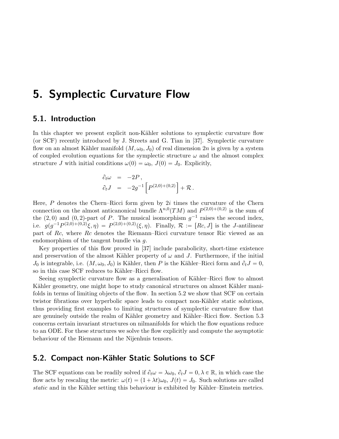# 5. Symplectic Curvature Flow

### 5.1. Introduction

In this chapter we present explicit non-Kähler solutions to symplectic curvature flow (or SCF) recently introduced by J. Streets and G. Tian in [37]. Symplectic curvature flow on an almost Kähler manifold  $(M, \omega_0, J_0)$  of real dimension 2n is given by a system of coupled evolution equations for the symplectic structure  $\omega$  and the almost complex structure J with initial conditions  $\omega(0) = \omega_0$ ,  $J(0) = J_0$ . Explicitly,

$$
\begin{array}{rcl}\n\partial_t \omega &=& -2P \,, \\
\partial_t J &=& -2g^{-1} \left[ P^{(2,0)+(0,2)} \right] + \mathcal{R} \, .\n\end{array}
$$

Here,  $P$  denotes the Chern–Ricci form given by  $2i$  times the curvature of the Chern connection on the almost anticanonical bundle  $\Lambda^{n,0}(TM)$  and  $P^{(2,0)+(0,2)}$  is the sum of the  $(2, 0)$  and  $(0, 2)$ -part of P. The musical isomorphism  $g^{-1}$  raises the second index, i.e.  $g(g^{-1}P^{(2,0)+(0,2)}\xi,\eta) = P^{(2,0)+(0,2)}(\xi,\eta)$ . Finally,  $\mathcal{R} := [Rc,J]$  is the J-antilinear part of Rc, where Rc denotes the Riemann–Ricci curvature tensor Ric viewed as an endomorphism of the tangent bundle via g.

Key properties of this flow proved in [37] include parabolicity, short-time existence and preservation of the almost Kähler property of  $\omega$  and J. Furthermore, if the initial  $J_0$  is integrable, i.e.  $(M, \omega_0, J_0)$  is Kähler, then P is the Kähler–Ricci form and  $\partial_t J = 0$ , so in this case SCF reduces to Kähler–Ricci flow.

Seeing symplectic curvature flow as a generalisation of Kähler–Ricci flow to almost Kähler geometry, one might hope to study canonical structures on almost Kähler manifolds in terms of limiting objects of the flow. In section 5.2 we show that SCF on certain twistor fibrations over hyperbolic space leads to compact non-Kähler static solutions, thus providing first examples to limiting structures of symplectic curvature flow that are genuinely outside the realm of Kähler geometry and Kähler–Ricci flow. Section 5.3 concerns certain invariant structures on nilmanifolds for which the flow equations reduce to an ODE. For these structures we solve the flow explicitly and compute the asymptotic behaviour of the Riemann and the Nijenhuis tensors.

### 5.2. Compact non-Kähler Static Solutions to SCF

The SCF equations can be readily solved if  $\partial_t \omega = \lambda \omega_0$ ,  $\partial_t J = 0, \lambda \in \mathbb{R}$ , in which case the flow acts by rescaling the metric:  $\omega(t) = (1 + \lambda t)\omega_0$ ,  $J(t) = J_0$ . Such solutions are called static and in the Kähler setting this behaviour is exhibited by Kähler–Einstein metrics.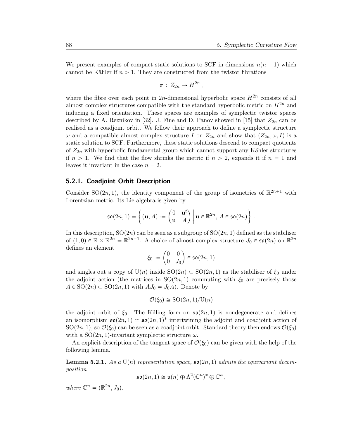We present examples of compact static solutions to SCF in dimensions  $n(n + 1)$  which cannot be Kähler if  $n > 1$ . They are constructed from the twistor fibrations

$$
\pi\,:\,Z_{2n}\to H^{2n}\,,
$$

where the fibre over each point in 2n-dimensional hyperbolic space  $H^{2n}$  consists of all almost complex structures compatible with the standard hyperbolic metric on  $H^{2n}$  and inducing a fixed orientation. These spaces are examples of symplectic twistor spaces described by A. Reznikov in [32]. J. Fine and D. Panov showed in [15] that  $Z_{2n}$  can be realised as a coadjoint orbit. We follow their approach to define a symplectic structure  $\omega$  and a compatible almost complex structure I on  $Z_{2n}$  and show that  $(Z_{2n}, \omega, I)$  is a static solution to SCF. Furthermore, these static solutions descend to compact quotients of  $Z_{2n}$  with hyperbolic fundamental group which cannot support any Kähler structures if  $n > 1$ . We find that the flow shrinks the metric if  $n > 2$ , expands it if  $n = 1$  and leaves it invariant in the case  $n = 2$ .

#### 5.2.1. Coadjoint Orbit Description

Consider SO(2n, 1), the identity component of the group of isometries of  $\mathbb{R}^{2n+1}$  with Lorentzian metric. Its Lie algebra is given by

$$
\mathfrak{so}(2n,1) = \left\{ (\mathbf{u}, A) := \begin{pmatrix} 0 & \mathbf{u}^t \\ \mathbf{u} & A \end{pmatrix} \middle| \mathbf{u} \in \mathbb{R}^{2n}, A \in \mathfrak{so}(2n) \right\}.
$$

In this description,  $SO(2n)$  can be seen as a subgroup of  $SO(2n, 1)$  defined as the stabiliser of  $(1,0) \in \mathbb{R} \times \mathbb{R}^{2n} = \mathbb{R}^{2n+1}$ . A choice of almost complex structure  $J_0 \in \mathfrak{so}(2n)$  on  $\mathbb{R}^{2n}$ defines an element

$$
\xi_0 := \begin{pmatrix} 0 & 0 \\ 0 & J_0 \end{pmatrix} \in \mathfrak{so}(2n, 1)
$$

and singles out a copy of  $U(n)$  inside  $SO(2n) \subset SO(2n, 1)$  as the stabiliser of  $\xi_0$  under the adjoint action (the matrices in  $SO(2n, 1)$  commuting with  $\xi_0$  are precisely those  $A \in SO(2n) \subset SO(2n, 1)$  with  $AJ_0 = J_0A$ . Denote by

$$
\mathcal{O}(\xi_0) \cong \text{SO}(2n,1)/\text{U}(n)
$$

the adjoint orbit of  $\xi_0$ . The Killing form on  $\mathfrak{so}(2n, 1)$  is nondegenerate and defines an isomorphism  $\mathfrak{so}(2n,1) \cong \mathfrak{so}(2n,1)^*$  intertwining the adjoint and coadjoint action of  $SO(2n, 1)$ , so  $\mathcal{O}(\xi_0)$  can be seen as a coadjoint orbit. Standard theory then endows  $\mathcal{O}(\xi_0)$ with a  $SO(2n, 1)$ -invariant symplectic structure  $\omega$ .

An explicit description of the tangent space of  $\mathcal{O}(\xi_0)$  can be given with the help of the following lemma.

**Lemma 5.2.1.** As a  $U(n)$  representation space,  $\mathfrak{so}(2n, 1)$  admits the equivariant decomposition

$$
\mathfrak{so}(2n,1) \cong \mathfrak{u}(n) \oplus \Lambda^2(\mathbb{C}^n)^* \oplus \mathbb{C}^n,
$$

where  $\mathbb{C}^n = (\mathbb{R}^{2n}, J_0)$ .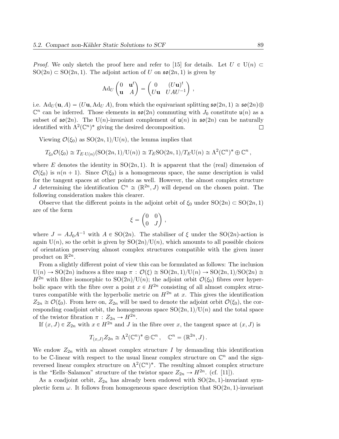*Proof.* We only sketch the proof here and refer to [15] for details. Let  $U \in U(n)$  $SO(2n) \subset SO(2n, 1)$ . The adjoint action of U on  $\mathfrak{so}(2n, 1)$  is given by

$$
\mathrm{Ad}_U \begin{pmatrix} 0 & \mathbf{u}^t \\ \mathbf{u} & A \end{pmatrix} = \begin{pmatrix} 0 & (U\mathbf{u})^t \\ U\mathbf{u} & UAU^{-1} \end{pmatrix},
$$

i.e.  $\text{Ad}_U(\mathbf{u}, A) = (U\mathbf{u}, \text{Ad}_U A)$ , from which the equivariant splitting  $\mathfrak{so}(2n, 1) \cong \mathfrak{so}(2n) \oplus$  $\mathbb{C}^n$  can be inferred. Those elements in  $\mathfrak{so}(2n)$  commuting with  $J_0$  constitute  $\mathfrak{u}(n)$  as a subset of  $\mathfrak{so}(2n)$ . The U(n)-invariant complement of  $\mathfrak{u}(n)$  in  $\mathfrak{so}(2n)$  can be naturally identified with  $\Lambda^2(\mathbb{C}^n)^*$  giving the desired decomposition.  $\Box$ 

Viewing  $\mathcal{O}(\xi_0)$  as  $\text{SO}(2n, 1)/\text{U}(n)$ , the lemma implies that

$$
T_{\xi_0} \mathcal{O}(\xi_0) \cong T_{E \cdot U(n)}(\mathrm{SO}(2n,1)/U(n)) \cong T_E \mathrm{SO}(2n,1)/T_E \mathrm{U}(n) \cong \Lambda^2(\mathbb{C}^n)^* \oplus \mathbb{C}^n,
$$

where E denotes the identity in  $SO(2n, 1)$ . It is apparent that the (real) dimension of  $\mathcal{O}(\xi_0)$  is  $n(n + 1)$ . Since  $\mathcal{O}(\xi_0)$  is a homogeneous space, the same description is valid for the tangent spaces at other points as well. However, the almost complex structure J determining the identification  $\mathbb{C}^n \cong (\mathbb{R}^{2n}, J)$  will depend on the chosen point. The following consideration makes this clearer.

Observe that the different points in the adjoint orbit of  $\xi_0$  under  $SO(2n) \subset SO(2n, 1)$ are of the form

$$
\xi = \begin{pmatrix} 0 & 0 \\ 0 & J \end{pmatrix} ,
$$

where  $J = AJ_0A^{-1}$  with  $A \in SO(2n)$ . The stabiliser of  $\xi$  under the SO(2n)-action is again  $U(n)$ , so the orbit is given by  $SO(2n)/U(n)$ , which amounts to all possible choices of orientation preserving almost complex structures compatible with the given inner product on  $\mathbb{R}^{2n}$ .

From a slightly different point of view this can be formulated as follows: The inclusion  $U(n) \to SO(2n)$  induces a fibre map  $\pi : \mathcal{O}(\xi) \cong SO(2n, 1)/U(n) \to SO(2n, 1)/SO(2n) \cong$  $H^{2n}$  with fibre isomorphic to  $SO(2n)/U(n)$ ; the adjoint orbit  $\mathcal{O}(\xi_0)$  fibres over hyperbolic space with the fibre over a point  $x \in H^{2n}$  consisting of all almost complex structures compatible with the hyperbolic metric on  $H^{2n}$  at x. This gives the identification  $Z_{2n} \cong \mathcal{O}(\xi_0)$ . From here on,  $Z_{2n}$  will be used to denote the adjoint orbit  $\mathcal{O}(\xi_0)$ , the corresponding coadjoint orbit, the homogeneous space  $SO(2n, 1)/U(n)$  and the total space of the twistor fibration  $\pi : Z_{2n} \to H^{2n}$ .

If  $(x, J) \in Z_{2n}$  with  $x \in H^{2n}$  and J in the fibre over x, the tangent space at  $(x, J)$  is

$$
T_{(x,J)}Z_{2n} \cong \Lambda^2(\mathbb{C}^n)^* \oplus \mathbb{C}^n , \quad \mathbb{C}^n = (\mathbb{R}^{2n}, J) .
$$

We endow  $Z_{2n}$  with an almost complex structure I by demanding this identification to be C-linear with respect to the usual linear complex structure on  $\mathbb{C}^n$  and the signreversed linear complex structure on  $\Lambda^2(\mathbb{C}^n)^*$ . The resulting almost complex structure is the "Eells-Salamon" structure of the twistor space  $Z_{2n} \to H^{2n}$ . (cf. [11]).

As a coadjoint orbit,  $Z_{2n}$  has already been endowed with  $SO(2n, 1)$ -invariant symplectic form  $\omega$ . It follows from homogeneous space description that  $SO(2n, 1)$ -invariant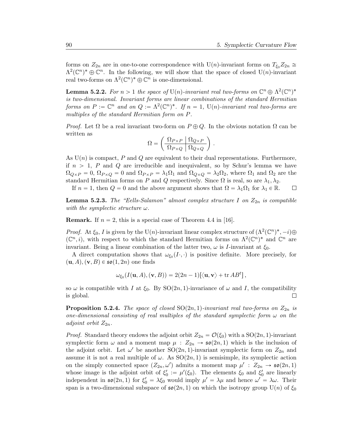forms on  $Z_{2n}$  are in one-to-one correspondence with U(n)-invariant forms on  $T_{\xi_0}Z_{2n} \cong$  $\Lambda^2(\mathbb{C}^n)^* \oplus \mathbb{C}^n$ . In the following, we will show that the space of closed U(n)-invariant real two-forms on  $\Lambda^2(\mathbb{C}^n)^* \oplus \mathbb{C}^n$  is one-dimensional.

**Lemma 5.2.2.** For  $n > 1$  the space of  $U(n)$ -invariant real two-forms on  $\mathbb{C}^n \oplus \Lambda^2(\mathbb{C}^n)^*$ is two-dimensional. Invariant forms are linear combinations of the standard Hermitian forms on  $P := \mathbb{C}^n$  and on  $Q := \Lambda^2(\mathbb{C}^n)^*$ . If  $n = 1$ ,  $U(n)$ -invariant real two-forms are multiples of the standard Hermitian form on P.

*Proof.* Let  $\Omega$  be a real invariant two-form on  $P \oplus Q$ . In the obvious notation  $\Omega$  can be written as ˆ

$$
\Omega = \left( \begin{array}{c|c} \Omega_{P \times P} & \Omega_{Q \times P} \\ \hline \Omega_{P \times Q} & \Omega_{Q \times Q} \end{array} \right) .
$$

As  $U(n)$  is compact, P and Q are equivalent to their dual representations. Furthermore, if  $n > 1$ , P and Q are irreducible and inequivalent, so by Schur's lemma we have  $\Omega_{Q\times P} = 0$ ,  $\Omega_{P\times Q} = 0$  and  $\Omega_{P\times P} = \lambda_1 \Omega_1$  and  $\Omega_{Q\times Q} = \lambda_2 \Omega_2$ , where  $\Omega_1$  and  $\Omega_2$  are the standard Hermitian forms on P and Q respectively. Since  $\Omega$  is real, so are  $\lambda_1, \lambda_2$ .

If  $n = 1$ , then  $Q = 0$  and the above argument shows that  $\Omega = \lambda_1 \Omega_1$  for  $\lambda_1 \in \mathbb{R}$ .  $\Box$ 

**Lemma 5.2.3.** The "Eells-Salamon" almost complex structure I on  $Z_{2n}$  is compatible with the symplectic structure  $\omega$ .

**Remark.** If  $n = 2$ , this is a special case of Theorem 4.4 in [16].

*Proof.* At  $\xi_0$ , I is given by the U(n)-invariant linear complex structure of  $(\Lambda^2(\mathbb{C}^n)^*, -i) \oplus$  $(\mathbb{C}^n, i)$ , with respect to which the standard Hermitian forms on  $\Lambda^2(\mathbb{C}^n)^*$  and  $\mathbb{C}^n$  are invariant. Being a linear combination of the latter two,  $\omega$  is *I*-invariant at  $\xi_0$ .

A direct computation shows that  $\omega_{\xi_0}(I\cdot, \cdot)$  is positive definite. More precisely, for  $(\mathbf{u}, A), (\mathbf{v}, B) \in \mathfrak{so}(1, 2n)$  one finds

$$
\omega_{\xi_0}(I(\mathbf{u},A),(\mathbf{v},B)) = 2(2n-1)[\langle \mathbf{u}, \mathbf{v} \rangle + \operatorname{tr} AB^t],
$$

so  $\omega$  is compatible with I at  $\xi_0$ . By SO(2n, 1)-invariance of  $\omega$  and I, the compatibility  $\Box$ is global.

**Proposition 5.2.4.** The space of closed  $SO(2n, 1)$ -invariant real two-forms on  $Z_{2n}$  is one-dimensional consisting of real multiples of the standard symplectic form  $\omega$  on the adjoint orbit  $Z_{2n}$ .

*Proof.* Standard theory endows the adjoint orbit  $Z_{2n} = \mathcal{O}(\xi_0)$  with a SO $(2n, 1)$ -invariant symplectic form  $\omega$  and a moment map  $\mu$  :  $Z_{2n} \rightarrow \mathfrak{so}(2n, 1)$  which is the inclusion of the adjoint orbit. Let  $\omega'$  be another  $SO(2n,1)$ -invariant symplectic form on  $Z_{2n}$  and assume it is not a real multiple of  $\omega$ . As  $SO(2n, 1)$  is semisimple, its symplectic action on the simply connected space  $(Z_{2n}, \omega')$  admits a moment map  $\mu' : Z_{2n} \to \mathfrak{so}(2n, 1)$ whose image is the adjoint orbit of  $\xi_0' := \mu'(\xi_0)$ . The elements  $\xi_0$  and  $\xi_0'$  are linearly independent in  $\mathfrak{so}(2n,1)$  for  $\xi_0' = \lambda \xi_0$  would imply  $\mu' = \lambda \mu$  and hence  $\omega' = \lambda \omega$ . Their span is a two-dimensional subspace of  $\mathfrak{so}(2n, 1)$  on which the isotropy group  $U(n)$  of  $\xi_0$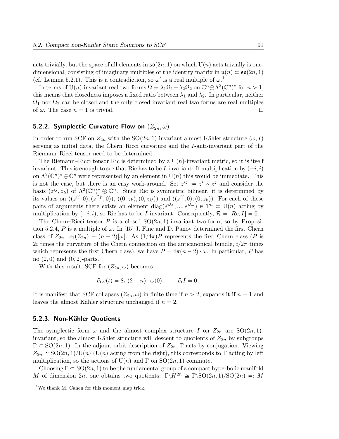acts trivially, but the space of all elements in  $\mathfrak{so}(2n, 1)$  on which  $U(n)$  acts trivially is onedimensional, consisting of imaginary multiples of the identity matrix in  $\mathfrak{u}(n) \subset \mathfrak{so}(2n, 1)$ (cf. Lemma 5.2.1). This is a contradiction, so  $\omega'$  is a real multiple of  $\omega$ .<sup>1</sup>

In terms of U(n)-invariant real two-forms  $\Omega = \lambda_1 \Omega_1 + \lambda_2 \Omega_2$  on  $\mathbb{C}^n \oplus \Lambda^2(\mathbb{C}^n)^*$  for  $n > 1$ , this means that closedness imposes a fixed ratio between  $\lambda_1$  and  $\lambda_2$ . In particular, neither  $\Omega_1$  nor  $\Omega_2$  can be closed and the only closed invariant real two-forms are real multiples of  $\omega$ . The case  $n = 1$  is trivial. П

#### 5.2.2. Symplectic Curvature Flow on  $(Z_{2n}, \omega)$

In order to run SCF on  $Z_{2n}$  with the SO $(2n, 1)$ -invariant almost Kähler structure  $(\omega, I)$ serving as initial data, the Chern–Ricci curvature and the I-anti-invariant part of the Riemann–Ricci tensor need to be determined.

The Riemann–Ricci tensor Ric is determined by a  $U(n)$ -invariant metric, so it is itself invariant. This is enough to see that Ric has to be *I*-invariant: If multiplication by  $(-i, i)$ on  $\Lambda^2(\mathbb{C}^n)^*\oplus \mathbb{C}^n$  were represented by an element in  $U(n)$  this would be immediate. This is not the case, but there is an easy work-around. Set  $z^{ij} := z^i \wedge z^j$  and consider the basis  $(z^{ij}, z_k)$  of  $\Lambda^2(\mathbb{C}^n)^* \oplus \mathbb{C}^n$ . Since Ric is symmetric bilinear, it is determined by its values on  $((z^{ij},0),(z^{i'j'},0)), ((0,z_k),(0,z_{k'}))$  and  $((z^{ij},0),(0,z_k))$ . For each of these pairs of arguments there exists an element  $diag(e^{i\lambda_1},...,e^{i\lambda_n}) \in \mathbb{T}^n \subset U(n)$  acting by multiplication by  $(-i, i)$ , so Ric has to be I-invariant. Consequently,  $\mathcal{R} = [Rc, I] = 0$ .

The Chern–Ricci tensor P is a closed  $SO(2n, 1)$ -invariant two-form, so by Proposition 5.2.4, P is a multiple of  $\omega$ . In [15] J. Fine and D. Panov determined the first Chern class of  $Z_{2n}$ :  $c_1(Z_{2n}) = (n-2)[\omega]$ . As  $(1/4\pi)P$  represents the first Chern class (P is 2i times the curvature of the Chern connection on the anticanonical bundle,  $i/2\pi$  times which represents the first Chern class), we have  $P = 4\pi (n - 2) \cdot \omega$ . In particular, P has no  $(2, 0)$  and  $(0, 2)$ -parts.

With this result, SCF for  $(Z_{2n}, \omega)$  becomes

$$
\partial_t \omega(t) = 8\pi (2 - n) \cdot \omega(0) , \qquad \partial_t I = 0 .
$$

It is manifest that SCF collapses  $(Z_{2n}, \omega)$  in finite time if  $n > 2$ , expands it if  $n = 1$  and leaves the almost Kähler structure unchanged if  $n = 2$ .

#### 5.2.3. Non-Kähler Quotients

The symplectic form  $\omega$  and the almost complex structure I on  $Z_{2n}$  are  $SO(2n, 1)$ invariant, so the almost Kähler structure will descent to quotients of  $Z_{2n}$  by subgroups  $\Gamma \subset SO(2n, 1)$ . In the adjoint orbit description of  $Z_{2n}$ ,  $\Gamma$  acts by conjugation. Viewing  $Z_{2n} \cong SO(2n, 1)/U(n)$  (U(n) acting from the right), this corresponds to Γ acting by left multiplication, so the actions of  $U(n)$  and  $\Gamma$  on  $SO(2n, 1)$  commute.

Choosing  $\Gamma \subset SO(2n, 1)$  to be the fundamental group of a compact hyperbolic manifold M of dimension 2n, one obtains two quotients:  $\Gamma \backslash H^{2n} \cong \Gamma \backslash \text{SO}(2n, 1)/\text{SO}(2n) =: M$ 

<sup>&</sup>lt;sup>1</sup>We thank M. Cahen for this moment map trick.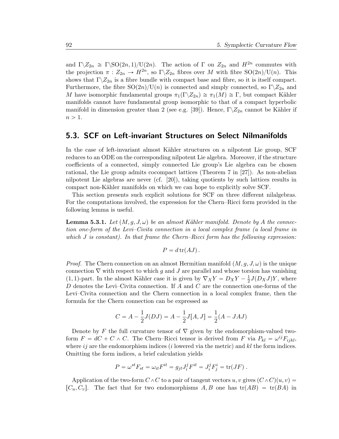and  $\Gamma \backslash Z_{2n} \cong \Gamma \backslash \mathrm{SO}(2n,1)/\mathrm{U}(2n)$ . The action of  $\Gamma$  on  $Z_{2n}$  and  $H^{2n}$  commutes with the projection  $\pi: Z_{2n} \to H^{2n}$ , so  $\Gamma \backslash Z_{2n}$  fibres over M with fibre  $\mathrm{SO}(2n)/\mathrm{U}(n)$ . This shows that  $\Gamma \backslash Z_{2n}$  is a fibre bundle with compact base and fibre, so it is itself compact. Furthermore, the fibre  $SO(2n)/U(n)$  is connected and simply connected, so  $\Gamma\backslash Z_{2n}$  and M have isomorphic fundamental groups  $\pi_1(\Gamma \backslash Z_{2n}) \cong \pi_1(M) \cong \Gamma$ , but compact Kähler manifolds cannot have fundamental group isomorphic to that of a compact hyperbolic manifold in dimension greater than 2 (see e.g. [39]). Hence,  $\Gamma \backslash Z_{2n}$  cannot be Kähler if  $n > 1$ .

### 5.3. SCF on Left-invariant Structures on Select Nilmanifolds

In the case of left-invariant almost Kähler structures on a nilpotent Lie group, SCF reduces to an ODE on the corresponding nilpotent Lie algebra. Moreover, if the structure coefficients of a connected, simply connected Lie group's Lie algebra can be chosen rational, the Lie group admits cocompact lattices (Theorem 7 in [27]). As non-abelian nilpotent Lie algebras are never (cf. [20]), taking quotients by such lattices results in compact non-Kähler manifolds on which we can hope to explicitly solve SCF.

This section presents such explicit solutions for SCF on three different nilalgebras. For the computations involved, the expression for the Chern–Ricci form provided in the following lemma is useful.

**Lemma 5.3.1.** Let  $(M, g, J, \omega)$  be an almost Kähler manifold. Denote by A the connection one-form of the Levi–Civita connection in a local complex frame (a local frame in which  $J$  is constant). In that frame the Chern–Ricci form has the following expression:

$$
P = d \operatorname{tr}(AJ).
$$

*Proof.* The Chern connection on an almost Hermitian manifold  $(M, g, J, \omega)$  is the unique connection  $\nabla$  with respect to which g and J are parallel and whose torsion has vanishing (1, 1)-part. In the almost Kähler case it is given by  $\nabla_X Y = D_X Y - \frac{1}{2}$  $\frac{1}{2}J(D_XJ)Y$ , where D denotes the Levi–Civita connection. If A and C are the connection one-forms of the Levi–Civita connection and the Chern connection in a local complex frame, then the formula for the Chern connection can be expressed as

$$
C = A - \frac{1}{2}J(DJ) = A - \frac{1}{2}J[A, J] = \frac{1}{2}(A - JAJ)
$$

Denote by F the full curvature tensor of  $\nabla$  given by the endomorphism-valued twoform  $F = dC + C \wedge C$ . The Chern–Ricci tensor is derived from F via  $P_{kl} = \omega^{ij} F_{ijkl}$ , where  $i\dot{j}$  are the endomorphism indices (i lowered via the metric) and kl the form indices. Omitting the form indices, a brief calculation yields

$$
P = \omega^{st} F_{st} = \omega_{it} F^{it} = g_{jt} J_i^j F^{it} = J_i^j F_j^i = \text{tr}(JF) .
$$

Application of the two-form  $C \wedge C$  to a pair of tangent vectors u, v gives  $(C \wedge C)(u, v) =$  $[C_u, C_v]$ . The fact that for two endomorphisms A, B one has  $tr(AB) = tr(BA)$  in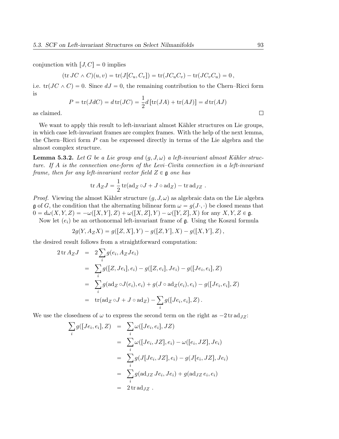conjunction with  $[J, C] = 0$  implies

$$
(\operatorname{tr} JC \wedge C)(u, v) = \operatorname{tr}(J[C_u, C_v]) = \operatorname{tr}(JC_u C_v) - \operatorname{tr}(JC_v C_u) = 0,
$$

i.e.  $tr(JC \wedge C) = 0$ . Since  $dJ = 0$ , the remaining contribution to the Chern–Ricci form is

$$
P = \text{tr}(JdC) = d\,\text{tr}(JC) = \frac{1}{2}d\left[\text{tr}(JA) + \text{tr}(AJ)\right] = d\,\text{tr}(AJ)
$$

as claimed.

We want to apply this result to left-invariant almost Kähler structures on Lie groups, in which case left-invariant frames are complex frames. With the help of the next lemma, the Chern–Ricci form P can be expressed directly in terms of the Lie algebra and the almost complex structure.

**Lemma 5.3.2.** Let G be a Lie group and  $(q, J, \omega)$  a left-invariant almost Kähler structure. If A is the connection one-form of the Levi–Civita connection in a left-invariant frame, then for any left-invariant vector field  $Z \in \mathfrak{g}$  one has

$$
\operatorname{tr} A_Z J = \frac{1}{2} \operatorname{tr} (\operatorname{ad}_Z \circ J + J \circ \operatorname{ad}_Z) - \operatorname{tr} \operatorname{ad}_{JZ}.
$$

*Proof.* Viewing the almost Kähler structure  $(g, J, \omega)$  as algebraic data on the Lie algebra g of G, the condition that the alternating bilinear form  $\omega = g(J \cdot, \cdot)$  be closed means that  $0 = d\omega(X, Y, Z) = -\omega([X, Y], Z) + \omega([X, Z], Y) - \omega([Y, Z], X)$  for any  $X, Y, Z \in \mathfrak{g}$ .

Now let  $(e_i)$  be an orthonormal left-invariant frame of g. Using the Koszul formula

$$
2g(Y, A_Z X) = g([Z, X], Y) - g([Z, Y], X) - g([X, Y], Z),
$$

the desired result follows from a straightforward computation:

$$
2 \text{ tr } A_Z J = 2 \sum_i g(e_i, A_Z Je_i)
$$
  
=  $\sum_i g([Z, Je_i], e_i) - g([Z, e_i], Je_i) - g([Je_i, e_i], Z)$   
=  $\sum_i g(\text{ad}_Z \circ J(e_i), e_i) + g(J \circ \text{ad}_Z(e_i), e_i) - g([Je_i, e_i], Z)$   
=  $\text{tr}(\text{ad}_Z \circ J + J \circ \text{ad}_Z) - \sum_i g([Je_i, e_i], Z).$ 

We use the closedness of  $\omega$  to express the second term on the right as  $-2 \text{ tr } \text{ad}_JZ$ :<br>  $\sum_j g([Je_i, e_i], Z) = \sum_i \omega([Je_i, e_i], JZ)$ 

$$
\sum_{i} g([Je_i, e_i], Z) = \sum_{i} \omega([Je_i, e_i], JZ)
$$
  
\n
$$
= \sum_{i} \omega([Je_i, JZ], e_i) - \omega([e_i, JZ], Je_i)
$$
  
\n
$$
= \sum_{i} g(J[Je_i, JZ], e_i) - g(J[e_i, JZ], Je_i)
$$
  
\n
$$
= \sum_{i} g(\text{ad}_{JZ} Je_i, Je_i) + g(\text{ad}_{JZ} e_i, e_i)
$$
  
\n
$$
= 2 \text{tr } \text{ad}_{JZ} .
$$

 $\Box$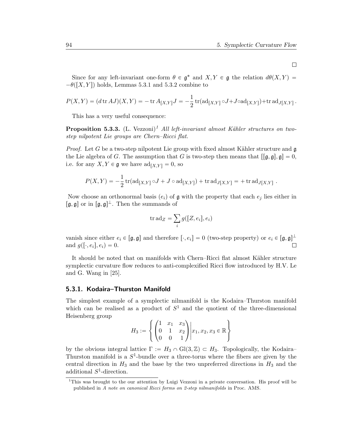Since for any left-invariant one-form  $\theta \in \mathfrak{g}^*$  and  $X, Y \in \mathfrak{g}$  the relation  $d\theta(X, Y) =$  $-\theta([X, Y])$  holds, Lemmas 5.3.1 and 5.3.2 combine to

$$
P(X,Y) = (d \operatorname{tr} AJ)(X,Y) = - \operatorname{tr} A_{[X,Y]}J = -\frac{1}{2} \operatorname{tr}(\operatorname{ad}_{[X,Y]} \circ J + J \circ \operatorname{ad}_{[X,Y]}) + \operatorname{tr} \operatorname{ad}_{J[X,Y]}.
$$

This has a very useful consequence:

**Proposition 5.3.3.** (L. Vezzoni)<sup>1</sup> All left-invariant almost Kähler structures on twostep nilpotent Lie groups are Chern–Ricci flat.

*Proof.* Let G be a two-step nilpotent Lie group with fixed almost Kähler structure and  $\mathfrak{g}$ the Lie algebra of G. The assumption that G is two-step then means that  $\lceil \mathfrak{g}, \mathfrak{g} \rceil$ ,  $\mathfrak{g} \rceil = 0$ , i.e. for any  $X, Y \in \mathfrak{g}$  we have  $\text{ad}_{[X, Y]} = 0$ , so

$$
P(X,Y) = -\frac{1}{2}\operatorname{tr}(\operatorname{ad}_{[X,Y]} \circ J + J \circ \operatorname{ad}_{[X,Y]}) + \operatorname{tr} \operatorname{ad}_{J[X,Y]} = + \operatorname{tr} \operatorname{ad}_{J[X,Y]}.
$$

Now choose an orthonormal basis  $(e_i)$  of g with the property that each  $e_i$  lies either in  $[\mathfrak{g}, \mathfrak{g}]$  or in  $[\mathfrak{g}, \mathfrak{g}]^{\perp}$ . Then the summands of

$$
\mathrm{tr}\,\mathrm{ad}_Z=\sum_i g([Z,e_i],e_i)
$$

vanish since either  $e_i \in [\mathfrak{g}, \mathfrak{g}]$  and therefore  $[\cdot, e_i] = 0$  (two-step property) or  $e_i \in [\mathfrak{g}, \mathfrak{g}]^{\perp}$ and  $g([\cdot, e_i], e_i) = 0$ .  $\Box$ 

It should be noted that on manifolds with Chern–Ricci flat almost Kähler structure symplectic curvature flow reduces to anti-complexified Ricci flow introduced by H.V. Le and G. Wang in [25].

#### 5.3.1. Kodaira–Thurston Manifold

The simplest example of a symplectic nilmanifold is the Kodaira–Thurston manifold which can be realised as a product of  $S<sup>1</sup>$  and the quotient of the three-dimensional Heisenberg group

$$
H_3 := \left\{ \begin{pmatrix} 1 & x_1 & x_3 \\ 0 & 1 & x_2 \\ 0 & 0 & 1 \end{pmatrix} \middle| x_1, x_2, x_3 \in \mathbb{R} \right\}
$$

by the obvious integral lattice  $\Gamma := H_3 \cap Gl(3, \mathbb{Z}) \subset H_3$ . Topologically, the Kodaira– Thurston manifold is a  $S^1$ -bundle over a three-torus where the fibers are given by the central direction in  $H_3$  and the base by the two unpreferred directions in  $H_3$  and the additional  $S^1$ -direction.

 $\Box$ 

<sup>1</sup>This was brought to the our attention by Luigi Vezzoni in a private conversation. His proof will be published in A note on canonical Ricci forms on 2-step nilmanifolds in Proc. AMS.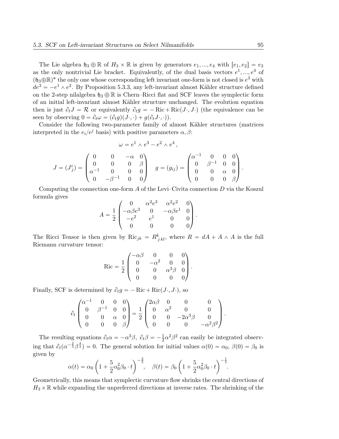The Lie algebra  $\mathfrak{h}_3 \oplus \mathbb{R}$  of  $H_3 \times \mathbb{R}$  is given by generators  $e_1, ..., e_4$  with  $[e_1, e_2] = e_3$ as the only nontrivial Lie bracket. Equivalently, of the dual basis vectors  $e^1, ..., e^4$  of  $(\mathfrak{h}_3 \oplus \mathbb{R})^*$  the only one whose corresponding left invariant one-form is not closed is  $e^3$  with  $de^{3} = -e^{1} \wedge e^{2}$ . By Proposition 5.3.3, any left-invariant almost Kähler structure defined on the 2-step nilalgebra  $\mathfrak{h}_3 \oplus \mathbb{R}$  is Chern–Ricci flat and SCF leaves the symplectic form of an initial left-invariant almost Kähler structure unchanged. The evolution equation then is just  $\partial_t J = \mathcal{R}$  or equivalently  $\partial_t g = -Ric + Ric(J \cdot, J \cdot)$  (the equivalence can be seen by observing  $0 = \partial_t \omega = (\partial_t g)(J \cdot, \cdot) + g(\partial_t J \cdot, \cdot)$ .

Consider the following two-parameter family of almost Kähler structures (matrices interpreted in the  $e_i/e^j$  basis) with positive parameters  $\alpha, \beta$ :

$$
\omega = e^1 \wedge e^3 - e^2 \wedge e^4,
$$
  
\n
$$
J = (J_j^i) = \begin{pmatrix} 0 & 0 & -\alpha & 0 \\ 0 & 0 & 0 & \beta \\ \alpha^{-1} & 0 & 0 & 0 \\ 0 & -\beta^{-1} & 0 & 0 \end{pmatrix} \quad g = (g_{ij}) = \begin{pmatrix} \alpha^{-1} & 0 & 0 & 0 \\ 0 & \beta^{-1} & 0 & 0 \\ 0 & 0 & \alpha & 0 \\ 0 & 0 & 0 & \beta \end{pmatrix}.
$$

Computing the connection one-form A of the Levi–Civita connection D via the Koszul formula gives ¨

$$
A = \frac{1}{2} \begin{pmatrix} 0 & \alpha^2 e^3 & \alpha^2 e^2 & 0 \\ -\alpha \beta e^3 & 0 & -\alpha \beta e^1 & 0 \\ -e^2 & e^1 & 0 & 0 \\ 0 & 0 & 0 & 0 \end{pmatrix}.
$$

The Ricci Tensor is then given by  $\text{Ric}_{jk} = R_{jkl}^k$ , where  $R = dA + A \wedge A$  is the full Riemann curvature tensor: ˛

$$
Ric = \frac{1}{2} \begin{pmatrix} -\alpha \beta & 0 & 0 & 0 \\ 0 & -\alpha^2 & 0 & 0 \\ 0 & 0 & \alpha^3 \beta & 0 \\ 0 & 0 & 0 & 0 \end{pmatrix}.
$$

Finally, SCF is determined by  $\partial_t g = -\text{Ric} + \text{Ric}(J \cdot, J \cdot)$ , so

$$
\partial_t \begin{pmatrix} \alpha^{-1} & 0 & 0 & 0 \\ 0 & \beta^{-1} & 0 & 0 \\ 0 & 0 & \alpha & 0 \\ 0 & 0 & 0 & \beta \end{pmatrix} = \frac{1}{2} \begin{pmatrix} 2\alpha\beta & 0 & 0 & 0 \\ 0 & \alpha^2 & 0 & 0 \\ 0 & 0 & -2\alpha^3\beta & 0 \\ 0 & 0 & 0 & -\alpha^2\beta^2 \end{pmatrix}.
$$

The resulting equations  $\partial_t \alpha = -\alpha^3 \beta$ ,  $\partial_t \beta = -\frac{1}{2}$  $\frac{1}{2}\alpha^2\beta^2$  can easily be integrated observing that  $\partial_t(\alpha^{-\frac{2}{3}}\beta^{\frac{4}{3}})=0$ . The general solution for initial values  $\alpha(0)=\alpha_0$ ,  $\beta(0)=\beta_0$  is given by ˆ

$$
\alpha(t) = \alpha_0 \left( 1 + \frac{5}{2} \alpha_0^2 \beta_0 \cdot t \right)^{-\frac{2}{5}}, \quad \beta(t) = \beta_0 \left( 1 + \frac{5}{2} \alpha_0^2 \beta_0 \cdot t \right)^{-\frac{1}{5}}.
$$

Geometrically, this means that symplectic curvature flow shrinks the central directions of  $H_3 \times \mathbb{R}$  while expanding the unpreferred directions at inverse rates. The shrinking of the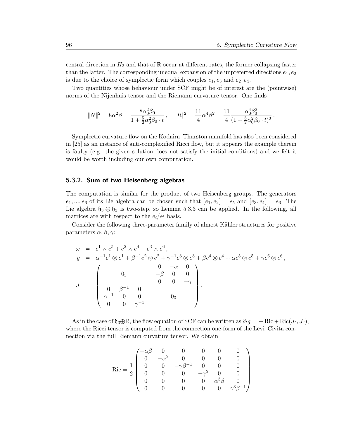central direction in  $H_3$  and that of R occur at different rates, the former collapsing faster than the latter. The corresponding unequal expansion of the unpreferred directions  $e_1, e_2$ is due to the choice of symplectic form which couples  $e_1, e_3$  and  $e_2, e_4$ .

Two quantities whose behaviour under SCF might be of interest are the (pointwise) norms of the Nijenhuis tensor and the Riemann curvature tensor. One finds

$$
||N||^2 = 8\alpha^2\beta = \frac{8\alpha_0^2\beta_0}{1 + \frac{5}{2}\alpha_0^2\beta_0 \cdot t}, \quad ||R||^2 = \frac{11}{4}\alpha^4\beta^2 = \frac{11}{4}\frac{\alpha_0^4\beta_0^2}{(1 + \frac{5}{2}\alpha_0^2\beta_0 \cdot t)^2}.
$$

Symplectic curvature flow on the Kodaira–Thurston manifold has also been considered in [25] as an instance of anti-complexified Ricci flow, but it appears the example therein is faulty (e.g. the given solution does not satisfy the initial conditions) and we felt it would be worth including our own computation.

#### 5.3.2. Sum of two Heisenberg algebras

The computation is similar for the product of two Heisenberg groups. The generators  $e_1, ..., e_6$  of its Lie algebra can be chosen such that  $[e_1, e_2] = e_5$  and  $[e_3, e_4] = e_6$ . The Lie algebra  $\mathfrak{h}_3 \oplus \mathfrak{h}_3$  is two-step, so Lemma 5.3.3 can be applied. In the following, all matrices are with respect to the  $e_i/e^j$  basis.

Consider the following three-parameter family of almost Kähler structures for positive parameters  $\alpha$ ,  $\beta$ ,  $\gamma$ :

$$
\omega = e^{1} \wedge e^{5} + e^{2} \wedge e^{4} + e^{3} \wedge e^{6},
$$
\n
$$
g = \alpha^{-1}e^{1} \otimes e^{1} + \beta^{-1}e^{2} \otimes e^{2} + \gamma^{-1}e^{3} \otimes e^{3} + \beta e^{4} \otimes e^{4} + \alpha e^{5} \otimes e^{5} + \gamma e^{6} \otimes e^{6},
$$
\n
$$
J = \begin{pmatrix}\n0 & -\alpha & 0 \\
0 & -\beta & 0 & 0 \\
0 & \beta^{-1} & 0 & 0 \\
\alpha^{-1} & 0 & 0 & 0 \\
0 & 0 & \gamma^{-1}\n\end{pmatrix}.
$$

As in the case of  $\mathfrak{h}_3\oplus \mathbb{R}$ , the flow equation of SCF can be written as  $\partial_t g = -\text{Ric} + \text{Ric}(J\cdot, J\cdot)$ , where the Ricci tensor is computed from the connection one-form of the Levi–Civita connection via the full Riemann curvature tensor. We obtain

$$
\operatorname{Ric} = \frac{1}{2} \begin{pmatrix} -\alpha\beta & 0 & 0 & 0 & 0 & 0 \\ 0 & -\alpha^2 & 0 & 0 & 0 & 0 \\ 0 & 0 & -\gamma\beta^{-1} & 0 & 0 & 0 \\ 0 & 0 & 0 & -\gamma^2 & 0 & 0 \\ 0 & 0 & 0 & 0 & \alpha^3\beta & 0 \\ 0 & 0 & 0 & 0 & 0 & \gamma^3\beta^{-1} \end{pmatrix}
$$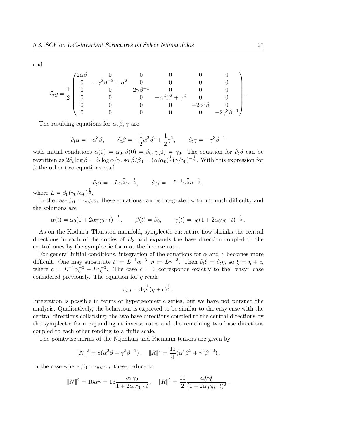and

$$
\partial_t g = \frac{1}{2} \begin{pmatrix} 2\alpha\beta & 0 & 0 & 0 & 0 & 0 \\ 0 & -\gamma^2\beta^{-2} + \alpha^2 & 0 & 0 & 0 & 0 \\ 0 & 0 & 2\gamma\beta^{-1} & 0 & 0 & 0 \\ 0 & 0 & 0 & -\alpha^2\beta^2 + \gamma^2 & 0 & 0 \\ 0 & 0 & 0 & 0 & -2\alpha^3\beta & 0 \\ 0 & 0 & 0 & 0 & 0 & -2\gamma^3\beta^{-1} \end{pmatrix}.
$$

The resulting equations for  $\alpha, \beta, \gamma$  are

$$
\partial_t \alpha = -\alpha^3 \beta
$$
,  $\partial_t \beta = -\frac{1}{2} \alpha^2 \beta^2 + \frac{1}{2} \gamma^2$ ,  $\partial_t \gamma = -\gamma^3 \beta^{-1}$ 

with initial conditions  $\alpha(0) = \alpha_0, \beta(0) = \beta_0, \gamma(0) = \gamma_0$ . The equation for  $\partial_t \beta$  can be rewritten as  $2\partial_t \log \beta = \partial_t \log \alpha/\gamma$ , so  $\beta/\beta_0 = (\alpha/\alpha_0)^{\frac{1}{2}}(\gamma/\gamma_0)^{-\frac{1}{2}}$ . With this expression for  $\beta$  the other two equations read

$$
\partial_t \alpha = -L\alpha^{\frac{7}{2}}\gamma^{-\frac{1}{2}}, \qquad \partial_t \gamma = -L^{-1}\gamma^{\frac{7}{2}}\alpha^{-\frac{1}{2}},
$$

where  $L = \beta_0(\gamma_0/\alpha_0)^{\frac{1}{2}}$ .

In the case  $\beta_0 = \gamma_0/\alpha_0$ , these equations can be integrated without much difficulty and the solutions are

$$
\alpha(t) = \alpha_0 (1 + 2\alpha_0 \gamma_0 \cdot t)^{-\frac{1}{2}}, \qquad \beta(t) = \beta_0, \qquad \gamma(t) = \gamma_0 (1 + 2\alpha_0 \gamma_0 \cdot t)^{-\frac{1}{2}}.
$$

As on the Kodaira–Thurston manifold, symplectic curvature flow shrinks the central directions in each of the copies of  $H_3$  and expands the base direction coupled to the central ones by the symplectic form at the inverse rate.

For general initial conditions, integration of the equations for  $\alpha$  and  $\gamma$  becomes more difficult. One may substitute  $\xi := L^{-1} \alpha^{-3}$ ,  $\eta := L \gamma^{-3}$ . Then  $\partial_t \xi = \partial_t \eta$ , so  $\xi = \eta + c$ , where  $c = L^{-1} \alpha_0^{-3} - L \gamma_0^{-3}$ . The case  $c = 0$  corresponds exactly to the "easy" case considered previously. The equation for  $\eta$  reads

$$
\partial_t \eta = 3\eta^{\frac{1}{6}}(\eta + c)^{\frac{1}{6}}.
$$

Integration is possible in terms of hypergeometric series, but we have not pursued the analysis. Qualitatively, the behaviour is expected to be similar to the easy case with the central directions collapsing, the two base directions coupled to the central directions by the symplectic form expanding at inverse rates and the remaining two base directions coupled to each other tending to a finite scale.

The pointwise norms of the Nijenhuis and Riemann tensors are given by

$$
||N||^2 = 8(\alpha^2 \beta + \gamma^2 \beta^{-1}), \quad ||R||^2 = \frac{11}{4}(\alpha^4 \beta^2 + \gamma^4 \beta^{-2}).
$$

In the case where  $\beta_0 = \gamma_0/\alpha_0$ , these reduce to

$$
||N||^2 = 16\alpha\gamma = 16\frac{\alpha_0\gamma_0}{1 + 2\alpha_0\gamma_0 \cdot t}, \quad ||R||^2 = \frac{11}{2} \frac{\alpha_0^2\gamma_0^2}{(1 + 2\alpha_0\gamma_0 \cdot t)^2}
$$

.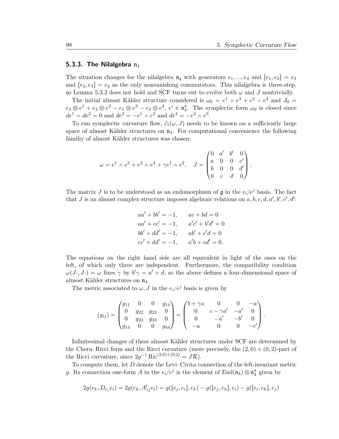#### 5.3.3. The Nilalgebra  $n_4$

The situation changes for the nilalgebra  $\mathfrak{n}_4$  with generators  $e_1, ..., e_4$  and  $[e_1, e_2] = e_3$ and  $[e_2, e_3] = e_4$  as the only nonvanishing commutators. This nilalgebra is three-step, so Lemma 5.3.3 does not hold and SCF turns out to evolve both  $\omega$  and J nontrivially.

The initial almost Kähler structure considered is  $\omega_0 = e^1 \wedge e^3 + e^2 \wedge e^4$  and  $J_0 =$  $e_3 \otimes e^1 + e_4 \otimes e^2 - e_1 \otimes e^3 - e_2 \otimes e^4$ ,  $e^i \in \mathfrak{n}_4^*$ . The symplectic form  $\omega_0$  is closed since  $de^1 = de^2 = 0$  and  $de^3 = -e^1 \wedge e^2$  and  $de^4 = -e^2 \wedge e^3$ .

To run symplectic curvature flow,  $\partial_t(\omega, J)$  needs to be known on a sufficiently large space of almost Kähler structures on  $\mathfrak{n}_4$ . For computational convenience the following familiy of almost Kähler structures was chosen:

$$
\omega = e^1 \wedge e^3 + e^2 \wedge e^4 + \gamma e^1 \wedge e^2, \quad J = \begin{pmatrix} 0 & a' & b' & 0 \\ a & 0 & 0 & c' \\ b & 0 & 0 & d' \\ 0 & c & d & 0 \end{pmatrix}.
$$

The matrix J is to be understood as an endomorphism of  $\mathfrak g$  in the  $e_i/e^j$  basis. The fact that J is an almost complex structure imposes algebraic relations on  $a, b, c, d, a', b', c', d'$ :

$$
aa' + bb' = -1, \t ac + bd = 0
$$
  
\n
$$
aa' + cc' = -1, \t a'c' + b'd' = 0
$$
  
\n
$$
bb' + dd' = -1, \t ab' + c'd = 0
$$
  
\n
$$
cc' + dd' = -1, \t a'b + cd' = 0.
$$

The equations on the right hand side are all equivalent in light of the ones on the left, of which only three are independent. Furthermore, the compatibility condition  $\omega(J \cdot, J \cdot) = \omega$  fixes  $\gamma$  by  $b' \gamma = a' + d$ , so the above defines a four-dimensional space of almost Kähler structures on  $\mathfrak{n}_4$ .

The metric associated to  $\omega$ , J in the  $e_i/e^j$  basis is given by

$$
(g_{ij}) = \begin{pmatrix} g_{11} & 0 & 0 & g_{14} \\ 0 & g_{22} & g_{23} & 0 \\ 0 & g_{23} & g_{33} & 0 \\ g_{14} & 0 & 0 & g_{44} \end{pmatrix} = \begin{pmatrix} b + \gamma a & 0 & 0 & -a \\ 0 & c - \gamma a' & -a' & 0 \\ 0 & -a' & -b' & 0 \\ -a & 0 & 0 & -c' \end{pmatrix}.
$$

Infinitesimal changes of these almost Kähler structures under SCF are determined by the Chern–Ricci form and the Ricci curvature (more precisely, the  $(2, 0) + (0, 2)$ -part of the Ricci curvature, since  $2g^{-1}$  Ric<sup>(2,0)+(0,2)</sup> =  $J\mathcal{R}$ ).

To compute them, let D denote the Levi–Civita connection of the left-invariant metric g. Its connection one-form A in the  $e_i/e^j$  is the element of  $\text{End}(\mathfrak{n}_4) \otimes \mathfrak{n}_4^*$  given by

$$
2g(e_k, D_{e_j}e_i) = 2g(e_k, A_{ij}^l e_l) = g([e_j, e_i], e_k) - g([e_j, e_k], e_i) - g([e_i, e_k], e_j)
$$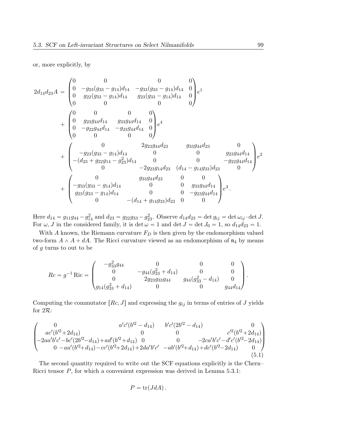#### or, more explicitly, by

$$
2d_{14}d_{23}A = \begin{pmatrix} 0 & 0 & 0 & 0 \\ 0 & -g_{23}(g_{33} - g_{14})d_{14} & -g_{33}(g_{33} - g_{14})d_{14} & 0 \\ 0 & g_{22}(g_{33} - g_{14})d_{14} & g_{23}(g_{33} - g_{14})d_{14} & 0 \\ 0 & 0 & 0 & 0 \end{pmatrix} e^{1}
$$
  
+ 
$$
\begin{pmatrix} 0 & 0 & 0 & 0 \\ 0 & g_{23}g_{44}d_{14} & g_{33}g_{44}d_{14} & 0 \\ 0 & -g_{22}g_{44}d_{14} & -g_{23}g_{44}d_{14} & 0 \\ 0 & 0 & 0 & 0 \end{pmatrix} e^{4}
$$
  
+ 
$$
\begin{pmatrix} 0 & 2g_{23}g_{44}d_{23} & g_{33}g_{44}d_{23} & 0 \\ -g_{23}(g_{33} - g_{14})d_{14} & 0 & 0 & g_{23}g_{44}d_{14} \\ -(d_{23} + g_{22}g_{14} - g_{23}^2)d_{14} & 0 & 0 & -g_{22}g_{44}d_{14} \\ 0 & -2g_{23}g_{14}d_{23} & (d_{14} - g_{14}g_{33})d_{23} & 0 \\ -g_{33}(g_{33} - g_{14})d_{14} & 0 & 0 & g_{33}g_{44}d_{14} \\ g_{23}(g_{33} - g_{14})d_{14} & 0 & 0 & -g_{23}g_{44}d_{14} \\ 0 & -(d_{14} + g_{14}g_{33})d_{23} & 0 & 0 \end{pmatrix}
$$

Here  $d_{14} = g_{11}g_{44} - g_{14}^2$  and  $d_{23} = g_{22}g_{33} - g_{23}^2$ . Observe  $d_{14}d_{23} = \det g_{ij} = \det \omega_{ij} \cdot \det J$ . For  $\omega$ , J in the considered family, it is det  $\omega = 1$  and det  $J = \det J_0 = 1$ , so  $d_{14}d_{23} = 1$ .

With  $A$  known, the Riemann curvature  $F_D$  is then given by the endomorphism valued two-form  $A \wedge A + dA$ . The Ricci curvature viewed as an endomorphism of  $\mathfrak{n}_4$  by means of g turns to out to be

$$
Rc = g^{-1} \operatorname{Ric} = \begin{pmatrix} -g_{33}^2 g_{44} & 0 & 0 & 0 \\ 0 & -g_{44}(g_{33}^2 + d_{14}) & 0 & 0 \\ 0 & 2g_{23}g_{33}g_{44} & g_{44}(g_{33}^2 - d_{14}) & 0 \\ g_{14}(g_{33}^2 + d_{14}) & 0 & 0 & g_{44}d_{14} \end{pmatrix}.
$$

Computing the commutator  $[Rc, J]$  and expressing the  $g_{ij}$  in terms of entries of J yields for 2R:

$$
\begin{pmatrix}\n0 & a'c'(b'^2 - d_{14}) & b'c'(2b'^2 - d_{14}) & 0 \\
ac'(b'^2 + 2d_{14}) & 0 & 0 & c'^2(b'^2 + 2d_{14}) \\
-2aa'b'c' - bc'(2b'^2 - d_{14}) + ad'(b'^2 + d_{14}) & 0 & 0 & -2ca'b'c' - d'c'(b'^2 - 2d_{14}) \\
0 & -aa'(b'^2 + d_{14}) - cc'(b'^2 + 2d_{14}) + 2da'b'c' & -ab'(b'^2 + d_{14}) + dc'(b'^2 - 2d_{14}) & 0\n\end{pmatrix}
$$
\n(5.1)

The second quantity required to write out the SCF equations explicitly is the Chern– Ricci tensor  $P$ , for which a convenient expression was derived in Lemma 5.3.1:

$$
P = \text{tr}(JdA).
$$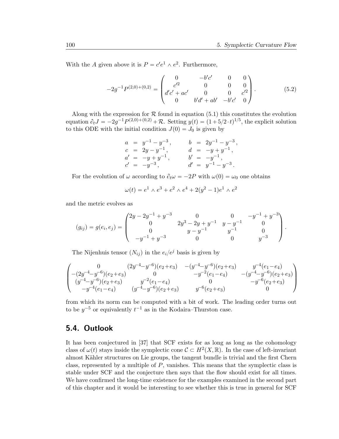With the A given above it is  $P = c'e^1 \wedge e^2$ . Furthermore,

$$
-2g^{-1}P^{(2,0)+(0,2)} = \begin{pmatrix} 0 & -b'c' & 0 & 0 \ c'^2 & 0 & 0 & 0 \ d'c' + ac' & 0 & 0 & c'^2 \ 0 & b'd' + ab' & -b'c' & 0 \end{pmatrix}.
$$
 (5.2)

Along with the expression for  $R$  found in equation (5.1) this constitutes the evolution equation  $\partial_t J = -2g^{-1} P^{(2,0)+(0,2)} + \mathcal{R}$ . Setting  $y(t) = (1 + 5/2 \cdot t)^{1/5}$ , the explicit solution to this ODE with the initial condition  $J(0) = J_0$  is given by

$$
a = y^{-1} - y^{-3}, \t b = 2y^{-1} - y^{-3},
$$
  
\n
$$
c = 2y - y^{-1}, \t d = -y + y^{-1},
$$
  
\n
$$
a' = -y + y^{-1}, \t b' = -y^{-1},
$$
  
\n
$$
c' = -y^{-3}, \t d' = y^{-1} - y^{-3}.
$$

For the evolution of  $\omega$  according to  $\partial_t \omega = -2P$  with  $\omega(0) = \omega_0$  one obtains

$$
\omega(t) = e^1 \wedge e^3 + e^2 \wedge e^4 + 2(y^2 - 1)e^1 \wedge e^2
$$

and the metric evolves as

$$
(g_{ij}) = g(e_i, e_j) = \begin{pmatrix} 2y - 2y^{-1} + y^{-3} & 0 & 0 & -y^{-1} + y^{-3} \\ 0 & 2y^3 - 2y + y^{-1} & y - y^{-1} & 0 \\ 0 & y - y^{-1} & y^{-1} & 0 \\ -y^{-1} + y^{-3} & 0 & 0 & y^{-3} \end{pmatrix}.
$$

The Nijenhuis tensor  $(N_{ij})$  in the  $e_i/e^j$  basis is given by

$$
\begin{pmatrix} 0 & (2y^{-4}-y^{-6})(e_2+e_3) & -(y^{-4}-y^{-6})(e_2+e_3) & y^{-4}(e_1-e_4) \\ -(2y^{-4}-y^{-6})(e_2+e_3) & 0 & -y^{-2}(e_1-e_4) & -(y^{-4}-y^{-6})(e_2+e_3) \\ (y^{-4}-y^{-6})(e_2+e_3) & y^{-2}(e_1-e_4) & 0 & -y^{-6}(e_2+e_3) \\ -y^{-4}(e_1-e_4) & (y^{-4}-y^{-6})(e_2+e_3) & y^{-6}(e_2+e_3) & 0 \end{pmatrix}
$$

from which its norm can be computed with a bit of work. The leading order turns out to be  $y^{-5}$  or equivalently  $t^{-1}$  as in the Kodaira–Thurston case.

### 5.4. Outlook

It has been conjectured in [37] that SCF exists for as long as long as the cohomology class of  $\omega(t)$  stays inside the symplectic cone  $\mathcal{C} \subset H^2(X,\mathbb{R})$ . In the case of left-invariant almost Kähler structures on Lie groups, the tangent bundle is trivial and the first Chern class, represented by a multiple of  $P$ , vanishes. This means that the symplectic class is stable under SCF and the conjecture then says that the flow should exist for all times. We have confirmed the long-time existence for the examples examined in the second part of this chapter and it would be interesting to see whether this is true in general for SCF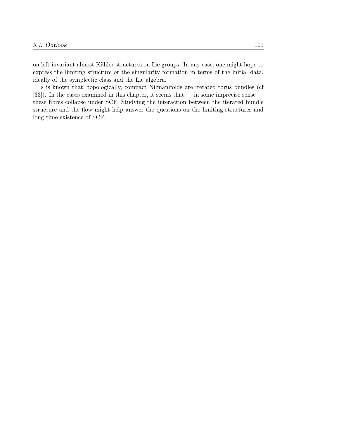on left-invariant almost Kähler structures on Lie groups. In any case, one might hope to express the limiting structure or the singularity formation in terms of the initial data, ideally of the symplectic class and the Lie algebra.

Is is known that, topologically, compact Nilmanifolds are iterated torus bundles (cf [33]). In the cases examined in this chapter, it seems that — in some imprecise sense these fibres collapse under SCF. Studying the interaction between the iterated bundle structure and the flow might help answer the questions on the limiting structures and long-time existence of SCF.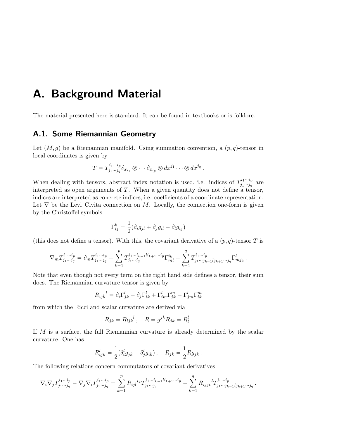## A. Background Material

The material presented here is standard. It can be found in textbooks or is folklore.

### A.1. Some Riemannian Geometry

Let  $(M, g)$  be a Riemannian manifold. Using summation convention, a  $(p, q)$ -tensor in local coordinates is given by

$$
T = T^{i_1 \cdots i_p}_{j_1 \cdots j_q} \partial_{x_{i_1}} \otimes \cdots \partial_{x_{i_p}} \otimes dx^{j_1} \cdots \otimes dx^{j_q}.
$$

When dealing with tensors, abstract index notation is used, i.e. indices of  $T_{i_1\ldots i_n}^{i_1\ldots i_p}$  $j_1...j_q$  are interpreted as open arguments of  $T$ . When a given quantity does not define a tensor, indices are interpreted as concrete indices, i.e. coefficients of a coordinate representation. Let  $\nabla$  be the Levi–Civita connection on M. Locally, the connection one-form is given by the Christoffel symbols

$$
\Gamma_{ij}^k = \frac{1}{2} (\partial_i g_{jl} + \partial_j g_{il} - \partial_l g_{ij})
$$

(this does not define a tensor). With this, the covariant derivative of a  $(p, q)$ -tensor T is

$$
\nabla_m T_{j_1 \cdots j_q}^{i_1 \cdots i_p} = \partial_m T_{j_1 \cdots j_q}^{i_1 \cdots i_p} + \sum_{k=1}^p T_{j_1 \cdots j_q}^{i_1 \cdots i_{k-1} l i_{k+1} \cdots i_p} \Gamma_{ml}^{i_k} - \sum_{k=1}^q T_{j_1 \cdots j_{k-1} l j_{k+1} \cdots j_q}^{i_1 \cdots i_p} \Gamma_{mj_k}^l.
$$

Note that even though not every term on the right hand side defines a tensor, their sum does. The Riemannian curvature tensor is given by

$$
R_{ijk}^{\ \ l} = \partial_i \Gamma_{jk}^l - \partial_j \Gamma_{ik}^l + \Gamma_{im}^l \Gamma_{jk}^m - \Gamma_{jm}^l \Gamma_{ik}^m
$$

from which the Ricci and scalar curvature are derived via

$$
R_{jk} = R_{ljk}{}^l, \quad R = g^{jk} R_{jk} = R_l^l.
$$

If M is a surface, the full Riemannian curvature is already determined by the scalar curvature. One has

$$
R^l_{ijk} = \frac{1}{2} (\delta^l_i g_{jk} - \delta^l_j g_{ik}), \quad R_{jk} = \frac{1}{2} R g_{jk}.
$$

The following relations concern commutators of covariant derivatives

$$
\nabla_i \nabla_j T_{j_1 \cdots j_q}^{i_1 \cdots i_p} - \nabla_j \nabla_i T_{j_1 \cdots j_q}^{i_1 \cdots i_p} = \sum_{k=1}^p R_{ijl}^{i_k} T_{j_1 \cdots j_q}^{i_1 \cdots i_{k-1} l i_{k+1} \cdots i_p} - \sum_{k=1}^q R_{ijj_k}^{i_k} T_{j_1 \cdots j_{k-1} l j_{k+1} \cdots j_q}^{i_1 \cdots i_p}.
$$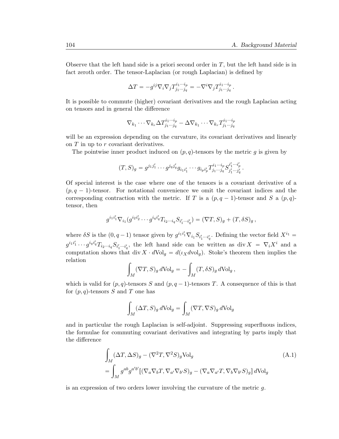.

Observe that the left hand side is a priori second order in  $T$ , but the left hand side is in fact zeroth order. The tensor-Laplacian (or rough Laplacian) is defined by

$$
\Delta T = -g^{ij}\nabla_i\nabla_j T^{i_1\cdots i_p}_{j_1\cdots j_q} = -\nabla^i\nabla_j T^{i_1\cdots i_p}_{j_1\cdots j_q}.
$$

It is possible to commute (higher) covariant derivatives and the rough Laplacian acting on tensors and in general the difference

$$
\nabla_{k_1}\cdots\nabla_{k_r}\Delta T^{i_1\cdots i_p}_{j_1\cdots j_q}-\Delta\nabla_{k_1}\cdots\nabla_{k_r}T^{i_1\cdots i_p}_{j_1\cdots j_q}
$$

will be an expression depending on the curvature, its covariant derivatives and linearly on T in up to r covariant derivatives.

The pointwise inner product induced on  $(p, q)$ -tensors by the metric g is given by

$$
(T,S)_g = g^{j_1 j'_1} \cdots g^{j_q j'_q} g_{i_1 i'_1} \cdots g_{i_p i'_p} T^{i_1 \cdots i_p}_{j_1 \cdots j_q} S^{i'_1 \cdots i'_p}_{j'_1 \cdots j'_q}
$$

Of special interest is the case where one of the tensors is a covariant derivative of a  $(p, q - 1)$ -tensor. For notational convenience we omit the covariant indices and the corresponding contraction with the metric. If T is a  $(p, q - 1)$ -tensor and S a  $(p, q)$ tensor, then

$$
g^{i_1i'_1} \nabla_{i_1} (g^{i_2i'_2} \cdots g^{i_qi'_q} T_{i_2 \cdots i_q} S_{i'_1 \cdots i'_q}) = (\nabla T, S)_g + (T, \delta S)_g,
$$

where  $\delta S$  is the  $(0, q-1)$  tensor given by  $g^{i_1 i'_1} \nabla_{i_1} S_{i'_1 \cdots i'_q}$ . Defining the vector field  $X^{i_1}$  =  $g^{i_1i'_1}\cdots g^{i_qi'_q}T_{i_2\cdots i_q}S_{i'_1\cdots i'_q}$ , the left hand side can be written as div  $X = \nabla_i X^i$  and a computation shows that div  $X \cdot dVol_g = d(\iota_X dvol_g)$ . Stoke's theorem then implies the relation

$$
\int_M (\nabla T, S)_g d\text{Vol}_g = -\int_M (T, \delta S)_g d\text{Vol}_g,
$$

which is valid for  $(p, q)$ -tensors S and  $(p, q - 1)$ -tensors T. A consequence of this is that for  $(p, q)$ -tensors S and T one has

$$
\int_M (\Delta T, S)_g \, d\text{Vol}_g = \int_M (\nabla T, \nabla S)_g \, d\text{Vol}_g
$$

and in particular the rough Laplacian is self-adjoint. Suppressing superfluous indices, the formulae for commuting covariant derivatives and integrating by parts imply that the difference

$$
\int_{M} (\Delta T, \Delta S)_{g} - (\nabla^{2} T, \nabla^{2} S)_{g} \text{Vol}_{g}
$$
\n
$$
= \int_{M} g^{ab} g^{a'b'} [(\nabla_{a} \nabla_{b} T, \nabla_{a'} \nabla_{b'} S)_{g} - (\nabla_{a} \nabla_{a'} T, \nabla_{b} \nabla_{b'} S)_{g}] dVol_{g}
$$
\n(A.1)

is an expression of two orders lower involving the curvature of the metric  $q$ .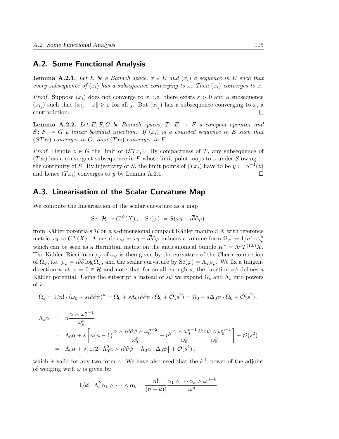### A.2. Some Functional Analysis

**Lemma A.2.1.** Let E be a Banach space,  $x \in E$  and  $(x_i)$  a sequence in E such that every subsequence of  $(x_i)$  has a subsequence converging to x. Then  $(x_i)$  converges to x.

*Proof.* Suppose  $(x_i)$  does not converge to x, i.e. there exists  $\varepsilon > 0$  and a subsequence  $(x_{i_j})$  such that  $||x_{i_j} - x|| \geq \varepsilon$  for all j. But  $(x_{i_j})$  has a subsequence converging to x, a contradiction.  $\Box$ 

**Lemma A.2.2.** Let E, F, G be Banach spaces,  $T: E \rightarrow F$  a compact operator and  $S: F \to G$  a linear bounded injection. If  $(x_i)$  is a bounded sequence in E such that  $(STx_i)$  converges in G, then  $(Tx_i)$  converges in F.

*Proof.* Denote  $z \in G$  the limit of  $(STx_i)$ . By compactness of T, any subsequence of  $(T x_i)$  has a convergent subsequence in F whose limit point maps to z under S owing to the continuity of S. By injectivity of S, the limit points of  $(Tx_i)$  have to be  $y := S^{-1}(z)$ and hence  $(T x_i)$  converges to y by Lemma A.2.1.  $\Box$ 

### A.3. Linearisation of the Scalar Curvature Map

We compute the linearisation of the scalar curvature as a map

$$
\text{Sc}\colon \mathcal{H} \to C^{\infty}(X) \,, \quad \text{Sc}(\varphi) := S(\omega_0 + i\overline{\partial}\partial\varphi)
$$

from Kähler potentials  $\mathcal H$  on a n-dimensional compact Kähler manifold X with reference metric  $\omega_0$  to  $C^{\infty}(X)$ . A metric  $\omega_{\varphi} = \omega_0 + i \overline{\partial} \partial \varphi$  induces a volume form  $\Omega_{\varphi} := 1/n! \cdot \omega_{\varphi}^n$ which can be seen as a Hermitian metric on the anticanonical bundle  $K^* = \Lambda^n T^{(1,0)}X$ . The Kähler–Ricci form  $\rho_{\varphi}$  of  $\omega_{\varphi}$  is then given by the curvature of the Chern connection of  $\Omega_{\varphi}$ , i.e.  $\rho_{\varphi} = i\overline{\partial}\partial \log \Omega_{\varphi}$ , and the scalar curvature by  $Sc(\varphi) = \Lambda_{\varphi}\rho_{\varphi}$ . We fix a tangent direction  $\psi$  at  $\varphi = 0 \in \mathcal{H}$  and note that for small enough s, the function s $\psi$  defines a Kähler potential. Using the subscript s instead of  $s\psi$  we expand  $\Omega_s$  and  $\Lambda_s$  into powers of s:

$$
\Omega_s = 1/n! \cdot (\omega_0 + si\overline{\partial}\partial\psi)^n = \Omega_0 + s\Lambda_0 i\overline{\partial}\partial\psi \cdot \Omega_0 + \mathcal{O}(s^2) = \Omega_0 + s\Delta_0\psi \cdot \Omega_0 + \mathcal{O}(s^2) ,
$$

$$
\Lambda_s \alpha = n \frac{\alpha \wedge \omega_s^{n-1}}{\omega_s^n}
$$
\n
$$
= \Lambda_0 \alpha + s \left[ n(n-1) \frac{\alpha \wedge i \overline{\partial} \partial \psi \wedge \omega_0^{n-2}}{\omega_0^n} - n^2 \frac{\alpha \wedge \omega_0^{n-1}}{\omega_0^n} \frac{i \overline{\partial} \partial \psi \wedge \omega_0^{n-1}}{\omega_0^n} \right] + \mathcal{O}(s^2)
$$
\n
$$
= \Lambda_0 \alpha + s \left[ 1/2 \cdot \Lambda_0^2 \alpha \wedge i \overline{\partial} \partial \psi - \Lambda_0 \alpha \cdot \Delta_0 \psi \right] + \mathcal{O}(s^2),
$$

which is valid for any two-form  $\alpha$ . We have also used that the  $k^{\text{th}}$  power of the adjoint of wedging with  $\omega$  is given by

$$
1/k! \cdot \Lambda_{\omega}^{k} \alpha_{1} \wedge \cdots \wedge \alpha_{k} = \frac{n!}{(n-k)!} \frac{\alpha_{1} \wedge \cdots \alpha_{k} \wedge \omega^{n-k}}{\omega^{n}}
$$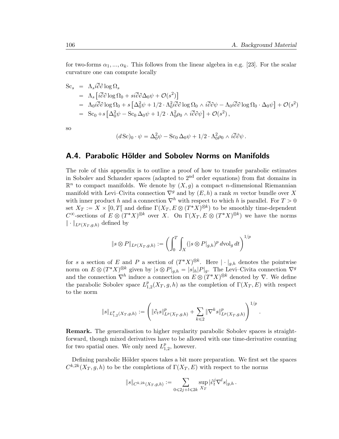.

for two-forms  $\alpha_1, ..., \alpha_k$ . This follows from the linear algebra in e.g. [23]. For the scalar curvature one can compute locally

$$
\begin{split}\n\text{Sc}_{s} &= \Lambda_{s}i\overline{\partial}\partial\log\Omega_{s} \\
&= \Lambda_{s}\left[i\overline{\partial}\partial\log\Omega_{0} + si\overline{\partial}\partial\Delta_{0}\psi + \mathcal{O}(s^{2})\right] \\
&= \Lambda_{0}i\overline{\partial}\partial\log\Omega_{0} + s\left[\Delta_{0}^{2}\psi + 1/2 \cdot \Lambda_{0}^{2}i\overline{\partial}\partial\log\Omega_{0} \wedge i\overline{\partial}\partial\psi - \Lambda_{0}i\overline{\partial}\partial\log\Omega_{0} \cdot \Delta_{0}\psi\right] + \mathcal{O}(s^{2}) \\
&= \text{Sc}_{0} + s\left[\Delta_{0}^{2}\psi - \text{Sc}_{0}\Delta_{0}\psi + 1/2 \cdot \Lambda_{0}^{2}\rho_{0} \wedge i\overline{\partial}\partial\psi\right] + \mathcal{O}(s^{2}),\n\end{split}
$$

so

$$
(d\,\mathrm{Sc})_0\cdot\psi=\Delta_0^2\psi-\mathrm{Sc}_0\,\Delta_0\psi+1/2\cdot\Lambda_0^2\rho_0\wedge i\overline{\partial}\partial\psi.
$$

### A.4. Parabolic Hölder and Sobolev Norms on Manifolds

The role of this appendix is to outline a proof of how to transfer parabolic estimates in Sobolev and Schauder spaces (adapted to  $2<sup>nd</sup>$  order equations) from flat domains in  $\mathbb{R}^n$  to compact manifolds. We denote by  $(X, g)$  a compact n-dimensional Riemannian manifold with Levi–Civita connection  $\nabla^g$  and by  $(E, h)$  a rank m vector bundle over X with inner product h and a connection  $\nabla^h$  with respect to which h is parallel. For  $T > 0$ set  $X_T := X \times [0, T[$  and define  $\Gamma(X_T, E \otimes (T^*X)^{\otimes k})$  to be smoothly time-dependent  $C^{\infty}$ -sections of  $E \otimes (T^*X)^{\otimes k}$  over X. On  $\Gamma(X_T, E \otimes (T^*X)^{\otimes k})$  we have the norms  $\|\cdot\|_{L^p(X_T, q,h)}$  defined by

$$
\|s\otimes P\|_{L^p(X_T,g,h)} := \left(\int_0^T\int_X (|s\otimes P|_{g,h})^p \,d\mathrm{vol}_g \,dt\right)^{1/p}
$$

for s a section of E and P a section of  $(T^*X)^{\otimes k}$ . Here  $|\cdot|_{g,h}$  denotes the pointwise norm on  $E \otimes (T^*X)^{\otimes k}$  given by  $|s \otimes P|_{g,h} = |s|_h|P|_g$ . The Levi–Civita connection  $\nabla^g$ and the connection  $\nabla^h$  induce a connection on  $E \otimes (T^*X)^{\otimes k}$  denoted by  $\nabla$ . We define the parabolic Sobolev space  $L_1^p$  $P_{1,2}^p(X_T, g, h)$  as the completion of  $\Gamma(X_T, E)$  with respect to the norm

$$
\|s\|_{L^p_{1,2}(X_T,g,h)}:=\Bigg(\|\partial_t s\|^p_{L^p(X_T,g,h)}+\sum_{k\leqslant 2}\|\nabla^k s\|^p_{L^p(X_T,g,h)}\Bigg)^{1/p}
$$

Remark. The generalisation to higher regularity parabolic Sobolev spaces is straightforward, though mixed derivatives have to be allowed with one time-derivative counting for two spatial ones. We only need  $L_1^p$  $_{1,2}^p$ , however.

Defining parabolic Hölder spaces takes a bit more preparation. We first set the spaces  $C^{k,2k}(X_T, g, h)$  to be the completions of  $\Gamma(X_T, E)$  with respect to the norms

$$
\|s\|_{C^{k,2k}(X_T,g,h)} := \sum_{0 \leq 2j+l \leq 2k} \sup_{X_T} |\partial_t^j \nabla^l s|_{g,h}.
$$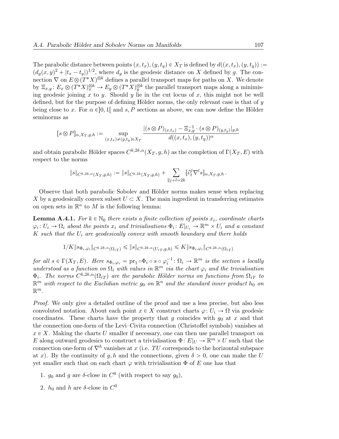The parabolic distance between points  $(x, t_x), (y, t_y) \in X_T$  is defined by  $d((x, t_x), (y, t_y)) :=$  $(d_g(x, y)^2 + |t_x - t_y|)^{1/2}$ , where  $d_g$  is the geodesic distance on X defined by g. The connection  $\nabla$  on  $E \otimes (T^*X)^{\otimes k}$  defines a parallel transport maps for paths on X. We denote by  $\Xi_{x,y}$ :  $E_x \otimes (T^*X)^{\otimes k}_x \to E_y \otimes (T^*X)^{\otimes k}_y$  the parallel transport maps along a minimising geodesic joining x to y. Should y lie in the cut locus of x, this might not be well defined, but for the purpose of defining Hölder norms, the only relevant case is that of  $y$ being close to x. For  $\alpha \in ]0,1[$  and s, P sections as above, we can now define the Hölder seminorms as

$$
[s \otimes P]_{\alpha, X_T, g, h} := \sup_{(x, t_x) \neq (y, t_y) \in X_T} \frac{|(s \otimes P)_{(x, t_x)} - \Xi_{x, y}^{-1} \cdot (s \otimes P)_{(y, t_y)}|_{g, h}}{d((x, t_x), (y, t_y))^{\alpha}}
$$

and obtain parabolic Hölder spaces  $C^{k,2k,\alpha}(X_T,g,h)$  as the completion of  $\Gamma(X_T, E)$  with respect to the norms

$$
\|s\|_{C^{k,2k,\alpha}(X_T,g,h)} := \|s\|_{C^{k,2k}(X_T,g,h)} + \sum_{2j+l=2k} [\partial_t^j \nabla^l s]_{\alpha,X_T,g,h}.
$$

Observe that both parabolic Sobolev and Hölder norms makes sense when replacing X by a geodesically convex subset  $U \subset X$ . The main ingredient in transferring estimates on open sets in  $\mathbb{R}^n$  to M is the following lemma:

**Lemma A.4.1.** For  $k \in \mathbb{N}_0$  there exists a finite collection of points  $x_i$ , coordinate charts  $\varphi_i: U_i \to \Omega_i$  about the points  $x_i$  and trivialisations  $\Phi_i: E|_{U_i} \to \mathbb{R}^m \times U_i$  and a constant K such that the  $U_i$  are geodesically convex with smooth boundary and there holds

$$
1/K\|s_{\Phi_i,\varphi_i}\|_{C^{k,2k,\alpha}(\Omega_{iT})}\leqslant \|s\|_{C^{k,2k,\alpha}(U_{iT},g,h)}\leqslant K\|s_{\Phi_i,\varphi_i}\|_{C^{k,2k,\alpha}(\Omega_{iT})}
$$

for all  $s \in \Gamma(X_T, E)$ . Here  $s_{\Phi_i, \varphi_i} = \text{pr}_1 \circ \Phi_i \circ s \circ \varphi_i^{-1} \colon \Omega_i \to \mathbb{R}^m$  is the section s locally understood as a function on  $\Omega_i$  with values in  $\mathbb{R}^m$  via the chart  $\varphi_i$  and the trivialisation  $\Phi_i$ . The norms  $C^{k,2k,\alpha}(\Omega_{iT})$  are the parabolic Hölder norms on functions from  $\Omega_{iT}$  to  $\mathbb{R}^m$  with respect to the Euclidian metric  $g_0$  on  $\mathbb{R}^n$  and the standard inner product  $h_0$  on  $\mathbb{R}^m$ .

Proof. We only give a detailed outline of the proof and use a less precise, but also less convoluted notation. About each point  $x \in X$  construct charts  $\varphi: U_i \to \Omega$  via geodesic coordinates. These charts have the property that g coincides with  $g_0$  at x and that the connection one-form of the Levi–Civita connection (Christoffel symbols) vanishes at  $x \in X$ . Making the charts U smaller if necessary, one can then use parallel transport on E along outward geodesics to construct a trivialisation  $\Phi: E|_U \to \mathbb{R}^m \times U$  such that the connection one-form of  $\nabla^h$  vanishes at x (i.e. TU corresponds to the horizontal subspace at x). By the continuity of g, h and the connections, given  $\delta > 0$ , one can make the U yet smaller such that on each chart  $\varphi$  with trivialisation  $\Phi$  of E one has that

- 1.  $g_0$  and  $g$  are  $\delta$ -close in  $C^0$  (with respect to say  $g_0$ ),
- 2.  $h_0$  and h are  $\delta$ -close in  $C^0$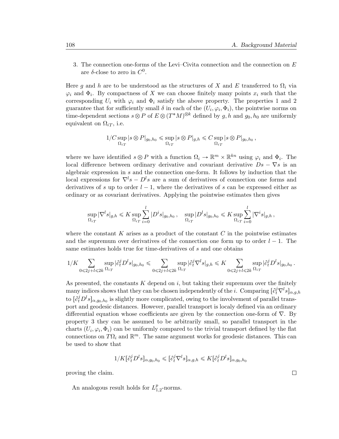3. The connection one-forms of the Levi–Civita connection and the connection on E are  $\delta$ -close to zero in  $C^0$ .

Here g and h are to be understood as the structures of X and E transferred to  $\Omega_i$  via  $\varphi_i$  and  $\Phi_i$ . By compactness of X we can choose finitely many points  $x_i$  such that the corresponding  $U_i$  with  $\varphi_i$  and  $\Phi_i$  satisfy the above property. The properties 1 and 2 guarantee that for sufficiently small  $\delta$  in each of the  $(U_i, \varphi_i, \Phi_i)$ , the pointwise norms on time-dependent sections  $s \otimes P$  of  $E \otimes (T^*M)^{\otimes k}$  defined by  $g, h$  and  $g_0, h_0$  are uniformly equivalent on  $\Omega_{iT}$ , i.e.

$$
1/C \sup_{\Omega_{iT}} |s \otimes P|_{g_0,h_0} \leq \sup_{\Omega_{iT}} |s \otimes P|_{g,h} \leq C \sup_{\Omega_{iT}} |s \otimes P|_{g_0,h_0},
$$

where we have identified  $s \otimes P$  with a function  $\Omega_i \to \mathbb{R}^m \times \mathbb{R}^{kn}$  using  $\varphi_i$  and  $\Phi_i$ . The local difference between ordinary derivative and covariant derivative  $Ds - \nabla s$  is an algebraic expression in s and the connection one-form. It follows by induction that the local expressions for  $\nabla^l s - D^l s$  are a sum of derivatives of connection one forms and derivatives of s up to order  $l - 1$ , where the derivatives of s can be expressed either as ordinary or as covariant derivatives. Applying the pointwise estimates then gives

$$
\sup_{\Omega_{iT}}|\nabla^l s|_{g,h} \leqslant K \sup_{\Omega_{iT}}\sum_{i=0}^l|D^is|_{g_0,h_0}\,,\quad \sup_{\Omega_{iT}}|D^l s|_{g_0,h_0}\leqslant K \sup_{\Omega_{iT}}\sum_{i=0}^l|\nabla^is|_{g,h}\,,
$$

where the constant  $K$  arises as a product of the constant  $C$  in the pointwise estimates and the supremum over derivatives of the connection one form up to order  $l - 1$ . The same estimates holds true for time-derivatives of s and one obtains

$$
1/K \sum_{0 \leqslant 2j + l \leqslant 2k} \sup_{\Omega_{iT}} |\partial_t^j D^l s|_{g_0,h_0} \leqslant \sum_{0 \leqslant 2j + l \leqslant 2k} \sup_{\Omega_{iT}} |\partial_t^j \nabla^l s|_{g,h} \leqslant K \sum_{0 \leqslant 2j + l \leqslant 2k} \sup_{\Omega_{iT}} |\partial_t^j D^l s|_{g_0,h_0} \, .
$$

As presented, the constants  $K$  depend on  $i$ , but taking their supremum over the finitely many indices shows that they can be chosen independently of the *i*. Comparing  $[\partial_t^j \nabla^l s]_{\alpha,g,h}$ to  $[\partial_t^j D^l s]_{\alpha,g_0,h_0}$  is slightly more complicated, owing to the involvement of parallel transport and geodesic distances. However, parallel transport is localy defined via an ordinary differential equation whose coefficients are given by the connection one-form of  $\nabla$ . By property 3 they can be assumed to be arbitrarily small, so parallel transport in the charts  $(U_i, \varphi_i, \Phi_i)$  can be uniformly compared to the trivial transport defined by the flat connections on  $T\Omega_i$  and  $\mathbb{R}^m$ . The same argument works for geodesic distances. This can be used to show that

$$
1/K[\partial_t^j D^l s]_{\alpha,g_0,h_0} \leqslant [\partial_t^j \nabla^l s]_{\alpha,g,h} \leqslant K[\partial_t^j D^l s]_{\alpha,g_0,h_0}
$$

proving the claim.

An analogous result holds for  $L_1^p$  $_{1,2}^p$ -norms.  $\Box$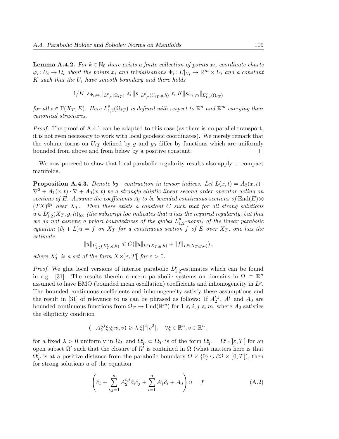**Lemma A.4.2.** For  $k \in \mathbb{N}_0$  there exists a finite collection of points  $x_i$ , coordinate charts  $\varphi_i: U_i \to \Omega_i$  about the points  $x_i$  and trivialisations  $\Phi_i: E|_{U_i} \to \mathbb{R}^m \times U_i$  and a constant K such that the  $U_i$  have smooth boundary and there holds

$$
1/K \|s_{\Phi_i, \varphi_i}\|_{L^p_{1,2}(\Omega_{iT})} \leqslant \|s\|_{L^p_{1,2}(U_{iT}, g, h)} \leqslant K \|s_{\Phi_i, \varphi_i}\|_{L^p_{1,2}(\Omega_{iT})}
$$

for all  $s \in \Gamma(X_T, E)$ . Here  $L_1^p$  $_{1,2}^{p}(\Omega_{iT})$  is defined with respect to  $\mathbb{R}^{n}$  and  $\mathbb{R}^{m}$  carrying their canonical structures.

Proof. The proof of A.4.1 can be adapted to this case (as there is no parallel transport, it is not even necessary to work with local geodesic coordinates). We merely remark that the volume forms on  $U_{iT}$  defined by g and  $g_0$  differ by functions which are uniformly bounded from above and from below by a positive constant.  $\Box$ 

We now proceed to show that local parabolic regularity results also apply to compact manifolds.

**Proposition A.4.3.** Denote by  $\cdot$  contraction in tensor indices. Let  $L(x, t) = A_2(x, t) \cdot$  $\nabla^2 + A_1(x, t) \cdot \nabla + A_0(x, t)$  be a strongly elliptic linear second order operator acting on sections of E. Assume the coefficients  $A_l$  to be bounded continuous sections of  $\text{End}(E)\otimes$  $(TX)^{\otimes l}$  over  $X_T$ . Then there exists a constant C such that for all strong solutions  $u \in L_1^p$  $_{1,2}^{p}(X_{T},g,h)_{loc}$  (the subscript loc indicates that  $u$  has the required regularity, but that we do not assume a priori boundedness of the global  $L_1^p$  $_{1,2}^{p}\text{-norm}$ ) of the linear parabolic equation  $(\partial_t + L)u = f$  on  $X_T$  for a continuous section f of E over  $X_T$ , one has the estimate

$$
||u||_{L^p_{1,2}(X'_T,g,h)} \leqslant C(||u||_{L^p(X_T,g,h)} + ||f||_{L^p(X_T,g,h)}),
$$

where  $X'_T$  is a set of the form  $X \times \in \mathbb{R}$ . There  $\varepsilon > 0$ .

*Proof.* We glue local versions of interior parabolic  $L_1^p$  $_{1,2}^p$ -estimates which can be found in e.g. [31]. The results therein concern parabolic systems on domains in  $\Omega \subset \mathbb{R}^n$ assumed to have BMO (bounded mean oscillation) coefficients and inhomogeneity in  $L^p$ . The bounded continuous coefficients and inhomogeneity satisfy these assumptions and the result in [31] of relevance to us can be phrased as follows: If  $A_2^{i,j}$  $_2^{i,j}$ ,  $A_1^i$  and  $A_0$  are bounded continuous functions from  $\Omega_T \to \text{End}(\mathbb{R}^m)$  for  $1 \leq i, j \leq m$ , where  $A_2$  satisfies the ellipticity condition

$$
(-A_2^{i,j}\xi_i\xi_jv,v)\geqslant \lambda |\xi|^2|v^2|,\quad \forall \xi\in\mathbb{R}^n,v\in\mathbb{R}^n\,,
$$

for a fixed  $\lambda > 0$  uniformly in  $\Omega_T$  and  $\Omega'_T \subset \Omega_T$  is of the form  $\Omega'_T = \Omega' \times \infty$ ,  $T$  for an open subset  $\Omega'$  such that the closure of  $\Omega'$  is contained in  $\Omega$  (what matters here is that  $\Omega'_T$  is at a positive distance from the parabolic boundary  $\Omega \times \{0\} \cup \partial \Omega \times [0, T[)$ , then for strong solutions u of the equation

$$
\left(\partial_t + \sum_{i,j=1}^n A_2^{i,j} \partial_i \partial_j + \sum_{i=1}^n A_1^i \partial_i + A_0\right) u = f
$$
\n(A.2)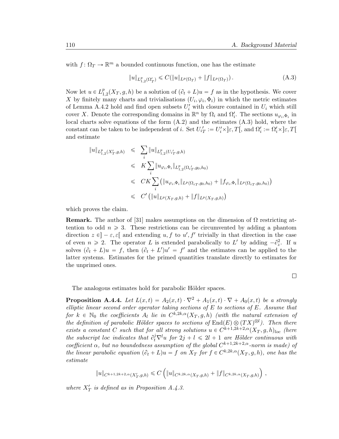with  $f: \Omega_T \to \mathbb{R}^m$  a bounded continuous function, one has the estimate

$$
||u||_{L_{1,2}^p(\Omega_T')} \leqslant C(||u||_{L^p(\Omega_T)} + ||f||_{L^p(\Omega_T)}).
$$
\n(A.3)

Now let  $u \in L_1^p$  $_{1,2}^{p}(X_T, g, h)$  be a solution of  $(\partial_t + L)u = f$  as in the hypothesis. We cover X by finitely many charts and trivialisations  $(U_i, \varphi_i, \Phi_i)$  in which the metric estimates of Lemma A.4.2 hold and find open subsets  $U_i'$  with closure contained in  $U_i$  which still cover X. Denote the corresponding domains in  $\mathbb{R}^n$  by  $\Omega_i$  and  $\Omega'_i$ . The sections  $u_{\varphi_i,\Phi_i}$  in local charts solve equations of the form  $(A.2)$  and the estimates  $(A.3)$  hold, where the constant can be taken to be independent of *i*. Set  $U'_{iT} := U'_{i} \times \mathcal{E}$ ,  $T[$ , and  $\Omega'_{i} := \Omega'_{i} \times \mathcal{E}$ ,  $T[$ and estimate

$$
\|u\|_{L_{1,2}^p(X_T',g,h)} \leqslant \sum_i \|u\|_{L_{1,2}^p(U_{i_T}',g,h)} \n\leqslant K \sum_i \|u_{\varphi_i,\Phi_i}\|_{L_{1,2}^p(\Omega_{i_T}',g_0,h_0)} \n\leqslant CK \sum_i \left( \|u_{\varphi_i,\Phi_i}\|_{L^p(\Omega_{i_T},g_0,h_0)} + \|f_{\varphi_i,\Phi_i}\|_{L^p(\Omega_{i_T},g_0,h_0)} \right) \n\leqslant C' \left( \|u\|_{L^p(X_T,g,h)} + \|f\|_{L^p(X_T,g,h)} \right)
$$

which proves the claim.

**Remark.** The author of [31] makes assumptions on the dimension of  $\Omega$  restricting attention to odd  $n \geq 3$ . These restrictions can be circumvented by adding a phantom direction  $z \in ]-\varepsilon,\varepsilon[$  and extending  $u, f$  to  $u', f'$  trivially in that direction in the case of even  $n \ge 2$ . The operator L is extended parabolically to L' by adding  $-\partial_z^2$ . If u solves  $(\partial_t + L)u = f$ , then  $(\partial_t + L')u' = f'$  and the estimates can be applied to the latter systems. Estimates for the primed quantities translate directly to estimates for the unprimed ones.

 $\Box$ 

The analogous estimates hold for parabolic Hölder spaces.

**Proposition A.4.4.** Let  $L(x, t) = A_2(x, t) \cdot \nabla^2 + A_1(x, t) \cdot \nabla + A_0(x, t)$  be a strongly elliptic linear second order operator taking sections of  $E$  to sections of  $E$ . Assume that for  $k \in \mathbb{N}_0$  the coefficients  $A_l$  lie in  $C^{k,2k,\alpha}(X_T,g,h)$  (with the natural extension of the definition of parabolic Hölder spaces to sections of  $\text{End}(E) \otimes (TX)^{\otimes l}$ ). Then there exists a constant C such that for all strong solutions  $u \in C^{k+1,2k+2,\alpha}(X_T,g,h)_{loc}$  (here the subscript loc indicates that  $\partial_t^j \nabla^l u$  for  $2j + l \leq 2l + 1$  are Hölder continuous with coefficient  $\alpha$ , but no boundedness assumption of the global  $C^{k+1,2k+2,\alpha}$ -norm is made) of the linear parabolic equation  $(\partial_t + L)u = f$  on  $X_T$  for  $f \in C^{k,2k,\alpha}(X_T,g,h)$ , one has the estimate

$$
||u||_{C^{k+1,2k+2,\alpha}(X'_T,g,h)} \leq C \left( ||u||_{C^{k,2k,\alpha}(X_T,g,h)} + ||f||_{C^{k,2k,\alpha}(X_T,g,h)} \right),
$$

where  $X'_T$  is defined as in Proposition A.4.3.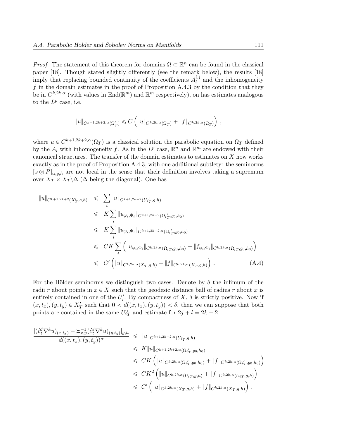*Proof.* The statement of this theorem for domains  $\Omega \subset \mathbb{R}^n$  can be found in the classical paper [18]. Though stated slightly differently (see the remark below), the results [18] imply that replacing bounded continuity of the coefficients  $A_l^{i,j}$  $\ell_l^{i,j}$  and the inhomogeneity  $f$  in the domain estimates in the proof of Proposition A.4.3 by the condition that they be in  $C^{k,2k,\alpha}$  (with values in End $(\mathbb{R}^m)$  and  $\mathbb{R}^m$  respectively), on has estimates analogous to the  $L^p$  case, i.e.

$$
||u||_{C^{k+1,2k+2,\alpha}(\Omega'_T)} \leqslant C \left( ||u||_{C^{k,2k,\alpha}(\Omega_T)} + ||f||_{C^{k,2k,\alpha}(\Omega_T)} \right),
$$

where  $u \in C^{k+1,2k+2,\alpha}(\Omega_T)$  is a classical solution the parabolic equation on  $\Omega_T$  defined by the  $A_l$  with inhomogeneity f. As in the  $L^p$  case,  $\mathbb{R}^n$  and  $\mathbb{R}^m$  are endowed with their canonical structures. The transfer of the domain estimates to estimates on  $X$  now works exactly as in the proof of Proposition A.4.3, with one additional subtlety: the seminorms  $[s \otimes P]_{\alpha,q,h}$  are not local in the sense that their definition involves taking a supremum over  $X_T \times X_T \backslash \Delta$  ( $\Delta$  being the diagonal). One has

$$
\|u\|_{C^{k+1,2k+2}(X'_T,g,h)} \leq \sum_{i} \|u\|_{C^{k+1,2k+2}(U'_{i,T},g,h)} \n\leq K \sum_{i} \|u_{\varphi_i,\Phi_i}\|_{C^{k+1,2k+2}(\Omega_{i'_T,g_0,h_0)} \n\leq K \sum_{i} \|u_{\varphi_i,\Phi_i}\|_{C^{k+1,2k+2,\alpha}(\Omega_{i'_T,g_0,h_0)} \n\leq CK \sum_{i} \left( \|u_{\varphi_i,\Phi_i}\|_{C^{k,2k,\alpha}(\Omega_{i_T,g_0,h_0)} + \|f_{\varphi_i,\Phi_i}\|_{C^{k,2k,\alpha}(\Omega_{i_T,g_0,h_0)} \right) \n\leq C' \left( \|u\|_{C^{k,2k,\alpha}(X_T,g,h)} + \|f\|_{C^{k,2k,\alpha}(X_T,g,h)} \right).
$$
\n(A.4)

For the Hölder seminorms we distinguish two cases. Denote by  $\delta$  the infimum of the radii r about points in  $x \in X$  such that the geodesic distance ball of radius r about x is entirely contained in one of the  $U_i'$ . By compactness of X,  $\delta$  is strictly positive. Now if  $(x, t_x), (y, t_y) \in X'_T$  such that  $0 < d((x, t_x), (y, t_y)) < \delta$ , then we can suppose that both points are contained in the same  $U'_{iT}$  and estimate for  $2j + l = 2k + 2$ 

$$
\frac{|(\partial_t^j \nabla^k u)_{(x,t_x)} - \Xi_{x,y}^{-1}(\partial_t^j \nabla^k u)_{(y,t_y)}|_{g,h}}{d((x,t_x),(y,t_y))^{\alpha}} \leq \|u\|_{C^{k+1,2k+2,\alpha}(U_{i_T}^{'},g,h)} \leq K \|u\|_{C^{k+1,2k+2,\alpha}(\Omega_{i_T}^{'},g_0,h_0)} \leq CK \left( \|u\|_{C^{k,2k,\alpha}(\Omega_{i_T}^{'},g_0,h_0)} + \|f\|_{C^{k,2k,\alpha}(\Omega_{i_T}^{'},g_0,h_0)} \right) \leq CK^2 \left( \|u\|_{C^{k,2k,\alpha}(U_{i_T},g,h)} + \|f\|_{C^{k,2k,\alpha}(U_{i_T},g,h)} \right) \leq C' \left( \|u\|_{C^{k,2k,\alpha}(X_T,g,h)} + \|f\|_{C^{k,2k,\alpha}(X_T,g,h)} \right).
$$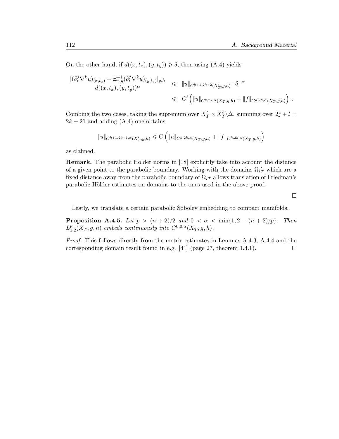On the other hand, if  $d((x, t_x), (y, t_y)) \ge \delta$ , then using (A.4) yields

$$
\frac{|(\partial_t^j \nabla^k u)_{(x,t_x)} - \Xi_{x,y}^{-1} (\partial_t^j \nabla^k u)_{(y,t_y)}|_{g,h}}{d((x,t_x), (y,t_y))^{\alpha}} \leq \|u\|_{C^{k+1,2k+2}(X_T',g,h)} \cdot \delta^{-\alpha} \leq C' \left( \|u\|_{C^{k,2k,\alpha}(X_T,g,h)} + \|f\|_{C^{k,2k,\alpha}(X_T,g,h)} \right).
$$

Combing the two cases, taking the supremum over  $X'_T \times X'_T \backslash \Delta$ , summing over  $2j + l =$  $2k + 21$  and adding  $(A.4)$  one obtains

$$
||u||_{C^{k+1,2k+1,\alpha}(X'_T,g,h)} \leq C \left( ||u||_{C^{k,2k,\alpha}(X_T,g,h)} + ||f||_{C^{k,2k,\alpha}(X_T,g,h)} \right)
$$

as claimed.

**Remark.** The parabolic Hölder norms in [18] explicitly take into account the distance of a given point to the parabolic boundary. Working with the domains  $\Omega_{iT}$  which are a fixed distance away from the parabolic boundary of  $\Omega_{iT}$  allows translation of Friedman's parabolic Hölder estimates on domains to the ones used in the above proof.

 $\Box$ 

Lastly, we translate a certain parabolic Sobolev embedding to compact manifolds.

**Proposition A.4.5.** Let  $p > (n + 2)/2$  and  $0 < \alpha < \min\{1, 2 - (n + 2)/p\}$ . Then  $L_1^p$  $_{1,2}^{p}(X_T, g, h)$  embeds continuously into  $C^{0,0,\alpha}(X_T, g, h)$ .

Proof. This follows directly from the metric estimates in Lemmas A.4.3, A.4.4 and the corresponding domain result found in e.g. [41] (page 27, theorem 1.4.1). $\Box$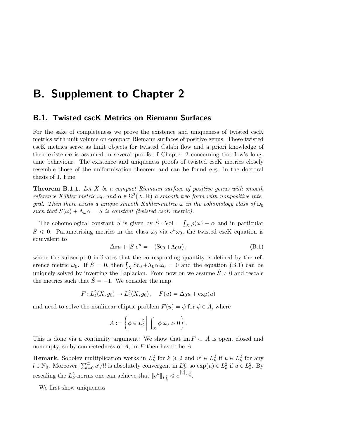## B. Supplement to Chapter 2

#### B.1. Twisted cscK Metrics on Riemann Surfaces

For the sake of completeness we prove the existence and uniqueness of twisted cscK metrics with unit volume on compact Riemann surfaces of positive genus. These twisted cscK metrics serve as limit objects for twisted Calabi flow and a priori knowledge of their existence is assumed in several proofs of Chapter 2 concerning the flow's longtime behaviour. The existence and uniqueness proofs of twisted cscK metrics closely resemble those of the uniformisation theorem and can be found e.g. in the doctoral thesis of J. Fine.

**Theorem B.1.1.** Let  $X$  be a compact Riemann surface of positive genus with smooth reference Kähler-metric  $\omega_0$  and  $\alpha \in \Omega^2(X, \mathbb{R})$  a smooth two-form with nonpositive integral. Then there exists a unique smooth Kähler-metric  $\omega$  in the cohomology class of  $\omega_0$ such that  $S(\omega) + \Lambda_{\omega} \alpha = \hat{S}$  is constant (twisted cscK metric).

The cohomological constant  $\hat{S}$  is given by  $\hat{S} \cdot \text{Vol} =$  $\int_X \rho(\omega) + \alpha$  and in particular  $\hat{S} \leq 0$ . Parametrising metrics in the class  $\omega_0$  via  $e^{\mu}\omega_0$ , the twisted cscK equation is equivalent to

$$
\Delta_0 u + |\hat{S}| e^u = -(\text{Sc}_0 + \Lambda_0 \alpha) , \qquad (B.1)
$$

where the subscript 0 indicates that the corresponding quantity is defined by the refwhere the subscript 0 indicates that the corresponding quantity is defined by the reference metric  $\omega_0$ . If  $\hat{S} = 0$ , then  $\int_X Sc_0 + \Lambda_0 \alpha \omega_0 = 0$  and the equation (B.1) can be uniquely solved by inverting the Laplacian. From now on we assume  $\hat{S} \neq 0$  and rescale the metrics such that  $\hat{S} = -1$ . We consider the map

$$
F: L_4^2(X, g_0) \to L_2^2(X, g_0), \quad F(u) = \Delta_0 u + \exp(u)
$$

and need to solve the nonlinear elliptic problem  $F(u) = \phi$  for  $\phi \in A$ , where

$$
A := \left\{ \phi \in L_2^2 \middle| \int_X \phi \, \omega_0 > 0 \right\}.
$$

This is done via a continuity argument: We show that im  $F \subset A$  is open, closed and nonempty, so by connectedness of  $A$ , im  $F$  then has to be  $A$ .

**Remark.** Sobolev multiplication works in  $L_k^2$  for  $k \ge 2$  and  $u^l \in L_k^2$  if  $u \in L_k^2$  for any  $l \in \mathbb{N}_0$ . Moreover,  $\sum_{l=0}^{\infty} u^l/l!$  is absolutely convergent in  $L_k^2$ , so  $\exp(u) \in L_k^2$  if  $u \in L_k^2$ . By rescaling the  $L_k^2$ -norms one can achieve that  $||e^u||_{L_k^2} \leq e^{||u||_{L_k^2}}$ .

We first show uniqueness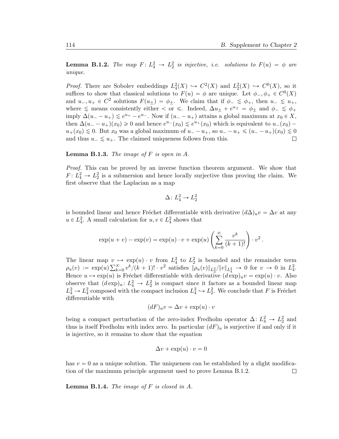**Lemma B.1.2.** The map  $F: L_4^2 \to L_2^2$  is injective, i.e. solutions to  $F(u) = \phi$  are unique.

*Proof.* There are Sobolev embeddings  $L_4^2(X) \hookrightarrow C^2(X)$  and  $L_2^2(X) \hookrightarrow C^0(X)$ , so it suffices to show that classical solutions to  $F(u) = \phi$  are unique. Let  $\phi_-, \phi_+ \in C^0(X)$ and  $u_-, u_+ \in C^2$  solutions  $F(u_\pm) = \phi_\pm$ . We claim that if  $\phi_- \leq \phi_+$ , then  $u_- \leq u_+$ , where  $\leq$  means consistently either  $\lt$  or  $\leq$ . Indeed,  $\Delta u_{\pm} + e^{u_{\pm}} = \phi_{\pm}$  and  $\phi_{-} \leq \phi_{+}$ imply  $\Delta(u_--u_+) \leq e^{u_+}-e^{u_-}$ . Now if  $(u_--u_+)$  attains a global maximum at  $x_0 \in X$ , then  $\Delta(u_--u_+)(x_0)\geq 0$  and hence  $e^{u_-}(x_0)\leq e^{u_+}(x_0)$  which is equivalent to  $u_-(x_0)$  $u_+(x_0) \lesssim 0$ . But  $x_0$  was a global maximum of  $u_--u_+$ , so  $u_--u_+ \leq (u_--u_+)(x_0) \lesssim 0$ and thus  $u_-\lesssim u_+$ . The claimed uniqueness follows from this.  $\Box$ 

**Lemma B.1.3.** The image of  $F$  is open in  $A$ .

Proof. This can be proved by an inverse function theorem argument. We show that  $F: L_4^2 \to L_2^2$  is a submersion and hence locally surjective thus proving the claim. We first observe that the Laplacian as a map

$$
\Delta \colon L_4^2 \to L_2^2
$$

is bounded linear and hence Fréchet differentiable with derivative  $(d\Delta)_u v = \Delta v$  at any  $u \in L_4^2$ . A small calculation for  $u, v \in L_4^2$  shows that

$$
\exp(u+v) - \exp(v) = \exp(u) \cdot v + \exp(u) \left(\sum_{k=0}^{\infty} \frac{v^k}{(k+1)!}\right) \cdot v^2.
$$

The linear map  $v \mapsto \exp(u) \cdot v$  from  $L_4^2$  to  $L_2^2$  is bounded and the remainder term The linear map  $v \nightharpoonup \rho_u(v) := \exp(u) \sum_{k=1}^{\infty}$  $\sum_{k=0}^{\infty} v^k/(k+1)! \cdot v^2$  satisfies  $\|\rho_u(v)\|_{L_2^2}/\|v\|_{L_4^2} \to 0$  for  $v \to 0$  in  $L_4^2$ . Hence  $u \mapsto \exp(u)$  is Fréchet differentiable with derivative  $(d \exp)_u v = \exp(u) \cdot v$ . Also observe that  $(d \exp)_u : L_4^2 \to L_2^2$  is compact since it factors as a bounded linear map  $L_4^2 \rightarrow L_4^2$  composed with the compact inclusion  $L_4^2 \rightarrow L_2^2$ . We conclude that F is Fréchet differentiable with

$$
(dF)_uv = \Delta v + \exp(u) \cdot v
$$

being a compact perturbation of the zero-index Fredholm operator  $\Delta: L_4^2 \to L_2^2$  and thus is itself Fredholm with index zero. In particular  $(dF)_u$  is surjective if and only if it is injective, so it remains to show that the equation

$$
\Delta v + \exp(u) \cdot v = 0
$$

has  $v = 0$  as a unique solution. The uniqueness can be established by a slight modification of the maximum principle argument used to prove Lemma B.1.2.  $\Box$ 

**Lemma B.1.4.** The image of  $F$  is closed in  $A$ .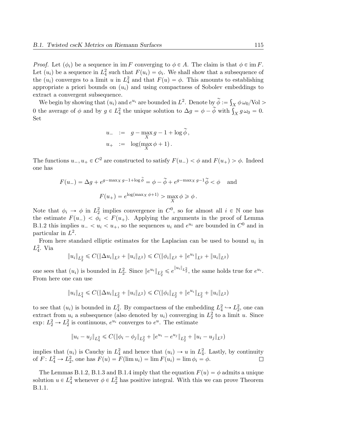*Proof.* Let  $(\phi_i)$  be a sequence in im F converging to  $\phi \in A$ . The claim is that  $\phi \in \text{im } F$ . Let  $(u_i)$  be a sequence in  $L_4^2$  such that  $F(u_i) = \phi_i$ . We shall show that a subsequence of the  $(u_i)$  converges to a limit u in  $L_4^2$  and that  $F(u) = \phi$ . This amounts to establishing appropriate a priori bounds on  $(u_i)$  and using compactness of Sobolev embeddings to extract a convergent subsequence.

tract a convergent subsequence.<br>We begin by showing that  $(u_i)$  and  $e^{u_i}$  are bounded in  $L^2.$  Denote by  $\widetilde{\phi} := \int$  $\chi \phi \omega_0 / \text{Vol} >$ We begin by showing that  $(u_i)$  and  $e^{-i}$  are bounded in  $L^2$ . Denote by  $\varphi := \int_X \varphi \omega_0 / \text{vol} \ge 0$  the average of  $\phi$  and by  $g \in L^2_4$  the unique solution to  $\Delta g = \phi - \widetilde{\phi}$  with  $\int_X g \omega_0 = 0$ . Set

$$
u_{-} := g - \max_{X} g - 1 + \log \widetilde{\phi},
$$
  

$$
u_{+} := \log(\max_{X} \phi + 1).
$$

The functions  $u_-, u_+ \in C^2$  are constructed to satisfy  $F(u_-) < \phi$  and  $F(u_+) > \phi$ . Indeed one has

$$
F(u_{-}) = \Delta g + e^{g - \max_{X} g - 1 + \log \widetilde{\phi}} = \phi - \widetilde{\phi} + e^{g - \max_{X} g - 1} \widetilde{\phi} < \phi \quad \text{and}
$$

$$
F(u_{+}) = e^{\log(\max_{X} \phi + 1)} > \max_{X} \phi \ge \phi.
$$

Note that  $\phi_i \to \phi$  in  $L_2^2$  implies convergence in  $C^0$ , so for almost all  $i \in \mathbb{N}$  one has the estimate  $F(u_{-}) < \phi_i < F(u_{+})$ . Applying the arguments in the proof of Lemma B.1.2 this implies  $u_- < u_i < u_+$ , so the sequences  $u_i$  and  $e^{u_i}$  are bounded in  $C^0$  and in particular in  $L^2$ .

From here standard elliptic estimates for the Laplacian can be used to bound  $u_i$  in  $L_4^2$ . Via

$$
||u_i||_{L_2^2} \leq C(||\Delta u_i||_{L^2} + ||u_i||_{L^2}) \leq C(||\phi_i||_{L^2} + ||e^{u_i}||_{L^2} + ||u_i||_{L^2})
$$

one sees that  $(u_i)$  is bounded in  $L_2^2$ . Since  $||e^{u_i}||_{L_2^2} \leq e^{||u_i||_{L_2^2}}$ , the same holds true for  $e^{u_i}$ . From here one can use

$$
||u_i||_{L_4^2} \leq C(||\Delta u_i||_{L_2^2} + ||u_i||_{L^2}) \leq C(||\phi_i||_{L_2^2} + ||e^{u_i}||_{L_2^2} + ||u_i||_{L^2})
$$

to see that  $(u_i)$  is bounded in  $L_4^2$ . By compactness of the embedding  $L_4^2 \hookrightarrow L_2^2$ , one can extract from  $u_i$  a subsequence (also denoted by  $u_i$ ) converging in  $L_2^2$  to a limit u. Since  $\exp: L_2^2 \to L_2^2$  is continuous,  $e^{u_i}$  converges to  $e^u$ . The estimate

$$
\|u_i - u_j\|_{L^2_4} \leq C(\|\phi_i - \phi_j\|_{L^2_2} + \|e^{u_i} - e^{u_j}\|_{L^2_2} + \|u_i - u_j\|_{L^2})
$$

implies that  $(u_i)$  is Cauchy in  $L_4^2$  and hence that  $(u_i) \to u$  in  $L_4^2$ . Lastly, by continuity of  $F: L_4^2 \to L_2^2$ , one has  $F(u) = F(\lim u_i) = \lim F(u_i) = \lim \phi_i = \phi$ .  $\Box$ 

The Lemmas B.1.2, B.1.3 and B.1.4 imply that the equation  $F(u) = \phi$  admits a unique solution  $u \in L_4^2$  whenever  $\phi \in L_2^2$  has positive integral. With this we can prove Theorem B.1.1.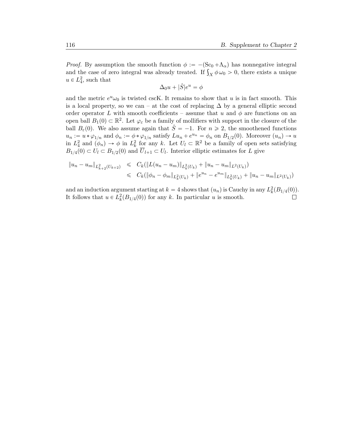*Proof.* By assumption the smooth function  $\phi := -(\text{Sc}_0 + \Lambda_\alpha)$  has nonnegative integral *Proof.* By assumption the smooth function  $\phi := -(\text{Sc}_0 + \Lambda_\alpha)$  has nonnegative integral and the case of zero integral was already treated. If  $\int_X \phi \omega_0 > 0$ , there exists a unique  $u \in L_4^2$ , such that

$$
\Delta_0 u + |\hat{S}| e^u = \phi
$$

and the metric  $e^u \omega_0$  is twisted cscK. It remains to show that u is in fact smooth. This is a local property, so we can – at the cost of replacing  $\Delta$  by a general elliptic second order operator L with smooth coefficients – assume that u and  $\phi$  are functions on an open ball  $B_1(0) \subset \mathbb{R}^2$ . Let  $\varphi_{\varepsilon}$  be a family of mollifiers with support in the closure of the ball  $B_{\varepsilon}(0)$ . We also assume again that  $\hat{S} = -1$ . For  $n \geq 2$ , the smoothened functions  $u_n := u * \varphi_{1/n}$  and  $\phi_n := \phi * \varphi_{1/n}$  satisfy  $Lu_n + e^{u_n} = \phi_n$  on  $B_{1/2}(0)$ . Moreover  $(u_n) \to u$ in  $L_4^2$  and  $(\phi_n) \to \phi$  in  $L_k^2$  for any k. Let  $U_l \subset \mathbb{R}^2$  be a family of open sets satisfying  $B_{1/4}(0) \subset U_l \subset B_{1/2}(0)$  and  $U_{l+1} \subset U_l$ . Interior elliptic estimates for L give

$$
\|u_n - u_m\|_{L^2_{k+2}(U_{k+2})} \leq C_k (\|L(u_n - u_m)\|_{L^2_k(U_k)} + \|u_n - u_m\|_{L^2(U_k)})
$$
  

$$
\leq C_k (\|\phi_n - \phi_m\|_{L^2_k(U_k)} + \|e^{u_n} - e^{u_m}\|_{L^2_k(U_k)} + \|u_n - u_m\|_{L^2(U_k)})
$$

and an induction argument starting at  $k = 4$  shows that  $(u_n)$  is Cauchy in any  $L_k^2(B_{1/4}(0))$ . It follows that  $u \in L_k^2(B_{1/4}(0))$  for any k. In particular u is smooth.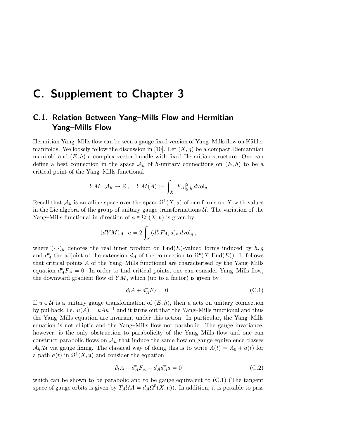## C. Supplement to Chapter 3

### C.1. Relation Between Yang–Mills Flow and Hermitian Yang–Mills Flow

Hermitian Yang–Mills flow can be seen a gauge fixed version of Yang–Mills flow on Kähler manifolds. We loosely follow the discussion in [10]. Let  $(X, q)$  be a compact Riemannian manifold and  $(E, h)$  a complex vector bundle with fixed Hermitian structure. One can define a best connection in the space  $\mathcal{A}_h$  of h-unitary connections on  $(E, h)$  to be a critical point of the Yang–Mills functional

$$
YM: \mathcal{A}_h \to \mathbb{R}, \quad YM(A) := \int_X |F_A|_{g,h}^2 \, d\mathrm{vol}_g
$$

Recall that  $\mathcal{A}_h$  is an affine space over the space  $\Omega^1(X, \mathfrak{u})$  of one-forms on X with values in the Lie algebra of the group of unitary gauge transformations  $U$ . The variation of the Yang–Mills functional in direction of  $a \in \Omega^1(X, \mathfrak{u})$  is given by

$$
(dYM)_A \cdot a = 2 \int_X (d_A^* F_A, a)_h \, d\text{vol}_g,
$$

where  $(\cdot, \cdot)_h$  denotes the real inner product on End(E)-valued forms induced by  $h, g$ and  $d_A^*$  the adjoint of the extension  $d_A$  of the connection to  $\Omega^{\bullet}(X, \text{End}(E))$ . It follows that critical points A of the Yang–Mills functional are characterised by the Yang–Mills equation  $d_A^* F_A = 0$ . In order to find critical points, one can consider Yang–Mills flow, the downward gradient flow of  $YM$ , which (up to a factor) is given by

$$
\partial_t A + d_A^* F_A = 0. \tag{C.1}
$$

If  $u \in \mathcal{U}$  is a unitary gauge transformation of  $(E, h)$ , then u acts on unitary connection by pullback, i.e.  $u(A) = uAu^{-1}$  and it turns out that the Yang–Mills functional and thus the Yang–Mills equation are invariant under this action. In particular, the Yang–Mills equation is not elliptic and the Yang–Mills flow not parabolic. The gauge invariance, however, is the only obstruction to parabolicity of the Yang–Mills flow and one can construct parabolic flows on  $A_h$  that induce the same flow on gauge equivalence classes  $A_h/\mathcal{U}$  via gauge fixing. The classical way of doing this is to write  $A(t) = A_0 + a(t)$  for a path  $a(t)$  in  $\Omega^1(X, \mathfrak{u})$  and consider the equation

$$
\partial_t A + d_A^* F_A + d_A d_A^* a = 0 \tag{C.2}
$$

which can be shown to be parabolic and to be gauge equivalent to  $(C.1)$  (The tangent space of gauge orbits is given by  $T_A \mathcal{U} A = d_A \Omega^0(X, \mathfrak{u})$ . In addition, it is possible to pass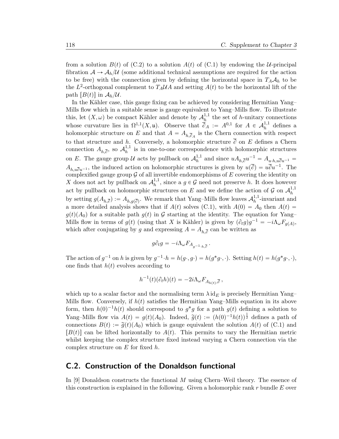from a solution  $B(t)$  of (C.2) to a solution  $A(t)$  of (C.1) by endowing the U-principal fibration  $\mathcal{A} \to \mathcal{A}_h/\mathcal{U}$  (some additional technical assumptions are required for the action to be free) with the connection given by defining the horizontal space in  $T_A\mathcal{A}_h$  to be the  $L^2$ -orthogonal complement to  $T_A\mathcal{U}A$  and setting  $A(t)$  to be the horizontal lift of the path  $[B(t)]$  in  $\mathcal{A}_h/\mathcal{U}$ .

In the Kähler case, this gauge fixing can be achieved by considering Hermitian Yang– Mills flow which in a suitable sense is gauge equivalent to Yang–Mills flow. To illustrate this, let  $(X, \omega)$  be compact Kähler and denote by  $\mathcal{A}_h^{1,1}$  $h^{1,1}$  the set of h-unitary connections whose curvature lies in  $\Omega^{1,1}(X,\mathfrak{u})$ . Observe that  $\overline{\partial}_A := A^{0,1}$  for  $A \in \mathcal{A}_h^{1,1}$  $h^{1,1}$  defines a holomorphic structure on E and that  $A = A_{h,\overline{6}_A}$  is the Chern connection with respect to that structure and h. Conversely, a holomorphic structure  $\overline{\partial}$  on E defines a Chern connection  $A_{h,\overline{\partial}}$ , so  $\mathcal{A}_h^{1,1}$  $h<sup>1,1</sup>$  is in one-to-one correspondence with holomorphic structures on E. The gauge group U acts by pullback on  $\mathcal{A}_h^{1,1}$  $h^{1,1}$  and since  $uA_{h,\overline{\partial}}u^{-1} = A_{u \cdot h,u\overline{\partial}u^{-1}} =$  $A_{h,u\overline{\partial}u^{-1}}$ , the induced action on holomorphic structures is given by  $u(\overline{\partial}) = u\overline{\partial}u^{-1}$ . The complexified gauge group  $\mathcal G$  of all invertible endomorphisms of  $E$  covering the identity on X does not act by pullback on  $\mathcal{A}_h^{1,1}$  $h_h^{1,1}$ , since a  $g \in \mathcal{G}$  need not preserve h. It does however act by pullback on holomorphic structures on E and we define the action of G on  $\mathcal{A}_h^{1,1}$ h by setting  $g(A_{h,\overline{\partial}}) := A_{h,g(\overline{\partial})}$ . We remark that Yang–Mills flow leaves  $\mathcal{A}_h^{1,1}$  $h^{1,1}$ -invariant and a more detailed analysis shows that if  $A(t)$  solves (C.1), with  $A(0) = A_0$  then  $A(t) =$  $g(t)(A_0)$  for a suitable path  $g(t)$  in G starting at the identity. The equation for Yang– Mills flow in terms of  $g(t)$  (using that X is Kähler) is given by  $(\partial_t g)g^{-1} = -i\Lambda_\omega F_{g(A)}$ , which after conjugating by g and expressing  $A = A_{h, \overline{\partial}}$  can be written as

$$
g\partial_t g = -i\Lambda_\omega F_{A_{g^{-1}\cdot h,\overline{\partial}}} \, .
$$

The action of  $g^{-1}$  on h is given by  $g^{-1} \cdot h = h(g \cdot, g \cdot) = h(g^*g \cdot, \cdot)$ . Setting  $h(t) = h(g^*g \cdot, \cdot)$ , one finds that  $h(t)$  evolves according to

$$
h^{-1}(t)(\partial_t h)(t) = -2i\Lambda_\omega F_{A_{h(t)},\overline{\partial}}\,,
$$

which up to a scalar factor and the normalising term  $\lambda$  id<sub>E</sub> is precisely Hermitian Yang– Mills flow. Conversely, if  $h(t)$  satisfies the Hermitian Yang–Mills equation in its above form, then  $h(0)^{-1}h(t)$  should correspond to  $g^*g$  for a path  $g(t)$  defining a solution to Yang–Mills flow via  $A(t) = g(t)(A_0)$ . Indeed,  $\tilde{g}(t) := (h(0)^{-1}h(t))^{\frac{1}{2}}$  defines a path of connections  $B(t) := \tilde{g}(t)(A_0)$  which is gauge equivalent the solution  $A(t)$  of (C.1) and  $[B(t)]$  can be lifted horizontally to  $A(t)$ . This permits to vary the Hermitian metric whilst keeping the complex structure fixed instead varying a Chern connection via the complex structure on  $E$  for fixed  $h$ .

### C.2. Construction of the Donaldson functional

In [9] Donaldson constructs the functional M using Chern–Weil theory. The essence of this construction is explained in the following. Given a holomorphic rank  $r$  bundle  $E$  over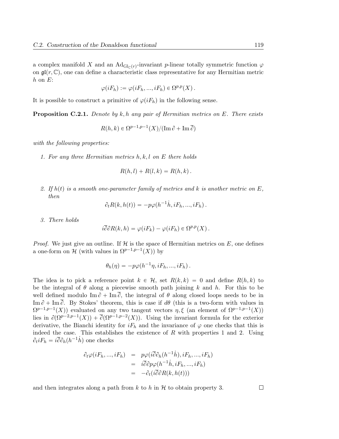a complex manifold X and an  $\text{Ad}_{\text{Gl}_{\mathbb{C}}(r)}$ -invariant p-linear totally symmetric function  $\varphi$ on  $\mathfrak{gl}(r,\mathbb{C})$ , one can define a characteristic class representative for any Hermitian metric  $h$  on  $E$ :

$$
\varphi(iF_h) := \varphi(iF_h, ..., iF_h) \in \Omega^{p,p}(X) .
$$

It is possible to construct a primitive of  $\varphi(iF_h)$  in the following sense.

**Proposition C.2.1.** Denote by k, h any pair of Hermitian metrics on E. There exists

$$
R(h,k) \in \Omega^{p-1,p-1}(X)/(\operatorname{Im} \partial + \operatorname{Im} \overline{\partial})
$$

with the following properties:

1. For any three Hermitian metrics  $h, k, l$  on E there holds

$$
R(h,l) + R(l,k) = R(h,k).
$$

2. If  $h(t)$  is a smooth one-parameter family of metrics and k is another metric on E, then

$$
\partial_t R(k, h(t)) = -p\varphi(h^{-1}\dot{h}, iF_h, ..., iF_h).
$$

3. There holds

$$
i\overline{\partial}\partial R(k,h) = \varphi(iF_k) - \varphi(iF_h) \in \Omega^{p,p}(X) .
$$

*Proof.* We just give an outline. If  $\mathcal{H}$  is the space of Hermitian metrics on  $E$ , one defines a one-form on H (with values in  $\Omega^{p-1,p-1}(X)$ ) by

$$
\theta_h(\eta) = -p\varphi(h^{-1}\eta, iF_h, ..., iF_h).
$$

The idea is to pick a reference point  $k \in \mathcal{H}$ , set  $R(k, k) = 0$  and define  $R(h, k)$  to be the integral of  $\theta$  along a piecewise smooth path joining k and h. For this to be well defined modulo  $\text{Im}\,\partial + \text{Im}\,\overline{\partial}$ , the integral of  $\theta$  along closed loops needs to be in Im  $\partial$  + Im  $\overline{\partial}$ . By Stokes' theorem, this is case if  $d\theta$  (this is a two-form with values in  $\Omega^{p-1,p-1}(X)$  evaluated on any two tangent vectors  $\eta, \xi$  (an element of  $\Omega^{p-1,p-1}(X)$ ) lies in  $\partial(\Omega^{p-2,p-1}(X)) + \overline{\partial}(\Omega^{p-1,p-2}(X))$ . Using the invariant formula for the exterior derivative, the Bianchi identity for  $iF_h$  and the invariance of  $\varphi$  one checks that this is indeed the case. This establishes the existence of  $R$  with properties 1 and 2. Using  $\partial_t i F_h = i \overline{\partial} \partial_h (h^{-1} \dot{h})$  one checks

$$
\partial_t \varphi(iF_h, ..., iF_h) = p\varphi(i\overline{\partial}\partial_h(h^{-1}\dot{h}), iF_h, ..., iF_h)
$$
  
=  $i\overline{\partial}\partial p\varphi(h^{-1}\dot{h}, iF_h, ..., iF_h)$   
=  $-\partial_t(i\overline{\partial}\partial R(k, h(t)))$ 

and then integrates along a path from k to h in  $\mathcal H$  to obtain property 3.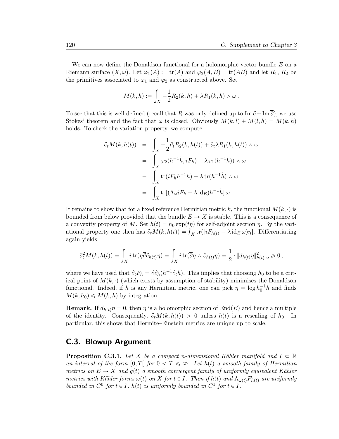We can now define the Donaldson functional for a holomorphic vector bundle  $E$  on a Riemann surface  $(X, \omega)$ . Let  $\varphi_1(A) := \text{tr}(A)$  and  $\varphi_2(A, B) = \text{tr}(AB)$  and let  $R_1, R_2$  be the primitives associated to  $\varphi_1$  and  $\varphi_2$  as constructed above. Set

$$
M(k,h):=\int_X -\frac{1}{2}R_2(k,h)+\lambda R_1(k,h)\wedge\omega\,.
$$

To see that this is well defined (recall that R was only defined up to  $\text{Im } \partial + \text{Im } \overline{\partial}$ ), we use Stokes' theorem and the fact that  $\omega$  is closed. Obviously  $M(k, l) + M(l, h) = M(k, h)$ holds. To check the variation property, we compute

$$
\partial_t M(k, h(t)) = \int_X -\frac{1}{2} \partial_t R_2(k, h(t)) + \partial_t \lambda R_1(k, h(t)) \wedge \omega
$$
  
\n
$$
= \int_X \varphi_2(h^{-1}h, iF_h) - \lambda \varphi_1(h^{-1}h)) \wedge \omega
$$
  
\n
$$
= \int_X \text{tr}(iF_h h^{-1}h) - \lambda \text{tr}(h^{-1}h) \wedge \omega
$$
  
\n
$$
= \int_X \text{tr}[(\Lambda_\omega i F_h - \lambda \text{id}_E)h^{-1}h] \omega.
$$

It remains to show that for a fixed reference Hermitian metric k, the functional  $M(k, \cdot)$  is bounded from below provided that the bundle  $E \to X$  is stable. This is a consequence of a convexity property of M. Set  $h(t) = h_0 \exp(t\eta)$  for self-adjoint section  $\eta$ . By the varia convexity property of M. Set  $h(t) = h_0 \exp(t\eta)$  for self-adjoint section  $\eta$ . By the variational property one then has  $\partial_t M(k, h(t)) = \int_X tr([iF_{h(t)} - \lambda id_E \omega)\eta]$ . Differentiating again yields

$$
\partial_t^2 M(k, h(t)) = \int_X i \operatorname{tr}(\eta \overline{\partial} \partial_{h(t)} \eta) = \int_X i \operatorname{tr}(\overline{\partial} \eta \wedge \partial_{h(t)} \eta) = \frac{1}{2} \cdot \| d_{h(t)} \eta \|_{h(t), \omega}^2 \ge 0,
$$

where we have used that  $\partial_t F_h = \overline{\partial} \partial_h (h^{-1} \partial_t h)$ . This implies that choosing  $h_0$  to be a critical point of  $M(k, \cdot)$  (which exists by assumption of stability) minimises the Donaldson functional. Indeed, if h is any Hermitian metric, one can pick  $\eta = \log h_0^{-1} h$  and finds  $M(k, h_0) \leq M(k, h)$  by integration.

**Remark.** If  $d_{h(t)}\eta = 0$ , then  $\eta$  is a holomorphic section of End(E) and hence a multiple of the identity. Consequently,  $\partial_t M(k, h(t)) > 0$  unless  $h(t)$  is a rescaling of  $h_0$ . In particular, this shows that Hermite–Einstein metrics are unique up to scale.

### C.3. Blowup Argument

**Proposition C.3.1.** Let X be a compact n-dimensional Kähler manifold and  $I \subset \mathbb{R}$ an interval of the form  $[0, T]$  for  $0 < T \leq \infty$ . Let  $h(t)$  a smooth family of Hermitian metrics on  $E \to X$  and  $q(t)$  a smooth convergent family of uniformly equivalent Kähler metrics with Kähler forms  $\omega(t)$  on X for  $t \in I$ . Then if  $h(t)$  and  $\Lambda_{\omega(t)}F_{h(t)}$  are uniformly bounded in  $C^0$  for  $t \in I$ ,  $h(t)$  is uniformly bounded in  $C^1$  for  $t \in I$ .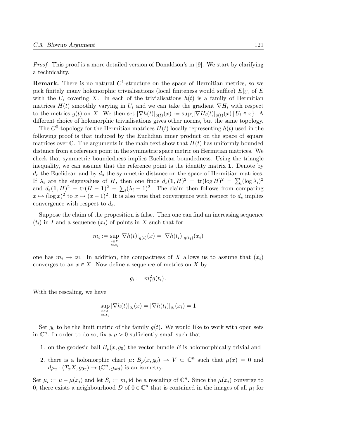Proof. This proof is a more detailed version of Donaldson's in [9]. We start by clarifying a technicality.

**Remark.** There is no natural  $C^1$ -structure on the space of Hermitian metrics, so we pick finitely many holomorphic trivialisations (local finiteness would suffice)  $E|_{U_i}$  of E with the  $U_i$  covering X. In each of the trivialisations  $h(t)$  is a family of Hermitian matrices  $H(t)$  smoothly varying in  $U_i$  and we can take the gradient  $\nabla H_i$  with respect to the metrics  $g(t)$  on X. We then set  $|\nabla h(t)|_{g(t)}(x) := \sup\{|\nabla H_i(t)|_{g(t)}(x) | U_i \ni x\}$ . A different choice of holomorphic trivialisations gives other norms, but the same topology.

The  $C^0$ -topology for the Hermitian matrices  $H(t)$  locally representing  $h(t)$  used in the following proof is that induced by the Euclidian inner product on the space of square matrices over C. The arguments in the main text show that  $H(t)$  has uniformly bounded distance from a reference point in the symmetric space metric on Hermitian matrices. We check that symmetric boundedness implies Euclidean boundedness. Using the triangle inequality, we can assume that the reference point is the identity matrix 1. Denote by  $d_e$  the Euclidean and by  $d_s$  the symmetric distance on the space of Hermitian matrices. If  $\lambda_i$  are the eigenvalues of H, then one finds  $d_s(1, H)^2 = \text{tr}(\log H)^2 = \sum_i (\log \lambda_i)^2$ and  $d_e(1, H)^2 = \text{tr}(H - 1)^2 = \sum_i (\lambda_i - 1)^2$ . The claim then follows from comparing  $x \mapsto (\log x)^2$  to  $x \mapsto (x-1)^2$ . It is also true that convergence with respect to  $d_s$  implies convergence with respect to  $d_e$ .

Suppose the claim of the proposition is false. Then one can find an increasing sequence  $(t_i)$  in I and a sequence  $(x_i)$  of points in X such that for

$$
m_i := \sup_{\substack{x \in X \\ t \le t_i}} |\nabla h(t)|_{g(t)}(x) = |\nabla h(t_i)|_{g(t_i)}(x_i)
$$

one has  $m_i \to \infty$ . In addition, the compactness of X allows us to assume that  $(x_i)$ converges to an  $x \in X$ . Now define a sequence of metrics on X by

$$
g_i := m_i^2 g(t_i) \, .
$$

With the rescaling, we have

$$
\sup_{\substack{x \in X \\ t \le t_i}} |\nabla h(t)|_{g_i}(x) = |\nabla h(t_i)|_{g_i}(x_i) = 1
$$

Set  $g_0$  to be the limit metric of the family  $g(t)$ . We would like to work with open sets in  $\mathbb{C}^n$ . In order to do so, fix a  $\rho > 0$  sufficiently small such that

- 1. on the geodesic ball  $B_{\rho}(x, g_0)$  the vector bundle E is holomorphically trivial and
- 2. there is a holomorphic chart  $\mu: B_{\rho}(x, g_0) \to V \subset \mathbb{C}^n$  such that  $\mu(x) = 0$  and  $d\mu_x \colon (T_x X, g_{0x}) \to (\mathbb{C}^n, g_{std})$  is an isometry.

Set  $\mu_i := \mu - \mu(x_i)$  and let  $S_i := m_i$  id be a rescaling of  $\mathbb{C}^n$ . Since the  $\mu(x_i)$  converge to 0, there exists a neighbourhood D of  $0 \in \mathbb{C}^n$  that is contained in the images of all  $\mu_i$  for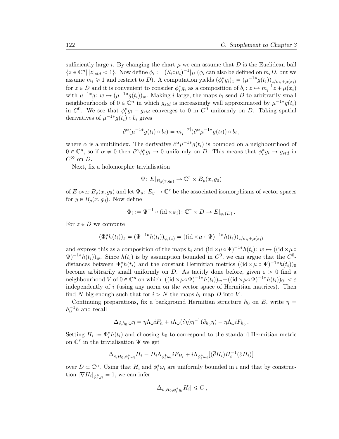sufficiently large i. By changing the chart  $\mu$  we can assume that D is the Euclidean ball  $\{z \in \mathbb{C}^n \mid |z|_{std} < 1\}$ . Now define  $\phi_i := (S_i \circ \mu_i)^{-1} |D \phi_i$  can also be defined on  $m_i D$ , but we assume  $m_i \geq 1$  and restrict to D). A computation yields  $(\phi_i^* g_i)_z = (\mu^{-1*} g(t_i))_{z/m_i + \mu(x_i)}$ for  $z \in D$  and it is convenient to consider  $\phi_i^* g_i$  as a composition of  $b_i : z \mapsto m_i^{-1} z + \mu(x_i)$ with  $\mu^{-1*}g: w \mapsto (\mu^{-1*}g(t_i))_w$ . Making i large, the maps  $b_i$  send D to arbitrarily small neighbourhoods of  $0 \in \mathbb{C}^n$  in which  $g_{std}$  is increasingly well approximated by  $\mu^{-1*}g(t_i)$ in  $C^0$ . We see that  $\phi_i^* g_i - g_{std}$  converges to 0 in  $C^0$  uniformly on D. Taking spatial derivatives of  $\mu^{-1*}g(t_i) \circ b_i$  gives

$$
\partial^{\alpha}(\mu^{-1*}g(t_i)\circ b_i)=m_i^{-|\alpha|}(\partial^{\alpha}\mu^{-1*}g(t_i))\circ b_i,
$$

where  $\alpha$  is a multiindex. The derivative  $\partial^{\alpha} \mu^{-1*} g(t_i)$  is bounded on a neighbourhood of  $0 \in \mathbb{C}^n$ , so if  $\alpha \neq 0$  then  $\partial^{\alpha} \phi_i^* g_i \to 0$  uniformly on D. This means that  $\phi_i^* g_i \to g_{std}$  in  $C^{\infty}$  on D.

Next, fix a holomorphic trivialisation

$$
\Psi \colon E|_{B_{\rho}(x,g_0)} \to \mathbb{C}^r \times B_{\rho}(x,g_0)
$$

of E over  $B_{\rho}(x, g_0)$  and let  $\Psi_y : E_y \to \mathbb{C}^r$  be the associated isomorphisms of vector spaces for  $y \in B_\rho(x, g_0)$ . Now define

$$
\Phi_i := \Psi^{-1} \circ (\mathrm{id} \times \phi_i) \colon \mathbb{C}^r \times D \to E|_{\phi_i(D)}.
$$

For  $z \in D$  we compute

$$
(\Phi_i^* h(t_i))_z = (\Psi^{-1*} h(t_i))_{\phi_i(z)} = ((\mathrm{id} \times \mu \circ \Psi)^{-1*} h(t_i))_{z/m_i + \mu(x_i)}
$$

and express this as a composition of the maps  $b_i$  and  $(id \times \mu \circ \Psi)^{-1*} h(t_i): w \mapsto ((id \times \mu \circ$  $\Psi$ )<sup>-1\*</sup>h(t<sub>i</sub>))<sub>w</sub>. Since h(t<sub>i</sub>) is by assumption bounded in  $C^0$ , we can argue that the  $C^0$ distances between  $\Phi_i^* h(t_i)$  and the constant Hermitian metrics  $((id \times \mu \circ \Psi)^{-1*} h(t_i))_0$ become arbitrarily small uniformly on D. As tacitly done before, given  $\varepsilon > 0$  find a neighbourhood V of  $0 \in \mathbb{C}^n$  on which  $|((id \times \mu \circ \Psi)^{-1*}h(t_i))_w - ((id \times \mu \circ \Psi)^{-1*}h(t_i))_0| < \varepsilon$ independently of i (using any norm on the vector space of Hermitian matrices). Then find N big enough such that for  $i > N$  the maps  $b_i$  map D into V.

Continuing preparations, fix a background Hermitian structure  $h_0$  on E, write  $\eta$  =  $h_0^{-1}h$  and recall

$$
\Delta_{\partial,h_0,\omega}\eta=\eta\Lambda_{\omega}iF_h+i\Lambda_{\omega}(\overline{\partial}\eta)\eta^{-1}(\partial_{h_0}\eta)-\eta\Lambda_{\omega}iF_{h_0}.
$$

Setting  $H_i := \Phi_i^* h(t_i)$  and choosing  $h_0$  to correspond to the standard Hermitian metric on  $\mathbb{C}^r$  in the trivialisation  $\Psi$  we get

$$
\Delta_{\partial, H_0, \phi_i^* \omega_i} H_i = H_i \Lambda_{\phi_i^* \omega_i} i F_{H_i} + i \Lambda_{\phi_i^* \omega_i} [(\overline{\partial} H_i) H_i^{-1}(\partial H_i)]
$$

over  $D \subset \mathbb{C}^n$ . Using that  $H_i$  and  $\phi_i^* \omega_i$  are uniformly bounded in i and that by construction  $|\nabla H_i|_{\phi_i^* g_i} = 1$ , we can infer

$$
|\Delta_{\partial, H_0, \phi_i^* g_i} H_i| \leqslant C \,,
$$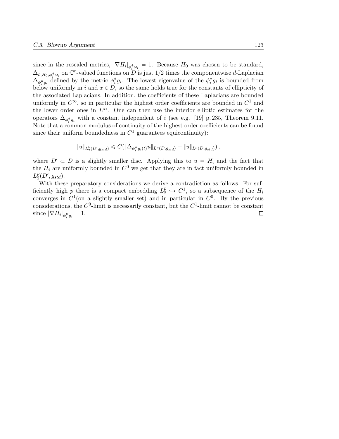since in the rescaled metrics,  $|\nabla H_i|_{\phi_i^* \omega_i} = 1$ . Because  $H_0$  was chosen to be standard,  $\Delta_{\partial, H_0, \phi_i^* \omega_i}$  on  $\mathbb{C}^r$ -valued functions on D is just 1/2 times the componentwise d-Laplacian  $\Delta_{\phi_i^* g_i}^{\phi_i, \mu_i, \mu_i}$  defined by the metric  $\phi_i^* g_i$ . The lowest eigenvalue of the  $\phi_i^* g_i$  is bounded from below uniformly in i and  $x \in D$ , so the same holds true for the constants of ellipticity of the associated Laplacians. In addition, the coefficients of these Laplacians are bounded uniformly in  $C^{\infty}$ , so in particular the highest order coefficients are bounded in  $C^1$  and the lower order ones in  $L^{\infty}$ . One can then use the interior elliptic estimates for the operators  $\Delta_{\phi_i^* g_i}$  with a constant independent of i (see e.g. [19] p. 235, Theorem 9.11. Note that a common modulus of continuity of the highest order coefficients can be found since their uniform boundedness in  $C<sup>1</sup>$  guarantees equicontinuity):

$$
||u||_{L_2^p(D', g_{std})} \leq C(||\Delta_{\phi_i^* g_i(t)} u||_{L^p(D, g_{std})} + ||u||_{L^p(D, g_{std})}),
$$

where  $D' \subset D$  is a slightly smaller disc. Applying this to  $u = H_i$  and the fact that the  $H_i$  are uniformly bounded in  $C^0$  we get that they are in fact uniformly bounded in  $L_2^p$  ${}_{2}^{p}(D',g_{std}).$ 

With these preparatory considerations we derive a contradiction as follows. For sufficiently high  $p$  there is a compact embedding  $L_2^p$  $Z_2^p \hookrightarrow C^1$ , so a subsequence of the  $H_i$ converges in  $C^1$  (on a slightly smaller set) and in particular in  $C^0$ . By the previous considerations, the  $C^0$ -limit is necessarily constant, but the  $C^1$ -limit cannot be constant since  $|\nabla H_i|_{\phi_i^* g_i} = 1$ .  $\Box$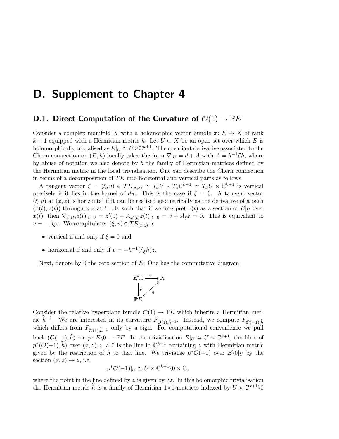### D. Supplement to Chapter 4

### D.1. Direct Computation of the Curvature of  $\mathcal{O}(1) \rightarrow \mathbb{P}E$

Consider a complex manifold X with a holomorphic vector bundle  $\pi: E \to X$  of rank  $k + 1$  equipped with a Hermitian metric h. Let  $U \subset X$  be an open set over which E is holomorphically trivialised as  $E|_U \cong U \times \mathbb{C}^{k+1}$ . The covariant derivative associated to the Chern connection on  $(E, h)$  locally takes the form  $\nabla |U = d + A$  with  $A = h^{-1}\partial h$ , where by abuse of notation we also denote by  $h$  the family of Hermitian matrices defined by the Hermitian metric in the local trivialisation. One can describe the Chern connection in terms of a decomposition of  $TE$  into horizontal and vertical parts as follows.

A tangent vector  $\zeta = (\xi, v) \in TE_{(x,z)} \cong T_xU \times T_z\mathbb{C}^{k+1} \cong T_xU \times \mathbb{C}^{k+1}$  is vertical precisely if it lies in the kernel of  $d\pi$ . This is the case if  $\xi = 0$ . A tangent vector  $(\xi, v)$  at  $(x, z)$  is horizontal if it can be realised geometrically as the derivative of a path  $p(x(t), z(t))$  through x, z at  $t = 0$ , such that if we interpret  $z(t)$  as a section of  $E|_U$  over  $x(t)$ , then  $\nabla_{x'(t)} z(t)|_{t=0} = z'(0) + A_{x'(t)} z(t)|_{t=0} = v + A_{\xi} z = 0$ . This is equivalent to  $v = -A_{\xi}z$ . We recapitulate:  $(\xi, v) \in TE_{(x,z)}$  is

- vertical if and only if  $\xi = 0$  and
- horizontal if and only if  $v = -h^{-1}(\partial_{\xi}h)z$ .

Next, denote by 0 the zero section of  $E$ . One has the commutative diagram

$$
E \setminus 0 \xrightarrow{\pi} X
$$
  
\n
$$
\downarrow p
$$
  
\n
$$
\uparrow p
$$
  
\n
$$
\uparrow p
$$
  
\n
$$
\uparrow p
$$
  
\n
$$
\uparrow p
$$
  
\n
$$
\uparrow p
$$

Consider the relative hyperplane bundle  $\mathcal{O}(1) \rightarrow \mathbb{P}E$  which inherits a Hermitian metric  $\tilde{h}^{-1}$ . We are interested in its curvature  $F_{\mathcal{O}(1),\tilde{h}^{-1}}$ . Instead, we compute  $F_{\mathcal{O}(-1),\tilde{h}}$ which differs from  $F_{\mathcal{O}(1),\tilde{h}^{-1}}$  only by a sign. For computational convenience we pull back  $(\mathcal{O}(-1), \tilde{h})$  via  $p: E\backslash 0 \to \mathbb{P}E$ . In the trivialisation  $E|_U \cong U \times \mathbb{C}^{k+1}$ , the fibre of  $p^*(\mathcal{O}(-1), \tilde{h})$  over  $(x, z), z \neq 0$  is the line in  $\mathbb{C}^{k+1}$  containing z with Hermitian metric given by the restriction of h to that line. We trivialise  $p^*O(-1)$  over  $E\setminus 0|_U$  by the section  $(x, z) \mapsto z$ , i.e.

$$
p^* \mathcal{O}(-1)|_U \cong U \times \mathbb{C}^{k+1} \backslash 0 \times \mathbb{C},
$$

where the point in the line defined by z is given by  $\lambda z$ . In this holomorphic trivialisation the Hermitian metric  $\tilde{h}$  is a family of Hermitian 1×1-matrices indexed by  $U \times \mathbb{C}^{k+1} \setminus 0$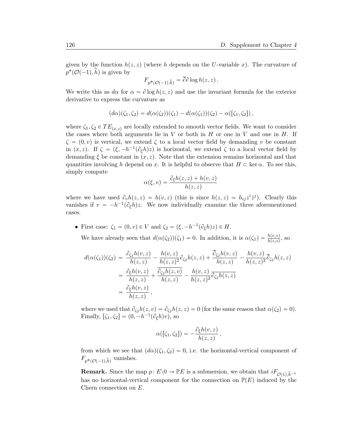given by the function  $h(z, z)$  (where h depends on the U-variable x). The curvature of  $p^*(\mathcal{O}(-1), \tilde{h})$  is given by

$$
F_{p^*(\mathcal{O}(-1),\widetilde{h})} = \overline{\partial} \partial \log h(z,z) .
$$

We write this as  $d\alpha$  for  $\alpha = \partial \log h(z, z)$  and use the invariant formula for the exterior derivative to express the curvature as

$$
(d\alpha)(\zeta_1,\zeta_2)=d(\alpha(\zeta_2))(\zeta_1)-d(\alpha(\zeta_1))(\zeta_2)-\alpha([\zeta_1,\zeta_2]),
$$

where  $\zeta_1, \zeta_2 \in TE_{(x,z)}$  are locally extended to smooth vector fields. We want to consider the cases where both arguments lie in  $V$  or both in  $H$  or one in  $V$  and one in  $H$ . If  $\zeta = (0, v)$  is vertical, we extend  $\zeta$  to a local vector field by demanding v be constant in  $(x, z)$ . If  $\zeta = (\xi, -h^{-1}(\partial_{\xi}h)z)$  is horizontal, we extend  $\zeta$  to a local vector field by demanding  $\xi$  be constant in  $(x, z)$ . Note that the extension remains horizontal and that quantities involving h depend on x. It is helpful to observe that  $H \subset \text{ker } \alpha$ . To see this, simply compute

$$
\alpha(\xi, v) = \frac{\partial_{\xi}h(z, z) + h(v, z)}{h(z, z)}
$$

where we have used  $\partial_v h(z, z) = h(v, z)$  (this is since  $h(z, z) = h_{ij} z^i \overline{z}^j$ ). Clearly this vanishes if  $v = -h^{-1}(\partial_{\xi}h)z$ . We now individually examine the three aforementioned cases.

• First case:  $\zeta_1 = (0, v) \in V$  and  $\zeta_2 = (\xi, -h^{-1}(\partial_{\xi}h)z) \in H$ .

We have already seen that  $d(\alpha(\zeta_2))(\zeta_1) = 0$ . In addition, it is  $\alpha(\zeta_1) = \frac{h(v,z)}{h(z,z)}$ , so

$$
d(\alpha(\zeta_1))(\zeta_2) = \frac{\partial_{\zeta_2}h(v,z)}{h(z,z)} - \frac{h(v,z)}{h(z,z)^2}\partial_{\zeta_2}h(z,z) + \frac{\overline{\partial}_{\zeta_2}h(v,z)}{h(z,z)} - \frac{h(v,z)}{h(z,z)^2}\overline{\partial}_{\zeta_2}h(z,z)
$$
  
= 
$$
\frac{\partial_{\zeta_2}h(v,z)}{h(z,z)} + \frac{\overline{\partial}_{\zeta_2}h(z,v)}{h(z,z)} - \frac{h(v,z)}{h(z,z)^2}\overline{\partial_{\zeta_2}h(z,z)}
$$
  
= 
$$
\frac{\partial_{\zeta_2}h(v,z)}{h(z,z)},
$$

where we used that  $\partial_{\zeta_2} h(z, v) = \partial_{\zeta_2} h(z, z) = 0$  (for the same reason that  $\alpha(\zeta_2) = 0$ ). Finally,  $[\zeta_1, \zeta_2] = (0, -h^{-1}(\partial_{\xi}h)v)$ , so

$$
\alpha([\zeta_1,\zeta_2]) = -\frac{\partial_{\xi}h(v,z)}{h(z,z)},
$$

from which we see that  $(d\alpha)(\zeta_1, \zeta_2) = 0$ , i.e. the horizontal-vertical component of  $F_{p^*(\mathcal{O}(-1),\tilde{h})}$  vanishes.

**Remark.** Since the map  $p: E\backslash 0 \to \mathbb{P}E$  is a submersion, we obtain that  $iF_{\mathcal{O}(1),\tilde{h}^{-1}}$ has no horizontal-vertical component for the connection on  $\mathbb{P}(E)$  induced by the Chern connection on E.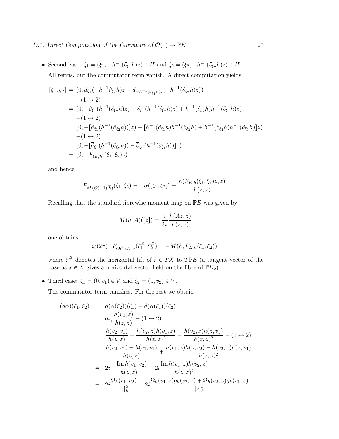• Second case:  $\zeta_1 = (\xi_1, -h^{-1}(\partial_{\xi_1} h)z) \in H$  and  $\zeta_2 = (\xi_2, -h^{-1}(\partial_{\xi_2} h)z) \in H$ . All terms, but the commutator term vanish. A direct computation yields

$$
[\zeta_1, \zeta_2] = (0, d_{\xi_1}(-h^{-1}\partial_{\xi_2}h)z + d_{-h^{-1}(\partial_{\xi_1}h)z}(-h^{-1}(\partial_{\xi_2}h)z))
$$
  
\n
$$
-(1 \leftrightarrow 2)
$$
  
\n
$$
= (0, -\overline{\partial}_{\xi_1}(h^{-1}(\partial_{\xi_2}h)z) - \partial_{\xi_1}(h^{-1}(\partial_{\xi_2}h)z) + h^{-1}(\partial_{\xi_2}h)h^{-1}(\partial_{\xi_1}h)z)
$$
  
\n
$$
-(1 \leftrightarrow 2)
$$
  
\n
$$
= (0, -[\overline{\partial}_{\xi_1}(h^{-1}(\partial_{\xi_2}h))]z) + [h^{-1}(\partial_{\xi_1}h)h^{-1}(\partial_{\xi_2}h) + h^{-1}(\partial_{\xi_2}h)h^{-1}(\partial_{\xi_1}h)]z)
$$
  
\n
$$
-(1 \leftrightarrow 2)
$$
  
\n
$$
= (0, -[\overline{\partial}_{\xi_1}(h^{-1}(\partial_{\xi_2}h)) - \overline{\partial}_{\xi_2}(h^{-1}(\partial_{\xi_1}h))]z)
$$
  
\n
$$
= (0, -F_{(E,h)}(\xi_1, \xi_2)z)
$$

and hence

$$
F_{p^{*}(\mathcal{O}(-1),\widetilde{h})}(\zeta_{1},\zeta_{2})=-\alpha([\zeta_{1},\zeta_{2}])=\frac{h(F_{E,h}(\xi_{1},\xi_{2})z,z)}{h(z,z)}.
$$

Recalling that the standard fibrewise moment map on  $\mathbb{P}E$  was given by

$$
M(h, A)([z]) = \frac{i}{2\pi} \frac{h(Az, z)}{h(z, z)}
$$

one obtains

$$
i/(2\pi) \cdot F_{\mathcal{O}(1),\tilde{h}^{-1}}(\xi_1^\#, \xi_2^\#) = -M(h, F_{E,h}(\xi_1, \xi_2)),
$$

where  $\xi^{\#}$  denotes the horizontal lift of  $\xi \in TX$  to  $T \mathbb{P} E$  (a tangent vector of the base at  $x \in X$  gives a horizontal vector field on the fibre of  $\mathbb{P}E_x$ ).

• Third case:  $\zeta_1 = (0, v_1) \in V$  and  $\zeta_2 = (0, v_2) \in V$ .

The commutator term vanishes. For the rest we obtain

$$
(d\alpha)(\zeta_1, \zeta_2) = d(\alpha(\zeta_2))(\zeta_1) - d(\alpha(\zeta_1))(\zeta_2)
$$
  
\n
$$
= d_{v_1} \frac{h(v_2, z)}{h(z, z)} - (1 \leftrightarrow 2)
$$
  
\n
$$
= \frac{h(v_2, v_1)}{h(z, z)} - \frac{h(v_2, z)h(v_1, z)}{h(z, z)^2} - \frac{h(v_2, z)h(z, v_1)}{h(z, z)^2} - (1 \leftrightarrow 2)
$$
  
\n
$$
= \frac{h(v_2, v_1) - h(v_1, v_2)}{h(z, z)} + \frac{h(v_1, z)h(z, v_2) - h(v_2, z)h(z, v_1)}{h(z, z)^2}
$$
  
\n
$$
= 2i \frac{-\text{Im } h(v_1, v_2)}{h(z, z)} + 2i \frac{\text{Im } h(v_1, z)h(v_2, z)}{h(z, z)^2}
$$
  
\n
$$
= 2i \frac{\Omega_h(v_1, v_2)}{|z|_h^2} - 2i \frac{\Omega_h(v_1, z)g_h(v_2, z) + \Omega_h(v_2, z)g_h(v_1, z)}{|z|_h^4}
$$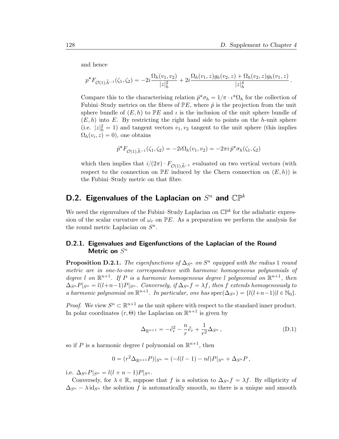and hence

$$
p^* F_{\mathcal{O}(1),\tilde{h}^{-1}}(\zeta_1,\zeta_2) = -2i \frac{\Omega_h(v_1,v_2)}{|z|_h^2} + 2i \frac{\Omega_h(v_1,z)g_h(v_2,z) + \Omega_h(v_2,z)g_h(v_1,z)}{|z|_h^4}.
$$

Compare this to the characterising relation  $\hat{p}^* \sigma_h = 1/\pi \cdot \iota^* \Omega_h$  for the collection of Fubini–Study metrics on the fibres of  $\mathbb{P}E$ , where  $\hat{p}$  is the projection from the unit sphere bundle of  $(E, h)$  to PE and  $\iota$  is the inclusion of the unit sphere bundle of  $(E, h)$  into E. By restricting the right hand side to points on the h-unit sphere (i.e.  $|z|_h^2 = 1$ ) and tangent vectors  $v_1, v_2$  tangent to the unit sphere (this implies  $\Omega_h(v_i, z) = 0$ , one obtains

$$
\hat{p}^* F_{\mathcal{O}(1),\tilde{h}^{-1}}(\zeta_1,\zeta_2) = -2i\Omega_h(v_1,v_2) = -2\pi i \,\hat{p}^* \sigma_h(\zeta_1,\zeta_2)
$$

which then implies that  $i/(2\pi) \cdot F_{\mathcal{O}(1),\tilde{h}^{-1}}$  evaluated on two vertical vectors (with respect to the connection on  $\mathbb{P}E$  induced by the Chern connection on  $(E, h)$  is the Fubini–Study metric on that fibre.

### D.2. Eigenvalues of the Laplacian on  $S^n$  and  $\mathbb{CP}^k$

We need the eigenvalues of the Fubini–Study Laplacian on  $\mathbb{CP}^k$  for the adiabatic expression of the scalar curvature of  $\omega_r$  on PE. As a preparation we perform the analysis for the round metric Laplacian on  $S<sup>n</sup>$ .

#### D.2.1. Eigenvalues and Eigenfunctions of the Laplacian of the Round Metric on  $S^n$

**Proposition D.2.1.** The eigenfunctions of  $\Delta_{S^n}$  on  $S^n$  equipped with the radius 1 round metric are in one-to-one correspondence with harmonic homogeneous polynomials of degree l on  $\mathbb{R}^{n+1}$ . If P is a harmonic homogeneous degree l polynomial on  $\mathbb{R}^{n+1}$ , then  $\Delta_{S^n}P|_{S^n} = l(l+n-1)P|_{S^n}$ . Conversely, if  $\Delta_{S^n} f = \lambda f$ , then f extends homogeneously to a harmonic polynomial on  $\mathbb{R}^{n+1}$ . In particular, one has  $\operatorname{spec}(\Delta_{S^n}) = \{l(l+n-1)|l \in \mathbb{N}_0\}.$ 

*Proof.* We view  $S^n \subset \mathbb{R}^{n+1}$  as the unit sphere with respect to the standard inner product. In polar coordinates  $(r, \Theta)$  the Laplacian on  $\mathbb{R}^{n+1}$  is given by

$$
\Delta_{\mathbb{R}^{n+1}} = -\partial_r^2 - \frac{n}{r}\partial_r + \frac{1}{r^2}\Delta_{S^n},\tag{D.1}
$$

so if P is a harmonic degree l polynomial on  $\mathbb{R}^{n+1}$ , then

$$
0 = (r^{2} \Delta_{\mathbb{R}^{n+1}} P)|_{S^{n}} = (-l(l-1) - nl)P|_{S^{n}} + \Delta_{S^{n}} P,
$$

i.e.  $\Delta_{S^n} P|_{S^n} = l(l+n-1)P|_{S^n}$ .

Conversely, for  $\lambda \in \mathbb{R}$ , suppose that f is a solution to  $\Delta_{S^n} f = \lambda f$ . By ellipticity of  $\Delta_{S^n}$  –  $\lambda$  id<sub>Sn</sub> the solution f is automatically smooth, so there is a unique and smooth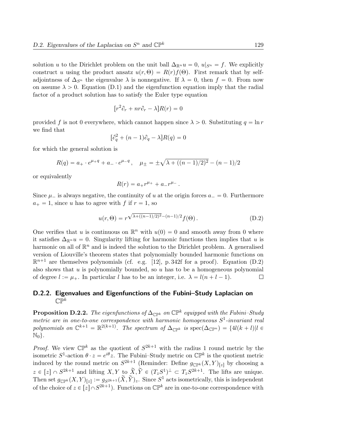solution u to the Dirichlet problem on the unit ball  $\Delta_{\mathbb{R}^n} u = 0$ ,  $u|_{S^n} = f$ . We explicitly construct u using the product ansatz  $u(r, \Theta) = R(r)f(\Theta)$ . First remark that by selfadjointness of  $\Delta_{S^n}$  the eigenvalue  $\lambda$  is nonnegative. If  $\lambda = 0$ , then  $f = 0$ . From now on assume  $\lambda > 0$ . Equation (D.1) and the eigenfunction equation imply that the radial factor of a product solution has to satisfy the Euler type equation

$$
[r^2 \partial_r + nr \partial_r - \lambda]R(r) = 0
$$

provided f is not 0 everywhere, which cannot happen since  $\lambda > 0$ . Substituting  $q = \ln r$ we find that

$$
[\partial_q^2 + (n-1)\partial_q - \lambda]R(q) = 0
$$

for which the general solution is

$$
R(q) = a_+ \cdot e^{\mu_+ q} + a_- \cdot e^{\mu_- q} , \quad \mu_{\pm} = \pm \sqrt{\lambda_+ ((n-1)/2)^2} - (n-1)/2
$$

or equivalently

$$
R(r) = a_+ r^{\mu_+} + a_- r^{\mu_-}.
$$

Since  $\mu$  is always negative, the continuity of u at the origin forces  $a = 0$ . Furthermore  $a_+ = 1$ , since u has to agree with f if  $r = 1$ , so

$$
u(r,\Theta) = r^{\sqrt{\lambda + ((n-1)/2)^2} - (n-1)/2} f(\Theta).
$$
 (D.2)

One verifies that u is continuous on  $\mathbb{R}^n$  with  $u(0) = 0$  and smooth away from 0 where it satisfies  $\Delta_{\mathbb{R}^n} u = 0$ . Singularity lifting for harmonic functions then implies that u is harmonic on all of  $\mathbb{R}^n$  and is indeed the solution to the Dirichlet problem. A generalised version of Liouville's theorem states that polynomially bounded harmonic functions on  $\mathbb{R}^{n+1}$  are themselves polynomials (cf. e.g. [12], p. 342f for a proof). Equation (D.2) also shows that  $u$  is polynomially bounded, so  $u$  has to be a homogeneous polynomial of degree  $l := \mu_+$ . In particular l has to be an integer, i.e.  $\lambda = l(n + l - 1)$ .  $\Box$ 

#### D.2.2. Eigenvalues and Eigenfunctions of the Fubini–Study Laplacian on  $\mathbb{CP}^k$

**Proposition D.2.2.** The eigenfunctions of  $\Delta_{\mathbb{CP}^k}$  on  $\mathbb{CP}^k$  equipped with the Fubini–Study metric are in one-to-one correspondence with harmonic homogeneous  $S^1$ -invariant real polynomials on  $\mathbb{C}^{k+1} = \mathbb{R}^{2(k+1)}$ . The spectrum of  $\Delta_{\mathbb{CP}^k}$  is  $\text{spec}(\Delta_{\mathbb{CP}^n}) = \{4l(k+l)|l \in$  $\mathbb{N}_0$ .

*Proof.* We view  $\mathbb{CP}^k$  as the quotient of  $S^{2k+1}$  with the radius 1 round metric by the isometric  $S^1$ -action  $\theta \cdot z = e^{i\theta}z$ . The Fubini-Study metric on  $\mathbb{CP}^k$  is the quotient metric induced by the round metric on  $S^{2k+1}$  (Reminder: Define  $g_{\mathbb{CP}^k}(X,Y)_{[z]}$  by choosing a  $z \in [z] \cap S^{2k+1}$  and lifting  $X, Y$  to  $\widetilde{X}, \widetilde{Y} \in (T_zS^1)^{\perp} \subset T_zS^{2k+1}$ . The lifts are unique. Then set  $g_{\mathbb{CP}^k}(X, Y)_{[z]} := g_{S^{2k+1}}(\widetilde{X}, \widetilde{Y})_z$ . Since  $S^1$  acts isometrically, this is independent of the choice of  $z \in [z] \cap S^{2k+1}$ . Functions on  $\mathbb{CP}^k$  are in one-to-one correspondence with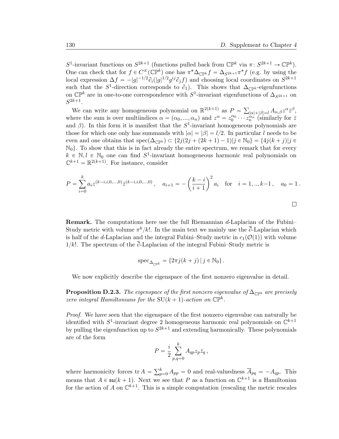S<sup>1</sup>-invariant functions on  $S^{2k+1}$  (functions pulled back from  $\mathbb{CP}^k$  via  $\pi: S^{2k+1} \to \mathbb{CP}^k$ ). One can check that for  $f \in C^{\infty}(\mathbb{CP}^k)$  one has  $\pi^* \Delta_{\mathbb{CP}^k} f = \Delta_{S^{2k+1}} \pi^* f$  (e.g. by using the local expression  $\Delta f = -|g|^{-1/2} \partial_i (|g|^{1/2} g^{ij} \partial_j f)$  and choosing local coordinates on  $S^{2k+1}$ such that the S<sup>1</sup>-direction corresponds to  $\partial_1$ ). This shows that  $\Delta_{\mathbb{CP}^k}$ -eigenfunctions on  $\mathbb{CP}^k$  are in one-to-one correspondence with  $S^1$ -invariant eigenfunctions of  $\Delta_{S^{2k+1}}$  on  $S^{2k+1}.$ 

We can write any homogeneous polynomial on  $\mathbb{R}^{2(k+1)}$  as  $P =$  $|\alpha|+|\beta|=l A_{\alpha,\beta}z^{\alpha}\bar{z}^{\beta},$ where the sum is over multiindices  $\alpha = (\alpha_0, ..., \alpha_n)$  and  $z^{\alpha} = z_0^{\alpha_0} \cdots \overline{z_n^{\alpha_n}}'$  (similarly for  $\overline{z}$ ) and  $\beta$ ). In this form it is manifest that the  $S^1$ -invariant homogeneous polynomials are those for which one only has summands with  $|\alpha| = |\beta| = l/2$ . In particular l needs to be even and one obtains that  $spec(\Delta_{\mathbb{CP}^k}) \subset \{2j(2j + (2k + 1) - 1)|j \in \mathbb{N}_0\} = \{4j(k + j)|j \in \mathbb{N}_0\}$  $\mathbb{N}_0$ . To show that this is in fact already the entire spectrum, we remark that for every  $k \in \mathbb{N}, l \in \mathbb{N}_0$  one can find  $S^1$ -invariant homogeneous harmonic real polynomials on  $\mathbb{C}^{k+1} = \mathbb{R}^{2(k+1)}$ . For instance, consider

$$
P = \sum_{i=0}^{k} a_i z^{(k-i,i,0,\dots,0)} \overline{z}^{(k-i,i,0,\dots,0)}, \quad a_{i+1} = -\left(\frac{k-i}{i+1}\right)^2 a_i \quad \text{for} \quad i = 1,..,k-1, \quad a_0 = 1.
$$

Remark. The computations here use the full Riemannian d-Laplacian of the Fubini– Study metric with volume  $\pi^k/k!$ . In the main text we mainly use the  $\overline{\partial}$ -Laplacian which is half of the d-Laplacian and the integral Fubini–Study metric in  $c_1(\mathcal{O}(1))$  with volume  $1/k!$ . The spectrum of the  $\overline{\partial}$ -Laplacian of the integral Fubini–Study metric is

$$
\operatorname{spec}_{\Delta_{\mathbb{CP}^k}} = \{2\pi j(k+j) \, | \, j \in \mathbb{N}_0 \} \, .
$$

We now explicitly describe the eigenspace of the first nonzero eigenvalue in detail.

**Proposition D.2.3.** The eigenspace of the first nonzero eigenvalue of  $\Delta_{\mathbb{CP}^k}$  are precisely zero integral Hamiltonians for the  $SU(k + 1)$ -action on  $\mathbb{CP}^k$ .

Proof. We have seen that the eigenspace of the first nonzero eigenvalue can naturally be identified with  $S^1$ -invariant degree 2 homogeneous harmonic real polynomials on  $\mathbb{C}^{k+1}$ by pulling the eigenfunction up to  $S^{2k+1}$  and extending harmonically. These polynomials are of the form

$$
P = \frac{i}{2} \sum_{p,q=0}^{k} A_{qp} z_p \overline{z}_q ,
$$

where harmonicity forces tr $A = \sum_{p=0}^{k} A_p$  $p_{p=0}^{\kappa} A_{pp} = 0$  and real-valuedness  $A_{pq} = -A_{qp}$ . This means that  $A \in \mathfrak{su}(k+1)$ . Next we see that P as a function on  $\mathbb{C}^{k+1}$  is a Hamiltonian for the action of A on  $\mathbb{C}^{k+1}$ . This is a simple computation (rescaling the metric rescales

 $\Box$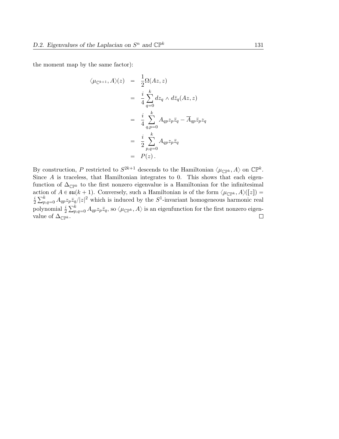the moment map by the same factor):

$$
\langle \mu_{\mathbb{C}^{k+1}}, A \rangle(z) = \frac{1}{2} \Omega(Az, z)
$$
  
\n
$$
= \frac{i}{4} \sum_{q=0}^{k} dz_q \wedge d\overline{z}_q(Az, z)
$$
  
\n
$$
= \frac{i}{4} \sum_{q,p=0}^{k} A_{qp} z_p \overline{z}_q - \overline{A}_{qp} \overline{z}_p z_q
$$
  
\n
$$
= \frac{i}{2} \sum_{p,q=0}^{k} A_{qp} z_p \overline{z}_q
$$
  
\n
$$
= P(z).
$$

By construction, P restricted to  $S^{2k+1}$  descends to the Hamiltonian  $\langle \mu_{\mathbb{CP}^k}, A \rangle$  on  $\mathbb{CP}^k$ . Since  $A$  is traceless, that Hamiltonian integrates to 0. This shows that each eigenfunction of  $\Delta_{\mathbb{CP}^k}$  to the first nonzero eigenvalue is a Hamiltonian for the infinitesimal action of  $A \in \mathfrak{su}(k+1)$ . Conversely, such a Hamiltonian is of the form  $\langle \mu_{\mathbb{CP}^k}, A \rangle([z]) = i \sum_{k} k$   $A \times \overline{z} / |z|^2$  which is induced by the  $S^1$ -invariant homogeneous harmonic real  $\overline{2}$  $\frac{\text{ctio}}{\nabla^k}$  $p_{p,q=0}^k A_{qp} z_p \bar{z}_q/|z|^2$  which is induced by the  $S^1$ -invariant homogeneous harmonic real polynomial  $\frac{i}{2}$  $\frac{p \nsim q}{\nabla^k}$  $p_{p,q=0}^{\kappa} A_{qp}z_p\bar{z}_q$ , so  $\langle \mu_{\mathbb{CP}^k} , A \rangle$  is an eigenfunction for the first nonzero eigenvalue of  $\Delta_{\mathbb{CP}^k}$ .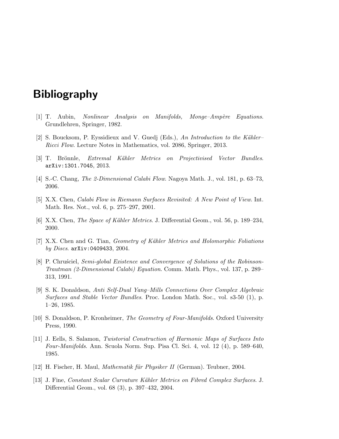# Bibliography

- [1] T. Aubin, *Nonlinear Analysis on Manifolds, Monge–Ampère Equations.* Grundlehren, Springer, 1982.
- [2] S. Boucksom, P. Eyssidieux and V. Guedj (Eds.), An Introduction to the Kähler– Ricci Flow. Lecture Notes in Mathematics, vol. 2086, Springer, 2013.
- [3] T. Brönnle, Extremal Kähler Metrics on Projectivised Vector Bundles. arXiv:1301.7045, 2013.
- [4] S.-C. Chang, The 2-Dimensional Calabi Flow. Nagoya Math. J., vol. 181, p. 63–73, 2006.
- [5] X.X. Chen, Calabi Flow in Riemann Surfaces Revisited: A New Point of View. Int. Math. Res. Not., vol. 6, p. 275–297, 2001.
- [6] X.X. Chen, *The Space of Kähler Metrics.* J. Differential Geom., vol. 56, p. 189–234, 2000.
- [7] X.X. Chen and G. Tian, Geometry of K¨ahler Metrics and Holomorphic Foliations by Discs. arXiv:0409433, 2004.
- [8] P. Chrusciel, Semi-global Existence and Convergence of Solutions of the Robinson-Trautman (2-Dimensional Calabi) Equation. Comm. Math. Phys., vol. 137, p. 289– 313, 1991.
- [9] S. K. Donaldson, Anti Self-Dual Yang–Mills Connections Over Complex Algebraic Surfaces and Stable Vector Bundles. Proc. London Math. Soc., vol. s3-50 (1), p. 1–26, 1985.
- [10] S. Donaldson, P. Kronheimer, The Geometry of Four-Manifolds. Oxford University Press, 1990.
- [11] J. Eells, S. Salamon, Twistorial Construction of Harmonic Maps of Surfaces Into Four-Manifolds. Ann. Scuola Norm. Sup. Pisa Cl. Sci. 4, vol. 12 (4), p. 589–640, 1985.
- [12] H. Fischer, H. Maul, *Mathematik für Physiker II* (German). Teubner, 2004.
- [13] J. Fine, Constant Scalar Curvature K¨ahler Metrics on Fibred Complex Surfaces. J. Differential Geom., vol. 68 (3), p. 397–432, 2004.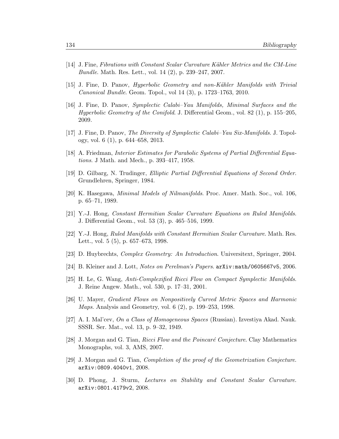- [14] J. Fine, Fibrations with Constant Scalar Curvature Kähler Metrics and the CM-Line Bundle. Math. Res. Lett., vol. 14 (2), p. 239–247, 2007.
- [15] J. Fine, D. Panov, *Hyperbolic Geometry and non-Kähler Manifolds with Trivial* Canonical Bundle. Geom. Topol., vol 14 (3), p. 1723–1763, 2010.
- [16] J. Fine, D. Panov, Symplectic Calabi–Yau Manifolds, Minimal Surfaces and the Hyperbolic Geometry of the Conifold. J. Differential Geom., vol. 82 (1), p. 155–205, 2009.
- [17] J. Fine, D. Panov, The Diversity of Symplectic Calabi–Yau Six-Manifolds. J. Topology, vol. 6 (1), p. 644–658, 2013.
- [18] A. Friedman, Interior Estimates for Parabolic Systems of Partial Differential Equations. J Math. and Mech., p. 393–417, 1958.
- [19] D. Gilbarg, N. Trudinger, Elliptic Partial Differential Equations of Second Order. Grundlehren, Springer, 1984.
- [20] K. Hasegawa, Minimal Models of Nilmanifolds. Proc. Amer. Math. Soc., vol. 106, p. 65–71, 1989.
- [21] Y.-J. Hong, Constant Hermitian Scalar Curvature Equations on Ruled Manifolds. J. Differential Geom., vol. 53 (3), p. 465–516, 1999.
- [22] Y.-J. Hong, Ruled Manifolds with Constant Hermitian Scalar Curvature. Math. Res. Lett., vol. 5 (5), p. 657–673, 1998.
- [23] D. Huybrechts, Complex Geometry: An Introduction. Universitext, Springer, 2004.
- [24] B. Kleiner and J. Lott, Notes on Perelman's Papers. arXiv:math/0605667v5, 2006.
- [25] H. Le, G. Wang, Anti-Complexified Ricci Flow on Compact Symplectic Manifolds. J. Reine Angew. Math., vol. 530, p. 17–31, 2001.
- [26] U. Mayer, Gradient Flows on Nonpositively Curved Metric Spaces and Harmonic Maps. Analysis and Geometry, vol. 6 (2), p. 199–253, 1998.
- [27] A. I. Mal'cev, On a Class of Homogeneous Spaces (Russian). Izvestiya Akad. Nauk. SSSR. Ser. Mat., vol. 13, p. 9–32, 1949.
- [28] J. Morgan and G. Tian, *Ricci Flow and the Poincaré Conjecture*. Clay Mathematics Monographs, vol. 3, AMS, 2007.
- [29] J. Morgan and G. Tian, Completion of the proof of the Geometrization Conjecture. arXiv:0809.4040v1, 2008.
- [30] D. Phong, J. Sturm, Lectures on Stability and Constant Scalar Curvature. arXiv:0801.4179v2, 2008.